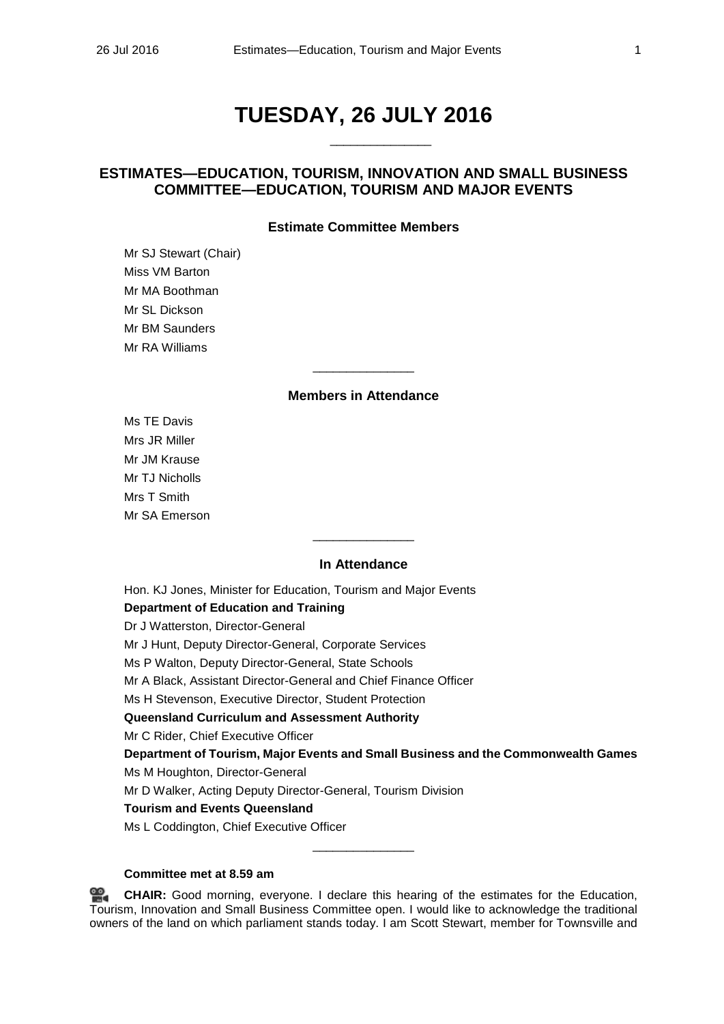# **TUESDAY, 26 JULY 2016**

\_\_\_\_\_\_\_\_\_\_\_\_\_\_\_

# **ESTIMATES—EDUCATION, TOURISM, INNOVATION AND SMALL BUSINESS COMMITTEE—EDUCATION, TOURISM AND MAJOR EVENTS**

# **Estimate Committee Members**

Mr SJ Stewart (Chair) Miss VM Barton Mr MA Boothman Mr SL Dickson Mr BM Saunders Mr RA Williams

# **Members in Attendance**

\_\_\_\_\_\_\_\_\_\_\_\_\_\_\_

Ms TE Davis Mrs JR Miller Mr JM Krause Mr TJ Nicholls Mrs T Smith Mr SA Emerson

# **In Attendance**

 $\overline{\phantom{a}}$  , where the contract of the contract of  $\overline{\phantom{a}}$ 

Hon. KJ Jones, Minister for Education, Tourism and Major Events **Department of Education and Training** 

Dr J Watterston, Director-General

Mr J Hunt, Deputy Director-General, Corporate Services

Ms P Walton, Deputy Director-General, State Schools

Mr A Black, Assistant Director-General and Chief Finance Officer

Ms H Stevenson, Executive Director, Student Protection

**Queensland Curriculum and Assessment Authority**

Mr C Rider, Chief Executive Officer

**Department of Tourism, Major Events and Small Business and the Commonwealth Games**

Ms M Houghton, Director-General

Mr D Walker, Acting Deputy Director-General, Tourism Division

# **Tourism and Events Queensland**

Ms L Coddington, Chief Executive Officer

# **Committee met at 8.59 am**

≌. **[CHAIR:](http://www.parliament.qld.gov.au/docs/find.aspx?id=0Mba20160726_090004)** Good morning, everyone. I declare this hearing of the estimates for the Education, Tourism, Innovation and Small Business Committee open. I would like to acknowledge the traditional owners of the land on which parliament stands today. I am Scott Stewart, member for Townsville and

\_\_\_\_\_\_\_\_\_\_\_\_\_\_\_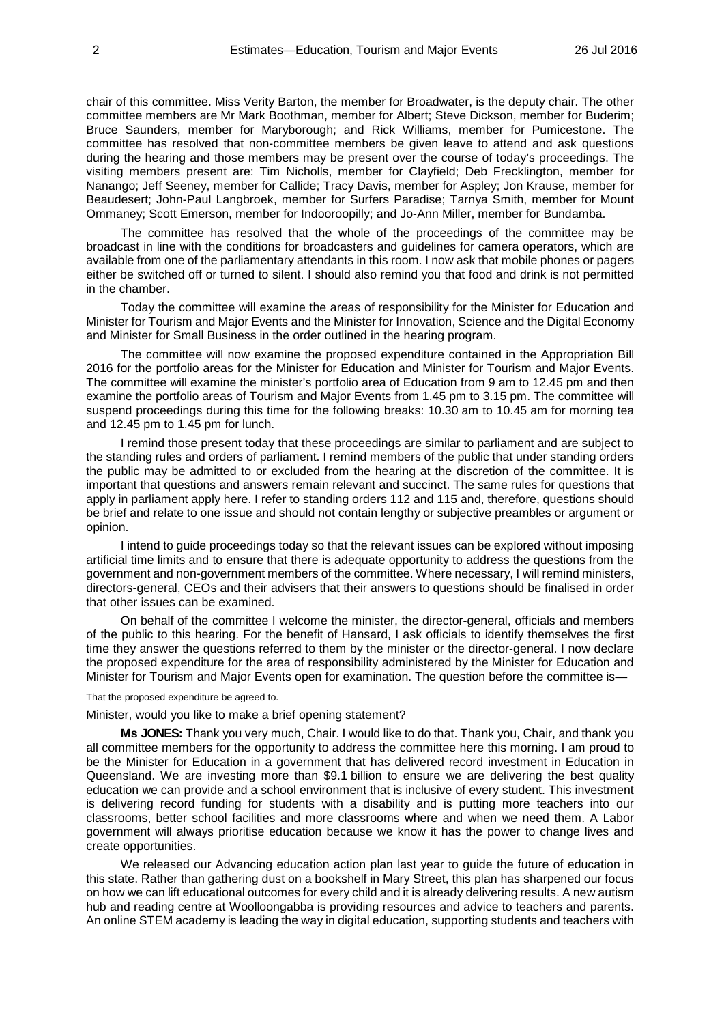chair of this committee. Miss Verity Barton, the member for Broadwater, is the deputy chair. The other committee members are Mr Mark Boothman, member for Albert; Steve Dickson, member for Buderim; Bruce Saunders, member for Maryborough; and Rick Williams, member for Pumicestone. The committee has resolved that non-committee members be given leave to attend and ask questions during the hearing and those members may be present over the course of today's proceedings. The visiting members present are: Tim Nicholls, member for Clayfield; Deb Frecklington, member for Nanango; Jeff Seeney, member for Callide; Tracy Davis, member for Aspley; Jon Krause, member for Beaudesert; John-Paul Langbroek, member for Surfers Paradise; Tarnya Smith, member for Mount Ommaney; Scott Emerson, member for Indooroopilly; and Jo-Ann Miller, member for Bundamba.

The committee has resolved that the whole of the proceedings of the committee may be broadcast in line with the conditions for broadcasters and guidelines for camera operators, which are available from one of the parliamentary attendants in this room. I now ask that mobile phones or pagers either be switched off or turned to silent. I should also remind you that food and drink is not permitted in the chamber.

Today the committee will examine the areas of responsibility for the Minister for Education and Minister for Tourism and Major Events and the Minister for Innovation, Science and the Digital Economy and Minister for Small Business in the order outlined in the hearing program.

The committee will now examine the proposed expenditure contained in the Appropriation Bill 2016 for the portfolio areas for the Minister for Education and Minister for Tourism and Major Events. The committee will examine the minister's portfolio area of Education from 9 am to 12.45 pm and then examine the portfolio areas of Tourism and Major Events from 1.45 pm to 3.15 pm. The committee will suspend proceedings during this time for the following breaks: 10.30 am to 10.45 am for morning tea and 12.45 pm to 1.45 pm for lunch.

I remind those present today that these proceedings are similar to parliament and are subject to the standing rules and orders of parliament. I remind members of the public that under standing orders the public may be admitted to or excluded from the hearing at the discretion of the committee. It is important that questions and answers remain relevant and succinct. The same rules for questions that apply in parliament apply here. I refer to standing orders 112 and 115 and, therefore, questions should be brief and relate to one issue and should not contain lengthy or subjective preambles or argument or opinion.

I intend to guide proceedings today so that the relevant issues can be explored without imposing artificial time limits and to ensure that there is adequate opportunity to address the questions from the government and non-government members of the committee. Where necessary, I will remind ministers, directors-general, CEOs and their advisers that their answers to questions should be finalised in order that other issues can be examined.

On behalf of the committee I welcome the minister, the director-general, officials and members of the public to this hearing. For the benefit of Hansard, I ask officials to identify themselves the first time they answer the questions referred to them by the minister or the director-general. I now declare the proposed expenditure for the area of responsibility administered by the Minister for Education and Minister for Tourism and Major Events open for examination. The question before the committee is—

That the proposed expenditure be agreed to.

Minister, would you like to make a brief opening statement?

**Ms JONES:** Thank you very much, Chair. I would like to do that. Thank you, Chair, and thank you all committee members for the opportunity to address the committee here this morning. I am proud to be the Minister for Education in a government that has delivered record investment in Education in Queensland. We are investing more than \$9.1 billion to ensure we are delivering the best quality education we can provide and a school environment that is inclusive of every student. This investment is delivering record funding for students with a disability and is putting more teachers into our classrooms, better school facilities and more classrooms where and when we need them. A Labor government will always prioritise education because we know it has the power to change lives and create opportunities.

We released our Advancing education action plan last year to guide the future of education in this state. Rather than gathering dust on a bookshelf in Mary Street, this plan has sharpened our focus on how we can lift educational outcomes for every child and it is already delivering results. A new autism hub and reading centre at Woolloongabba is providing resources and advice to teachers and parents. An online STEM academy is leading the way in digital education, supporting students and teachers with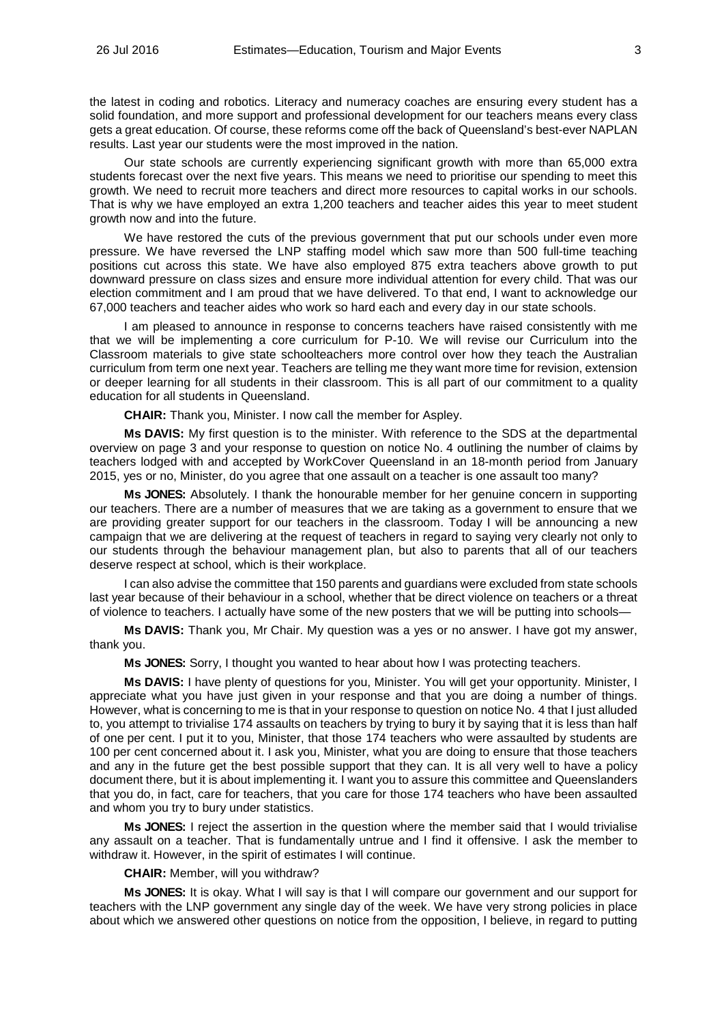the latest in coding and robotics. Literacy and numeracy coaches are ensuring every student has a solid foundation, and more support and professional development for our teachers means every class gets a great education. Of course, these reforms come off the back of Queensland's best-ever NAPLAN results. Last year our students were the most improved in the nation.

Our state schools are currently experiencing significant growth with more than 65,000 extra students forecast over the next five years. This means we need to prioritise our spending to meet this growth. We need to recruit more teachers and direct more resources to capital works in our schools. That is why we have employed an extra 1,200 teachers and teacher aides this year to meet student growth now and into the future.

We have restored the cuts of the previous government that put our schools under even more pressure. We have reversed the LNP staffing model which saw more than 500 full-time teaching positions cut across this state. We have also employed 875 extra teachers above growth to put downward pressure on class sizes and ensure more individual attention for every child. That was our election commitment and I am proud that we have delivered. To that end, I want to acknowledge our 67,000 teachers and teacher aides who work so hard each and every day in our state schools.

I am pleased to announce in response to concerns teachers have raised consistently with me that we will be implementing a core curriculum for P-10. We will revise our Curriculum into the Classroom materials to give state schoolteachers more control over how they teach the Australian curriculum from term one next year. Teachers are telling me they want more time for revision, extension or deeper learning for all students in their classroom. This is all part of our commitment to a quality education for all students in Queensland.

**CHAIR:** Thank you, Minister. I now call the member for Aspley.

**Ms DAVIS:** My first question is to the minister. With reference to the SDS at the departmental overview on page 3 and your response to question on notice No. 4 outlining the number of claims by teachers lodged with and accepted by WorkCover Queensland in an 18-month period from January 2015, yes or no, Minister, do you agree that one assault on a teacher is one assault too many?

**Ms JONES:** Absolutely. I thank the honourable member for her genuine concern in supporting our teachers. There are a number of measures that we are taking as a government to ensure that we are providing greater support for our teachers in the classroom. Today I will be announcing a new campaign that we are delivering at the request of teachers in regard to saying very clearly not only to our students through the behaviour management plan, but also to parents that all of our teachers deserve respect at school, which is their workplace.

I can also advise the committee that 150 parents and guardians were excluded from state schools last year because of their behaviour in a school, whether that be direct violence on teachers or a threat of violence to teachers. I actually have some of the new posters that we will be putting into schools—

**Ms DAVIS:** Thank you, Mr Chair. My question was a yes or no answer. I have got my answer, thank you.

**Ms JONES:** Sorry, I thought you wanted to hear about how I was protecting teachers.

**Ms DAVIS:** I have plenty of questions for you, Minister. You will get your opportunity. Minister, I appreciate what you have just given in your response and that you are doing a number of things. However, what is concerning to me is that in your response to question on notice No. 4 that I just alluded to, you attempt to trivialise 174 assaults on teachers by trying to bury it by saying that it is less than half of one per cent. I put it to you, Minister, that those 174 teachers who were assaulted by students are 100 per cent concerned about it. I ask you, Minister, what you are doing to ensure that those teachers and any in the future get the best possible support that they can. It is all very well to have a policy document there, but it is about implementing it. I want you to assure this committee and Queenslanders that you do, in fact, care for teachers, that you care for those 174 teachers who have been assaulted and whom you try to bury under statistics.

**Ms JONES:** I reject the assertion in the question where the member said that I would trivialise any assault on a teacher. That is fundamentally untrue and I find it offensive. I ask the member to withdraw it. However, in the spirit of estimates I will continue.

**CHAIR:** Member, will you withdraw?

**Ms JONES:** It is okay. What I will say is that I will compare our government and our support for teachers with the LNP government any single day of the week. We have very strong policies in place about which we answered other questions on notice from the opposition, I believe, in regard to putting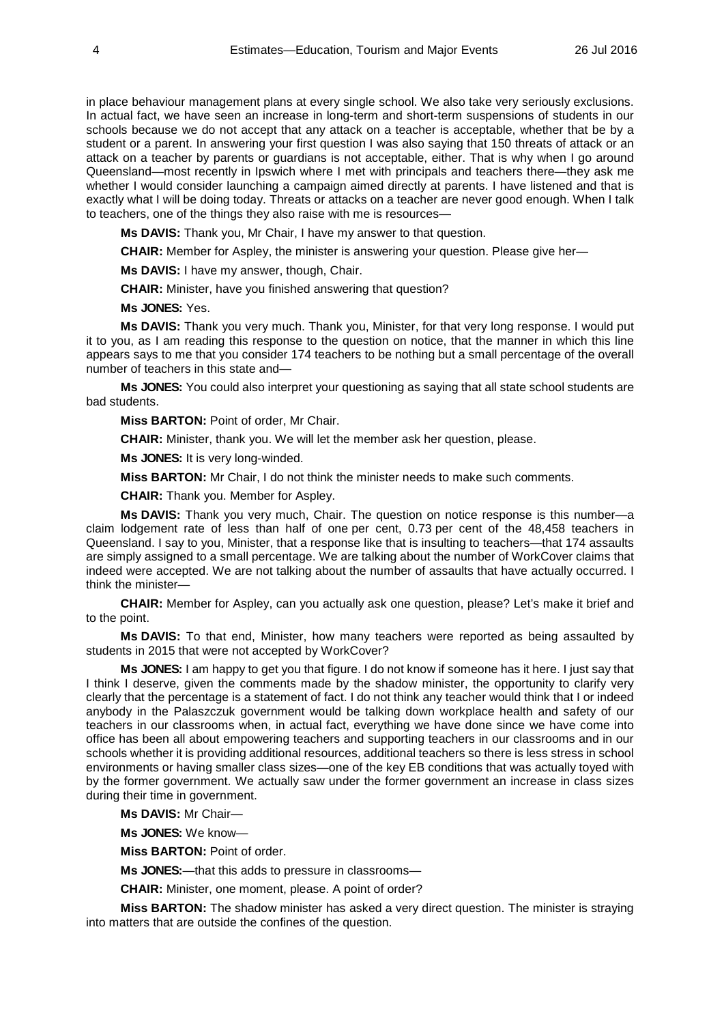in place behaviour management plans at every single school. We also take very seriously exclusions. In actual fact, we have seen an increase in long-term and short-term suspensions of students in our schools because we do not accept that any attack on a teacher is acceptable, whether that be by a student or a parent. In answering your first question I was also saying that 150 threats of attack or an attack on a teacher by parents or guardians is not acceptable, either. That is why when I go around Queensland—most recently in Ipswich where I met with principals and teachers there—they ask me whether I would consider launching a campaign aimed directly at parents. I have listened and that is exactly what I will be doing today. Threats or attacks on a teacher are never good enough. When I talk to teachers, one of the things they also raise with me is resources—

**Ms DAVIS:** Thank you, Mr Chair, I have my answer to that question.

**CHAIR:** Member for Aspley, the minister is answering your question. Please give her—

**Ms DAVIS:** I have my answer, though, Chair.

**CHAIR:** Minister, have you finished answering that question?

**Ms JONES:** Yes.

**Ms DAVIS:** Thank you very much. Thank you, Minister, for that very long response. I would put it to you, as I am reading this response to the question on notice, that the manner in which this line appears says to me that you consider 174 teachers to be nothing but a small percentage of the overall number of teachers in this state and—

**Ms JONES:** You could also interpret your questioning as saying that all state school students are bad students.

**Miss BARTON:** Point of order, Mr Chair.

**CHAIR:** Minister, thank you. We will let the member ask her question, please.

**Ms JONES:** It is very long-winded.

**Miss BARTON:** Mr Chair, I do not think the minister needs to make such comments.

**CHAIR:** Thank you. Member for Aspley.

**Ms DAVIS:** Thank you very much, Chair. The question on notice response is this number—a claim lodgement rate of less than half of one per cent, 0.73 per cent of the 48,458 teachers in Queensland. I say to you, Minister, that a response like that is insulting to teachers—that 174 assaults are simply assigned to a small percentage. We are talking about the number of WorkCover claims that indeed were accepted. We are not talking about the number of assaults that have actually occurred. I think the minister—

**CHAIR:** Member for Aspley, can you actually ask one question, please? Let's make it brief and to the point.

**Ms DAVIS:** To that end, Minister, how many teachers were reported as being assaulted by students in 2015 that were not accepted by WorkCover?

**Ms JONES:** I am happy to get you that figure. I do not know if someone has it here. I just say that I think I deserve, given the comments made by the shadow minister, the opportunity to clarify very clearly that the percentage is a statement of fact. I do not think any teacher would think that I or indeed anybody in the Palaszczuk government would be talking down workplace health and safety of our teachers in our classrooms when, in actual fact, everything we have done since we have come into office has been all about empowering teachers and supporting teachers in our classrooms and in our schools whether it is providing additional resources, additional teachers so there is less stress in school environments or having smaller class sizes—one of the key EB conditions that was actually toyed with by the former government. We actually saw under the former government an increase in class sizes during their time in government.

**Ms DAVIS:** Mr Chair—

**Ms JONES:** We know—

**Miss BARTON:** Point of order.

**Ms JONES:**—that this adds to pressure in classrooms—

**CHAIR:** Minister, one moment, please. A point of order?

**Miss BARTON:** The shadow minister has asked a very direct question. The minister is straying into matters that are outside the confines of the question.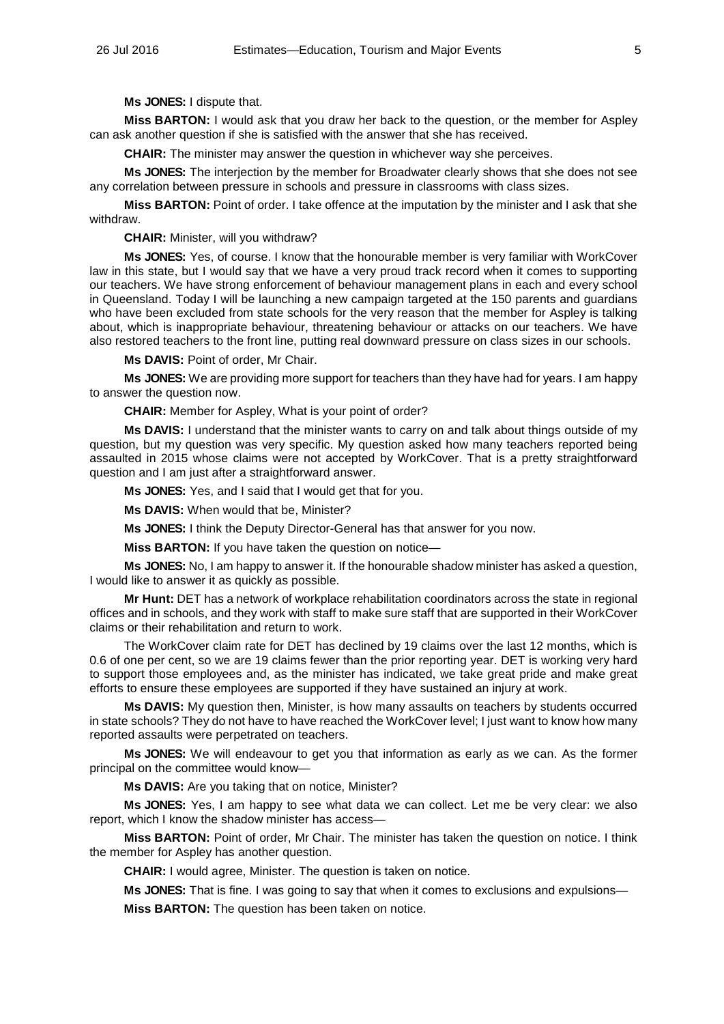**Ms JONES:** I dispute that.

**Miss BARTON:** I would ask that you draw her back to the question, or the member for Aspley can ask another question if she is satisfied with the answer that she has received.

**CHAIR:** The minister may answer the question in whichever way she perceives.

**Ms JONES:** The interjection by the member for Broadwater clearly shows that she does not see any correlation between pressure in schools and pressure in classrooms with class sizes.

**Miss BARTON:** Point of order. I take offence at the imputation by the minister and I ask that she withdraw.

**CHAIR:** Minister, will you withdraw?

**Ms JONES:** Yes, of course. I know that the honourable member is very familiar with WorkCover law in this state, but I would say that we have a very proud track record when it comes to supporting our teachers. We have strong enforcement of behaviour management plans in each and every school in Queensland. Today I will be launching a new campaign targeted at the 150 parents and guardians who have been excluded from state schools for the very reason that the member for Aspley is talking about, which is inappropriate behaviour, threatening behaviour or attacks on our teachers. We have also restored teachers to the front line, putting real downward pressure on class sizes in our schools.

**Ms DAVIS:** Point of order, Mr Chair.

**Ms JONES:** We are providing more support for teachers than they have had for years. I am happy to answer the question now.

**CHAIR:** Member for Aspley, What is your point of order?

**Ms DAVIS:** I understand that the minister wants to carry on and talk about things outside of my question, but my question was very specific. My question asked how many teachers reported being assaulted in 2015 whose claims were not accepted by WorkCover. That is a pretty straightforward question and I am just after a straightforward answer.

**Ms JONES:** Yes, and I said that I would get that for you.

**Ms DAVIS:** When would that be, Minister?

**Ms JONES:** I think the Deputy Director-General has that answer for you now.

**Miss BARTON:** If you have taken the question on notice—

**Ms JONES:** No, I am happy to answer it. If the honourable shadow minister has asked a question, I would like to answer it as quickly as possible.

**Mr Hunt:** DET has a network of workplace rehabilitation coordinators across the state in regional offices and in schools, and they work with staff to make sure staff that are supported in their WorkCover claims or their rehabilitation and return to work.

The WorkCover claim rate for DET has declined by 19 claims over the last 12 months, which is 0.6 of one per cent, so we are 19 claims fewer than the prior reporting year. DET is working very hard to support those employees and, as the minister has indicated, we take great pride and make great efforts to ensure these employees are supported if they have sustained an injury at work.

**Ms DAVIS:** My question then, Minister, is how many assaults on teachers by students occurred in state schools? They do not have to have reached the WorkCover level; I just want to know how many reported assaults were perpetrated on teachers.

**Ms JONES:** We will endeavour to get you that information as early as we can. As the former principal on the committee would know—

**Ms DAVIS:** Are you taking that on notice, Minister?

**Ms JONES:** Yes, I am happy to see what data we can collect. Let me be very clear: we also report, which I know the shadow minister has access—

**Miss BARTON:** Point of order, Mr Chair. The minister has taken the question on notice. I think the member for Aspley has another question.

**CHAIR:** I would agree, Minister. The question is taken on notice.

**Ms JONES:** That is fine. I was going to say that when it comes to exclusions and expulsions—

**Miss BARTON:** The question has been taken on notice.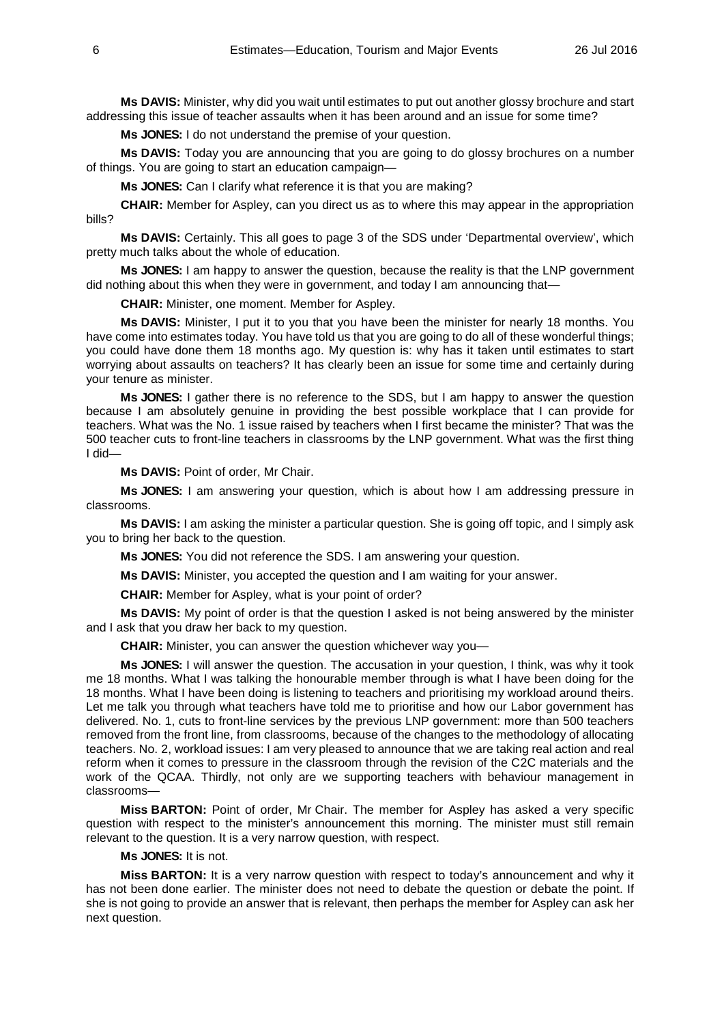**Ms DAVIS:** Minister, why did you wait until estimates to put out another glossy brochure and start addressing this issue of teacher assaults when it has been around and an issue for some time?

**Ms JONES:** I do not understand the premise of your question.

**Ms DAVIS:** Today you are announcing that you are going to do glossy brochures on a number of things. You are going to start an education campaign—

**Ms JONES:** Can I clarify what reference it is that you are making?

**CHAIR:** Member for Aspley, can you direct us as to where this may appear in the appropriation bills?

**Ms DAVIS:** Certainly. This all goes to page 3 of the SDS under 'Departmental overview', which pretty much talks about the whole of education.

**Ms JONES:** I am happy to answer the question, because the reality is that the LNP government did nothing about this when they were in government, and today I am announcing that—

**CHAIR:** Minister, one moment. Member for Aspley.

**Ms DAVIS:** Minister, I put it to you that you have been the minister for nearly 18 months. You have come into estimates today. You have told us that you are going to do all of these wonderful things; you could have done them 18 months ago. My question is: why has it taken until estimates to start worrying about assaults on teachers? It has clearly been an issue for some time and certainly during your tenure as minister.

**Ms JONES:** I gather there is no reference to the SDS, but I am happy to answer the question because I am absolutely genuine in providing the best possible workplace that I can provide for teachers. What was the No. 1 issue raised by teachers when I first became the minister? That was the 500 teacher cuts to front-line teachers in classrooms by the LNP government. What was the first thing I did—

**Ms DAVIS:** Point of order, Mr Chair.

**Ms JONES:** I am answering your question, which is about how I am addressing pressure in classrooms.

**Ms DAVIS:** I am asking the minister a particular question. She is going off topic, and I simply ask you to bring her back to the question.

**Ms JONES:** You did not reference the SDS. I am answering your question.

**Ms DAVIS:** Minister, you accepted the question and I am waiting for your answer.

**CHAIR:** Member for Aspley, what is your point of order?

**Ms DAVIS:** My point of order is that the question I asked is not being answered by the minister and I ask that you draw her back to my question.

**CHAIR:** Minister, you can answer the question whichever way you—

**Ms JONES:** I will answer the question. The accusation in your question, I think, was why it took me 18 months. What I was talking the honourable member through is what I have been doing for the 18 months. What I have been doing is listening to teachers and prioritising my workload around theirs. Let me talk you through what teachers have told me to prioritise and how our Labor government has delivered. No. 1, cuts to front-line services by the previous LNP government: more than 500 teachers removed from the front line, from classrooms, because of the changes to the methodology of allocating teachers. No. 2, workload issues: I am very pleased to announce that we are taking real action and real reform when it comes to pressure in the classroom through the revision of the C2C materials and the work of the QCAA. Thirdly, not only are we supporting teachers with behaviour management in classrooms—

**Miss BARTON:** Point of order, Mr Chair. The member for Aspley has asked a very specific question with respect to the minister's announcement this morning. The minister must still remain relevant to the question. It is a very narrow question, with respect.

# **Ms JONES:** It is not.

**Miss BARTON:** It is a very narrow question with respect to today's announcement and why it has not been done earlier. The minister does not need to debate the question or debate the point. If she is not going to provide an answer that is relevant, then perhaps the member for Aspley can ask her next question.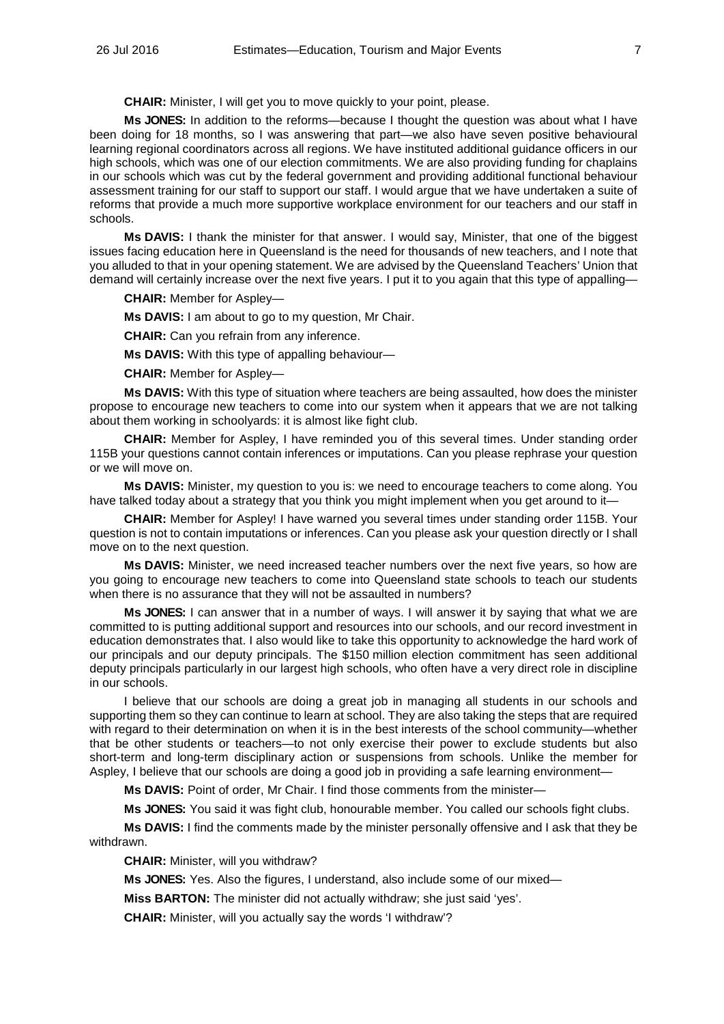**CHAIR:** Minister, I will get you to move quickly to your point, please.

**Ms JONES:** In addition to the reforms—because I thought the question was about what I have been doing for 18 months, so I was answering that part—we also have seven positive behavioural learning regional coordinators across all regions. We have instituted additional guidance officers in our high schools, which was one of our election commitments. We are also providing funding for chaplains in our schools which was cut by the federal government and providing additional functional behaviour assessment training for our staff to support our staff. I would argue that we have undertaken a suite of reforms that provide a much more supportive workplace environment for our teachers and our staff in schools.

**Ms DAVIS:** I thank the minister for that answer. I would say, Minister, that one of the biggest issues facing education here in Queensland is the need for thousands of new teachers, and I note that you alluded to that in your opening statement. We are advised by the Queensland Teachers' Union that demand will certainly increase over the next five years. I put it to you again that this type of appalling—

**CHAIR:** Member for Aspley—

**Ms DAVIS:** I am about to go to my question, Mr Chair.

**CHAIR:** Can you refrain from any inference.

**Ms DAVIS:** With this type of appalling behaviour—

**CHAIR:** Member for Aspley—

**Ms DAVIS:** With this type of situation where teachers are being assaulted, how does the minister propose to encourage new teachers to come into our system when it appears that we are not talking about them working in schoolyards: it is almost like fight club.

**CHAIR:** Member for Aspley, I have reminded you of this several times. Under standing order 115B your questions cannot contain inferences or imputations. Can you please rephrase your question or we will move on.

**Ms DAVIS:** Minister, my question to you is: we need to encourage teachers to come along. You have talked today about a strategy that you think you might implement when you get around to it—

**CHAIR:** Member for Aspley! I have warned you several times under standing order 115B. Your question is not to contain imputations or inferences. Can you please ask your question directly or I shall move on to the next question.

**Ms DAVIS:** Minister, we need increased teacher numbers over the next five years, so how are you going to encourage new teachers to come into Queensland state schools to teach our students when there is no assurance that they will not be assaulted in numbers?

**Ms JONES:** I can answer that in a number of ways. I will answer it by saying that what we are committed to is putting additional support and resources into our schools, and our record investment in education demonstrates that. I also would like to take this opportunity to acknowledge the hard work of our principals and our deputy principals. The \$150 million election commitment has seen additional deputy principals particularly in our largest high schools, who often have a very direct role in discipline in our schools.

I believe that our schools are doing a great job in managing all students in our schools and supporting them so they can continue to learn at school. They are also taking the steps that are required with regard to their determination on when it is in the best interests of the school community—whether that be other students or teachers—to not only exercise their power to exclude students but also short-term and long-term disciplinary action or suspensions from schools. Unlike the member for Aspley, I believe that our schools are doing a good job in providing a safe learning environment—

**Ms DAVIS:** Point of order, Mr Chair. I find those comments from the minister—

**Ms JONES:** You said it was fight club, honourable member. You called our schools fight clubs.

**Ms DAVIS:** I find the comments made by the minister personally offensive and I ask that they be withdrawn.

**CHAIR:** Minister, will you withdraw?

**Ms JONES:** Yes. Also the figures, I understand, also include some of our mixed—

**Miss BARTON:** The minister did not actually withdraw; she just said 'yes'.

**CHAIR:** Minister, will you actually say the words 'I withdraw'?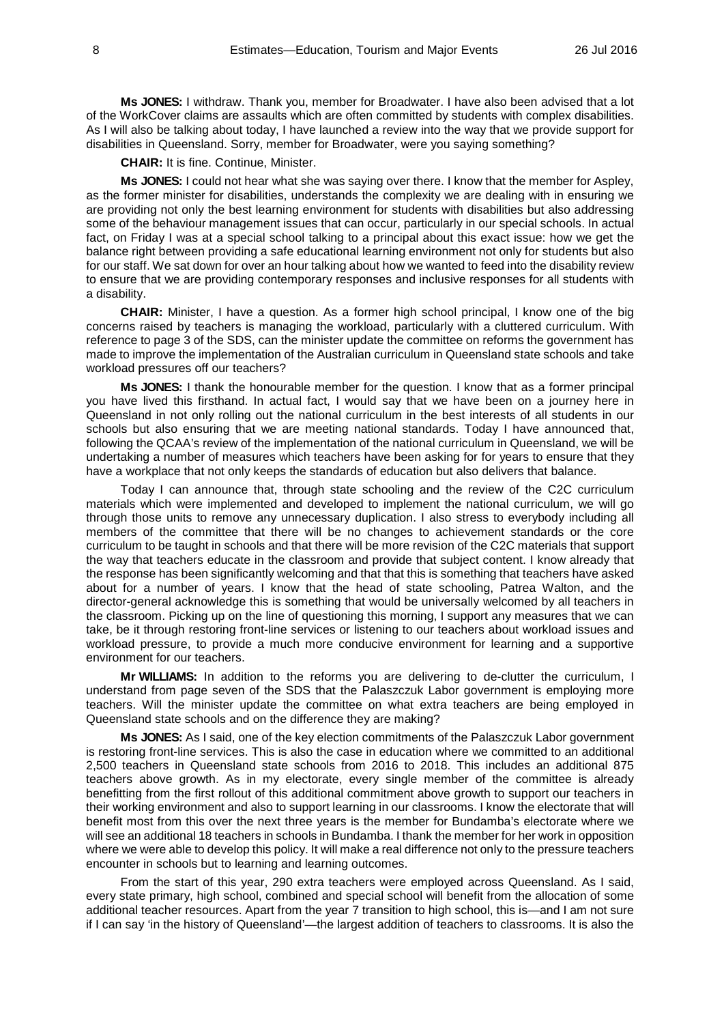**Ms JONES:** I withdraw. Thank you, member for Broadwater. I have also been advised that a lot of the WorkCover claims are assaults which are often committed by students with complex disabilities. As I will also be talking about today, I have launched a review into the way that we provide support for disabilities in Queensland. Sorry, member for Broadwater, were you saying something?

**CHAIR:** It is fine. Continue, Minister.

**Ms JONES:** I could not hear what she was saying over there. I know that the member for Aspley, as the former minister for disabilities, understands the complexity we are dealing with in ensuring we are providing not only the best learning environment for students with disabilities but also addressing some of the behaviour management issues that can occur, particularly in our special schools. In actual fact, on Friday I was at a special school talking to a principal about this exact issue: how we get the balance right between providing a safe educational learning environment not only for students but also for our staff. We sat down for over an hour talking about how we wanted to feed into the disability review to ensure that we are providing contemporary responses and inclusive responses for all students with a disability.

**CHAIR:** Minister, I have a question. As a former high school principal, I know one of the big concerns raised by teachers is managing the workload, particularly with a cluttered curriculum. With reference to page 3 of the SDS, can the minister update the committee on reforms the government has made to improve the implementation of the Australian curriculum in Queensland state schools and take workload pressures off our teachers?

**Ms JONES:** I thank the honourable member for the question. I know that as a former principal you have lived this firsthand. In actual fact, I would say that we have been on a journey here in Queensland in not only rolling out the national curriculum in the best interests of all students in our schools but also ensuring that we are meeting national standards. Today I have announced that, following the QCAA's review of the implementation of the national curriculum in Queensland, we will be undertaking a number of measures which teachers have been asking for for years to ensure that they have a workplace that not only keeps the standards of education but also delivers that balance.

Today I can announce that, through state schooling and the review of the C2C curriculum materials which were implemented and developed to implement the national curriculum, we will go through those units to remove any unnecessary duplication. I also stress to everybody including all members of the committee that there will be no changes to achievement standards or the core curriculum to be taught in schools and that there will be more revision of the C2C materials that support the way that teachers educate in the classroom and provide that subject content. I know already that the response has been significantly welcoming and that that this is something that teachers have asked about for a number of years. I know that the head of state schooling, Patrea Walton, and the director-general acknowledge this is something that would be universally welcomed by all teachers in the classroom. Picking up on the line of questioning this morning, I support any measures that we can take, be it through restoring front-line services or listening to our teachers about workload issues and workload pressure, to provide a much more conducive environment for learning and a supportive environment for our teachers.

**Mr WILLIAMS:** In addition to the reforms you are delivering to de-clutter the curriculum, I understand from page seven of the SDS that the Palaszczuk Labor government is employing more teachers. Will the minister update the committee on what extra teachers are being employed in Queensland state schools and on the difference they are making?

**Ms JONES:** As I said, one of the key election commitments of the Palaszczuk Labor government is restoring front-line services. This is also the case in education where we committed to an additional 2,500 teachers in Queensland state schools from 2016 to 2018. This includes an additional 875 teachers above growth. As in my electorate, every single member of the committee is already benefitting from the first rollout of this additional commitment above growth to support our teachers in their working environment and also to support learning in our classrooms. I know the electorate that will benefit most from this over the next three years is the member for Bundamba's electorate where we will see an additional 18 teachers in schools in Bundamba. I thank the member for her work in opposition where we were able to develop this policy. It will make a real difference not only to the pressure teachers encounter in schools but to learning and learning outcomes.

From the start of this year, 290 extra teachers were employed across Queensland. As I said, every state primary, high school, combined and special school will benefit from the allocation of some additional teacher resources. Apart from the year 7 transition to high school, this is—and I am not sure if I can say 'in the history of Queensland'—the largest addition of teachers to classrooms. It is also the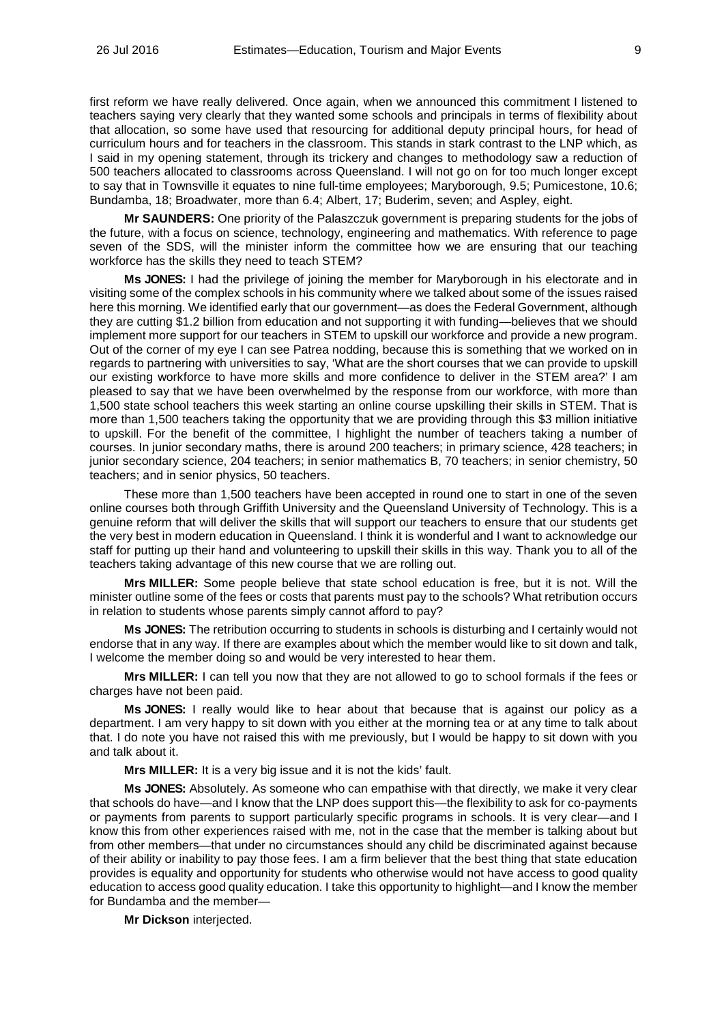first reform we have really delivered. Once again, when we announced this commitment I listened to teachers saying very clearly that they wanted some schools and principals in terms of flexibility about that allocation, so some have used that resourcing for additional deputy principal hours, for head of curriculum hours and for teachers in the classroom. This stands in stark contrast to the LNP which, as I said in my opening statement, through its trickery and changes to methodology saw a reduction of 500 teachers allocated to classrooms across Queensland. I will not go on for too much longer except to say that in Townsville it equates to nine full-time employees; Maryborough, 9.5; Pumicestone, 10.6; Bundamba, 18; Broadwater, more than 6.4; Albert, 17; Buderim, seven; and Aspley, eight.

**Mr SAUNDERS:** One priority of the Palaszczuk government is preparing students for the jobs of the future, with a focus on science, technology, engineering and mathematics. With reference to page seven of the SDS, will the minister inform the committee how we are ensuring that our teaching workforce has the skills they need to teach STEM?

**Ms JONES:** I had the privilege of joining the member for Maryborough in his electorate and in visiting some of the complex schools in his community where we talked about some of the issues raised here this morning. We identified early that our government—as does the Federal Government, although they are cutting \$1.2 billion from education and not supporting it with funding—believes that we should implement more support for our teachers in STEM to upskill our workforce and provide a new program. Out of the corner of my eye I can see Patrea nodding, because this is something that we worked on in regards to partnering with universities to say, 'What are the short courses that we can provide to upskill our existing workforce to have more skills and more confidence to deliver in the STEM area?' I am pleased to say that we have been overwhelmed by the response from our workforce, with more than 1,500 state school teachers this week starting an online course upskilling their skills in STEM. That is more than 1,500 teachers taking the opportunity that we are providing through this \$3 million initiative to upskill. For the benefit of the committee, I highlight the number of teachers taking a number of courses. In junior secondary maths, there is around 200 teachers; in primary science, 428 teachers; in junior secondary science, 204 teachers; in senior mathematics B, 70 teachers; in senior chemistry, 50 teachers; and in senior physics, 50 teachers.

These more than 1,500 teachers have been accepted in round one to start in one of the seven online courses both through Griffith University and the Queensland University of Technology. This is a genuine reform that will deliver the skills that will support our teachers to ensure that our students get the very best in modern education in Queensland. I think it is wonderful and I want to acknowledge our staff for putting up their hand and volunteering to upskill their skills in this way. Thank you to all of the teachers taking advantage of this new course that we are rolling out.

**Mrs MILLER:** Some people believe that state school education is free, but it is not. Will the minister outline some of the fees or costs that parents must pay to the schools? What retribution occurs in relation to students whose parents simply cannot afford to pay?

**Ms JONES:** The retribution occurring to students in schools is disturbing and I certainly would not endorse that in any way. If there are examples about which the member would like to sit down and talk, I welcome the member doing so and would be very interested to hear them.

**Mrs MILLER:** I can tell you now that they are not allowed to go to school formals if the fees or charges have not been paid.

**Ms JONES:** I really would like to hear about that because that is against our policy as a department. I am very happy to sit down with you either at the morning tea or at any time to talk about that. I do note you have not raised this with me previously, but I would be happy to sit down with you and talk about it.

**Mrs MILLER:** It is a very big issue and it is not the kids' fault.

**Ms JONES:** Absolutely. As someone who can empathise with that directly, we make it very clear that schools do have—and I know that the LNP does support this—the flexibility to ask for co-payments or payments from parents to support particularly specific programs in schools. It is very clear—and I know this from other experiences raised with me, not in the case that the member is talking about but from other members—that under no circumstances should any child be discriminated against because of their ability or inability to pay those fees. I am a firm believer that the best thing that state education provides is equality and opportunity for students who otherwise would not have access to good quality education to access good quality education. I take this opportunity to highlight—and I know the member for Bundamba and the member—

**Mr Dickson** interjected.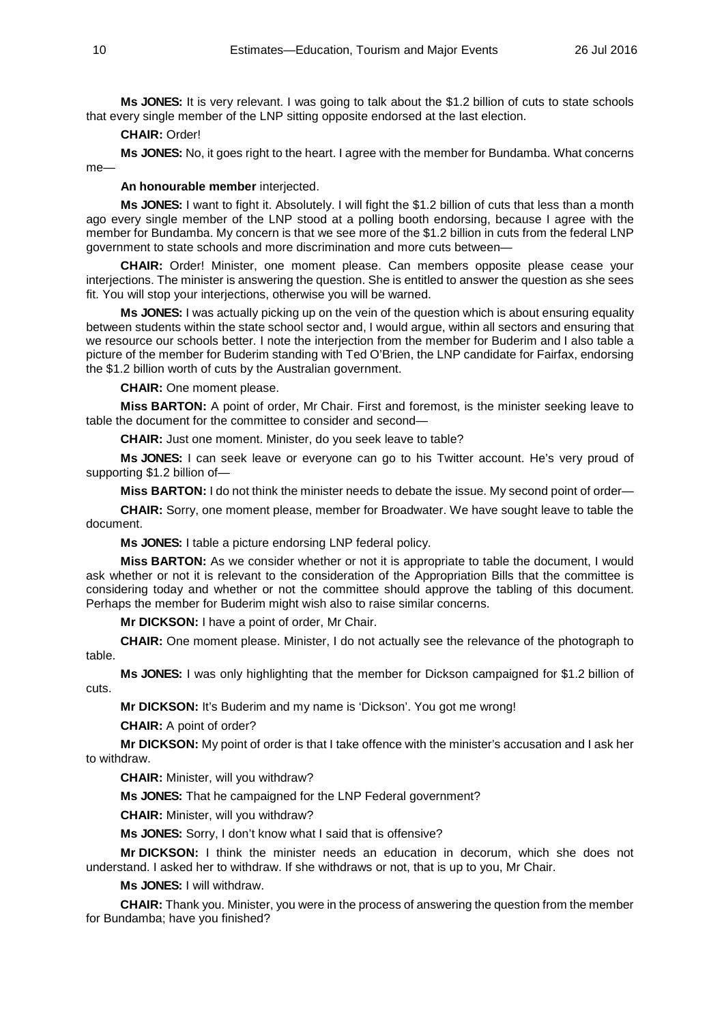**Ms JONES:** It is very relevant. I was going to talk about the \$1.2 billion of cuts to state schools that every single member of the LNP sitting opposite endorsed at the last election.

# **CHAIR:** Order!

**Ms JONES:** No, it goes right to the heart. I agree with the member for Bundamba. What concerns me—

# **An honourable member** interjected.

**Ms JONES:** I want to fight it. Absolutely. I will fight the \$1.2 billion of cuts that less than a month ago every single member of the LNP stood at a polling booth endorsing, because I agree with the member for Bundamba. My concern is that we see more of the \$1.2 billion in cuts from the federal LNP government to state schools and more discrimination and more cuts between—

**CHAIR:** Order! Minister, one moment please. Can members opposite please cease your interjections. The minister is answering the question. She is entitled to answer the question as she sees fit. You will stop your interjections, otherwise you will be warned.

**Ms JONES:** I was actually picking up on the vein of the question which is about ensuring equality between students within the state school sector and, I would argue, within all sectors and ensuring that we resource our schools better. I note the interjection from the member for Buderim and I also table a picture of the member for Buderim standing with Ted O'Brien, the LNP candidate for Fairfax, endorsing the \$1.2 billion worth of cuts by the Australian government.

**CHAIR:** One moment please.

**Miss BARTON:** A point of order, Mr Chair. First and foremost, is the minister seeking leave to table the document for the committee to consider and second—

**CHAIR:** Just one moment. Minister, do you seek leave to table?

**Ms JONES:** I can seek leave or everyone can go to his Twitter account. He's very proud of supporting \$1.2 billion of—

**Miss BARTON:** I do not think the minister needs to debate the issue. My second point of order—

**CHAIR:** Sorry, one moment please, member for Broadwater. We have sought leave to table the document.

**Ms JONES:** I table a picture endorsing LNP federal policy.

**Miss BARTON:** As we consider whether or not it is appropriate to table the document, I would ask whether or not it is relevant to the consideration of the Appropriation Bills that the committee is considering today and whether or not the committee should approve the tabling of this document. Perhaps the member for Buderim might wish also to raise similar concerns.

**Mr DICKSON:** I have a point of order, Mr Chair.

**CHAIR:** One moment please. Minister, I do not actually see the relevance of the photograph to table.

**Ms JONES:** I was only highlighting that the member for Dickson campaigned for \$1.2 billion of cuts.

**Mr DICKSON:** It's Buderim and my name is 'Dickson'. You got me wrong!

**CHAIR:** A point of order?

**Mr DICKSON:** My point of order is that I take offence with the minister's accusation and I ask her to withdraw.

**CHAIR:** Minister, will you withdraw?

**Ms JONES:** That he campaigned for the LNP Federal government?

**CHAIR:** Minister, will you withdraw?

**Ms JONES:** Sorry, I don't know what I said that is offensive?

**Mr DICKSON:** I think the minister needs an education in decorum, which she does not understand. I asked her to withdraw. If she withdraws or not, that is up to you, Mr Chair.

**Ms JONES:** I will withdraw.

**CHAIR:** Thank you. Minister, you were in the process of answering the question from the member for Bundamba; have you finished?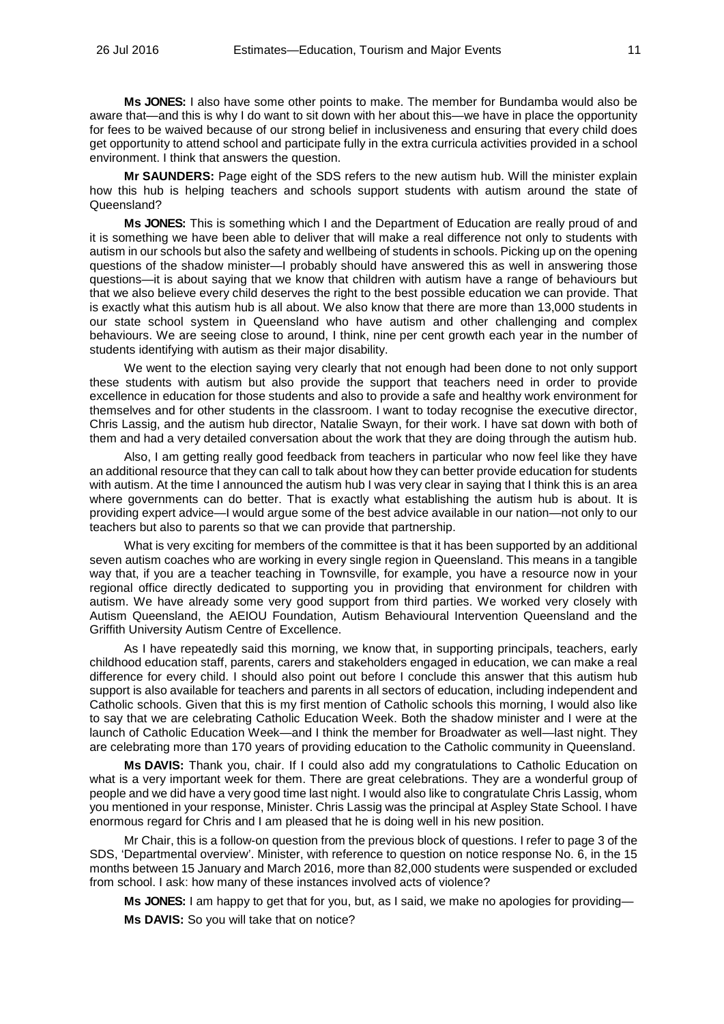**Ms JONES:** I also have some other points to make. The member for Bundamba would also be aware that—and this is why I do want to sit down with her about this—we have in place the opportunity for fees to be waived because of our strong belief in inclusiveness and ensuring that every child does get opportunity to attend school and participate fully in the extra curricula activities provided in a school environment. I think that answers the question.

**Mr SAUNDERS:** Page eight of the SDS refers to the new autism hub. Will the minister explain how this hub is helping teachers and schools support students with autism around the state of Queensland?

**Ms JONES:** This is something which I and the Department of Education are really proud of and it is something we have been able to deliver that will make a real difference not only to students with autism in our schools but also the safety and wellbeing of students in schools. Picking up on the opening questions of the shadow minister—I probably should have answered this as well in answering those questions—it is about saying that we know that children with autism have a range of behaviours but that we also believe every child deserves the right to the best possible education we can provide. That is exactly what this autism hub is all about. We also know that there are more than 13,000 students in our state school system in Queensland who have autism and other challenging and complex behaviours. We are seeing close to around, I think, nine per cent growth each year in the number of students identifying with autism as their major disability.

We went to the election saying very clearly that not enough had been done to not only support these students with autism but also provide the support that teachers need in order to provide excellence in education for those students and also to provide a safe and healthy work environment for themselves and for other students in the classroom. I want to today recognise the executive director, Chris Lassig, and the autism hub director, Natalie Swayn, for their work. I have sat down with both of them and had a very detailed conversation about the work that they are doing through the autism hub.

Also, I am getting really good feedback from teachers in particular who now feel like they have an additional resource that they can call to talk about how they can better provide education for students with autism. At the time I announced the autism hub I was very clear in saying that I think this is an area where governments can do better. That is exactly what establishing the autism hub is about. It is providing expert advice—I would argue some of the best advice available in our nation—not only to our teachers but also to parents so that we can provide that partnership.

What is very exciting for members of the committee is that it has been supported by an additional seven autism coaches who are working in every single region in Queensland. This means in a tangible way that, if you are a teacher teaching in Townsville, for example, you have a resource now in your regional office directly dedicated to supporting you in providing that environment for children with autism. We have already some very good support from third parties. We worked very closely with Autism Queensland, the AEIOU Foundation, Autism Behavioural Intervention Queensland and the Griffith University Autism Centre of Excellence.

As I have repeatedly said this morning, we know that, in supporting principals, teachers, early childhood education staff, parents, carers and stakeholders engaged in education, we can make a real difference for every child. I should also point out before I conclude this answer that this autism hub support is also available for teachers and parents in all sectors of education, including independent and Catholic schools. Given that this is my first mention of Catholic schools this morning, I would also like to say that we are celebrating Catholic Education Week. Both the shadow minister and I were at the launch of Catholic Education Week—and I think the member for Broadwater as well—last night. They are celebrating more than 170 years of providing education to the Catholic community in Queensland.

**Ms DAVIS:** Thank you, chair. If I could also add my congratulations to Catholic Education on what is a very important week for them. There are great celebrations. They are a wonderful group of people and we did have a very good time last night. I would also like to congratulate Chris Lassig, whom you mentioned in your response, Minister. Chris Lassig was the principal at Aspley State School. I have enormous regard for Chris and I am pleased that he is doing well in his new position.

Mr Chair, this is a follow-on question from the previous block of questions. I refer to page 3 of the SDS, 'Departmental overview'. Minister, with reference to question on notice response No. 6, in the 15 months between 15 January and March 2016, more than 82,000 students were suspended or excluded from school. I ask: how many of these instances involved acts of violence?

**Ms JONES:** I am happy to get that for you, but, as I said, we make no apologies for providing—

**Ms DAVIS:** So you will take that on notice?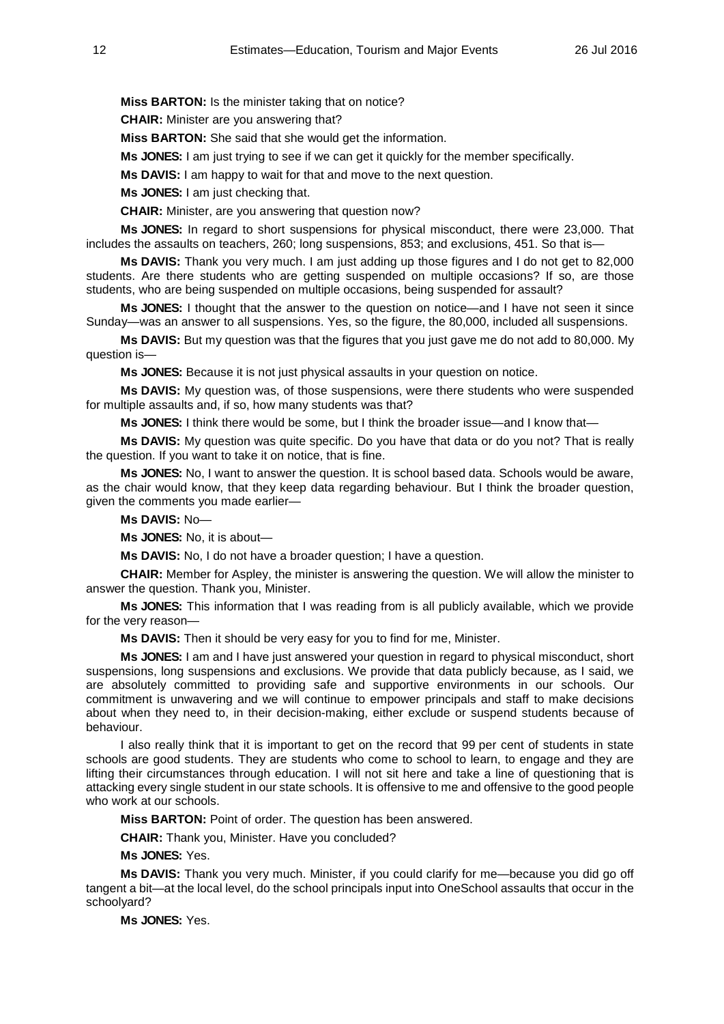**Miss BARTON:** Is the minister taking that on notice?

**CHAIR:** Minister are you answering that?

**Miss BARTON:** She said that she would get the information.

**Ms JONES:** I am just trying to see if we can get it quickly for the member specifically.

**Ms DAVIS:** I am happy to wait for that and move to the next question.

**Ms JONES:** I am just checking that.

**CHAIR:** Minister, are you answering that question now?

**Ms JONES:** In regard to short suspensions for physical misconduct, there were 23,000. That includes the assaults on teachers, 260; long suspensions, 853; and exclusions, 451. So that is—

**Ms DAVIS:** Thank you very much. I am just adding up those figures and I do not get to 82,000 students. Are there students who are getting suspended on multiple occasions? If so, are those students, who are being suspended on multiple occasions, being suspended for assault?

**Ms JONES:** I thought that the answer to the question on notice—and I have not seen it since Sunday—was an answer to all suspensions. Yes, so the figure, the 80,000, included all suspensions.

**Ms DAVIS:** But my question was that the figures that you just gave me do not add to 80,000. My question is—

**Ms JONES:** Because it is not just physical assaults in your question on notice.

**Ms DAVIS:** My question was, of those suspensions, were there students who were suspended for multiple assaults and, if so, how many students was that?

**Ms JONES:** I think there would be some, but I think the broader issue—and I know that—

**Ms DAVIS:** My question was quite specific. Do you have that data or do you not? That is really the question. If you want to take it on notice, that is fine.

**Ms JONES:** No, I want to answer the question. It is school based data. Schools would be aware, as the chair would know, that they keep data regarding behaviour. But I think the broader question, given the comments you made earlier—

**Ms DAVIS:** No—

**Ms JONES:** No, it is about—

**Ms DAVIS:** No, I do not have a broader question; I have a question.

**CHAIR:** Member for Aspley, the minister is answering the question. We will allow the minister to answer the question. Thank you, Minister.

**Ms JONES:** This information that I was reading from is all publicly available, which we provide for the very reason—

**Ms DAVIS:** Then it should be very easy for you to find for me, Minister.

**Ms JONES:** I am and I have just answered your question in regard to physical misconduct, short suspensions, long suspensions and exclusions. We provide that data publicly because, as I said, we are absolutely committed to providing safe and supportive environments in our schools. Our commitment is unwavering and we will continue to empower principals and staff to make decisions about when they need to, in their decision-making, either exclude or suspend students because of behaviour.

I also really think that it is important to get on the record that 99 per cent of students in state schools are good students. They are students who come to school to learn, to engage and they are lifting their circumstances through education. I will not sit here and take a line of questioning that is attacking every single student in our state schools. It is offensive to me and offensive to the good people who work at our schools.

**Miss BARTON:** Point of order. The question has been answered.

**CHAIR:** Thank you, Minister. Have you concluded?

**Ms JONES:** Yes.

**Ms DAVIS:** Thank you very much. Minister, if you could clarify for me—because you did go off tangent a bit—at the local level, do the school principals input into OneSchool assaults that occur in the schoolyard?

**Ms JONES:** Yes.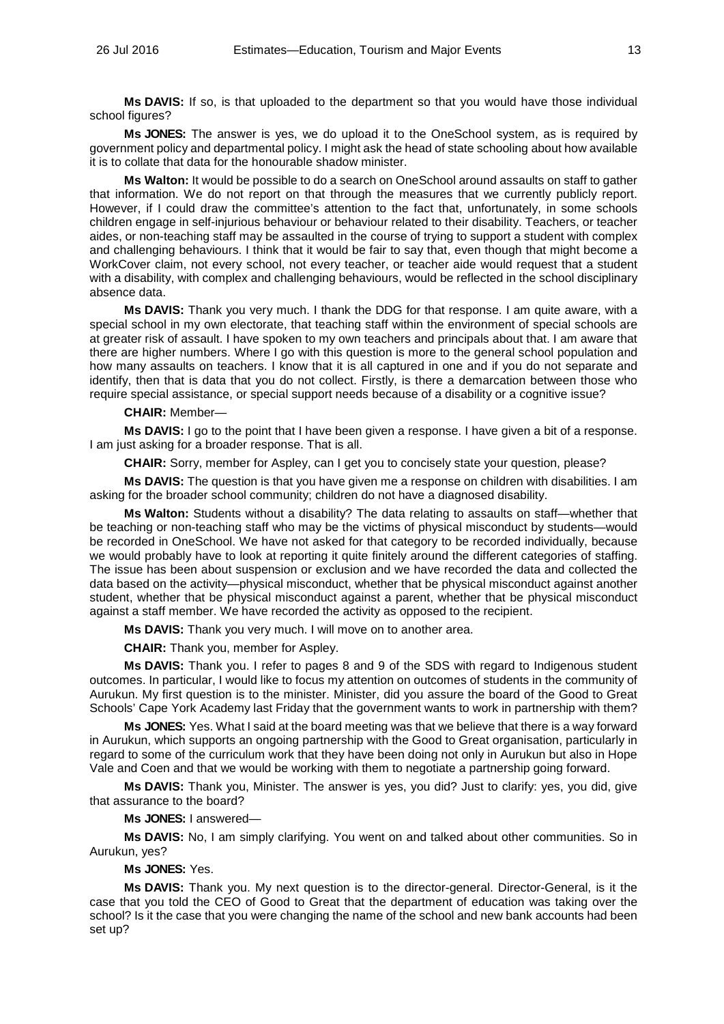**Ms DAVIS:** If so, is that uploaded to the department so that you would have those individual school figures?

**Ms JONES:** The answer is yes, we do upload it to the OneSchool system, as is required by government policy and departmental policy. I might ask the head of state schooling about how available it is to collate that data for the honourable shadow minister.

**Ms Walton:** It would be possible to do a search on OneSchool around assaults on staff to gather that information. We do not report on that through the measures that we currently publicly report. However, if I could draw the committee's attention to the fact that, unfortunately, in some schools children engage in self-injurious behaviour or behaviour related to their disability. Teachers, or teacher aides, or non-teaching staff may be assaulted in the course of trying to support a student with complex and challenging behaviours. I think that it would be fair to say that, even though that might become a WorkCover claim, not every school, not every teacher, or teacher aide would request that a student with a disability, with complex and challenging behaviours, would be reflected in the school disciplinary absence data.

**Ms DAVIS:** Thank you very much. I thank the DDG for that response. I am quite aware, with a special school in my own electorate, that teaching staff within the environment of special schools are at greater risk of assault. I have spoken to my own teachers and principals about that. I am aware that there are higher numbers. Where I go with this question is more to the general school population and how many assaults on teachers. I know that it is all captured in one and if you do not separate and identify, then that is data that you do not collect. Firstly, is there a demarcation between those who require special assistance, or special support needs because of a disability or a cognitive issue?

#### **CHAIR:** Member—

**Ms DAVIS:** I go to the point that I have been given a response. I have given a bit of a response. I am just asking for a broader response. That is all.

**CHAIR:** Sorry, member for Aspley, can I get you to concisely state your question, please?

**Ms DAVIS:** The question is that you have given me a response on children with disabilities. I am asking for the broader school community; children do not have a diagnosed disability.

**Ms Walton:** Students without a disability? The data relating to assaults on staff—whether that be teaching or non-teaching staff who may be the victims of physical misconduct by students—would be recorded in OneSchool. We have not asked for that category to be recorded individually, because we would probably have to look at reporting it quite finitely around the different categories of staffing. The issue has been about suspension or exclusion and we have recorded the data and collected the data based on the activity—physical misconduct, whether that be physical misconduct against another student, whether that be physical misconduct against a parent, whether that be physical misconduct against a staff member. We have recorded the activity as opposed to the recipient.

**Ms DAVIS:** Thank you very much. I will move on to another area.

**CHAIR:** Thank you, member for Aspley.

**Ms DAVIS:** Thank you. I refer to pages 8 and 9 of the SDS with regard to Indigenous student outcomes. In particular, I would like to focus my attention on outcomes of students in the community of Aurukun. My first question is to the minister. Minister, did you assure the board of the Good to Great Schools' Cape York Academy last Friday that the government wants to work in partnership with them?

**Ms JONES:** Yes. What I said at the board meeting was that we believe that there is a way forward in Aurukun, which supports an ongoing partnership with the Good to Great organisation, particularly in regard to some of the curriculum work that they have been doing not only in Aurukun but also in Hope Vale and Coen and that we would be working with them to negotiate a partnership going forward.

**Ms DAVIS:** Thank you, Minister. The answer is yes, you did? Just to clarify: yes, you did, give that assurance to the board?

**Ms JONES:** I answered—

**Ms DAVIS:** No, I am simply clarifying. You went on and talked about other communities. So in Aurukun, yes?

**Ms JONES:** Yes.

**Ms DAVIS:** Thank you. My next question is to the director-general. Director-General, is it the case that you told the CEO of Good to Great that the department of education was taking over the school? Is it the case that you were changing the name of the school and new bank accounts had been set up?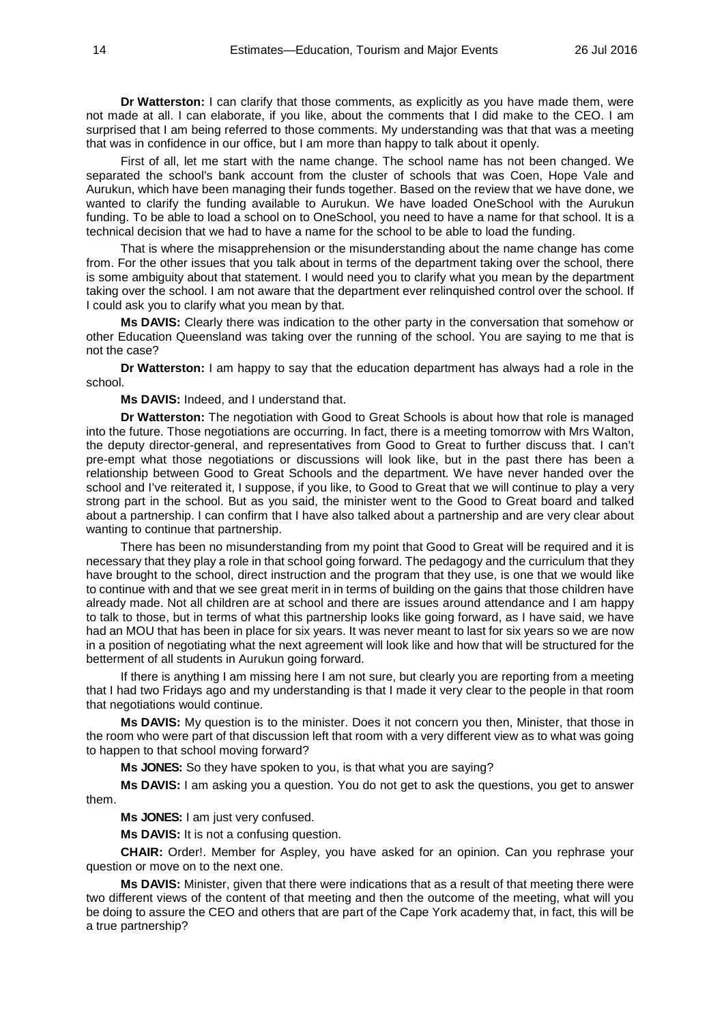**Dr Watterston:** I can clarify that those comments, as explicitly as you have made them, were not made at all. I can elaborate, if you like, about the comments that I did make to the CEO. I am surprised that I am being referred to those comments. My understanding was that that was a meeting that was in confidence in our office, but I am more than happy to talk about it openly.

First of all, let me start with the name change. The school name has not been changed. We separated the school's bank account from the cluster of schools that was Coen, Hope Vale and Aurukun, which have been managing their funds together. Based on the review that we have done, we wanted to clarify the funding available to Aurukun. We have loaded OneSchool with the Aurukun funding. To be able to load a school on to OneSchool, you need to have a name for that school. It is a technical decision that we had to have a name for the school to be able to load the funding.

That is where the misapprehension or the misunderstanding about the name change has come from. For the other issues that you talk about in terms of the department taking over the school, there is some ambiguity about that statement. I would need you to clarify what you mean by the department taking over the school. I am not aware that the department ever relinquished control over the school. If I could ask you to clarify what you mean by that.

**Ms DAVIS:** Clearly there was indication to the other party in the conversation that somehow or other Education Queensland was taking over the running of the school. You are saying to me that is not the case?

**Dr Watterston:** I am happy to say that the education department has always had a role in the school.

**Ms DAVIS:** Indeed, and I understand that.

**Dr Watterston:** The negotiation with Good to Great Schools is about how that role is managed into the future. Those negotiations are occurring. In fact, there is a meeting tomorrow with Mrs Walton, the deputy director-general, and representatives from Good to Great to further discuss that. I can't pre-empt what those negotiations or discussions will look like, but in the past there has been a relationship between Good to Great Schools and the department. We have never handed over the school and I've reiterated it, I suppose, if you like, to Good to Great that we will continue to play a very strong part in the school. But as you said, the minister went to the Good to Great board and talked about a partnership. I can confirm that I have also talked about a partnership and are very clear about wanting to continue that partnership.

There has been no misunderstanding from my point that Good to Great will be required and it is necessary that they play a role in that school going forward. The pedagogy and the curriculum that they have brought to the school, direct instruction and the program that they use, is one that we would like to continue with and that we see great merit in in terms of building on the gains that those children have already made. Not all children are at school and there are issues around attendance and I am happy to talk to those, but in terms of what this partnership looks like going forward, as I have said, we have had an MOU that has been in place for six years. It was never meant to last for six years so we are now in a position of negotiating what the next agreement will look like and how that will be structured for the betterment of all students in Aurukun going forward.

If there is anything I am missing here I am not sure, but clearly you are reporting from a meeting that I had two Fridays ago and my understanding is that I made it very clear to the people in that room that negotiations would continue.

**Ms DAVIS:** My question is to the minister. Does it not concern you then, Minister, that those in the room who were part of that discussion left that room with a very different view as to what was going to happen to that school moving forward?

**Ms JONES:** So they have spoken to you, is that what you are saying?

**Ms DAVIS:** I am asking you a question. You do not get to ask the questions, you get to answer them.

**Ms JONES:** I am just very confused.

**Ms DAVIS:** It is not a confusing question.

**CHAIR:** Order!. Member for Aspley, you have asked for an opinion. Can you rephrase your question or move on to the next one.

**Ms DAVIS:** Minister, given that there were indications that as a result of that meeting there were two different views of the content of that meeting and then the outcome of the meeting, what will you be doing to assure the CEO and others that are part of the Cape York academy that, in fact, this will be a true partnership?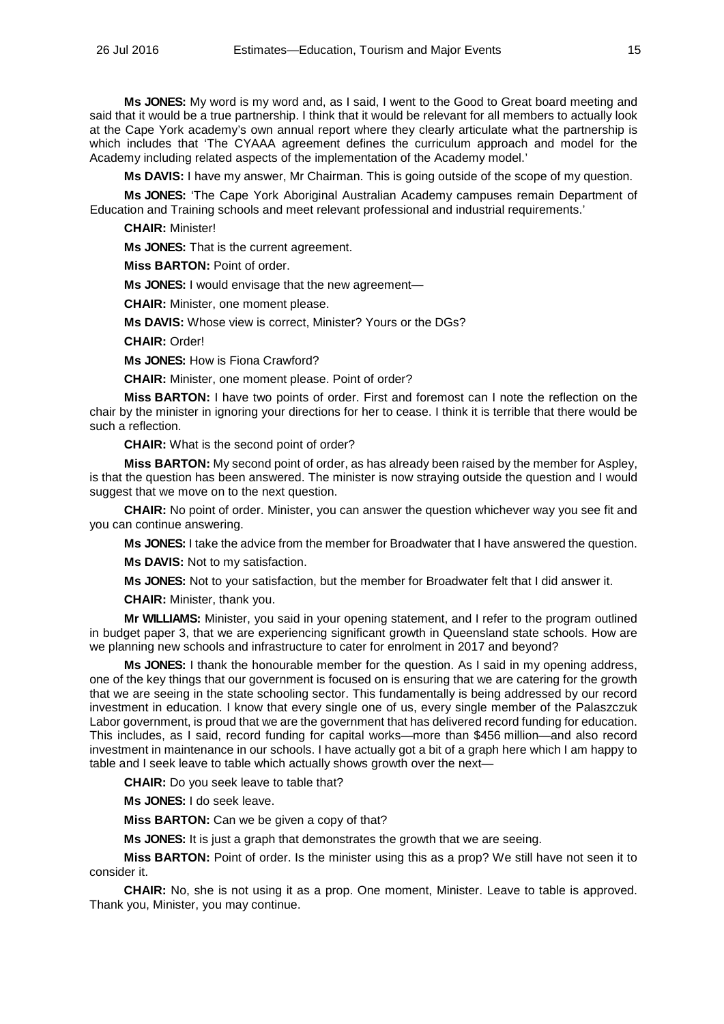**Ms JONES:** My word is my word and, as I said, I went to the Good to Great board meeting and said that it would be a true partnership. I think that it would be relevant for all members to actually look at the Cape York academy's own annual report where they clearly articulate what the partnership is which includes that 'The CYAAA agreement defines the curriculum approach and model for the Academy including related aspects of the implementation of the Academy model.'

**Ms DAVIS:** I have my answer, Mr Chairman. This is going outside of the scope of my question.

**Ms JONES:** 'The Cape York Aboriginal Australian Academy campuses remain Department of Education and Training schools and meet relevant professional and industrial requirements.'

**CHAIR:** Minister!

**Ms JONES:** That is the current agreement.

**Miss BARTON:** Point of order.

**Ms JONES:** I would envisage that the new agreement—

**CHAIR:** Minister, one moment please.

**Ms DAVIS:** Whose view is correct, Minister? Yours or the DGs?

**CHAIR:** Order!

**Ms JONES:** How is Fiona Crawford?

**CHAIR:** Minister, one moment please. Point of order?

**Miss BARTON:** I have two points of order. First and foremost can I note the reflection on the chair by the minister in ignoring your directions for her to cease. I think it is terrible that there would be such a reflection.

**CHAIR:** What is the second point of order?

**Miss BARTON:** My second point of order, as has already been raised by the member for Aspley, is that the question has been answered. The minister is now straying outside the question and I would suggest that we move on to the next question.

**CHAIR:** No point of order. Minister, you can answer the question whichever way you see fit and you can continue answering.

**Ms JONES:** I take the advice from the member for Broadwater that I have answered the question.

**Ms DAVIS:** Not to my satisfaction.

**Ms JONES:** Not to your satisfaction, but the member for Broadwater felt that I did answer it.

**CHAIR:** Minister, thank you.

**Mr WILLIAMS:** Minister, you said in your opening statement, and I refer to the program outlined in budget paper 3, that we are experiencing significant growth in Queensland state schools. How are we planning new schools and infrastructure to cater for enrolment in 2017 and beyond?

**Ms JONES:** I thank the honourable member for the question. As I said in my opening address, one of the key things that our government is focused on is ensuring that we are catering for the growth that we are seeing in the state schooling sector. This fundamentally is being addressed by our record investment in education. I know that every single one of us, every single member of the Palaszczuk Labor government, is proud that we are the government that has delivered record funding for education. This includes, as I said, record funding for capital works—more than \$456 million—and also record investment in maintenance in our schools. I have actually got a bit of a graph here which I am happy to table and I seek leave to table which actually shows growth over the next—

**CHAIR:** Do you seek leave to table that?

**Ms JONES:** I do seek leave.

**Miss BARTON:** Can we be given a copy of that?

**Ms JONES:** It is just a graph that demonstrates the growth that we are seeing.

**Miss BARTON:** Point of order. Is the minister using this as a prop? We still have not seen it to consider it.

**CHAIR:** No, she is not using it as a prop. One moment, Minister. Leave to table is approved. Thank you, Minister, you may continue.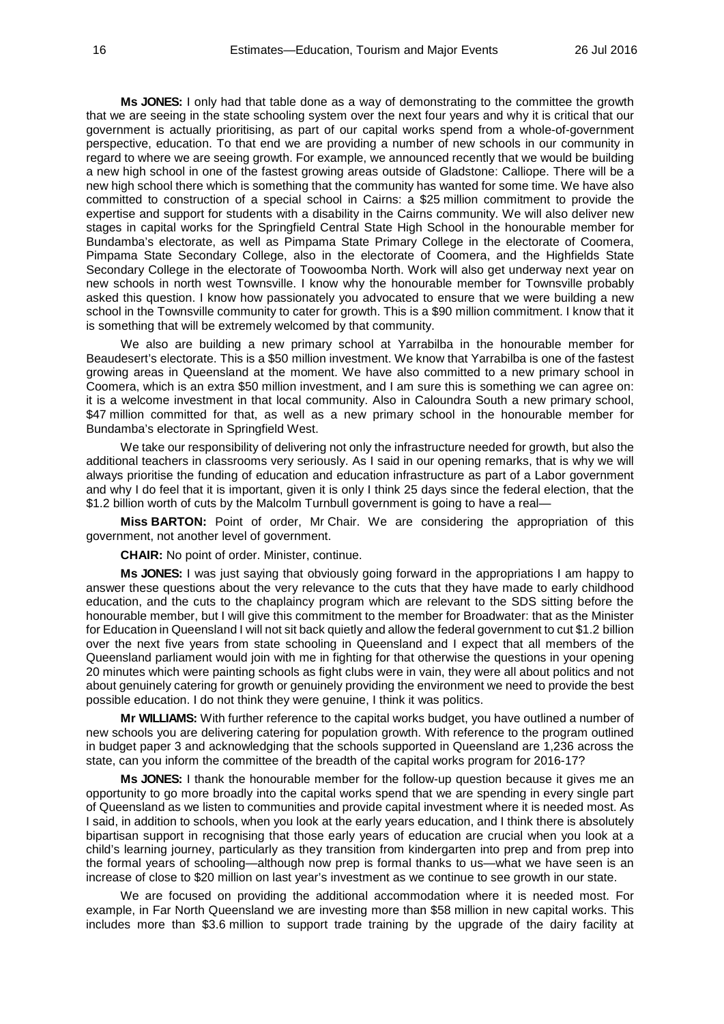**Ms JONES:** I only had that table done as a way of demonstrating to the committee the growth that we are seeing in the state schooling system over the next four years and why it is critical that our government is actually prioritising, as part of our capital works spend from a whole-of-government perspective, education. To that end we are providing a number of new schools in our community in regard to where we are seeing growth. For example, we announced recently that we would be building a new high school in one of the fastest growing areas outside of Gladstone: Calliope. There will be a new high school there which is something that the community has wanted for some time. We have also committed to construction of a special school in Cairns: a \$25 million commitment to provide the expertise and support for students with a disability in the Cairns community. We will also deliver new stages in capital works for the Springfield Central State High School in the honourable member for Bundamba's electorate, as well as Pimpama State Primary College in the electorate of Coomera, Pimpama State Secondary College, also in the electorate of Coomera, and the Highfields State Secondary College in the electorate of Toowoomba North. Work will also get underway next year on new schools in north west Townsville. I know why the honourable member for Townsville probably asked this question. I know how passionately you advocated to ensure that we were building a new school in the Townsville community to cater for growth. This is a \$90 million commitment. I know that it is something that will be extremely welcomed by that community.

We also are building a new primary school at Yarrabilba in the honourable member for Beaudesert's electorate. This is a \$50 million investment. We know that Yarrabilba is one of the fastest growing areas in Queensland at the moment. We have also committed to a new primary school in Coomera, which is an extra \$50 million investment, and I am sure this is something we can agree on: it is a welcome investment in that local community. Also in Caloundra South a new primary school, \$47 million committed for that, as well as a new primary school in the honourable member for Bundamba's electorate in Springfield West.

We take our responsibility of delivering not only the infrastructure needed for growth, but also the additional teachers in classrooms very seriously. As I said in our opening remarks, that is why we will always prioritise the funding of education and education infrastructure as part of a Labor government and why I do feel that it is important, given it is only I think 25 days since the federal election, that the \$1.2 billion worth of cuts by the Malcolm Turnbull government is going to have a real—

**Miss BARTON:** Point of order, Mr Chair. We are considering the appropriation of this government, not another level of government.

**CHAIR:** No point of order. Minister, continue.

**Ms JONES:** I was just saying that obviously going forward in the appropriations I am happy to answer these questions about the very relevance to the cuts that they have made to early childhood education, and the cuts to the chaplaincy program which are relevant to the SDS sitting before the honourable member, but I will give this commitment to the member for Broadwater: that as the Minister for Education in Queensland I will not sit back quietly and allow the federal government to cut \$1.2 billion over the next five years from state schooling in Queensland and I expect that all members of the Queensland parliament would join with me in fighting for that otherwise the questions in your opening 20 minutes which were painting schools as fight clubs were in vain, they were all about politics and not about genuinely catering for growth or genuinely providing the environment we need to provide the best possible education. I do not think they were genuine, I think it was politics.

**Mr WILLIAMS:** With further reference to the capital works budget, you have outlined a number of new schools you are delivering catering for population growth. With reference to the program outlined in budget paper 3 and acknowledging that the schools supported in Queensland are 1,236 across the state, can you inform the committee of the breadth of the capital works program for 2016-17?

**Ms JONES:** I thank the honourable member for the follow-up question because it gives me an opportunity to go more broadly into the capital works spend that we are spending in every single part of Queensland as we listen to communities and provide capital investment where it is needed most. As I said, in addition to schools, when you look at the early years education, and I think there is absolutely bipartisan support in recognising that those early years of education are crucial when you look at a child's learning journey, particularly as they transition from kindergarten into prep and from prep into the formal years of schooling—although now prep is formal thanks to us—what we have seen is an increase of close to \$20 million on last year's investment as we continue to see growth in our state.

We are focused on providing the additional accommodation where it is needed most. For example, in Far North Queensland we are investing more than \$58 million in new capital works. This includes more than \$3.6 million to support trade training by the upgrade of the dairy facility at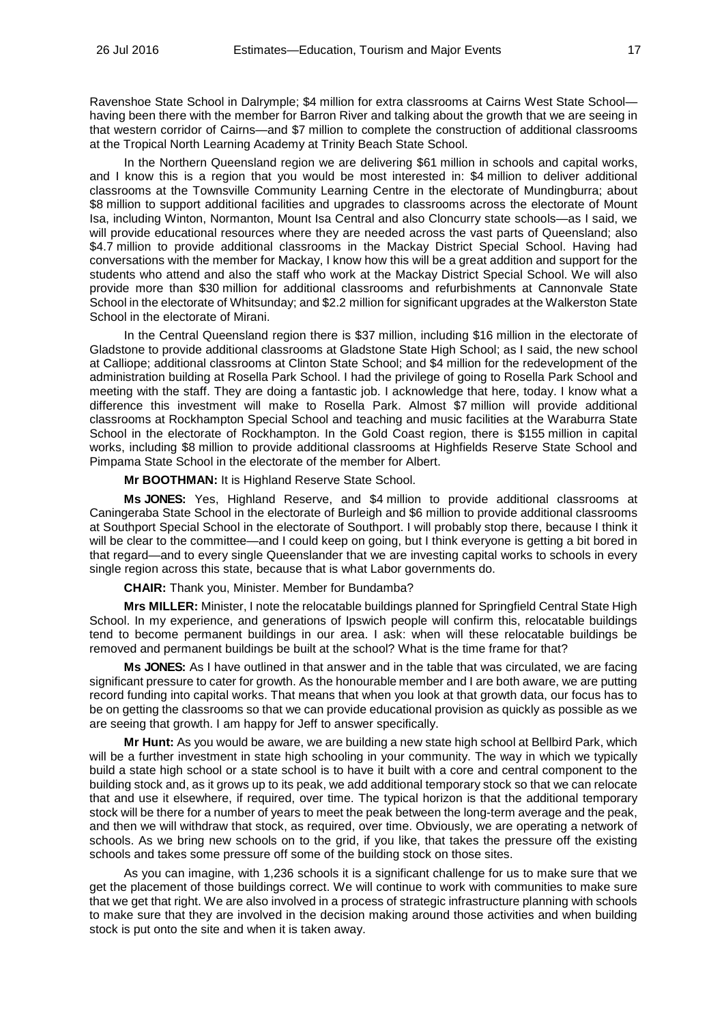Ravenshoe State School in Dalrymple; \$4 million for extra classrooms at Cairns West State School having been there with the member for Barron River and talking about the growth that we are seeing in that western corridor of Cairns—and \$7 million to complete the construction of additional classrooms at the Tropical North Learning Academy at Trinity Beach State School.

In the Northern Queensland region we are delivering \$61 million in schools and capital works, and I know this is a region that you would be most interested in: \$4 million to deliver additional classrooms at the Townsville Community Learning Centre in the electorate of Mundingburra; about \$8 million to support additional facilities and upgrades to classrooms across the electorate of Mount Isa, including Winton, Normanton, Mount Isa Central and also Cloncurry state schools—as I said, we will provide educational resources where they are needed across the vast parts of Queensland; also \$4.7 million to provide additional classrooms in the Mackay District Special School. Having had conversations with the member for Mackay, I know how this will be a great addition and support for the students who attend and also the staff who work at the Mackay District Special School. We will also provide more than \$30 million for additional classrooms and refurbishments at Cannonvale State School in the electorate of Whitsunday; and \$2.2 million for significant upgrades at the Walkerston State School in the electorate of Mirani.

In the Central Queensland region there is \$37 million, including \$16 million in the electorate of Gladstone to provide additional classrooms at Gladstone State High School; as I said, the new school at Calliope; additional classrooms at Clinton State School; and \$4 million for the redevelopment of the administration building at Rosella Park School. I had the privilege of going to Rosella Park School and meeting with the staff. They are doing a fantastic job. I acknowledge that here, today. I know what a difference this investment will make to Rosella Park. Almost \$7 million will provide additional classrooms at Rockhampton Special School and teaching and music facilities at the Waraburra State School in the electorate of Rockhampton. In the Gold Coast region, there is \$155 million in capital works, including \$8 million to provide additional classrooms at Highfields Reserve State School and Pimpama State School in the electorate of the member for Albert.

**Mr BOOTHMAN:** It is Highland Reserve State School.

**Ms JONES:** Yes, Highland Reserve, and \$4 million to provide additional classrooms at Caningeraba State School in the electorate of Burleigh and \$6 million to provide additional classrooms at Southport Special School in the electorate of Southport. I will probably stop there, because I think it will be clear to the committee—and I could keep on going, but I think everyone is getting a bit bored in that regard—and to every single Queenslander that we are investing capital works to schools in every single region across this state, because that is what Labor governments do.

**CHAIR:** Thank you, Minister. Member for Bundamba?

**Mrs MILLER:** Minister, I note the relocatable buildings planned for Springfield Central State High School. In my experience, and generations of Ipswich people will confirm this, relocatable buildings tend to become permanent buildings in our area. I ask: when will these relocatable buildings be removed and permanent buildings be built at the school? What is the time frame for that?

**Ms JONES:** As I have outlined in that answer and in the table that was circulated, we are facing significant pressure to cater for growth. As the honourable member and I are both aware, we are putting record funding into capital works. That means that when you look at that growth data, our focus has to be on getting the classrooms so that we can provide educational provision as quickly as possible as we are seeing that growth. I am happy for Jeff to answer specifically.

**Mr Hunt:** As you would be aware, we are building a new state high school at Bellbird Park, which will be a further investment in state high schooling in your community. The way in which we typically build a state high school or a state school is to have it built with a core and central component to the building stock and, as it grows up to its peak, we add additional temporary stock so that we can relocate that and use it elsewhere, if required, over time. The typical horizon is that the additional temporary stock will be there for a number of years to meet the peak between the long-term average and the peak, and then we will withdraw that stock, as required, over time. Obviously, we are operating a network of schools. As we bring new schools on to the grid, if you like, that takes the pressure off the existing schools and takes some pressure off some of the building stock on those sites.

As you can imagine, with 1,236 schools it is a significant challenge for us to make sure that we get the placement of those buildings correct. We will continue to work with communities to make sure that we get that right. We are also involved in a process of strategic infrastructure planning with schools to make sure that they are involved in the decision making around those activities and when building stock is put onto the site and when it is taken away.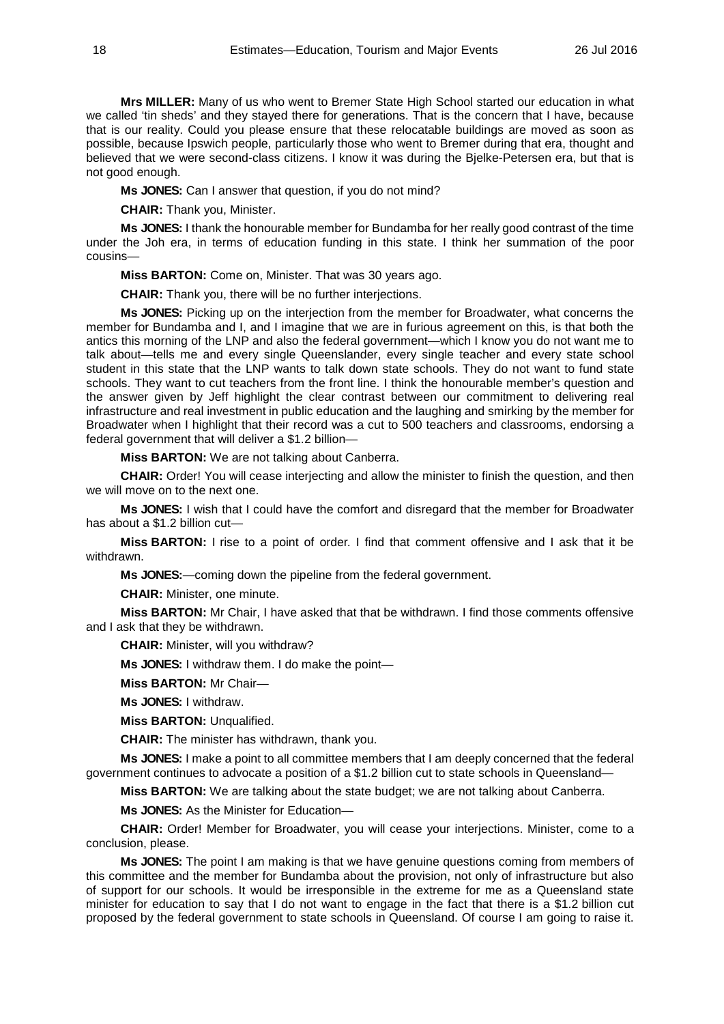**Mrs MILLER:** Many of us who went to Bremer State High School started our education in what we called 'tin sheds' and they stayed there for generations. That is the concern that I have, because that is our reality. Could you please ensure that these relocatable buildings are moved as soon as possible, because Ipswich people, particularly those who went to Bremer during that era, thought and believed that we were second-class citizens. I know it was during the Bjelke-Petersen era, but that is not good enough.

**Ms JONES:** Can I answer that question, if you do not mind?

**CHAIR:** Thank you, Minister.

**Ms JONES:** I thank the honourable member for Bundamba for her really good contrast of the time under the Joh era, in terms of education funding in this state. I think her summation of the poor cousins—

**Miss BARTON:** Come on, Minister. That was 30 years ago.

**CHAIR:** Thank you, there will be no further interjections.

**Ms JONES:** Picking up on the interjection from the member for Broadwater, what concerns the member for Bundamba and I, and I imagine that we are in furious agreement on this, is that both the antics this morning of the LNP and also the federal government—which I know you do not want me to talk about—tells me and every single Queenslander, every single teacher and every state school student in this state that the LNP wants to talk down state schools. They do not want to fund state schools. They want to cut teachers from the front line. I think the honourable member's question and the answer given by Jeff highlight the clear contrast between our commitment to delivering real infrastructure and real investment in public education and the laughing and smirking by the member for Broadwater when I highlight that their record was a cut to 500 teachers and classrooms, endorsing a federal government that will deliver a \$1.2 billion—

**Miss BARTON:** We are not talking about Canberra.

**CHAIR:** Order! You will cease interjecting and allow the minister to finish the question, and then we will move on to the next one.

**Ms JONES:** I wish that I could have the comfort and disregard that the member for Broadwater has about a \$1.2 billion cut—

**Miss BARTON:** I rise to a point of order. I find that comment offensive and I ask that it be withdrawn.

**Ms JONES:**—coming down the pipeline from the federal government.

**CHAIR:** Minister, one minute.

**Miss BARTON:** Mr Chair, I have asked that that be withdrawn. I find those comments offensive and I ask that they be withdrawn.

**CHAIR:** Minister, will you withdraw?

**Ms JONES:** I withdraw them. I do make the point—

**Miss BARTON:** Mr Chair—

**Ms JONES:** I withdraw.

**Miss BARTON:** Unqualified.

**CHAIR:** The minister has withdrawn, thank you.

**Ms JONES:** I make a point to all committee members that I am deeply concerned that the federal government continues to advocate a position of a \$1.2 billion cut to state schools in Queensland—

**Miss BARTON:** We are talking about the state budget; we are not talking about Canberra.

**Ms JONES:** As the Minister for Education—

**CHAIR:** Order! Member for Broadwater, you will cease your interjections. Minister, come to a conclusion, please.

**Ms JONES:** The point I am making is that we have genuine questions coming from members of this committee and the member for Bundamba about the provision, not only of infrastructure but also of support for our schools. It would be irresponsible in the extreme for me as a Queensland state minister for education to say that I do not want to engage in the fact that there is a \$1.2 billion cut proposed by the federal government to state schools in Queensland. Of course I am going to raise it.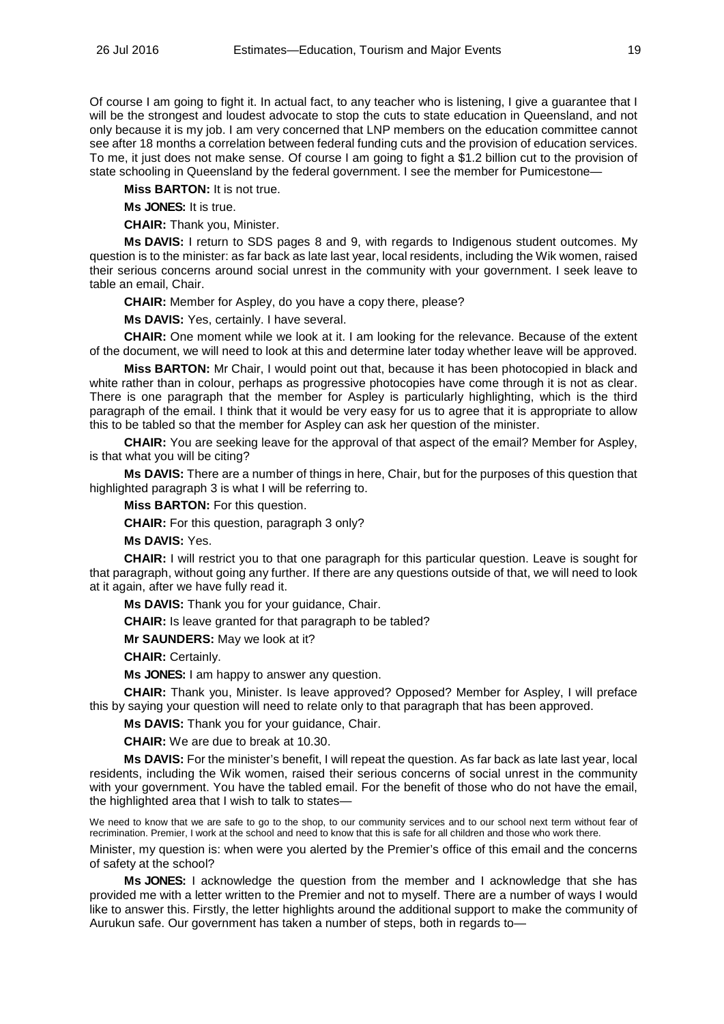Of course I am going to fight it. In actual fact, to any teacher who is listening, I give a guarantee that I will be the strongest and loudest advocate to stop the cuts to state education in Queensland, and not only because it is my job. I am very concerned that LNP members on the education committee cannot see after 18 months a correlation between federal funding cuts and the provision of education services. To me, it just does not make sense. Of course I am going to fight a \$1.2 billion cut to the provision of state schooling in Queensland by the federal government. I see the member for Pumicestone—

**Miss BARTON:** It is not true.

**Ms JONES:** It is true.

**CHAIR:** Thank you, Minister.

**Ms DAVIS:** I return to SDS pages 8 and 9, with regards to Indigenous student outcomes. My question is to the minister: as far back as late last year, local residents, including the Wik women, raised their serious concerns around social unrest in the community with your government. I seek leave to table an email, Chair.

**CHAIR:** Member for Aspley, do you have a copy there, please?

**Ms DAVIS:** Yes, certainly. I have several.

**CHAIR:** One moment while we look at it. I am looking for the relevance. Because of the extent of the document, we will need to look at this and determine later today whether leave will be approved.

**Miss BARTON:** Mr Chair, I would point out that, because it has been photocopied in black and white rather than in colour, perhaps as progressive photocopies have come through it is not as clear. There is one paragraph that the member for Aspley is particularly highlighting, which is the third paragraph of the email. I think that it would be very easy for us to agree that it is appropriate to allow this to be tabled so that the member for Aspley can ask her question of the minister.

**CHAIR:** You are seeking leave for the approval of that aspect of the email? Member for Aspley, is that what you will be citing?

**Ms DAVIS:** There are a number of things in here, Chair, but for the purposes of this question that highlighted paragraph 3 is what I will be referring to.

**Miss BARTON:** For this question.

**CHAIR:** For this question, paragraph 3 only?

**Ms DAVIS:** Yes.

**CHAIR:** I will restrict you to that one paragraph for this particular question. Leave is sought for that paragraph, without going any further. If there are any questions outside of that, we will need to look at it again, after we have fully read it.

**Ms DAVIS:** Thank you for your guidance, Chair.

**CHAIR:** Is leave granted for that paragraph to be tabled?

**Mr SAUNDERS:** May we look at it?

**CHAIR:** Certainly.

**Ms JONES:** I am happy to answer any question.

**CHAIR:** Thank you, Minister. Is leave approved? Opposed? Member for Aspley, I will preface this by saying your question will need to relate only to that paragraph that has been approved.

**Ms DAVIS:** Thank you for your guidance, Chair.

**CHAIR:** We are due to break at 10.30.

**Ms DAVIS:** For the minister's benefit, I will repeat the question. As far back as late last year, local residents, including the Wik women, raised their serious concerns of social unrest in the community with your government. You have the tabled email. For the benefit of those who do not have the email, the highlighted area that I wish to talk to states—

We need to know that we are safe to go to the shop, to our community services and to our school next term without fear of recrimination. Premier, I work at the school and need to know that this is safe for all children and those who work there.

Minister, my question is: when were you alerted by the Premier's office of this email and the concerns of safety at the school?

**Ms JONES:** I acknowledge the question from the member and I acknowledge that she has provided me with a letter written to the Premier and not to myself. There are a number of ways I would like to answer this. Firstly, the letter highlights around the additional support to make the community of Aurukun safe. Our government has taken a number of steps, both in regards to—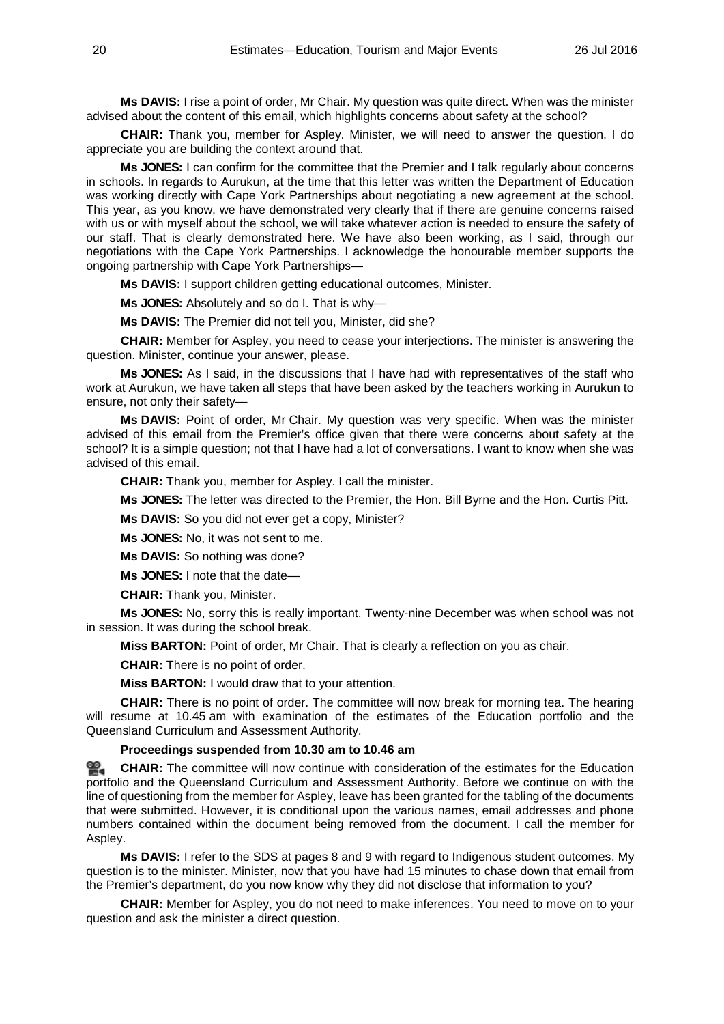**Ms DAVIS:** I rise a point of order, Mr Chair. My question was quite direct. When was the minister advised about the content of this email, which highlights concerns about safety at the school?

**CHAIR:** Thank you, member for Aspley. Minister, we will need to answer the question. I do appreciate you are building the context around that.

**Ms JONES:** I can confirm for the committee that the Premier and I talk regularly about concerns in schools. In regards to Aurukun, at the time that this letter was written the Department of Education was working directly with Cape York Partnerships about negotiating a new agreement at the school. This year, as you know, we have demonstrated very clearly that if there are genuine concerns raised with us or with myself about the school, we will take whatever action is needed to ensure the safety of our staff. That is clearly demonstrated here. We have also been working, as I said, through our negotiations with the Cape York Partnerships. I acknowledge the honourable member supports the ongoing partnership with Cape York Partnerships—

**Ms DAVIS:** I support children getting educational outcomes, Minister.

**Ms JONES:** Absolutely and so do I. That is why—

**Ms DAVIS:** The Premier did not tell you, Minister, did she?

**CHAIR:** Member for Aspley, you need to cease your interjections. The minister is answering the question. Minister, continue your answer, please.

**Ms JONES:** As I said, in the discussions that I have had with representatives of the staff who work at Aurukun, we have taken all steps that have been asked by the teachers working in Aurukun to ensure, not only their safety—

**Ms DAVIS:** Point of order, Mr Chair. My question was very specific. When was the minister advised of this email from the Premier's office given that there were concerns about safety at the school? It is a simple question; not that I have had a lot of conversations. I want to know when she was advised of this email.

**CHAIR:** Thank you, member for Aspley. I call the minister.

**Ms JONES:** The letter was directed to the Premier, the Hon. Bill Byrne and the Hon. Curtis Pitt.

**Ms DAVIS:** So you did not ever get a copy, Minister?

**Ms JONES:** No, it was not sent to me.

**Ms DAVIS:** So nothing was done?

**Ms JONES:** I note that the date—

**CHAIR:** Thank you, Minister.

**Ms JONES:** No, sorry this is really important. Twenty-nine December was when school was not in session. It was during the school break.

**Miss BARTON:** Point of order, Mr Chair. That is clearly a reflection on you as chair.

**CHAIR:** There is no point of order.

**Miss BARTON:** I would draw that to your attention.

**CHAIR:** There is no point of order. The committee will now break for morning tea. The hearing will resume at 10.45 am with examination of the estimates of the Education portfolio and the Queensland Curriculum and Assessment Authority.

# **Proceedings suspended from 10.30 am to 10.46 am**

<u>ഇ.</u> **[CHAIR:](http://www.parliament.qld.gov.au/docs/find.aspx?id=0Mba20160726_104717)** The committee will now continue with consideration of the estimates for the Education portfolio and the Queensland Curriculum and Assessment Authority. Before we continue on with the line of questioning from the member for Aspley, leave has been granted for the tabling of the documents that were submitted. However, it is conditional upon the various names, email addresses and phone numbers contained within the document being removed from the document. I call the member for Aspley.

**Ms DAVIS:** I refer to the SDS at pages 8 and 9 with regard to Indigenous student outcomes. My question is to the minister. Minister, now that you have had 15 minutes to chase down that email from the Premier's department, do you now know why they did not disclose that information to you?

**CHAIR:** Member for Aspley, you do not need to make inferences. You need to move on to your question and ask the minister a direct question.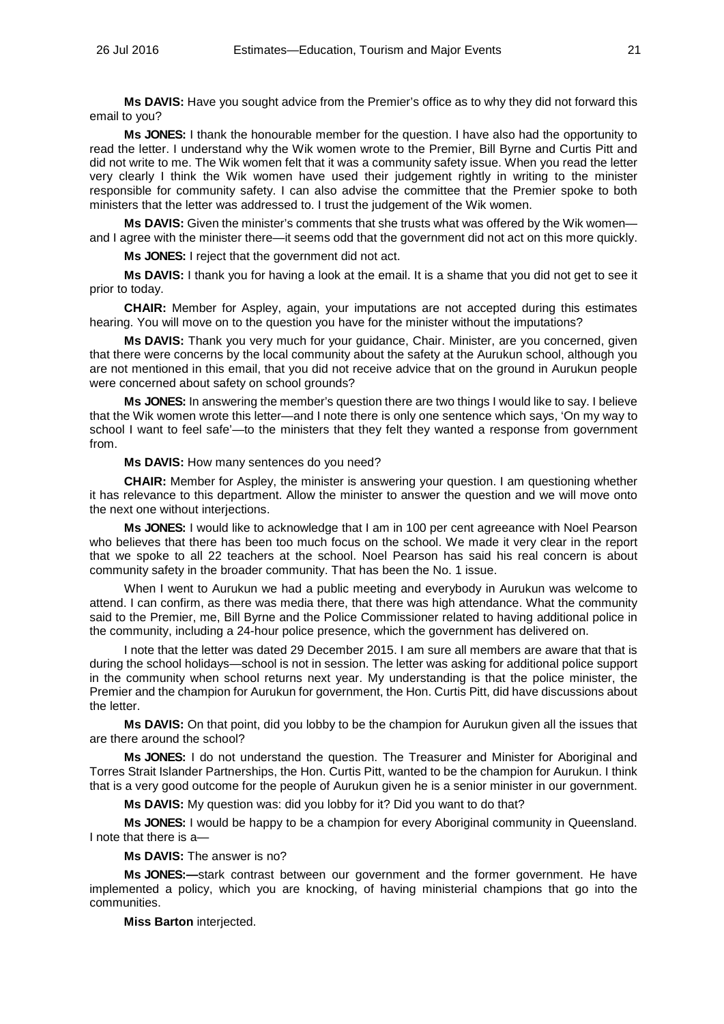**Ms DAVIS:** Have you sought advice from the Premier's office as to why they did not forward this email to you?

**Ms JONES:** I thank the honourable member for the question. I have also had the opportunity to read the letter. I understand why the Wik women wrote to the Premier, Bill Byrne and Curtis Pitt and did not write to me. The Wik women felt that it was a community safety issue. When you read the letter very clearly I think the Wik women have used their judgement rightly in writing to the minister responsible for community safety. I can also advise the committee that the Premier spoke to both ministers that the letter was addressed to. I trust the judgement of the Wik women.

**Ms DAVIS:** Given the minister's comments that she trusts what was offered by the Wik women and I agree with the minister there—it seems odd that the government did not act on this more quickly.

**Ms JONES:** I reject that the government did not act.

**Ms DAVIS:** I thank you for having a look at the email. It is a shame that you did not get to see it prior to today.

**CHAIR:** Member for Aspley, again, your imputations are not accepted during this estimates hearing. You will move on to the question you have for the minister without the imputations?

**Ms DAVIS:** Thank you very much for your guidance, Chair. Minister, are you concerned, given that there were concerns by the local community about the safety at the Aurukun school, although you are not mentioned in this email, that you did not receive advice that on the ground in Aurukun people were concerned about safety on school grounds?

**Ms JONES:** In answering the member's question there are two things I would like to say. I believe that the Wik women wrote this letter—and I note there is only one sentence which says, 'On my way to school I want to feel safe'—to the ministers that they felt they wanted a response from government from.

**Ms DAVIS:** How many sentences do you need?

**CHAIR:** Member for Aspley, the minister is answering your question. I am questioning whether it has relevance to this department. Allow the minister to answer the question and we will move onto the next one without interjections.

**Ms JONES:** I would like to acknowledge that I am in 100 per cent agreeance with Noel Pearson who believes that there has been too much focus on the school. We made it very clear in the report that we spoke to all 22 teachers at the school. Noel Pearson has said his real concern is about community safety in the broader community. That has been the No. 1 issue.

When I went to Aurukun we had a public meeting and everybody in Aurukun was welcome to attend. I can confirm, as there was media there, that there was high attendance. What the community said to the Premier, me, Bill Byrne and the Police Commissioner related to having additional police in the community, including a 24-hour police presence, which the government has delivered on.

I note that the letter was dated 29 December 2015. I am sure all members are aware that that is during the school holidays—school is not in session. The letter was asking for additional police support in the community when school returns next year. My understanding is that the police minister, the Premier and the champion for Aurukun for government, the Hon. Curtis Pitt, did have discussions about the letter.

**Ms DAVIS:** On that point, did you lobby to be the champion for Aurukun given all the issues that are there around the school?

**Ms JONES:** I do not understand the question. The Treasurer and Minister for Aboriginal and Torres Strait Islander Partnerships, the Hon. Curtis Pitt, wanted to be the champion for Aurukun. I think that is a very good outcome for the people of Aurukun given he is a senior minister in our government.

**Ms DAVIS:** My question was: did you lobby for it? Did you want to do that?

**Ms JONES:** I would be happy to be a champion for every Aboriginal community in Queensland. I note that there is a—

**Ms DAVIS:** The answer is no?

**Ms JONES:—**stark contrast between our government and the former government. He have implemented a policy, which you are knocking, of having ministerial champions that go into the communities.

**Miss Barton** interjected.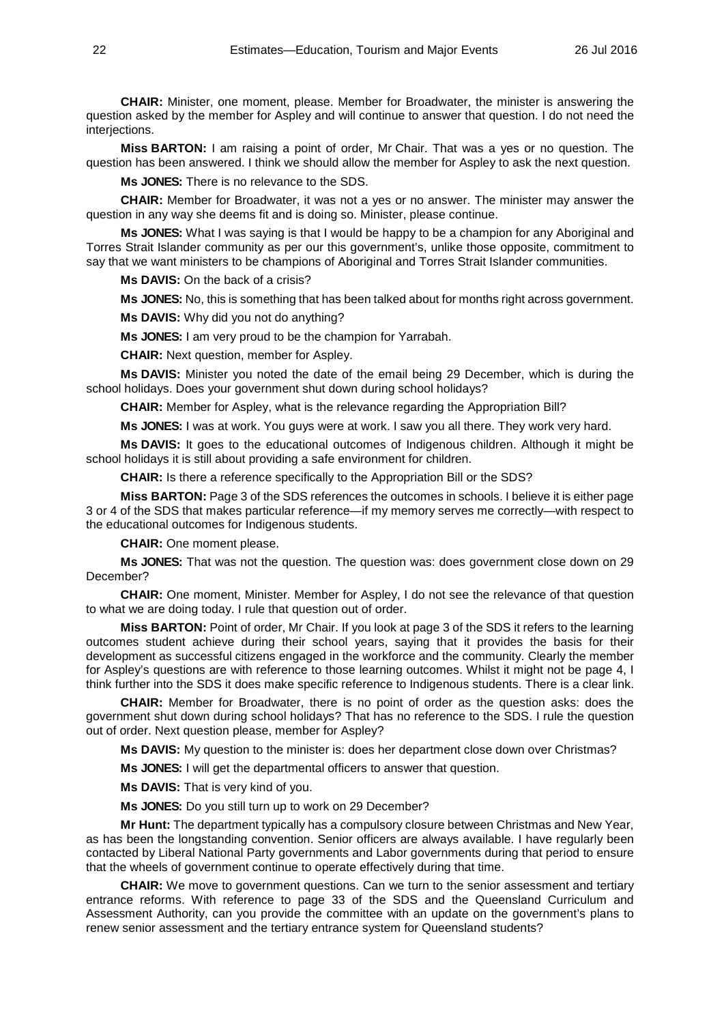**CHAIR:** Minister, one moment, please. Member for Broadwater, the minister is answering the question asked by the member for Aspley and will continue to answer that question. I do not need the interiections.

**Miss BARTON:** I am raising a point of order, Mr Chair. That was a yes or no question. The question has been answered. I think we should allow the member for Aspley to ask the next question.

**Ms JONES:** There is no relevance to the SDS.

**CHAIR:** Member for Broadwater, it was not a yes or no answer. The minister may answer the question in any way she deems fit and is doing so. Minister, please continue.

**Ms JONES:** What I was saying is that I would be happy to be a champion for any Aboriginal and Torres Strait Islander community as per our this government's, unlike those opposite, commitment to say that we want ministers to be champions of Aboriginal and Torres Strait Islander communities.

**Ms DAVIS:** On the back of a crisis?

**Ms JONES:** No, this is something that has been talked about for months right across government.

**Ms DAVIS:** Why did you not do anything?

**Ms JONES:** I am very proud to be the champion for Yarrabah.

**CHAIR:** Next question, member for Aspley.

**Ms DAVIS:** Minister you noted the date of the email being 29 December, which is during the school holidays. Does your government shut down during school holidays?

**CHAIR:** Member for Aspley, what is the relevance regarding the Appropriation Bill?

**Ms JONES:** I was at work. You guys were at work. I saw you all there. They work very hard.

**Ms DAVIS:** It goes to the educational outcomes of Indigenous children. Although it might be school holidays it is still about providing a safe environment for children.

**CHAIR:** Is there a reference specifically to the Appropriation Bill or the SDS?

**Miss BARTON:** Page 3 of the SDS references the outcomes in schools. I believe it is either page 3 or 4 of the SDS that makes particular reference—if my memory serves me correctly—with respect to the educational outcomes for Indigenous students.

**CHAIR:** One moment please.

**Ms JONES:** That was not the question. The question was: does government close down on 29 December?

**CHAIR:** One moment, Minister. Member for Aspley, I do not see the relevance of that question to what we are doing today. I rule that question out of order.

**Miss BARTON:** Point of order, Mr Chair. If you look at page 3 of the SDS it refers to the learning outcomes student achieve during their school years, saying that it provides the basis for their development as successful citizens engaged in the workforce and the community. Clearly the member for Aspley's questions are with reference to those learning outcomes. Whilst it might not be page 4, I think further into the SDS it does make specific reference to Indigenous students. There is a clear link.

**CHAIR:** Member for Broadwater, there is no point of order as the question asks: does the government shut down during school holidays? That has no reference to the SDS. I rule the question out of order. Next question please, member for Aspley?

**Ms DAVIS:** My question to the minister is: does her department close down over Christmas?

**Ms JONES:** I will get the departmental officers to answer that question.

**Ms DAVIS:** That is very kind of you.

**Ms JONES:** Do you still turn up to work on 29 December?

**Mr Hunt:** The department typically has a compulsory closure between Christmas and New Year, as has been the longstanding convention. Senior officers are always available. I have regularly been contacted by Liberal National Party governments and Labor governments during that period to ensure that the wheels of government continue to operate effectively during that time.

**CHAIR:** We move to government questions. Can we turn to the senior assessment and tertiary entrance reforms. With reference to page 33 of the SDS and the Queensland Curriculum and Assessment Authority, can you provide the committee with an update on the government's plans to renew senior assessment and the tertiary entrance system for Queensland students?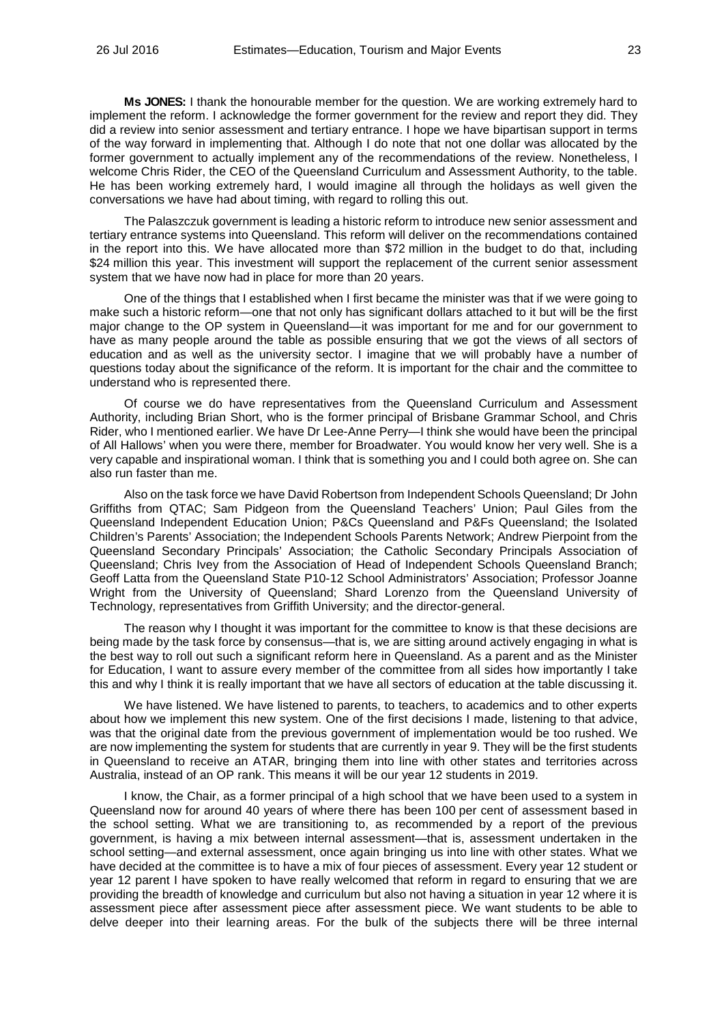**Ms JONES:** I thank the honourable member for the question. We are working extremely hard to implement the reform. I acknowledge the former government for the review and report they did. They did a review into senior assessment and tertiary entrance. I hope we have bipartisan support in terms of the way forward in implementing that. Although I do note that not one dollar was allocated by the former government to actually implement any of the recommendations of the review. Nonetheless, I welcome Chris Rider, the CEO of the Queensland Curriculum and Assessment Authority, to the table. He has been working extremely hard, I would imagine all through the holidays as well given the conversations we have had about timing, with regard to rolling this out.

The Palaszczuk government is leading a historic reform to introduce new senior assessment and tertiary entrance systems into Queensland. This reform will deliver on the recommendations contained in the report into this. We have allocated more than \$72 million in the budget to do that, including \$24 million this year. This investment will support the replacement of the current senior assessment system that we have now had in place for more than 20 years.

One of the things that I established when I first became the minister was that if we were going to make such a historic reform—one that not only has significant dollars attached to it but will be the first major change to the OP system in Queensland—it was important for me and for our government to have as many people around the table as possible ensuring that we got the views of all sectors of education and as well as the university sector. I imagine that we will probably have a number of questions today about the significance of the reform. It is important for the chair and the committee to understand who is represented there.

Of course we do have representatives from the Queensland Curriculum and Assessment Authority, including Brian Short, who is the former principal of Brisbane Grammar School, and Chris Rider, who I mentioned earlier. We have Dr Lee-Anne Perry—I think she would have been the principal of All Hallows' when you were there, member for Broadwater. You would know her very well. She is a very capable and inspirational woman. I think that is something you and I could both agree on. She can also run faster than me.

Also on the task force we have David Robertson from Independent Schools Queensland; Dr John Griffiths from QTAC; Sam Pidgeon from the Queensland Teachers' Union; Paul Giles from the Queensland Independent Education Union; P&Cs Queensland and P&Fs Queensland; the Isolated Children's Parents' Association; the Independent Schools Parents Network; Andrew Pierpoint from the Queensland Secondary Principals' Association; the Catholic Secondary Principals Association of Queensland; Chris Ivey from the Association of Head of Independent Schools Queensland Branch; Geoff Latta from the Queensland State P10-12 School Administrators' Association; Professor Joanne Wright from the University of Queensland; Shard Lorenzo from the Queensland University of Technology, representatives from Griffith University; and the director-general.

The reason why I thought it was important for the committee to know is that these decisions are being made by the task force by consensus—that is, we are sitting around actively engaging in what is the best way to roll out such a significant reform here in Queensland. As a parent and as the Minister for Education, I want to assure every member of the committee from all sides how importantly I take this and why I think it is really important that we have all sectors of education at the table discussing it.

We have listened. We have listened to parents, to teachers, to academics and to other experts about how we implement this new system. One of the first decisions I made, listening to that advice, was that the original date from the previous government of implementation would be too rushed. We are now implementing the system for students that are currently in year 9. They will be the first students in Queensland to receive an ATAR, bringing them into line with other states and territories across Australia, instead of an OP rank. This means it will be our year 12 students in 2019.

I know, the Chair, as a former principal of a high school that we have been used to a system in Queensland now for around 40 years of where there has been 100 per cent of assessment based in the school setting. What we are transitioning to, as recommended by a report of the previous government, is having a mix between internal assessment—that is, assessment undertaken in the school setting—and external assessment, once again bringing us into line with other states. What we have decided at the committee is to have a mix of four pieces of assessment. Every year 12 student or year 12 parent I have spoken to have really welcomed that reform in regard to ensuring that we are providing the breadth of knowledge and curriculum but also not having a situation in year 12 where it is assessment piece after assessment piece after assessment piece. We want students to be able to delve deeper into their learning areas. For the bulk of the subjects there will be three internal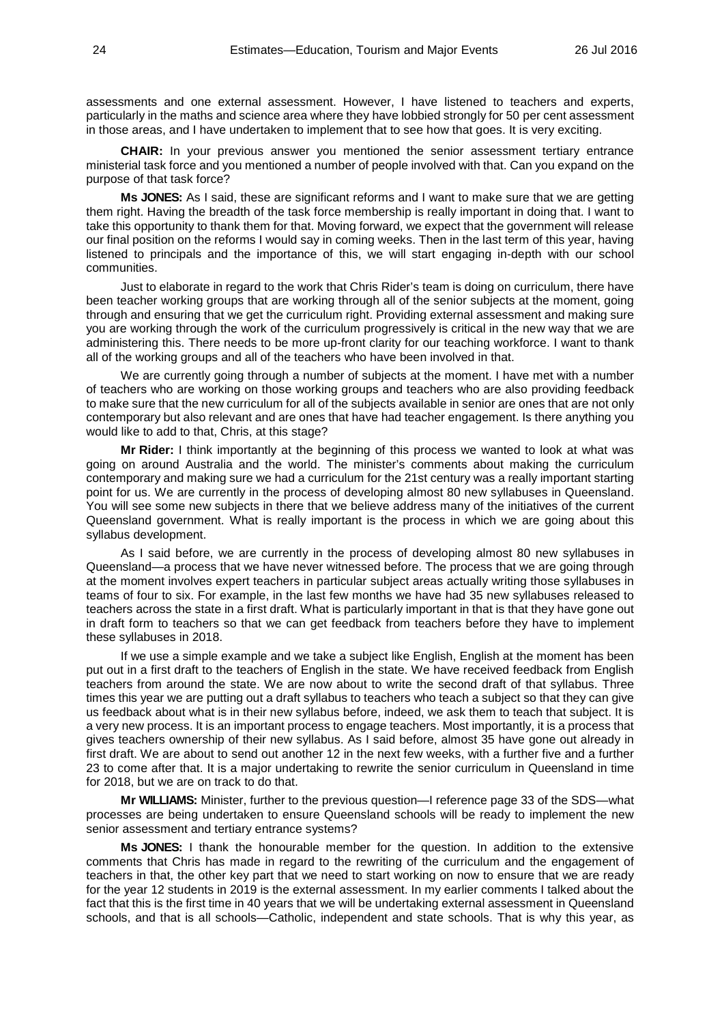assessments and one external assessment. However, I have listened to teachers and experts, particularly in the maths and science area where they have lobbied strongly for 50 per cent assessment in those areas, and I have undertaken to implement that to see how that goes. It is very exciting.

**CHAIR:** In your previous answer you mentioned the senior assessment tertiary entrance ministerial task force and you mentioned a number of people involved with that. Can you expand on the purpose of that task force?

**Ms JONES:** As I said, these are significant reforms and I want to make sure that we are getting them right. Having the breadth of the task force membership is really important in doing that. I want to take this opportunity to thank them for that. Moving forward, we expect that the government will release our final position on the reforms I would say in coming weeks. Then in the last term of this year, having listened to principals and the importance of this, we will start engaging in-depth with our school communities.

Just to elaborate in regard to the work that Chris Rider's team is doing on curriculum, there have been teacher working groups that are working through all of the senior subjects at the moment, going through and ensuring that we get the curriculum right. Providing external assessment and making sure you are working through the work of the curriculum progressively is critical in the new way that we are administering this. There needs to be more up-front clarity for our teaching workforce. I want to thank all of the working groups and all of the teachers who have been involved in that.

We are currently going through a number of subjects at the moment. I have met with a number of teachers who are working on those working groups and teachers who are also providing feedback to make sure that the new curriculum for all of the subjects available in senior are ones that are not only contemporary but also relevant and are ones that have had teacher engagement. Is there anything you would like to add to that, Chris, at this stage?

**Mr Rider:** I think importantly at the beginning of this process we wanted to look at what was going on around Australia and the world. The minister's comments about making the curriculum contemporary and making sure we had a curriculum for the 21st century was a really important starting point for us. We are currently in the process of developing almost 80 new syllabuses in Queensland. You will see some new subjects in there that we believe address many of the initiatives of the current Queensland government. What is really important is the process in which we are going about this syllabus development.

As I said before, we are currently in the process of developing almost 80 new syllabuses in Queensland—a process that we have never witnessed before. The process that we are going through at the moment involves expert teachers in particular subject areas actually writing those syllabuses in teams of four to six. For example, in the last few months we have had 35 new syllabuses released to teachers across the state in a first draft. What is particularly important in that is that they have gone out in draft form to teachers so that we can get feedback from teachers before they have to implement these syllabuses in 2018.

If we use a simple example and we take a subject like English, English at the moment has been put out in a first draft to the teachers of English in the state. We have received feedback from English teachers from around the state. We are now about to write the second draft of that syllabus. Three times this year we are putting out a draft syllabus to teachers who teach a subject so that they can give us feedback about what is in their new syllabus before, indeed, we ask them to teach that subject. It is a very new process. It is an important process to engage teachers. Most importantly, it is a process that gives teachers ownership of their new syllabus. As I said before, almost 35 have gone out already in first draft. We are about to send out another 12 in the next few weeks, with a further five and a further 23 to come after that. It is a major undertaking to rewrite the senior curriculum in Queensland in time for 2018, but we are on track to do that.

**Mr WILLIAMS:** Minister, further to the previous question—I reference page 33 of the SDS—what processes are being undertaken to ensure Queensland schools will be ready to implement the new senior assessment and tertiary entrance systems?

**Ms JONES:** I thank the honourable member for the question. In addition to the extensive comments that Chris has made in regard to the rewriting of the curriculum and the engagement of teachers in that, the other key part that we need to start working on now to ensure that we are ready for the year 12 students in 2019 is the external assessment. In my earlier comments I talked about the fact that this is the first time in 40 years that we will be undertaking external assessment in Queensland schools, and that is all schools—Catholic, independent and state schools. That is why this year, as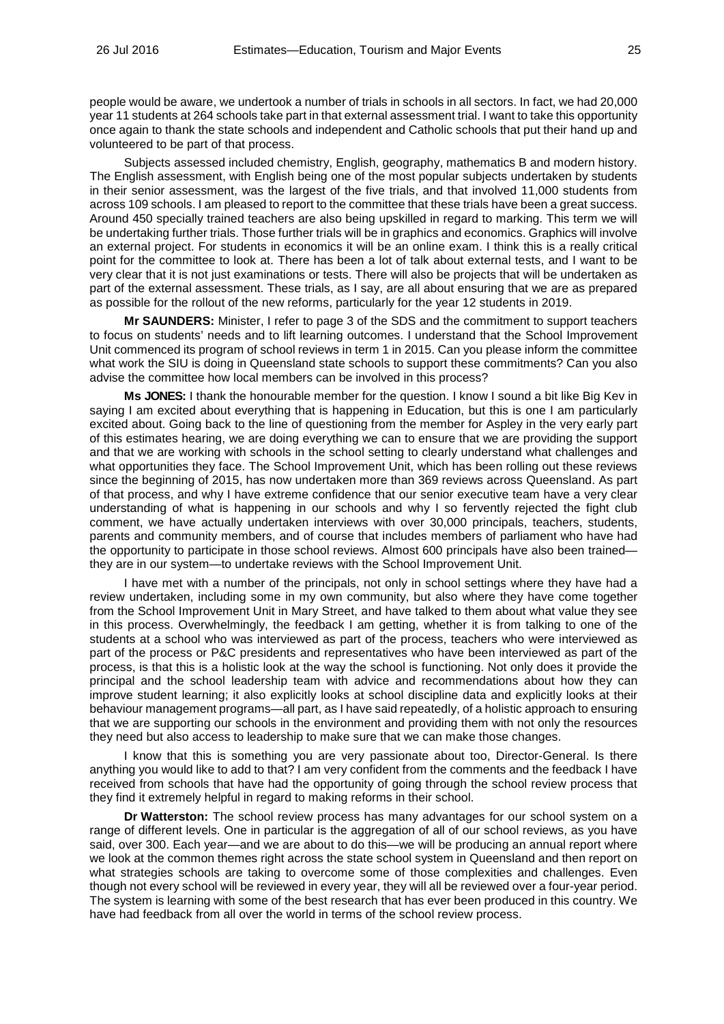people would be aware, we undertook a number of trials in schools in all sectors. In fact, we had 20,000 year 11 students at 264 schools take part in that external assessment trial. I want to take this opportunity once again to thank the state schools and independent and Catholic schools that put their hand up and volunteered to be part of that process.

Subjects assessed included chemistry, English, geography, mathematics B and modern history. The English assessment, with English being one of the most popular subjects undertaken by students in their senior assessment, was the largest of the five trials, and that involved 11,000 students from across 109 schools. I am pleased to report to the committee that these trials have been a great success. Around 450 specially trained teachers are also being upskilled in regard to marking. This term we will be undertaking further trials. Those further trials will be in graphics and economics. Graphics will involve an external project. For students in economics it will be an online exam. I think this is a really critical point for the committee to look at. There has been a lot of talk about external tests, and I want to be very clear that it is not just examinations or tests. There will also be projects that will be undertaken as part of the external assessment. These trials, as I say, are all about ensuring that we are as prepared as possible for the rollout of the new reforms, particularly for the year 12 students in 2019.

**Mr SAUNDERS:** Minister, I refer to page 3 of the SDS and the commitment to support teachers to focus on students' needs and to lift learning outcomes. I understand that the School Improvement Unit commenced its program of school reviews in term 1 in 2015. Can you please inform the committee what work the SIU is doing in Queensland state schools to support these commitments? Can you also advise the committee how local members can be involved in this process?

**Ms JONES:** I thank the honourable member for the question. I know I sound a bit like Big Kev in saying I am excited about everything that is happening in Education, but this is one I am particularly excited about. Going back to the line of questioning from the member for Aspley in the very early part of this estimates hearing, we are doing everything we can to ensure that we are providing the support and that we are working with schools in the school setting to clearly understand what challenges and what opportunities they face. The School Improvement Unit, which has been rolling out these reviews since the beginning of 2015, has now undertaken more than 369 reviews across Queensland. As part of that process, and why I have extreme confidence that our senior executive team have a very clear understanding of what is happening in our schools and why I so fervently rejected the fight club comment, we have actually undertaken interviews with over 30,000 principals, teachers, students, parents and community members, and of course that includes members of parliament who have had the opportunity to participate in those school reviews. Almost 600 principals have also been trained they are in our system—to undertake reviews with the School Improvement Unit.

I have met with a number of the principals, not only in school settings where they have had a review undertaken, including some in my own community, but also where they have come together from the School Improvement Unit in Mary Street, and have talked to them about what value they see in this process. Overwhelmingly, the feedback I am getting, whether it is from talking to one of the students at a school who was interviewed as part of the process, teachers who were interviewed as part of the process or P&C presidents and representatives who have been interviewed as part of the process, is that this is a holistic look at the way the school is functioning. Not only does it provide the principal and the school leadership team with advice and recommendations about how they can improve student learning; it also explicitly looks at school discipline data and explicitly looks at their behaviour management programs—all part, as I have said repeatedly, of a holistic approach to ensuring that we are supporting our schools in the environment and providing them with not only the resources they need but also access to leadership to make sure that we can make those changes.

I know that this is something you are very passionate about too, Director-General. Is there anything you would like to add to that? I am very confident from the comments and the feedback I have received from schools that have had the opportunity of going through the school review process that they find it extremely helpful in regard to making reforms in their school.

**Dr Watterston:** The school review process has many advantages for our school system on a range of different levels. One in particular is the aggregation of all of our school reviews, as you have said, over 300. Each year—and we are about to do this—we will be producing an annual report where we look at the common themes right across the state school system in Queensland and then report on what strategies schools are taking to overcome some of those complexities and challenges. Even though not every school will be reviewed in every year, they will all be reviewed over a four-year period. The system is learning with some of the best research that has ever been produced in this country. We have had feedback from all over the world in terms of the school review process.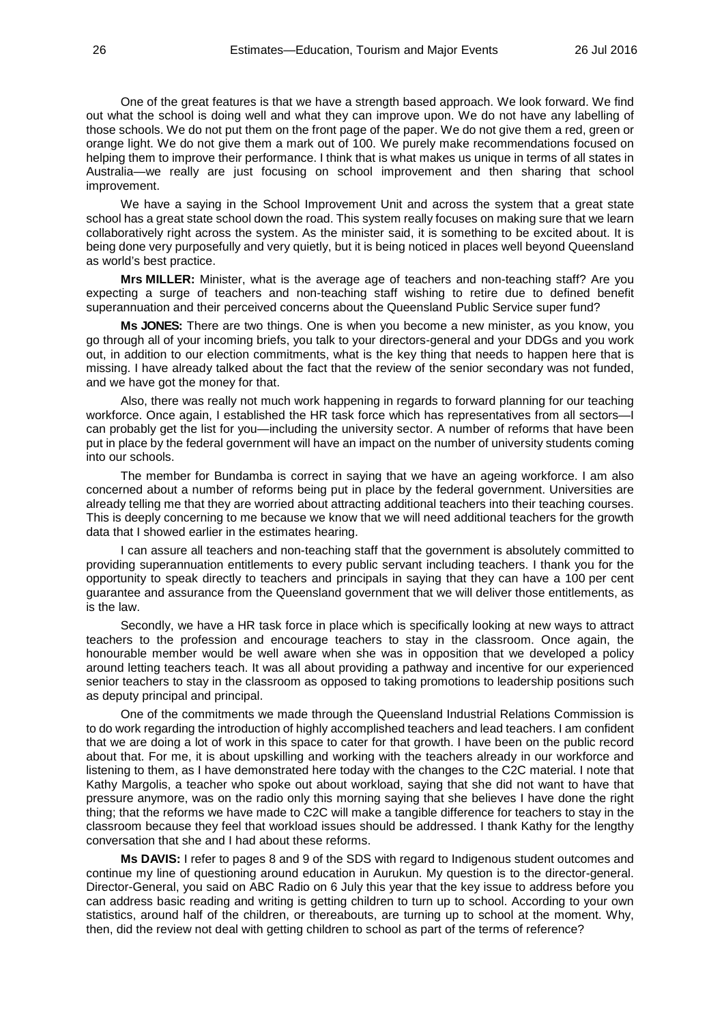One of the great features is that we have a strength based approach. We look forward. We find out what the school is doing well and what they can improve upon. We do not have any labelling of those schools. We do not put them on the front page of the paper. We do not give them a red, green or orange light. We do not give them a mark out of 100. We purely make recommendations focused on helping them to improve their performance. I think that is what makes us unique in terms of all states in Australia—we really are just focusing on school improvement and then sharing that school improvement.

We have a saying in the School Improvement Unit and across the system that a great state school has a great state school down the road. This system really focuses on making sure that we learn collaboratively right across the system. As the minister said, it is something to be excited about. It is being done very purposefully and very quietly, but it is being noticed in places well beyond Queensland as world's best practice.

**Mrs MILLER:** Minister, what is the average age of teachers and non-teaching staff? Are you expecting a surge of teachers and non-teaching staff wishing to retire due to defined benefit superannuation and their perceived concerns about the Queensland Public Service super fund?

**Ms JONES:** There are two things. One is when you become a new minister, as you know, you go through all of your incoming briefs, you talk to your directors-general and your DDGs and you work out, in addition to our election commitments, what is the key thing that needs to happen here that is missing. I have already talked about the fact that the review of the senior secondary was not funded, and we have got the money for that.

Also, there was really not much work happening in regards to forward planning for our teaching workforce. Once again, I established the HR task force which has representatives from all sectors—I can probably get the list for you—including the university sector. A number of reforms that have been put in place by the federal government will have an impact on the number of university students coming into our schools.

The member for Bundamba is correct in saying that we have an ageing workforce. I am also concerned about a number of reforms being put in place by the federal government. Universities are already telling me that they are worried about attracting additional teachers into their teaching courses. This is deeply concerning to me because we know that we will need additional teachers for the growth data that I showed earlier in the estimates hearing.

I can assure all teachers and non-teaching staff that the government is absolutely committed to providing superannuation entitlements to every public servant including teachers. I thank you for the opportunity to speak directly to teachers and principals in saying that they can have a 100 per cent guarantee and assurance from the Queensland government that we will deliver those entitlements, as is the law.

Secondly, we have a HR task force in place which is specifically looking at new ways to attract teachers to the profession and encourage teachers to stay in the classroom. Once again, the honourable member would be well aware when she was in opposition that we developed a policy around letting teachers teach. It was all about providing a pathway and incentive for our experienced senior teachers to stay in the classroom as opposed to taking promotions to leadership positions such as deputy principal and principal.

One of the commitments we made through the Queensland Industrial Relations Commission is to do work regarding the introduction of highly accomplished teachers and lead teachers. I am confident that we are doing a lot of work in this space to cater for that growth. I have been on the public record about that. For me, it is about upskilling and working with the teachers already in our workforce and listening to them, as I have demonstrated here today with the changes to the C2C material. I note that Kathy Margolis, a teacher who spoke out about workload, saying that she did not want to have that pressure anymore, was on the radio only this morning saying that she believes I have done the right thing; that the reforms we have made to C2C will make a tangible difference for teachers to stay in the classroom because they feel that workload issues should be addressed. I thank Kathy for the lengthy conversation that she and I had about these reforms.

**Ms DAVIS:** I refer to pages 8 and 9 of the SDS with regard to Indigenous student outcomes and continue my line of questioning around education in Aurukun. My question is to the director-general. Director-General, you said on ABC Radio on 6 July this year that the key issue to address before you can address basic reading and writing is getting children to turn up to school. According to your own statistics, around half of the children, or thereabouts, are turning up to school at the moment. Why, then, did the review not deal with getting children to school as part of the terms of reference?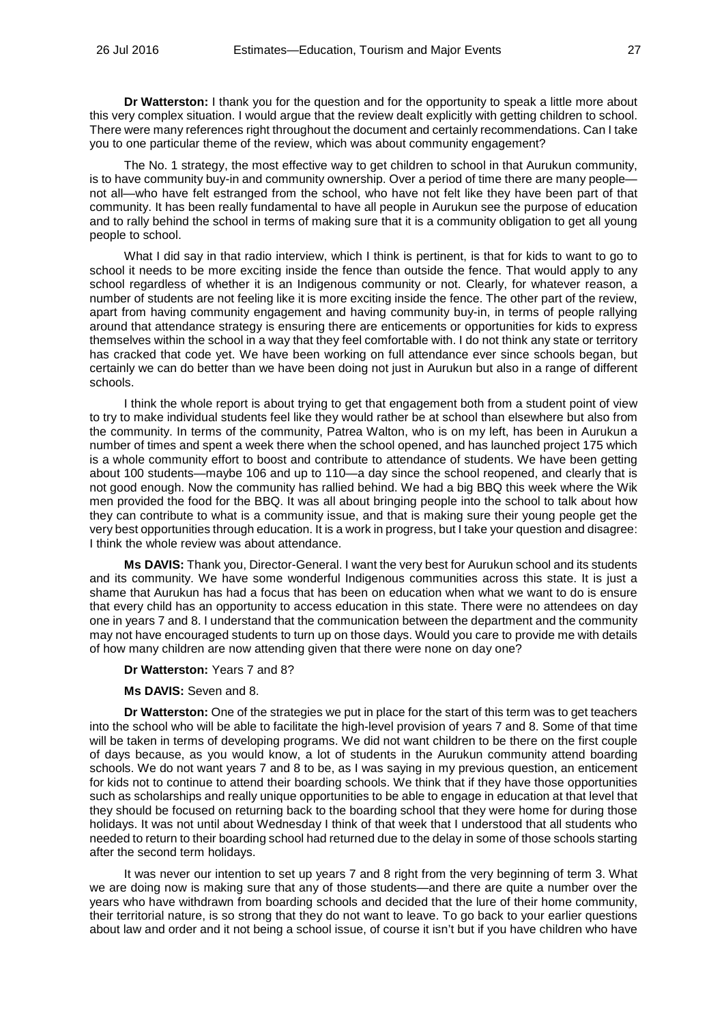**Dr Watterston:** I thank you for the question and for the opportunity to speak a little more about this very complex situation. I would argue that the review dealt explicitly with getting children to school. There were many references right throughout the document and certainly recommendations. Can I take you to one particular theme of the review, which was about community engagement?

The No. 1 strategy, the most effective way to get children to school in that Aurukun community, is to have community buy-in and community ownership. Over a period of time there are many people not all—who have felt estranged from the school, who have not felt like they have been part of that community. It has been really fundamental to have all people in Aurukun see the purpose of education and to rally behind the school in terms of making sure that it is a community obligation to get all young people to school.

What I did say in that radio interview, which I think is pertinent, is that for kids to want to go to school it needs to be more exciting inside the fence than outside the fence. That would apply to any school regardless of whether it is an Indigenous community or not. Clearly, for whatever reason, a number of students are not feeling like it is more exciting inside the fence. The other part of the review, apart from having community engagement and having community buy-in, in terms of people rallying around that attendance strategy is ensuring there are enticements or opportunities for kids to express themselves within the school in a way that they feel comfortable with. I do not think any state or territory has cracked that code yet. We have been working on full attendance ever since schools began, but certainly we can do better than we have been doing not just in Aurukun but also in a range of different schools.

I think the whole report is about trying to get that engagement both from a student point of view to try to make individual students feel like they would rather be at school than elsewhere but also from the community. In terms of the community, Patrea Walton, who is on my left, has been in Aurukun a number of times and spent a week there when the school opened, and has launched project 175 which is a whole community effort to boost and contribute to attendance of students. We have been getting about 100 students—maybe 106 and up to 110—a day since the school reopened, and clearly that is not good enough. Now the community has rallied behind. We had a big BBQ this week where the Wik men provided the food for the BBQ. It was all about bringing people into the school to talk about how they can contribute to what is a community issue, and that is making sure their young people get the very best opportunities through education. It is a work in progress, but I take your question and disagree: I think the whole review was about attendance.

**Ms DAVIS:** Thank you, Director-General. I want the very best for Aurukun school and its students and its community. We have some wonderful Indigenous communities across this state. It is just a shame that Aurukun has had a focus that has been on education when what we want to do is ensure that every child has an opportunity to access education in this state. There were no attendees on day one in years 7 and 8. I understand that the communication between the department and the community may not have encouraged students to turn up on those days. Would you care to provide me with details of how many children are now attending given that there were none on day one?

# **Dr Watterston:** Years 7 and 8?

### **Ms DAVIS:** Seven and 8.

**Dr Watterston:** One of the strategies we put in place for the start of this term was to get teachers into the school who will be able to facilitate the high-level provision of years 7 and 8. Some of that time will be taken in terms of developing programs. We did not want children to be there on the first couple of days because, as you would know, a lot of students in the Aurukun community attend boarding schools. We do not want years 7 and 8 to be, as I was saying in my previous question, an enticement for kids not to continue to attend their boarding schools. We think that if they have those opportunities such as scholarships and really unique opportunities to be able to engage in education at that level that they should be focused on returning back to the boarding school that they were home for during those holidays. It was not until about Wednesday I think of that week that I understood that all students who needed to return to their boarding school had returned due to the delay in some of those schools starting after the second term holidays.

It was never our intention to set up years 7 and 8 right from the very beginning of term 3. What we are doing now is making sure that any of those students—and there are quite a number over the years who have withdrawn from boarding schools and decided that the lure of their home community, their territorial nature, is so strong that they do not want to leave. To go back to your earlier questions about law and order and it not being a school issue, of course it isn't but if you have children who have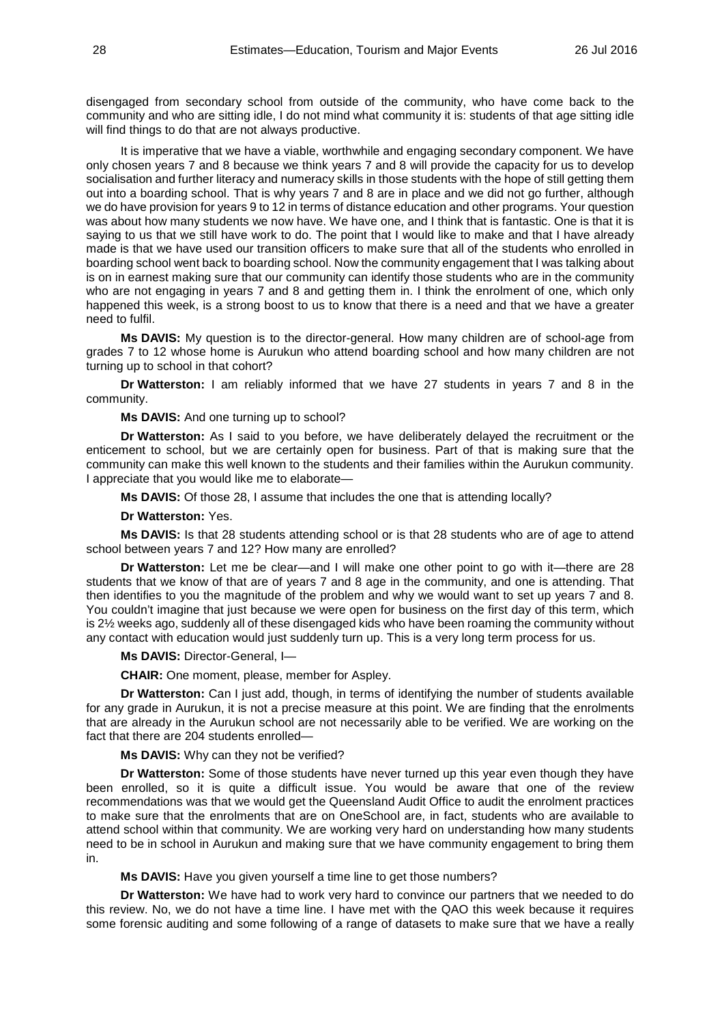disengaged from secondary school from outside of the community, who have come back to the community and who are sitting idle, I do not mind what community it is: students of that age sitting idle will find things to do that are not always productive.

It is imperative that we have a viable, worthwhile and engaging secondary component. We have only chosen years 7 and 8 because we think years 7 and 8 will provide the capacity for us to develop socialisation and further literacy and numeracy skills in those students with the hope of still getting them out into a boarding school. That is why years 7 and 8 are in place and we did not go further, although we do have provision for years 9 to 12 in terms of distance education and other programs. Your question was about how many students we now have. We have one, and I think that is fantastic. One is that it is saying to us that we still have work to do. The point that I would like to make and that I have already made is that we have used our transition officers to make sure that all of the students who enrolled in boarding school went back to boarding school. Now the community engagement that I was talking about is on in earnest making sure that our community can identify those students who are in the community who are not engaging in years 7 and 8 and getting them in. I think the enrolment of one, which only happened this week, is a strong boost to us to know that there is a need and that we have a greater need to fulfil.

**Ms DAVIS:** My question is to the director-general. How many children are of school-age from grades 7 to 12 whose home is Aurukun who attend boarding school and how many children are not turning up to school in that cohort?

**Dr Watterston:** I am reliably informed that we have 27 students in years 7 and 8 in the community.

#### **Ms DAVIS:** And one turning up to school?

**Dr Watterston:** As I said to you before, we have deliberately delayed the recruitment or the enticement to school, but we are certainly open for business. Part of that is making sure that the community can make this well known to the students and their families within the Aurukun community. I appreciate that you would like me to elaborate—

**Ms DAVIS:** Of those 28, I assume that includes the one that is attending locally?

### **Dr Watterston:** Yes.

**Ms DAVIS:** Is that 28 students attending school or is that 28 students who are of age to attend school between years 7 and 12? How many are enrolled?

**Dr Watterston:** Let me be clear—and I will make one other point to go with it—there are 28 students that we know of that are of years 7 and 8 age in the community, and one is attending. That then identifies to you the magnitude of the problem and why we would want to set up years 7 and 8. You couldn't imagine that just because we were open for business on the first day of this term, which is 2½ weeks ago, suddenly all of these disengaged kids who have been roaming the community without any contact with education would just suddenly turn up. This is a very long term process for us.

### **Ms DAVIS:** Director-General, I—

**CHAIR:** One moment, please, member for Aspley.

**Dr Watterston:** Can I just add, though, in terms of identifying the number of students available for any grade in Aurukun, it is not a precise measure at this point. We are finding that the enrolments that are already in the Aurukun school are not necessarily able to be verified. We are working on the fact that there are 204 students enrolled—

# **Ms DAVIS:** Why can they not be verified?

**Dr Watterston:** Some of those students have never turned up this year even though they have been enrolled, so it is quite a difficult issue. You would be aware that one of the review recommendations was that we would get the Queensland Audit Office to audit the enrolment practices to make sure that the enrolments that are on OneSchool are, in fact, students who are available to attend school within that community. We are working very hard on understanding how many students need to be in school in Aurukun and making sure that we have community engagement to bring them in.

**Ms DAVIS:** Have you given yourself a time line to get those numbers?

**Dr Watterston:** We have had to work very hard to convince our partners that we needed to do this review. No, we do not have a time line. I have met with the QAO this week because it requires some forensic auditing and some following of a range of datasets to make sure that we have a really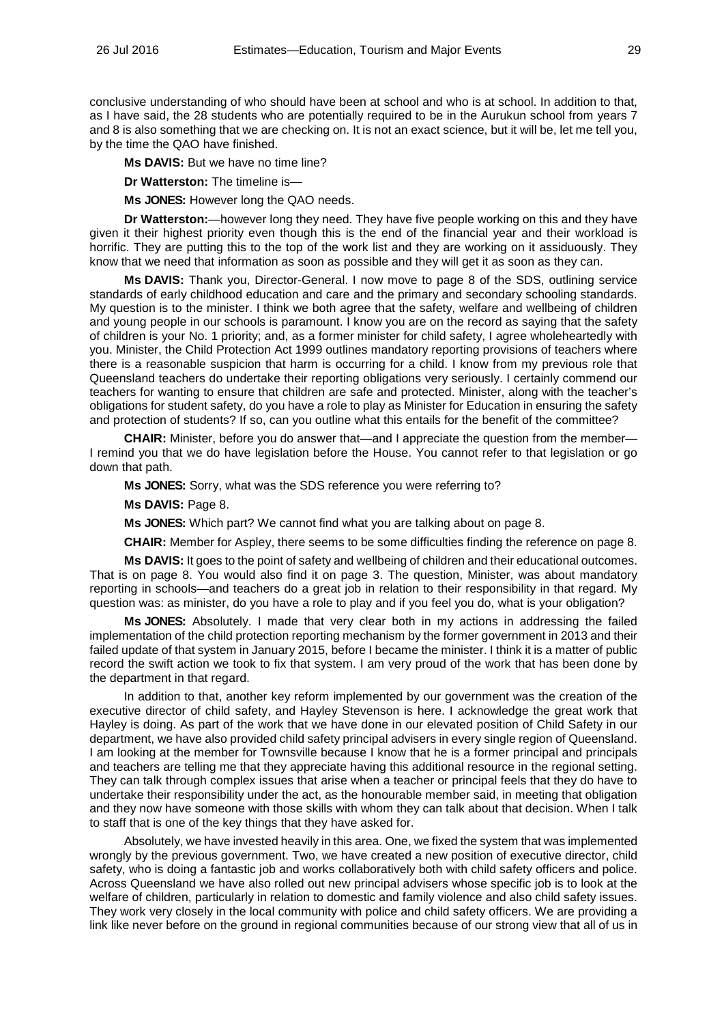conclusive understanding of who should have been at school and who is at school. In addition to that, as I have said, the 28 students who are potentially required to be in the Aurukun school from years 7 and 8 is also something that we are checking on. It is not an exact science, but it will be, let me tell you, by the time the QAO have finished.

**Ms DAVIS:** But we have no time line?

**Dr Watterston:** The timeline is—

**Ms JONES:** However long the QAO needs.

**Dr Watterston:**—however long they need. They have five people working on this and they have given it their highest priority even though this is the end of the financial year and their workload is horrific. They are putting this to the top of the work list and they are working on it assiduously. They know that we need that information as soon as possible and they will get it as soon as they can.

**Ms DAVIS:** Thank you, Director-General. I now move to page 8 of the SDS, outlining service standards of early childhood education and care and the primary and secondary schooling standards. My question is to the minister. I think we both agree that the safety, welfare and wellbeing of children and young people in our schools is paramount. I know you are on the record as saying that the safety of children is your No. 1 priority; and, as a former minister for child safety, I agree wholeheartedly with you. Minister, the Child Protection Act 1999 outlines mandatory reporting provisions of teachers where there is a reasonable suspicion that harm is occurring for a child. I know from my previous role that Queensland teachers do undertake their reporting obligations very seriously. I certainly commend our teachers for wanting to ensure that children are safe and protected. Minister, along with the teacher's obligations for student safety, do you have a role to play as Minister for Education in ensuring the safety and protection of students? If so, can you outline what this entails for the benefit of the committee?

**CHAIR:** Minister, before you do answer that—and I appreciate the question from the member— I remind you that we do have legislation before the House. You cannot refer to that legislation or go down that path.

**Ms JONES:** Sorry, what was the SDS reference you were referring to?

**Ms DAVIS:** Page 8.

**Ms JONES:** Which part? We cannot find what you are talking about on page 8.

**CHAIR:** Member for Aspley, there seems to be some difficulties finding the reference on page 8.

**Ms DAVIS:** It goes to the point of safety and wellbeing of children and their educational outcomes. That is on page 8. You would also find it on page 3. The question, Minister, was about mandatory reporting in schools—and teachers do a great job in relation to their responsibility in that regard. My question was: as minister, do you have a role to play and if you feel you do, what is your obligation?

**Ms JONES:** Absolutely. I made that very clear both in my actions in addressing the failed implementation of the child protection reporting mechanism by the former government in 2013 and their failed update of that system in January 2015, before I became the minister. I think it is a matter of public record the swift action we took to fix that system. I am very proud of the work that has been done by the department in that regard.

In addition to that, another key reform implemented by our government was the creation of the executive director of child safety, and Hayley Stevenson is here. I acknowledge the great work that Hayley is doing. As part of the work that we have done in our elevated position of Child Safety in our department, we have also provided child safety principal advisers in every single region of Queensland. I am looking at the member for Townsville because I know that he is a former principal and principals and teachers are telling me that they appreciate having this additional resource in the regional setting. They can talk through complex issues that arise when a teacher or principal feels that they do have to undertake their responsibility under the act, as the honourable member said, in meeting that obligation and they now have someone with those skills with whom they can talk about that decision. When I talk to staff that is one of the key things that they have asked for.

Absolutely, we have invested heavily in this area. One, we fixed the system that was implemented wrongly by the previous government. Two, we have created a new position of executive director, child safety, who is doing a fantastic job and works collaboratively both with child safety officers and police. Across Queensland we have also rolled out new principal advisers whose specific job is to look at the welfare of children, particularly in relation to domestic and family violence and also child safety issues. They work very closely in the local community with police and child safety officers. We are providing a link like never before on the ground in regional communities because of our strong view that all of us in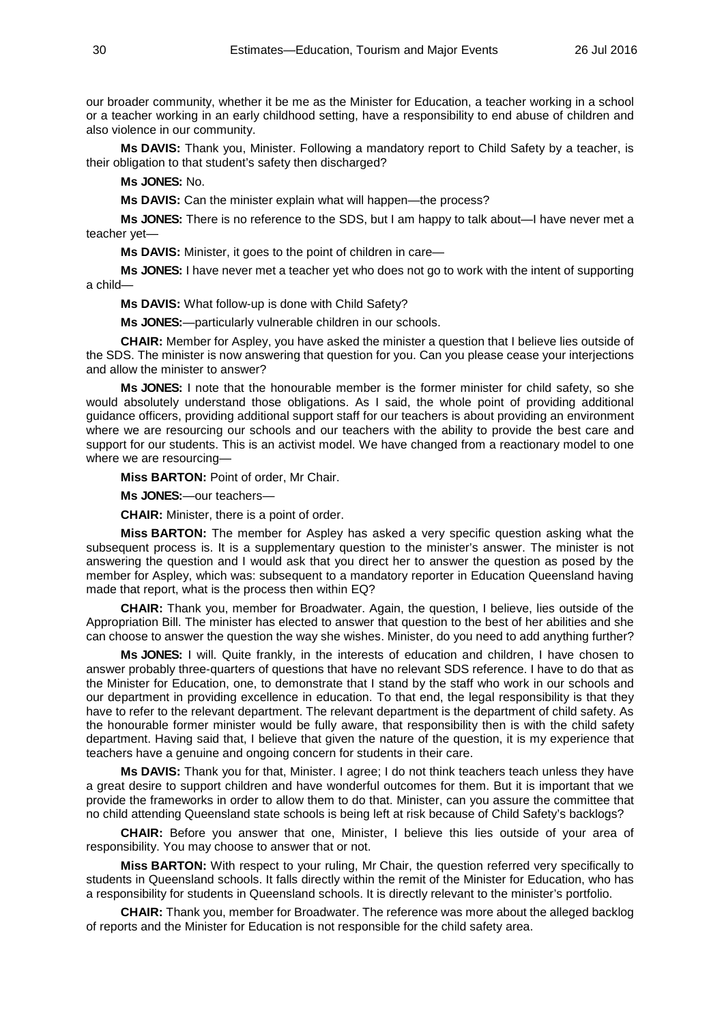our broader community, whether it be me as the Minister for Education, a teacher working in a school or a teacher working in an early childhood setting, have a responsibility to end abuse of children and also violence in our community.

**Ms DAVIS:** Thank you, Minister. Following a mandatory report to Child Safety by a teacher, is their obligation to that student's safety then discharged?

**Ms JONES:** No.

**Ms DAVIS:** Can the minister explain what will happen—the process?

**Ms JONES:** There is no reference to the SDS, but I am happy to talk about—I have never met a teacher yet—

**Ms DAVIS:** Minister, it goes to the point of children in care—

**Ms JONES:** I have never met a teacher yet who does not go to work with the intent of supporting a child—

**Ms DAVIS:** What follow-up is done with Child Safety?

**Ms JONES:**—particularly vulnerable children in our schools.

**CHAIR:** Member for Aspley, you have asked the minister a question that I believe lies outside of the SDS. The minister is now answering that question for you. Can you please cease your interjections and allow the minister to answer?

**Ms JONES:** I note that the honourable member is the former minister for child safety, so she would absolutely understand those obligations. As I said, the whole point of providing additional guidance officers, providing additional support staff for our teachers is about providing an environment where we are resourcing our schools and our teachers with the ability to provide the best care and support for our students. This is an activist model. We have changed from a reactionary model to one where we are resourcing—

**Miss BARTON:** Point of order, Mr Chair.

**Ms JONES:**—our teachers—

**CHAIR:** Minister, there is a point of order.

**Miss BARTON:** The member for Aspley has asked a very specific question asking what the subsequent process is. It is a supplementary question to the minister's answer. The minister is not answering the question and I would ask that you direct her to answer the question as posed by the member for Aspley, which was: subsequent to a mandatory reporter in Education Queensland having made that report, what is the process then within EQ?

**CHAIR:** Thank you, member for Broadwater. Again, the question, I believe, lies outside of the Appropriation Bill. The minister has elected to answer that question to the best of her abilities and she can choose to answer the question the way she wishes. Minister, do you need to add anything further?

**Ms JONES:** I will. Quite frankly, in the interests of education and children, I have chosen to answer probably three-quarters of questions that have no relevant SDS reference. I have to do that as the Minister for Education, one, to demonstrate that I stand by the staff who work in our schools and our department in providing excellence in education. To that end, the legal responsibility is that they have to refer to the relevant department. The relevant department is the department of child safety. As the honourable former minister would be fully aware, that responsibility then is with the child safety department. Having said that, I believe that given the nature of the question, it is my experience that teachers have a genuine and ongoing concern for students in their care.

**Ms DAVIS:** Thank you for that, Minister. I agree; I do not think teachers teach unless they have a great desire to support children and have wonderful outcomes for them. But it is important that we provide the frameworks in order to allow them to do that. Minister, can you assure the committee that no child attending Queensland state schools is being left at risk because of Child Safety's backlogs?

**CHAIR:** Before you answer that one, Minister, I believe this lies outside of your area of responsibility. You may choose to answer that or not.

**Miss BARTON:** With respect to your ruling, Mr Chair, the question referred very specifically to students in Queensland schools. It falls directly within the remit of the Minister for Education, who has a responsibility for students in Queensland schools. It is directly relevant to the minister's portfolio.

**CHAIR:** Thank you, member for Broadwater. The reference was more about the alleged backlog of reports and the Minister for Education is not responsible for the child safety area.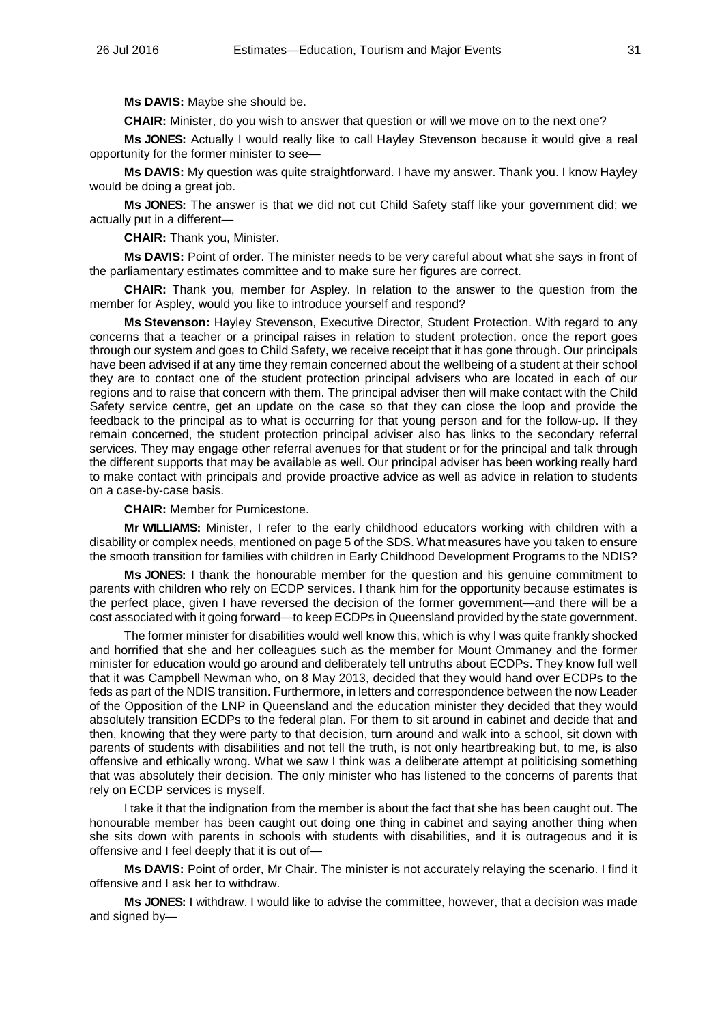**Ms DAVIS:** Maybe she should be.

**CHAIR:** Minister, do you wish to answer that question or will we move on to the next one?

**Ms JONES:** Actually I would really like to call Hayley Stevenson because it would give a real opportunity for the former minister to see—

**Ms DAVIS:** My question was quite straightforward. I have my answer. Thank you. I know Hayley would be doing a great job.

**Ms JONES:** The answer is that we did not cut Child Safety staff like your government did; we actually put in a different—

**CHAIR:** Thank you, Minister.

**Ms DAVIS:** Point of order. The minister needs to be very careful about what she says in front of the parliamentary estimates committee and to make sure her figures are correct.

**CHAIR:** Thank you, member for Aspley. In relation to the answer to the question from the member for Aspley, would you like to introduce yourself and respond?

**Ms Stevenson:** Hayley Stevenson, Executive Director, Student Protection. With regard to any concerns that a teacher or a principal raises in relation to student protection, once the report goes through our system and goes to Child Safety, we receive receipt that it has gone through. Our principals have been advised if at any time they remain concerned about the wellbeing of a student at their school they are to contact one of the student protection principal advisers who are located in each of our regions and to raise that concern with them. The principal adviser then will make contact with the Child Safety service centre, get an update on the case so that they can close the loop and provide the feedback to the principal as to what is occurring for that young person and for the follow-up. If they remain concerned, the student protection principal adviser also has links to the secondary referral services. They may engage other referral avenues for that student or for the principal and talk through the different supports that may be available as well. Our principal adviser has been working really hard to make contact with principals and provide proactive advice as well as advice in relation to students on a case-by-case basis.

**CHAIR:** Member for Pumicestone.

**Mr WILLIAMS:** Minister, I refer to the early childhood educators working with children with a disability or complex needs, mentioned on page 5 of the SDS. What measures have you taken to ensure the smooth transition for families with children in Early Childhood Development Programs to the NDIS?

**Ms JONES:** I thank the honourable member for the question and his genuine commitment to parents with children who rely on ECDP services. I thank him for the opportunity because estimates is the perfect place, given I have reversed the decision of the former government—and there will be a cost associated with it going forward—to keep ECDPs in Queensland provided by the state government.

The former minister for disabilities would well know this, which is why I was quite frankly shocked and horrified that she and her colleagues such as the member for Mount Ommaney and the former minister for education would go around and deliberately tell untruths about ECDPs. They know full well that it was Campbell Newman who, on 8 May 2013, decided that they would hand over ECDPs to the feds as part of the NDIS transition. Furthermore, in letters and correspondence between the now Leader of the Opposition of the LNP in Queensland and the education minister they decided that they would absolutely transition ECDPs to the federal plan. For them to sit around in cabinet and decide that and then, knowing that they were party to that decision, turn around and walk into a school, sit down with parents of students with disabilities and not tell the truth, is not only heartbreaking but, to me, is also offensive and ethically wrong. What we saw I think was a deliberate attempt at politicising something that was absolutely their decision. The only minister who has listened to the concerns of parents that rely on ECDP services is myself.

I take it that the indignation from the member is about the fact that she has been caught out. The honourable member has been caught out doing one thing in cabinet and saying another thing when she sits down with parents in schools with students with disabilities, and it is outrageous and it is offensive and I feel deeply that it is out of—

**Ms DAVIS:** Point of order, Mr Chair. The minister is not accurately relaying the scenario. I find it offensive and I ask her to withdraw.

**Ms JONES:** I withdraw. I would like to advise the committee, however, that a decision was made and signed by—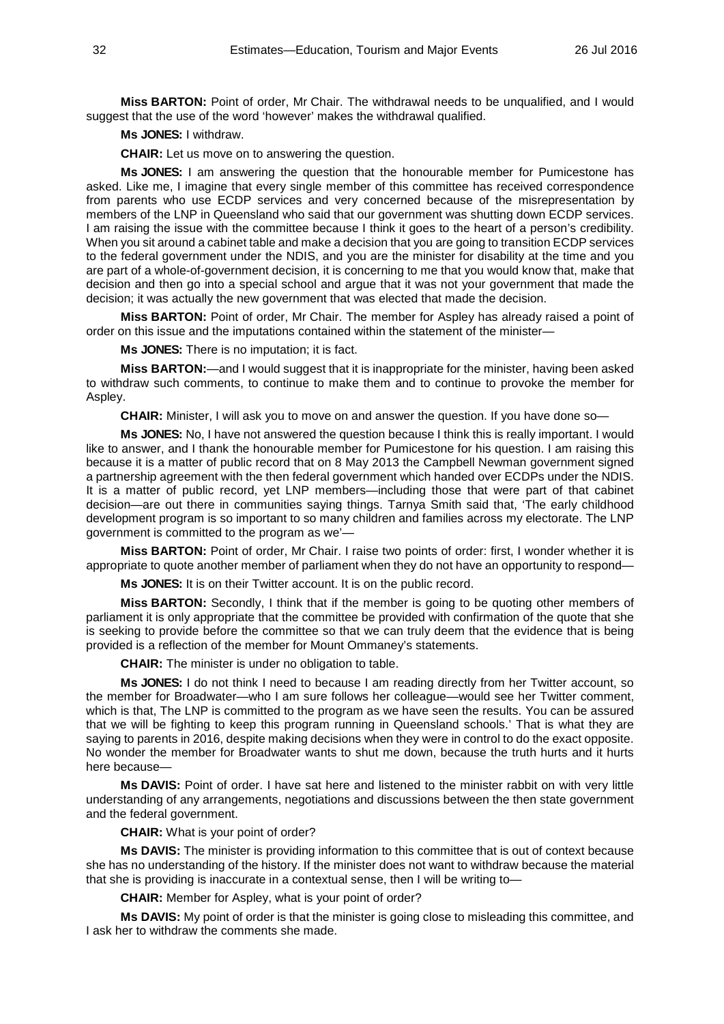**Miss BARTON:** Point of order, Mr Chair. The withdrawal needs to be unqualified, and I would suggest that the use of the word 'however' makes the withdrawal qualified.

# **Ms JONES:** I withdraw.

**CHAIR:** Let us move on to answering the question.

**Ms JONES:** I am answering the question that the honourable member for Pumicestone has asked. Like me, I imagine that every single member of this committee has received correspondence from parents who use ECDP services and very concerned because of the misrepresentation by members of the LNP in Queensland who said that our government was shutting down ECDP services. I am raising the issue with the committee because I think it goes to the heart of a person's credibility. When you sit around a cabinet table and make a decision that you are going to transition ECDP services to the federal government under the NDIS, and you are the minister for disability at the time and you are part of a whole-of-government decision, it is concerning to me that you would know that, make that decision and then go into a special school and argue that it was not your government that made the decision; it was actually the new government that was elected that made the decision.

**Miss BARTON:** Point of order, Mr Chair. The member for Aspley has already raised a point of order on this issue and the imputations contained within the statement of the minister—

**Ms JONES:** There is no imputation; it is fact.

**Miss BARTON:**—and I would suggest that it is inappropriate for the minister, having been asked to withdraw such comments, to continue to make them and to continue to provoke the member for Aspley.

**CHAIR:** Minister, I will ask you to move on and answer the question. If you have done so—

**Ms JONES:** No, I have not answered the question because I think this is really important. I would like to answer, and I thank the honourable member for Pumicestone for his question. I am raising this because it is a matter of public record that on 8 May 2013 the Campbell Newman government signed a partnership agreement with the then federal government which handed over ECDPs under the NDIS. It is a matter of public record, yet LNP members—including those that were part of that cabinet decision—are out there in communities saying things. Tarnya Smith said that, 'The early childhood development program is so important to so many children and families across my electorate. The LNP government is committed to the program as we'—

**Miss BARTON:** Point of order, Mr Chair. I raise two points of order: first, I wonder whether it is appropriate to quote another member of parliament when they do not have an opportunity to respond—

**Ms JONES:** It is on their Twitter account. It is on the public record.

**Miss BARTON:** Secondly, I think that if the member is going to be quoting other members of parliament it is only appropriate that the committee be provided with confirmation of the quote that she is seeking to provide before the committee so that we can truly deem that the evidence that is being provided is a reflection of the member for Mount Ommaney's statements.

**CHAIR:** The minister is under no obligation to table.

**Ms JONES:** I do not think I need to because I am reading directly from her Twitter account, so the member for Broadwater—who I am sure follows her colleague—would see her Twitter comment, which is that, The LNP is committed to the program as we have seen the results. You can be assured that we will be fighting to keep this program running in Queensland schools.' That is what they are saying to parents in 2016, despite making decisions when they were in control to do the exact opposite. No wonder the member for Broadwater wants to shut me down, because the truth hurts and it hurts here because—

**Ms DAVIS:** Point of order. I have sat here and listened to the minister rabbit on with very little understanding of any arrangements, negotiations and discussions between the then state government and the federal government.

**CHAIR:** What is your point of order?

**Ms DAVIS:** The minister is providing information to this committee that is out of context because she has no understanding of the history. If the minister does not want to withdraw because the material that she is providing is inaccurate in a contextual sense, then I will be writing to—

**CHAIR:** Member for Aspley, what is your point of order?

**Ms DAVIS:** My point of order is that the minister is going close to misleading this committee, and I ask her to withdraw the comments she made.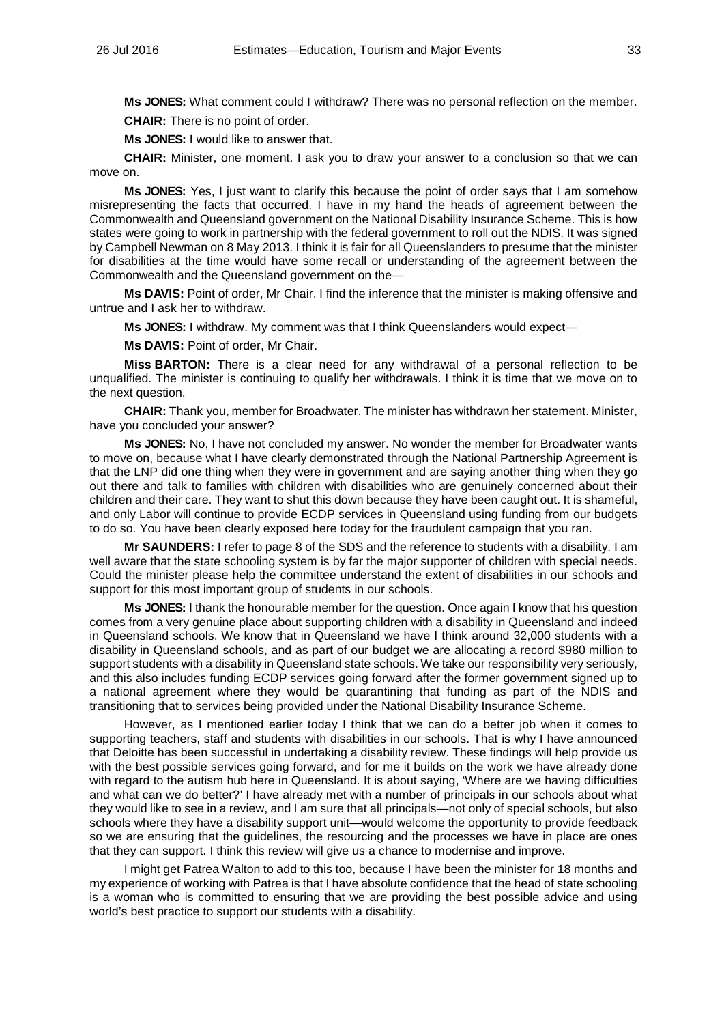**Ms JONES:** What comment could I withdraw? There was no personal reflection on the member.

**CHAIR:** There is no point of order.

**Ms JONES:** I would like to answer that.

**CHAIR:** Minister, one moment. I ask you to draw your answer to a conclusion so that we can move on.

**Ms JONES:** Yes, I just want to clarify this because the point of order says that I am somehow misrepresenting the facts that occurred. I have in my hand the heads of agreement between the Commonwealth and Queensland government on the National Disability Insurance Scheme. This is how states were going to work in partnership with the federal government to roll out the NDIS. It was signed by Campbell Newman on 8 May 2013. I think it is fair for all Queenslanders to presume that the minister for disabilities at the time would have some recall or understanding of the agreement between the Commonwealth and the Queensland government on the—

**Ms DAVIS:** Point of order, Mr Chair. I find the inference that the minister is making offensive and untrue and I ask her to withdraw.

**Ms JONES:** I withdraw. My comment was that I think Queenslanders would expect—

**Ms DAVIS:** Point of order, Mr Chair.

**Miss BARTON:** There is a clear need for any withdrawal of a personal reflection to be unqualified. The minister is continuing to qualify her withdrawals. I think it is time that we move on to the next question.

**CHAIR:** Thank you, member for Broadwater. The minister has withdrawn her statement. Minister, have you concluded your answer?

**Ms JONES:** No, I have not concluded my answer. No wonder the member for Broadwater wants to move on, because what I have clearly demonstrated through the National Partnership Agreement is that the LNP did one thing when they were in government and are saying another thing when they go out there and talk to families with children with disabilities who are genuinely concerned about their children and their care. They want to shut this down because they have been caught out. It is shameful, and only Labor will continue to provide ECDP services in Queensland using funding from our budgets to do so. You have been clearly exposed here today for the fraudulent campaign that you ran.

**Mr SAUNDERS:** I refer to page 8 of the SDS and the reference to students with a disability. I am well aware that the state schooling system is by far the major supporter of children with special needs. Could the minister please help the committee understand the extent of disabilities in our schools and support for this most important group of students in our schools.

**Ms JONES:** I thank the honourable member for the question. Once again I know that his question comes from a very genuine place about supporting children with a disability in Queensland and indeed in Queensland schools. We know that in Queensland we have I think around 32,000 students with a disability in Queensland schools, and as part of our budget we are allocating a record \$980 million to support students with a disability in Queensland state schools. We take our responsibility very seriously, and this also includes funding ECDP services going forward after the former government signed up to a national agreement where they would be quarantining that funding as part of the NDIS and transitioning that to services being provided under the National Disability Insurance Scheme.

However, as I mentioned earlier today I think that we can do a better job when it comes to supporting teachers, staff and students with disabilities in our schools. That is why I have announced that Deloitte has been successful in undertaking a disability review. These findings will help provide us with the best possible services going forward, and for me it builds on the work we have already done with regard to the autism hub here in Queensland. It is about saying, 'Where are we having difficulties and what can we do better?' I have already met with a number of principals in our schools about what they would like to see in a review, and I am sure that all principals—not only of special schools, but also schools where they have a disability support unit—would welcome the opportunity to provide feedback so we are ensuring that the guidelines, the resourcing and the processes we have in place are ones that they can support. I think this review will give us a chance to modernise and improve.

I might get Patrea Walton to add to this too, because I have been the minister for 18 months and my experience of working with Patrea is that I have absolute confidence that the head of state schooling is a woman who is committed to ensuring that we are providing the best possible advice and using world's best practice to support our students with a disability.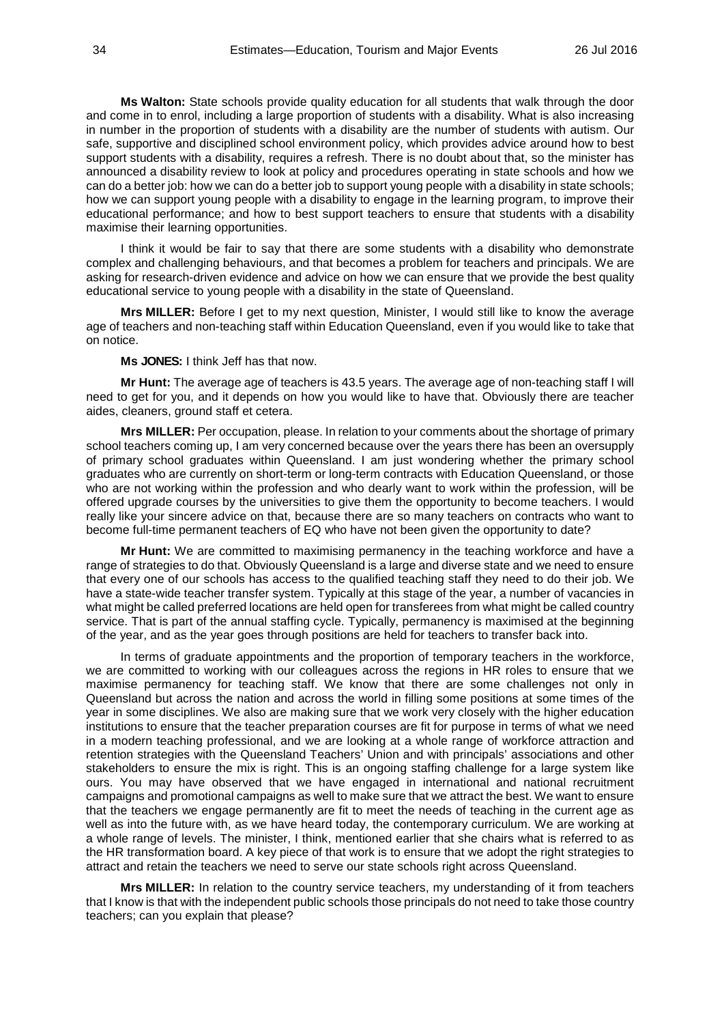**Ms Walton:** State schools provide quality education for all students that walk through the door and come in to enrol, including a large proportion of students with a disability. What is also increasing in number in the proportion of students with a disability are the number of students with autism. Our safe, supportive and disciplined school environment policy, which provides advice around how to best support students with a disability, requires a refresh. There is no doubt about that, so the minister has announced a disability review to look at policy and procedures operating in state schools and how we can do a better job: how we can do a better job to support young people with a disability in state schools; how we can support young people with a disability to engage in the learning program, to improve their educational performance; and how to best support teachers to ensure that students with a disability maximise their learning opportunities.

I think it would be fair to say that there are some students with a disability who demonstrate complex and challenging behaviours, and that becomes a problem for teachers and principals. We are asking for research-driven evidence and advice on how we can ensure that we provide the best quality educational service to young people with a disability in the state of Queensland.

**Mrs MILLER:** Before I get to my next question, Minister, I would still like to know the average age of teachers and non-teaching staff within Education Queensland, even if you would like to take that on notice.

**Ms JONES:** I think Jeff has that now.

**Mr Hunt:** The average age of teachers is 43.5 years. The average age of non-teaching staff I will need to get for you, and it depends on how you would like to have that. Obviously there are teacher aides, cleaners, ground staff et cetera.

**Mrs MILLER:** Per occupation, please. In relation to your comments about the shortage of primary school teachers coming up, I am very concerned because over the years there has been an oversupply of primary school graduates within Queensland. I am just wondering whether the primary school graduates who are currently on short-term or long-term contracts with Education Queensland, or those who are not working within the profession and who dearly want to work within the profession, will be offered upgrade courses by the universities to give them the opportunity to become teachers. I would really like your sincere advice on that, because there are so many teachers on contracts who want to become full-time permanent teachers of EQ who have not been given the opportunity to date?

**Mr Hunt:** We are committed to maximising permanency in the teaching workforce and have a range of strategies to do that. Obviously Queensland is a large and diverse state and we need to ensure that every one of our schools has access to the qualified teaching staff they need to do their job. We have a state-wide teacher transfer system. Typically at this stage of the year, a number of vacancies in what might be called preferred locations are held open for transferees from what might be called country service. That is part of the annual staffing cycle. Typically, permanency is maximised at the beginning of the year, and as the year goes through positions are held for teachers to transfer back into.

In terms of graduate appointments and the proportion of temporary teachers in the workforce, we are committed to working with our colleagues across the regions in HR roles to ensure that we maximise permanency for teaching staff. We know that there are some challenges not only in Queensland but across the nation and across the world in filling some positions at some times of the year in some disciplines. We also are making sure that we work very closely with the higher education institutions to ensure that the teacher preparation courses are fit for purpose in terms of what we need in a modern teaching professional, and we are looking at a whole range of workforce attraction and retention strategies with the Queensland Teachers' Union and with principals' associations and other stakeholders to ensure the mix is right. This is an ongoing staffing challenge for a large system like ours. You may have observed that we have engaged in international and national recruitment campaigns and promotional campaigns as well to make sure that we attract the best. We want to ensure that the teachers we engage permanently are fit to meet the needs of teaching in the current age as well as into the future with, as we have heard today, the contemporary curriculum. We are working at a whole range of levels. The minister, I think, mentioned earlier that she chairs what is referred to as the HR transformation board. A key piece of that work is to ensure that we adopt the right strategies to attract and retain the teachers we need to serve our state schools right across Queensland.

**Mrs MILLER:** In relation to the country service teachers, my understanding of it from teachers that I know is that with the independent public schools those principals do not need to take those country teachers; can you explain that please?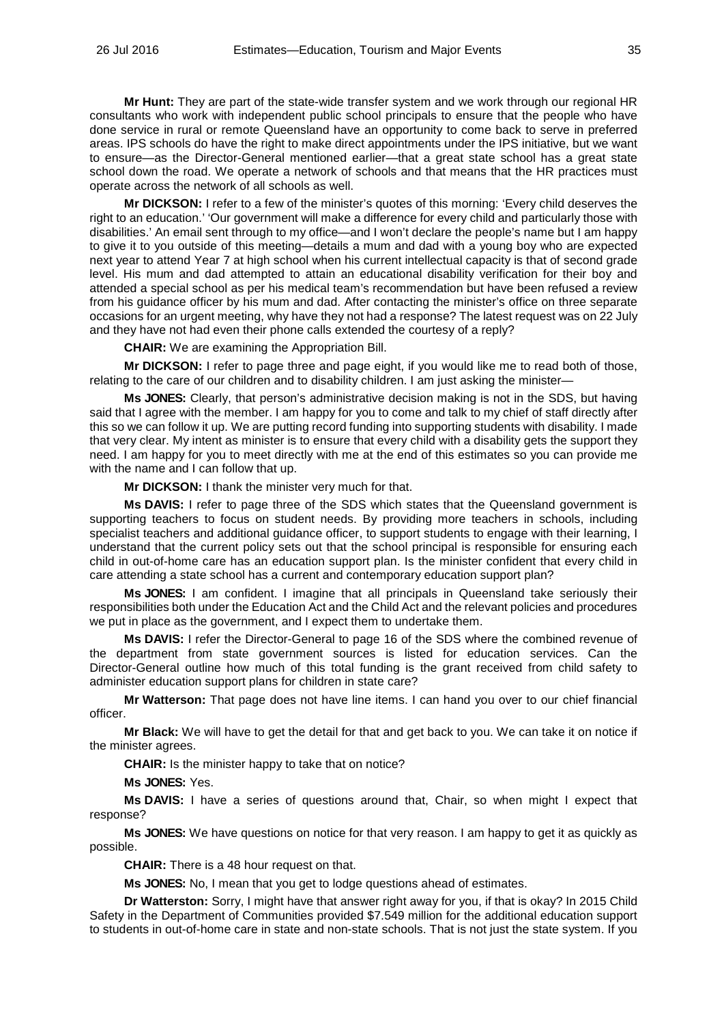**Mr Hunt:** They are part of the state-wide transfer system and we work through our regional HR consultants who work with independent public school principals to ensure that the people who have done service in rural or remote Queensland have an opportunity to come back to serve in preferred areas. IPS schools do have the right to make direct appointments under the IPS initiative, but we want to ensure—as the Director-General mentioned earlier—that a great state school has a great state school down the road. We operate a network of schools and that means that the HR practices must operate across the network of all schools as well.

**Mr DICKSON:** I refer to a few of the minister's quotes of this morning: 'Every child deserves the right to an education.' 'Our government will make a difference for every child and particularly those with disabilities.' An email sent through to my office—and I won't declare the people's name but I am happy to give it to you outside of this meeting—details a mum and dad with a young boy who are expected next year to attend Year 7 at high school when his current intellectual capacity is that of second grade level. His mum and dad attempted to attain an educational disability verification for their boy and attended a special school as per his medical team's recommendation but have been refused a review from his guidance officer by his mum and dad. After contacting the minister's office on three separate occasions for an urgent meeting, why have they not had a response? The latest request was on 22 July and they have not had even their phone calls extended the courtesy of a reply?

**CHAIR:** We are examining the Appropriation Bill.

**Mr DICKSON:** I refer to page three and page eight, if you would like me to read both of those, relating to the care of our children and to disability children. I am just asking the minister—

**Ms JONES:** Clearly, that person's administrative decision making is not in the SDS, but having said that I agree with the member. I am happy for you to come and talk to my chief of staff directly after this so we can follow it up. We are putting record funding into supporting students with disability. I made that very clear. My intent as minister is to ensure that every child with a disability gets the support they need. I am happy for you to meet directly with me at the end of this estimates so you can provide me with the name and I can follow that up.

**Mr DICKSON:** I thank the minister very much for that.

**Ms DAVIS:** I refer to page three of the SDS which states that the Queensland government is supporting teachers to focus on student needs. By providing more teachers in schools, including specialist teachers and additional guidance officer, to support students to engage with their learning, I understand that the current policy sets out that the school principal is responsible for ensuring each child in out-of-home care has an education support plan. Is the minister confident that every child in care attending a state school has a current and contemporary education support plan?

**Ms JONES:** I am confident. I imagine that all principals in Queensland take seriously their responsibilities both under the Education Act and the Child Act and the relevant policies and procedures we put in place as the government, and I expect them to undertake them.

**Ms DAVIS:** I refer the Director-General to page 16 of the SDS where the combined revenue of the department from state government sources is listed for education services. Can the Director-General outline how much of this total funding is the grant received from child safety to administer education support plans for children in state care?

**Mr Watterson:** That page does not have line items. I can hand you over to our chief financial officer.

**Mr Black:** We will have to get the detail for that and get back to you. We can take it on notice if the minister agrees.

**CHAIR:** Is the minister happy to take that on notice?

**Ms JONES:** Yes.

**Ms DAVIS:** I have a series of questions around that, Chair, so when might I expect that response?

**Ms JONES:** We have questions on notice for that very reason. I am happy to get it as quickly as possible.

**CHAIR:** There is a 48 hour request on that.

**Ms JONES:** No, I mean that you get to lodge questions ahead of estimates.

**Dr Watterston:** Sorry, I might have that answer right away for you, if that is okay? In 2015 Child Safety in the Department of Communities provided \$7.549 million for the additional education support to students in out-of-home care in state and non-state schools. That is not just the state system. If you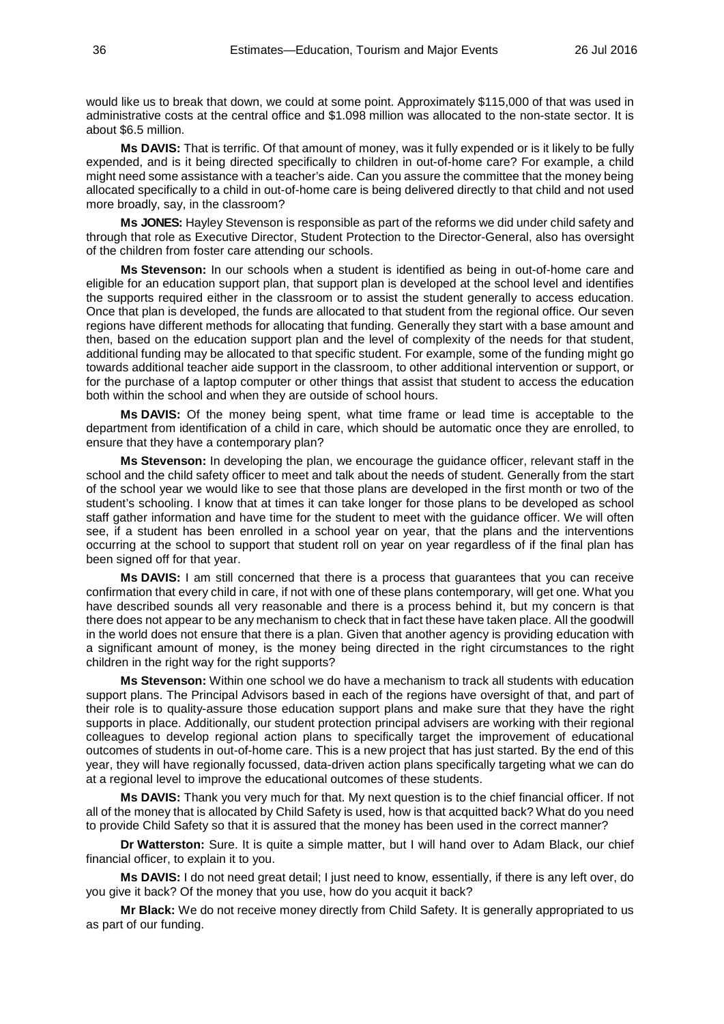would like us to break that down, we could at some point. Approximately \$115,000 of that was used in administrative costs at the central office and \$1.098 million was allocated to the non-state sector. It is about \$6.5 million.

**Ms DAVIS:** That is terrific. Of that amount of money, was it fully expended or is it likely to be fully expended, and is it being directed specifically to children in out-of-home care? For example, a child might need some assistance with a teacher's aide. Can you assure the committee that the money being allocated specifically to a child in out-of-home care is being delivered directly to that child and not used more broadly, say, in the classroom?

**Ms JONES:** Hayley Stevenson is responsible as part of the reforms we did under child safety and through that role as Executive Director, Student Protection to the Director-General, also has oversight of the children from foster care attending our schools.

**Ms Stevenson:** In our schools when a student is identified as being in out-of-home care and eligible for an education support plan, that support plan is developed at the school level and identifies the supports required either in the classroom or to assist the student generally to access education. Once that plan is developed, the funds are allocated to that student from the regional office. Our seven regions have different methods for allocating that funding. Generally they start with a base amount and then, based on the education support plan and the level of complexity of the needs for that student, additional funding may be allocated to that specific student. For example, some of the funding might go towards additional teacher aide support in the classroom, to other additional intervention or support, or for the purchase of a laptop computer or other things that assist that student to access the education both within the school and when they are outside of school hours.

**Ms DAVIS:** Of the money being spent, what time frame or lead time is acceptable to the department from identification of a child in care, which should be automatic once they are enrolled, to ensure that they have a contemporary plan?

**Ms Stevenson:** In developing the plan, we encourage the guidance officer, relevant staff in the school and the child safety officer to meet and talk about the needs of student. Generally from the start of the school year we would like to see that those plans are developed in the first month or two of the student's schooling. I know that at times it can take longer for those plans to be developed as school staff gather information and have time for the student to meet with the guidance officer. We will often see, if a student has been enrolled in a school year on year, that the plans and the interventions occurring at the school to support that student roll on year on year regardless of if the final plan has been signed off for that year.

**Ms DAVIS:** I am still concerned that there is a process that guarantees that you can receive confirmation that every child in care, if not with one of these plans contemporary, will get one. What you have described sounds all very reasonable and there is a process behind it, but my concern is that there does not appear to be any mechanism to check that in fact these have taken place. All the goodwill in the world does not ensure that there is a plan. Given that another agency is providing education with a significant amount of money, is the money being directed in the right circumstances to the right children in the right way for the right supports?

**Ms Stevenson:** Within one school we do have a mechanism to track all students with education support plans. The Principal Advisors based in each of the regions have oversight of that, and part of their role is to quality-assure those education support plans and make sure that they have the right supports in place. Additionally, our student protection principal advisers are working with their regional colleagues to develop regional action plans to specifically target the improvement of educational outcomes of students in out-of-home care. This is a new project that has just started. By the end of this year, they will have regionally focussed, data-driven action plans specifically targeting what we can do at a regional level to improve the educational outcomes of these students.

**Ms DAVIS:** Thank you very much for that. My next question is to the chief financial officer. If not all of the money that is allocated by Child Safety is used, how is that acquitted back? What do you need to provide Child Safety so that it is assured that the money has been used in the correct manner?

**Dr Watterston:** Sure. It is quite a simple matter, but I will hand over to Adam Black, our chief financial officer, to explain it to you.

**Ms DAVIS:** I do not need great detail; I just need to know, essentially, if there is any left over, do you give it back? Of the money that you use, how do you acquit it back?

**Mr Black:** We do not receive money directly from Child Safety. It is generally appropriated to us as part of our funding.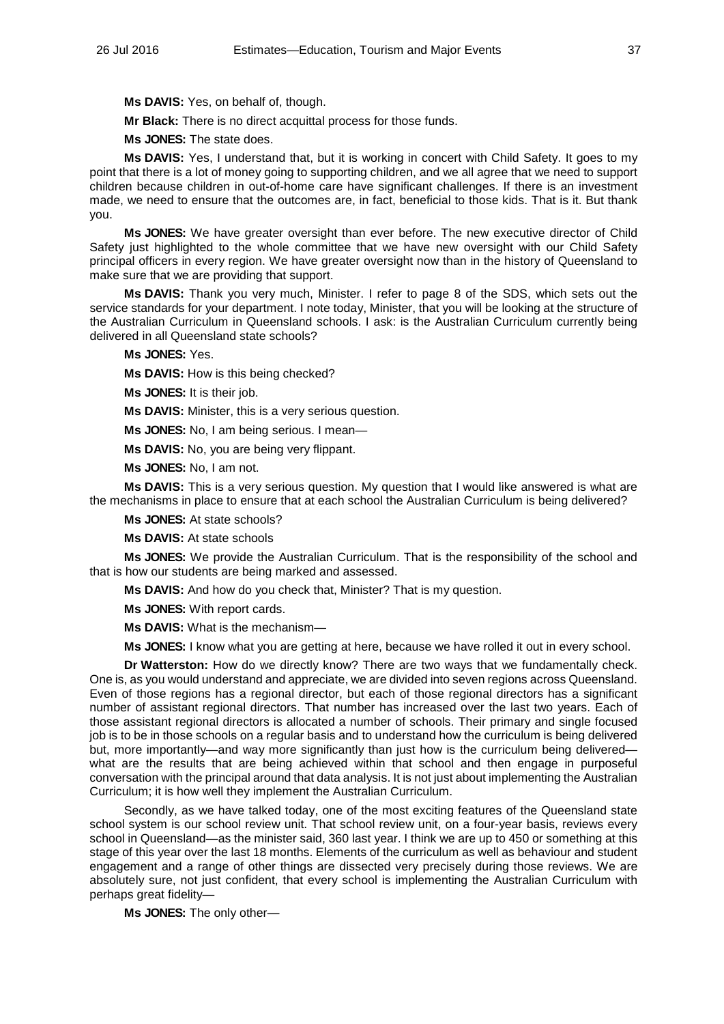**Ms DAVIS:** Yes, on behalf of, though.

**Mr Black:** There is no direct acquittal process for those funds.

**Ms JONES:** The state does.

**Ms DAVIS:** Yes, I understand that, but it is working in concert with Child Safety. It goes to my point that there is a lot of money going to supporting children, and we all agree that we need to support children because children in out-of-home care have significant challenges. If there is an investment made, we need to ensure that the outcomes are, in fact, beneficial to those kids. That is it. But thank you.

**Ms JONES:** We have greater oversight than ever before. The new executive director of Child Safety just highlighted to the whole committee that we have new oversight with our Child Safety principal officers in every region. We have greater oversight now than in the history of Queensland to make sure that we are providing that support.

**Ms DAVIS:** Thank you very much, Minister. I refer to page 8 of the SDS, which sets out the service standards for your department. I note today, Minister, that you will be looking at the structure of the Australian Curriculum in Queensland schools. I ask: is the Australian Curriculum currently being delivered in all Queensland state schools?

**Ms JONES:** Yes.

**Ms DAVIS:** How is this being checked?

**Ms JONES:** It is their job.

**Ms DAVIS:** Minister, this is a very serious question.

**Ms JONES:** No, I am being serious. I mean—

**Ms DAVIS:** No, you are being very flippant.

**Ms JONES:** No, I am not.

**Ms DAVIS:** This is a very serious question. My question that I would like answered is what are the mechanisms in place to ensure that at each school the Australian Curriculum is being delivered?

**Ms JONES:** At state schools?

**Ms DAVIS:** At state schools

**Ms JONES:** We provide the Australian Curriculum. That is the responsibility of the school and that is how our students are being marked and assessed.

**Ms DAVIS:** And how do you check that, Minister? That is my question.

**Ms JONES:** With report cards.

**Ms DAVIS:** What is the mechanism—

**Ms JONES:** I know what you are getting at here, because we have rolled it out in every school.

**Dr Watterston:** How do we directly know? There are two ways that we fundamentally check. One is, as you would understand and appreciate, we are divided into seven regions across Queensland. Even of those regions has a regional director, but each of those regional directors has a significant number of assistant regional directors. That number has increased over the last two years. Each of those assistant regional directors is allocated a number of schools. Their primary and single focused job is to be in those schools on a regular basis and to understand how the curriculum is being delivered but, more importantly—and way more significantly than just how is the curriculum being delivered what are the results that are being achieved within that school and then engage in purposeful conversation with the principal around that data analysis. It is not just about implementing the Australian Curriculum; it is how well they implement the Australian Curriculum.

Secondly, as we have talked today, one of the most exciting features of the Queensland state school system is our school review unit. That school review unit, on a four-year basis, reviews every school in Queensland—as the minister said, 360 last year. I think we are up to 450 or something at this stage of this year over the last 18 months. Elements of the curriculum as well as behaviour and student engagement and a range of other things are dissected very precisely during those reviews. We are absolutely sure, not just confident, that every school is implementing the Australian Curriculum with perhaps great fidelity—

**Ms JONES:** The only other—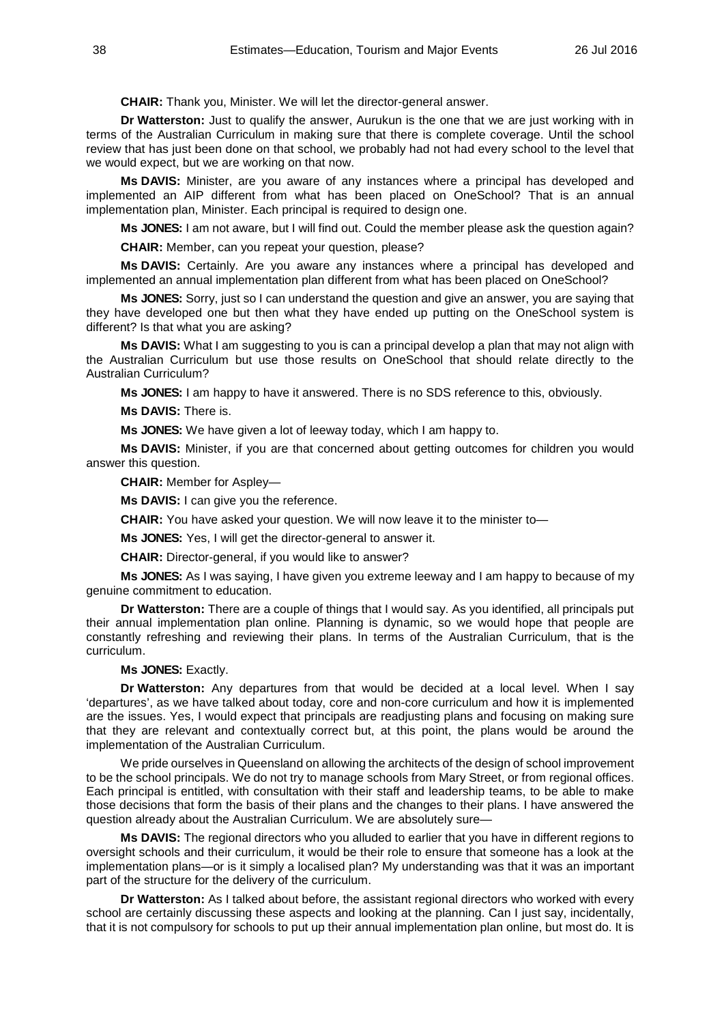**CHAIR:** Thank you, Minister. We will let the director-general answer.

**Dr Watterston:** Just to qualify the answer, Aurukun is the one that we are just working with in terms of the Australian Curriculum in making sure that there is complete coverage. Until the school review that has just been done on that school, we probably had not had every school to the level that we would expect, but we are working on that now.

**Ms DAVIS:** Minister, are you aware of any instances where a principal has developed and implemented an AIP different from what has been placed on OneSchool? That is an annual implementation plan, Minister. Each principal is required to design one.

**Ms JONES:** I am not aware, but I will find out. Could the member please ask the question again?

**CHAIR:** Member, can you repeat your question, please?

**Ms DAVIS:** Certainly. Are you aware any instances where a principal has developed and implemented an annual implementation plan different from what has been placed on OneSchool?

**Ms JONES:** Sorry, just so I can understand the question and give an answer, you are saying that they have developed one but then what they have ended up putting on the OneSchool system is different? Is that what you are asking?

**Ms DAVIS:** What I am suggesting to you is can a principal develop a plan that may not align with the Australian Curriculum but use those results on OneSchool that should relate directly to the Australian Curriculum?

**Ms JONES:** I am happy to have it answered. There is no SDS reference to this, obviously.

**Ms DAVIS:** There is.

**Ms JONES:** We have given a lot of leeway today, which I am happy to.

**Ms DAVIS:** Minister, if you are that concerned about getting outcomes for children you would answer this question.

**CHAIR:** Member for Aspley—

**Ms DAVIS:** I can give you the reference.

**CHAIR:** You have asked your question. We will now leave it to the minister to—

**Ms JONES:** Yes, I will get the director-general to answer it.

**CHAIR:** Director-general, if you would like to answer?

**Ms JONES:** As I was saying, I have given you extreme leeway and I am happy to because of my genuine commitment to education.

**Dr Watterston:** There are a couple of things that I would say. As you identified, all principals put their annual implementation plan online. Planning is dynamic, so we would hope that people are constantly refreshing and reviewing their plans. In terms of the Australian Curriculum, that is the curriculum.

### **Ms JONES:** Exactly.

**Dr Watterston:** Any departures from that would be decided at a local level. When I say 'departures', as we have talked about today, core and non-core curriculum and how it is implemented are the issues. Yes, I would expect that principals are readjusting plans and focusing on making sure that they are relevant and contextually correct but, at this point, the plans would be around the implementation of the Australian Curriculum.

We pride ourselves in Queensland on allowing the architects of the design of school improvement to be the school principals. We do not try to manage schools from Mary Street, or from regional offices. Each principal is entitled, with consultation with their staff and leadership teams, to be able to make those decisions that form the basis of their plans and the changes to their plans. I have answered the question already about the Australian Curriculum. We are absolutely sure—

**Ms DAVIS:** The regional directors who you alluded to earlier that you have in different regions to oversight schools and their curriculum, it would be their role to ensure that someone has a look at the implementation plans—or is it simply a localised plan? My understanding was that it was an important part of the structure for the delivery of the curriculum.

**Dr Watterston:** As I talked about before, the assistant regional directors who worked with every school are certainly discussing these aspects and looking at the planning. Can I just say, incidentally, that it is not compulsory for schools to put up their annual implementation plan online, but most do. It is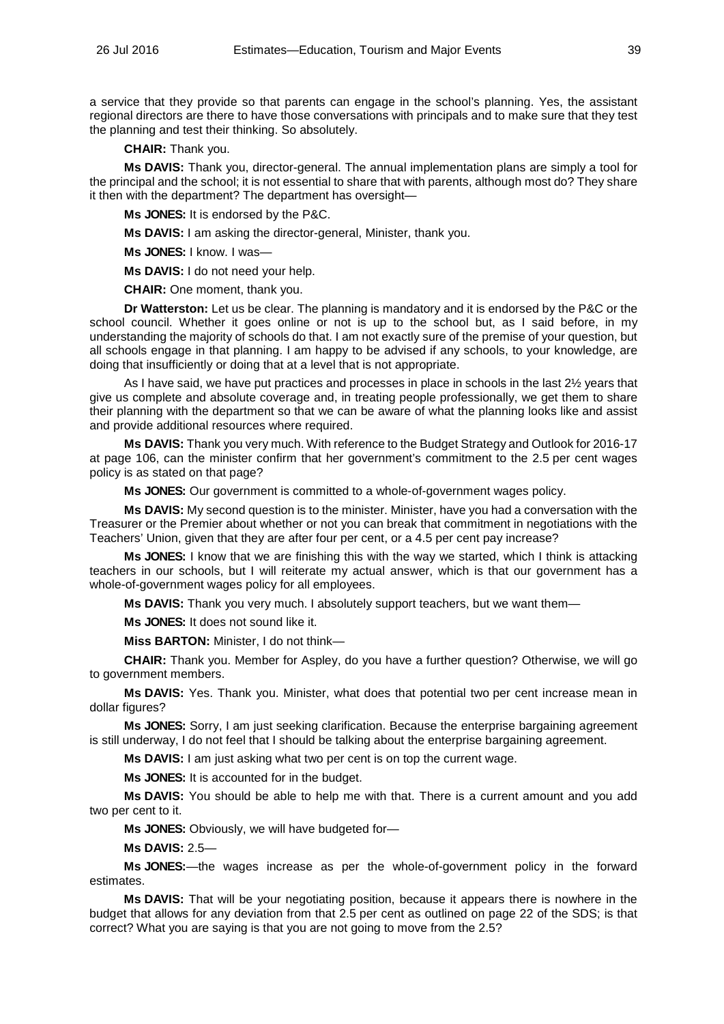a service that they provide so that parents can engage in the school's planning. Yes, the assistant regional directors are there to have those conversations with principals and to make sure that they test the planning and test their thinking. So absolutely.

**CHAIR:** Thank you.

**Ms DAVIS:** Thank you, director-general. The annual implementation plans are simply a tool for the principal and the school; it is not essential to share that with parents, although most do? They share it then with the department? The department has oversight—

**Ms JONES:** It is endorsed by the P&C.

**Ms DAVIS:** I am asking the director-general, Minister, thank you.

**Ms JONES:** I know. I was—

**Ms DAVIS:** I do not need your help.

**CHAIR:** One moment, thank you.

**Dr Watterston:** Let us be clear. The planning is mandatory and it is endorsed by the P&C or the school council. Whether it goes online or not is up to the school but, as I said before, in my understanding the majority of schools do that. I am not exactly sure of the premise of your question, but all schools engage in that planning. I am happy to be advised if any schools, to your knowledge, are doing that insufficiently or doing that at a level that is not appropriate.

As I have said, we have put practices and processes in place in schools in the last  $2\frac{1}{2}$  years that give us complete and absolute coverage and, in treating people professionally, we get them to share their planning with the department so that we can be aware of what the planning looks like and assist and provide additional resources where required.

**Ms DAVIS:** Thank you very much. With reference to the Budget Strategy and Outlook for 2016-17 at page 106, can the minister confirm that her government's commitment to the 2.5 per cent wages policy is as stated on that page?

**Ms JONES:** Our government is committed to a whole-of-government wages policy.

**Ms DAVIS:** My second question is to the minister. Minister, have you had a conversation with the Treasurer or the Premier about whether or not you can break that commitment in negotiations with the Teachers' Union, given that they are after four per cent, or a 4.5 per cent pay increase?

**Ms JONES:** I know that we are finishing this with the way we started, which I think is attacking teachers in our schools, but I will reiterate my actual answer, which is that our government has a whole-of-government wages policy for all employees.

**Ms DAVIS:** Thank you very much. I absolutely support teachers, but we want them—

**Ms JONES:** It does not sound like it.

**Miss BARTON:** Minister, I do not think—

**CHAIR:** Thank you. Member for Aspley, do you have a further question? Otherwise, we will go to government members.

**Ms DAVIS:** Yes. Thank you. Minister, what does that potential two per cent increase mean in dollar figures?

**Ms JONES:** Sorry, I am just seeking clarification. Because the enterprise bargaining agreement is still underway, I do not feel that I should be talking about the enterprise bargaining agreement.

**Ms DAVIS:** I am just asking what two per cent is on top the current wage.

**Ms JONES:** It is accounted for in the budget.

**Ms DAVIS:** You should be able to help me with that. There is a current amount and you add two per cent to it.

**Ms JONES:** Obviously, we will have budgeted for—

**Ms DAVIS:** 2.5—

**Ms JONES:**—the wages increase as per the whole-of-government policy in the forward estimates.

**Ms DAVIS:** That will be your negotiating position, because it appears there is nowhere in the budget that allows for any deviation from that 2.5 per cent as outlined on page 22 of the SDS; is that correct? What you are saying is that you are not going to move from the 2.5?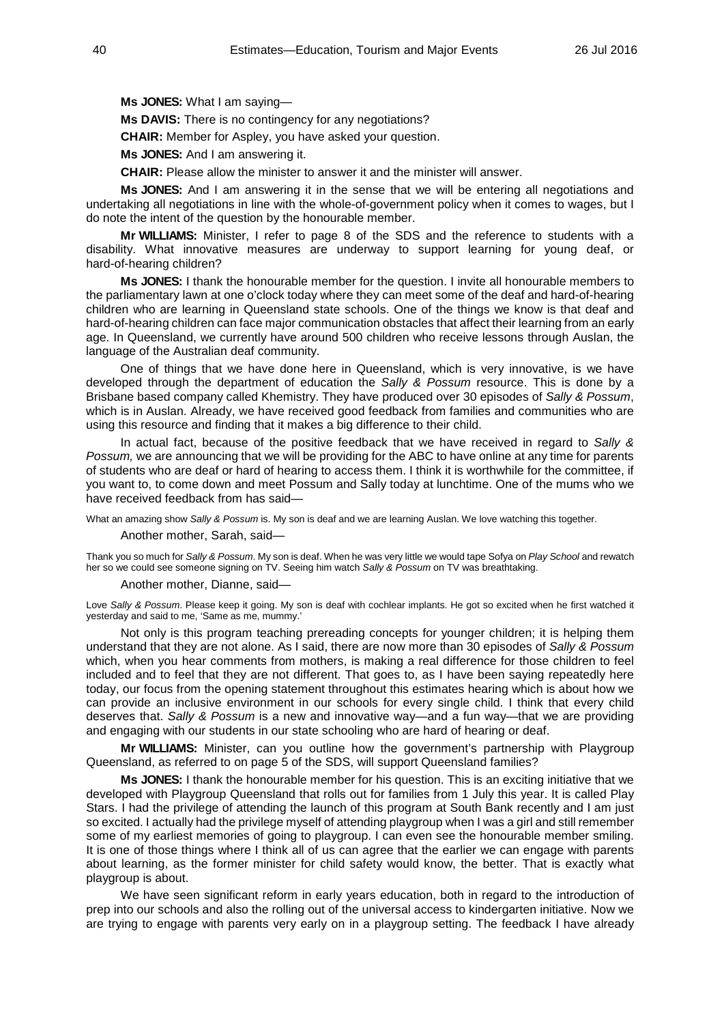**Ms JONES:** What I am saying—

**Ms DAVIS:** There is no contingency for any negotiations?

**CHAIR:** Member for Aspley, you have asked your question.

**Ms JONES:** And I am answering it.

**CHAIR:** Please allow the minister to answer it and the minister will answer.

**Ms JONES:** And I am answering it in the sense that we will be entering all negotiations and undertaking all negotiations in line with the whole-of-government policy when it comes to wages, but I do note the intent of the question by the honourable member.

**Mr WILLIAMS:** Minister, I refer to page 8 of the SDS and the reference to students with a disability. What innovative measures are underway to support learning for young deaf, or hard-of-hearing children?

**Ms JONES:** I thank the honourable member for the question. I invite all honourable members to the parliamentary lawn at one o'clock today where they can meet some of the deaf and hard-of-hearing children who are learning in Queensland state schools. One of the things we know is that deaf and hard-of-hearing children can face major communication obstacles that affect their learning from an early age. In Queensland, we currently have around 500 children who receive lessons through Auslan, the language of the Australian deaf community.

One of things that we have done here in Queensland, which is very innovative, is we have developed through the department of education the *Sally & Possum* resource. This is done by a Brisbane based company called Khemistry. They have produced over 30 episodes of *Sally & Possum*, which is in Auslan. Already, we have received good feedback from families and communities who are using this resource and finding that it makes a big difference to their child.

In actual fact, because of the positive feedback that we have received in regard to *Sally & Possum,* we are announcing that we will be providing for the ABC to have online at any time for parents of students who are deaf or hard of hearing to access them. I think it is worthwhile for the committee, if you want to, to come down and meet Possum and Sally today at lunchtime. One of the mums who we have received feedback from has said—

What an amazing show *Sally & Possum* is. My son is deaf and we are learning Auslan. We love watching this together.

Another mother, Sarah, said—

Thank you so much for *Sally & Possum*. My son is deaf. When he was very little we would tape Sofya on *Play School* and rewatch her so we could see someone signing on TV. Seeing him watch *Sally & Possum* on TV was breathtaking.

Another mother, Dianne, said—

Love *Sally & Possum*. Please keep it going. My son is deaf with cochlear implants. He got so excited when he first watched it yesterday and said to me, 'Same as me, mummy.'

Not only is this program teaching prereading concepts for younger children; it is helping them understand that they are not alone. As I said, there are now more than 30 episodes of *Sally & Possum* which, when you hear comments from mothers, is making a real difference for those children to feel included and to feel that they are not different. That goes to, as I have been saying repeatedly here today, our focus from the opening statement throughout this estimates hearing which is about how we can provide an inclusive environment in our schools for every single child. I think that every child deserves that. *Sally & Possum* is a new and innovative way—and a fun way—that we are providing and engaging with our students in our state schooling who are hard of hearing or deaf.

**Mr WILLIAMS:** Minister, can you outline how the government's partnership with Playgroup Queensland, as referred to on page 5 of the SDS, will support Queensland families?

**Ms JONES:** I thank the honourable member for his question. This is an exciting initiative that we developed with Playgroup Queensland that rolls out for families from 1 July this year. It is called Play Stars. I had the privilege of attending the launch of this program at South Bank recently and I am just so excited. I actually had the privilege myself of attending playgroup when I was a girl and still remember some of my earliest memories of going to playgroup. I can even see the honourable member smiling. It is one of those things where I think all of us can agree that the earlier we can engage with parents about learning, as the former minister for child safety would know, the better. That is exactly what playgroup is about.

We have seen significant reform in early years education, both in regard to the introduction of prep into our schools and also the rolling out of the universal access to kindergarten initiative. Now we are trying to engage with parents very early on in a playgroup setting. The feedback I have already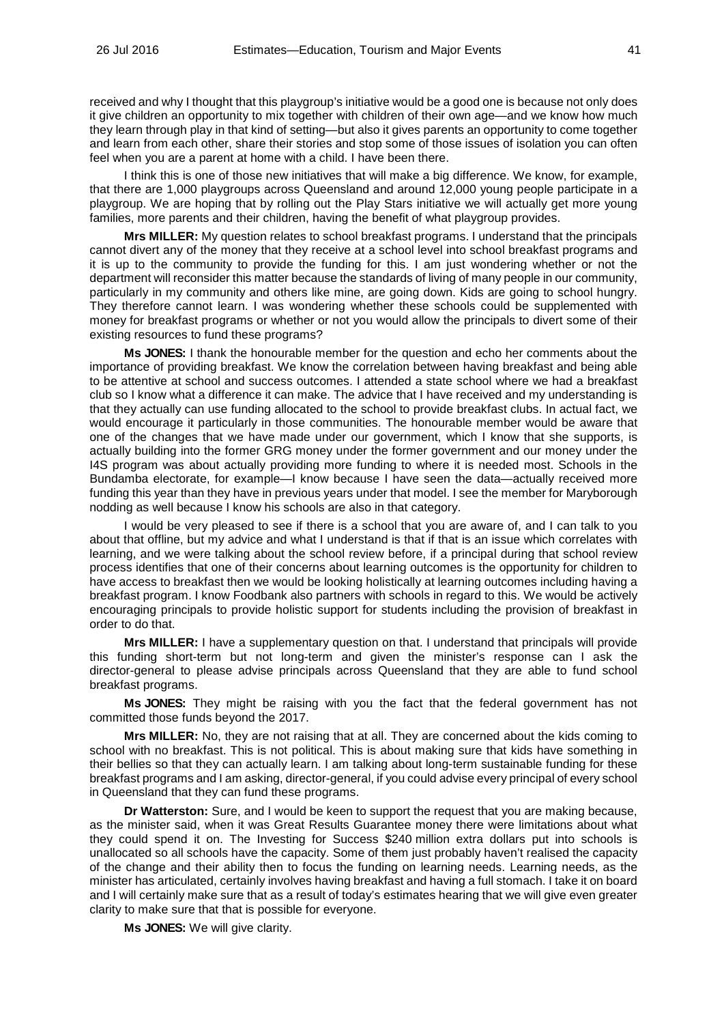received and why I thought that this playgroup's initiative would be a good one is because not only does it give children an opportunity to mix together with children of their own age—and we know how much they learn through play in that kind of setting—but also it gives parents an opportunity to come together and learn from each other, share their stories and stop some of those issues of isolation you can often feel when you are a parent at home with a child. I have been there.

I think this is one of those new initiatives that will make a big difference. We know, for example, that there are 1,000 playgroups across Queensland and around 12,000 young people participate in a playgroup. We are hoping that by rolling out the Play Stars initiative we will actually get more young families, more parents and their children, having the benefit of what playgroup provides.

**Mrs MILLER:** My question relates to school breakfast programs. I understand that the principals cannot divert any of the money that they receive at a school level into school breakfast programs and it is up to the community to provide the funding for this. I am just wondering whether or not the department will reconsider this matter because the standards of living of many people in our community, particularly in my community and others like mine, are going down. Kids are going to school hungry. They therefore cannot learn. I was wondering whether these schools could be supplemented with money for breakfast programs or whether or not you would allow the principals to divert some of their existing resources to fund these programs?

**Ms JONES:** I thank the honourable member for the question and echo her comments about the importance of providing breakfast. We know the correlation between having breakfast and being able to be attentive at school and success outcomes. I attended a state school where we had a breakfast club so I know what a difference it can make. The advice that I have received and my understanding is that they actually can use funding allocated to the school to provide breakfast clubs. In actual fact, we would encourage it particularly in those communities. The honourable member would be aware that one of the changes that we have made under our government, which I know that she supports, is actually building into the former GRG money under the former government and our money under the I4S program was about actually providing more funding to where it is needed most. Schools in the Bundamba electorate, for example—I know because I have seen the data—actually received more funding this year than they have in previous years under that model. I see the member for Maryborough nodding as well because I know his schools are also in that category.

I would be very pleased to see if there is a school that you are aware of, and I can talk to you about that offline, but my advice and what I understand is that if that is an issue which correlates with learning, and we were talking about the school review before, if a principal during that school review process identifies that one of their concerns about learning outcomes is the opportunity for children to have access to breakfast then we would be looking holistically at learning outcomes including having a breakfast program. I know Foodbank also partners with schools in regard to this. We would be actively encouraging principals to provide holistic support for students including the provision of breakfast in order to do that.

**Mrs MILLER:** I have a supplementary question on that. I understand that principals will provide this funding short-term but not long-term and given the minister's response can I ask the director-general to please advise principals across Queensland that they are able to fund school breakfast programs.

**Ms JONES:** They might be raising with you the fact that the federal government has not committed those funds beyond the 2017.

**Mrs MILLER:** No, they are not raising that at all. They are concerned about the kids coming to school with no breakfast. This is not political. This is about making sure that kids have something in their bellies so that they can actually learn. I am talking about long-term sustainable funding for these breakfast programs and I am asking, director-general, if you could advise every principal of every school in Queensland that they can fund these programs.

**Dr Watterston:** Sure, and I would be keen to support the request that you are making because, as the minister said, when it was Great Results Guarantee money there were limitations about what they could spend it on. The Investing for Success \$240 million extra dollars put into schools is unallocated so all schools have the capacity. Some of them just probably haven't realised the capacity of the change and their ability then to focus the funding on learning needs. Learning needs, as the minister has articulated, certainly involves having breakfast and having a full stomach. I take it on board and I will certainly make sure that as a result of today's estimates hearing that we will give even greater clarity to make sure that that is possible for everyone.

**Ms JONES:** We will give clarity.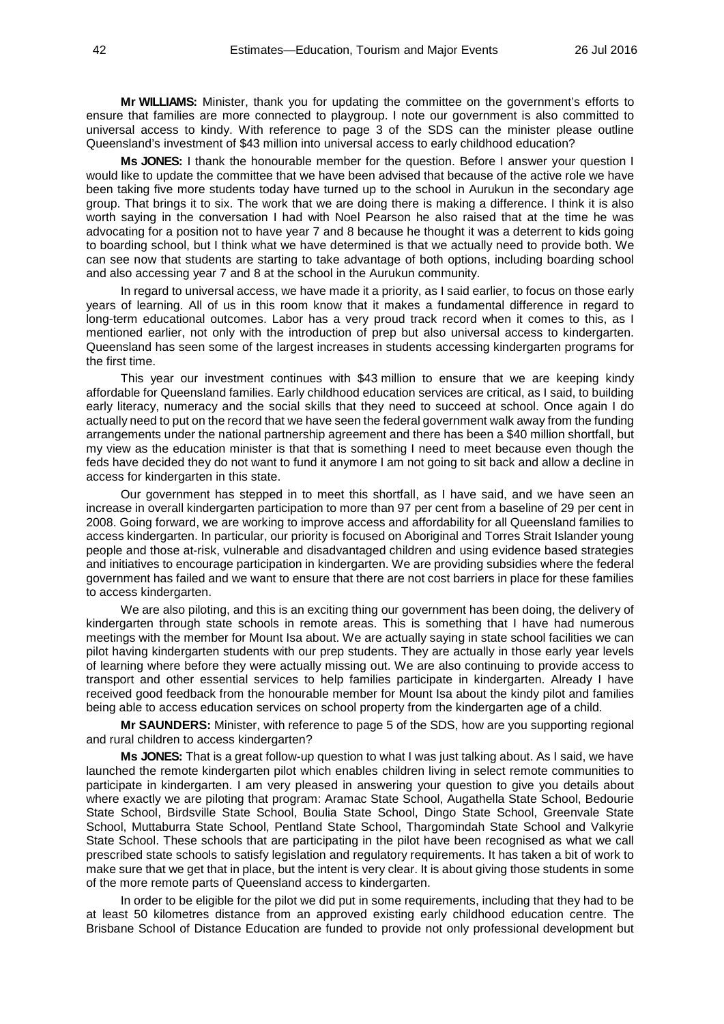**Mr WILLIAMS:** Minister, thank you for updating the committee on the government's efforts to ensure that families are more connected to playgroup. I note our government is also committed to universal access to kindy. With reference to page 3 of the SDS can the minister please outline Queensland's investment of \$43 million into universal access to early childhood education?

**Ms JONES:** I thank the honourable member for the question. Before I answer your question I would like to update the committee that we have been advised that because of the active role we have been taking five more students today have turned up to the school in Aurukun in the secondary age group. That brings it to six. The work that we are doing there is making a difference. I think it is also worth saying in the conversation I had with Noel Pearson he also raised that at the time he was advocating for a position not to have year 7 and 8 because he thought it was a deterrent to kids going to boarding school, but I think what we have determined is that we actually need to provide both. We can see now that students are starting to take advantage of both options, including boarding school and also accessing year 7 and 8 at the school in the Aurukun community.

In regard to universal access, we have made it a priority, as I said earlier, to focus on those early years of learning. All of us in this room know that it makes a fundamental difference in regard to long-term educational outcomes. Labor has a very proud track record when it comes to this, as I mentioned earlier, not only with the introduction of prep but also universal access to kindergarten. Queensland has seen some of the largest increases in students accessing kindergarten programs for the first time.

This year our investment continues with \$43 million to ensure that we are keeping kindy affordable for Queensland families. Early childhood education services are critical, as I said, to building early literacy, numeracy and the social skills that they need to succeed at school. Once again I do actually need to put on the record that we have seen the federal government walk away from the funding arrangements under the national partnership agreement and there has been a \$40 million shortfall, but my view as the education minister is that that is something I need to meet because even though the feds have decided they do not want to fund it anymore I am not going to sit back and allow a decline in access for kindergarten in this state.

Our government has stepped in to meet this shortfall, as I have said, and we have seen an increase in overall kindergarten participation to more than 97 per cent from a baseline of 29 per cent in 2008. Going forward, we are working to improve access and affordability for all Queensland families to access kindergarten. In particular, our priority is focused on Aboriginal and Torres Strait Islander young people and those at-risk, vulnerable and disadvantaged children and using evidence based strategies and initiatives to encourage participation in kindergarten. We are providing subsidies where the federal government has failed and we want to ensure that there are not cost barriers in place for these families to access kindergarten.

We are also piloting, and this is an exciting thing our government has been doing, the delivery of kindergarten through state schools in remote areas. This is something that I have had numerous meetings with the member for Mount Isa about. We are actually saying in state school facilities we can pilot having kindergarten students with our prep students. They are actually in those early year levels of learning where before they were actually missing out. We are also continuing to provide access to transport and other essential services to help families participate in kindergarten. Already I have received good feedback from the honourable member for Mount Isa about the kindy pilot and families being able to access education services on school property from the kindergarten age of a child.

**Mr SAUNDERS:** Minister, with reference to page 5 of the SDS, how are you supporting regional and rural children to access kindergarten?

**Ms JONES:** That is a great follow-up question to what I was just talking about. As I said, we have launched the remote kindergarten pilot which enables children living in select remote communities to participate in kindergarten. I am very pleased in answering your question to give you details about where exactly we are piloting that program: Aramac State School, Augathella State School, Bedourie State School, Birdsville State School, Boulia State School, Dingo State School, Greenvale State School, Muttaburra State School, Pentland State School, Thargomindah State School and Valkyrie State School. These schools that are participating in the pilot have been recognised as what we call prescribed state schools to satisfy legislation and regulatory requirements. It has taken a bit of work to make sure that we get that in place, but the intent is very clear. It is about giving those students in some of the more remote parts of Queensland access to kindergarten.

In order to be eligible for the pilot we did put in some requirements, including that they had to be at least 50 kilometres distance from an approved existing early childhood education centre. The Brisbane School of Distance Education are funded to provide not only professional development but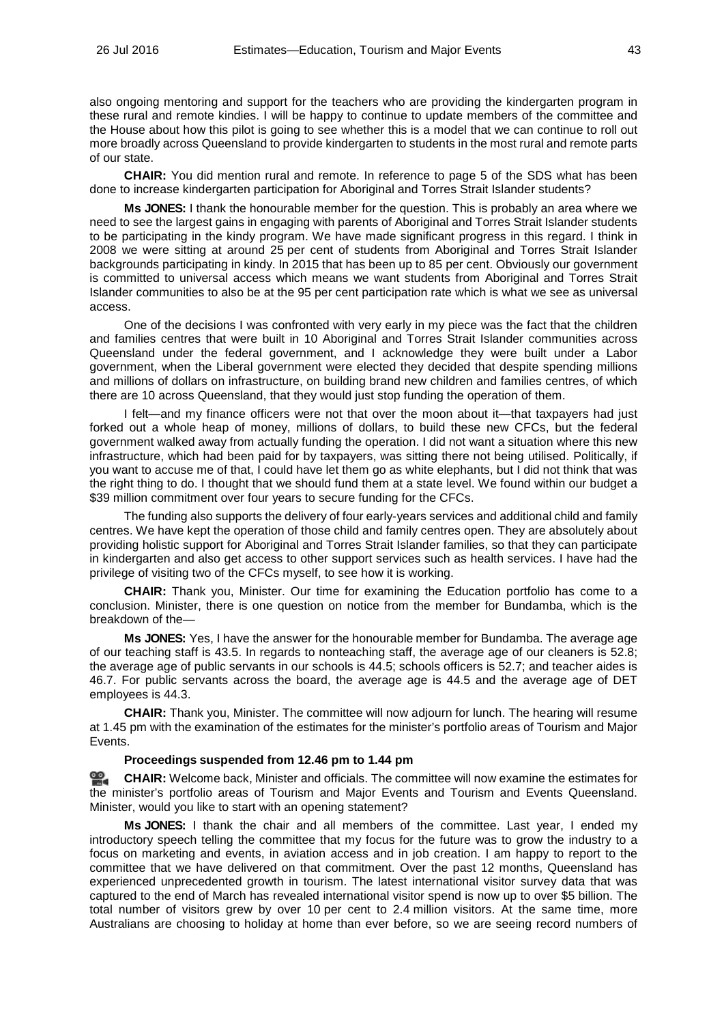also ongoing mentoring and support for the teachers who are providing the kindergarten program in these rural and remote kindies. I will be happy to continue to update members of the committee and the House about how this pilot is going to see whether this is a model that we can continue to roll out more broadly across Queensland to provide kindergarten to students in the most rural and remote parts of our state.

**CHAIR:** You did mention rural and remote. In reference to page 5 of the SDS what has been done to increase kindergarten participation for Aboriginal and Torres Strait Islander students?

**Ms JONES:** I thank the honourable member for the question. This is probably an area where we need to see the largest gains in engaging with parents of Aboriginal and Torres Strait Islander students to be participating in the kindy program. We have made significant progress in this regard. I think in 2008 we were sitting at around 25 per cent of students from Aboriginal and Torres Strait Islander backgrounds participating in kindy. In 2015 that has been up to 85 per cent. Obviously our government is committed to universal access which means we want students from Aboriginal and Torres Strait Islander communities to also be at the 95 per cent participation rate which is what we see as universal access.

One of the decisions I was confronted with very early in my piece was the fact that the children and families centres that were built in 10 Aboriginal and Torres Strait Islander communities across Queensland under the federal government, and I acknowledge they were built under a Labor government, when the Liberal government were elected they decided that despite spending millions and millions of dollars on infrastructure, on building brand new children and families centres, of which there are 10 across Queensland, that they would just stop funding the operation of them.

I felt—and my finance officers were not that over the moon about it—that taxpayers had just forked out a whole heap of money, millions of dollars, to build these new CFCs, but the federal government walked away from actually funding the operation. I did not want a situation where this new infrastructure, which had been paid for by taxpayers, was sitting there not being utilised. Politically, if you want to accuse me of that, I could have let them go as white elephants, but I did not think that was the right thing to do. I thought that we should fund them at a state level. We found within our budget a \$39 million commitment over four years to secure funding for the CFCs.

The funding also supports the delivery of four early-years services and additional child and family centres. We have kept the operation of those child and family centres open. They are absolutely about providing holistic support for Aboriginal and Torres Strait Islander families, so that they can participate in kindergarten and also get access to other support services such as health services. I have had the privilege of visiting two of the CFCs myself, to see how it is working.

**CHAIR:** Thank you, Minister. Our time for examining the Education portfolio has come to a conclusion. Minister, there is one question on notice from the member for Bundamba, which is the breakdown of the—

**Ms JONES:** Yes, I have the answer for the honourable member for Bundamba. The average age of our teaching staff is 43.5. In regards to nonteaching staff, the average age of our cleaners is 52.8; the average age of public servants in our schools is 44.5; schools officers is 52.7; and teacher aides is 46.7. For public servants across the board, the average age is 44.5 and the average age of DET employees is 44.3.

**CHAIR:** Thank you, Minister. The committee will now adjourn for lunch. The hearing will resume at 1.45 pm with the examination of the estimates for the minister's portfolio areas of Tourism and Major Events.

## **Proceedings suspended from 12.46 pm to 1.44 pm**

≌. **[CHAIR:](http://www.parliament.qld.gov.au/docs/find.aspx?id=0Mba20160726_134525)** Welcome back, Minister and officials. The committee will now examine the estimates for the minister's portfolio areas of Tourism and Major Events and Tourism and Events Queensland. Minister, would you like to start with an opening statement?

**Ms JONES:** I thank the chair and all members of the committee. Last year, I ended my introductory speech telling the committee that my focus for the future was to grow the industry to a focus on marketing and events, in aviation access and in job creation. I am happy to report to the committee that we have delivered on that commitment. Over the past 12 months, Queensland has experienced unprecedented growth in tourism. The latest international visitor survey data that was captured to the end of March has revealed international visitor spend is now up to over \$5 billion. The total number of visitors grew by over 10 per cent to 2.4 million visitors. At the same time, more Australians are choosing to holiday at home than ever before, so we are seeing record numbers of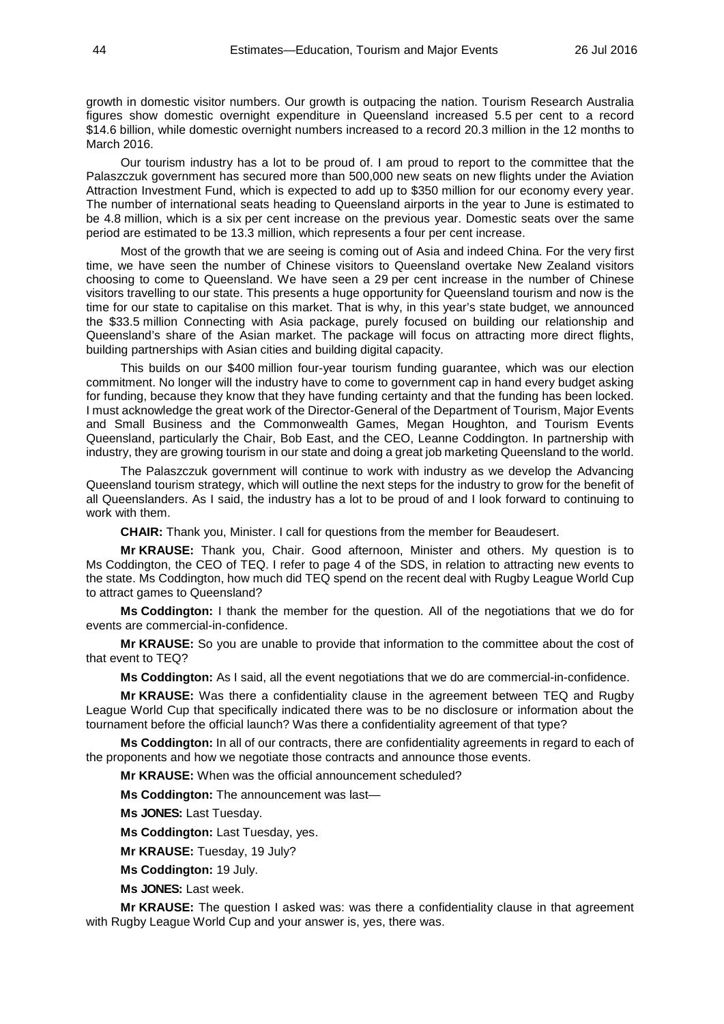growth in domestic visitor numbers. Our growth is outpacing the nation. Tourism Research Australia figures show domestic overnight expenditure in Queensland increased 5.5 per cent to a record \$14.6 billion, while domestic overnight numbers increased to a record 20.3 million in the 12 months to March 2016.

Our tourism industry has a lot to be proud of. I am proud to report to the committee that the Palaszczuk government has secured more than 500,000 new seats on new flights under the Aviation Attraction Investment Fund, which is expected to add up to \$350 million for our economy every year. The number of international seats heading to Queensland airports in the year to June is estimated to be 4.8 million, which is a six per cent increase on the previous year. Domestic seats over the same period are estimated to be 13.3 million, which represents a four per cent increase.

Most of the growth that we are seeing is coming out of Asia and indeed China. For the very first time, we have seen the number of Chinese visitors to Queensland overtake New Zealand visitors choosing to come to Queensland. We have seen a 29 per cent increase in the number of Chinese visitors travelling to our state. This presents a huge opportunity for Queensland tourism and now is the time for our state to capitalise on this market. That is why, in this year's state budget, we announced the \$33.5 million Connecting with Asia package, purely focused on building our relationship and Queensland's share of the Asian market. The package will focus on attracting more direct flights, building partnerships with Asian cities and building digital capacity.

This builds on our \$400 million four-year tourism funding guarantee, which was our election commitment. No longer will the industry have to come to government cap in hand every budget asking for funding, because they know that they have funding certainty and that the funding has been locked. I must acknowledge the great work of the Director-General of the Department of Tourism, Major Events and Small Business and the Commonwealth Games, Megan Houghton, and Tourism Events Queensland, particularly the Chair, Bob East, and the CEO, Leanne Coddington. In partnership with industry, they are growing tourism in our state and doing a great job marketing Queensland to the world.

The Palaszczuk government will continue to work with industry as we develop the Advancing Queensland tourism strategy, which will outline the next steps for the industry to grow for the benefit of all Queenslanders. As I said, the industry has a lot to be proud of and I look forward to continuing to work with them.

**CHAIR:** Thank you, Minister. I call for questions from the member for Beaudesert.

**Mr KRAUSE:** Thank you, Chair. Good afternoon, Minister and others. My question is to Ms Coddington, the CEO of TEQ. I refer to page 4 of the SDS, in relation to attracting new events to the state. Ms Coddington, how much did TEQ spend on the recent deal with Rugby League World Cup to attract games to Queensland?

**Ms Coddington:** I thank the member for the question. All of the negotiations that we do for events are commercial-in-confidence.

**Mr KRAUSE:** So you are unable to provide that information to the committee about the cost of that event to TEQ?

**Ms Coddington:** As I said, all the event negotiations that we do are commercial-in-confidence.

**Mr KRAUSE:** Was there a confidentiality clause in the agreement between TEQ and Rugby League World Cup that specifically indicated there was to be no disclosure or information about the tournament before the official launch? Was there a confidentiality agreement of that type?

**Ms Coddington:** In all of our contracts, there are confidentiality agreements in regard to each of the proponents and how we negotiate those contracts and announce those events.

**Mr KRAUSE:** When was the official announcement scheduled?

**Ms Coddington:** The announcement was last—

**Ms JONES:** Last Tuesday.

**Ms Coddington:** Last Tuesday, yes.

**Mr KRAUSE:** Tuesday, 19 July?

**Ms Coddington:** 19 July.

**Ms JONES:** Last week.

**Mr KRAUSE:** The question I asked was: was there a confidentiality clause in that agreement with Rugby League World Cup and your answer is, yes, there was.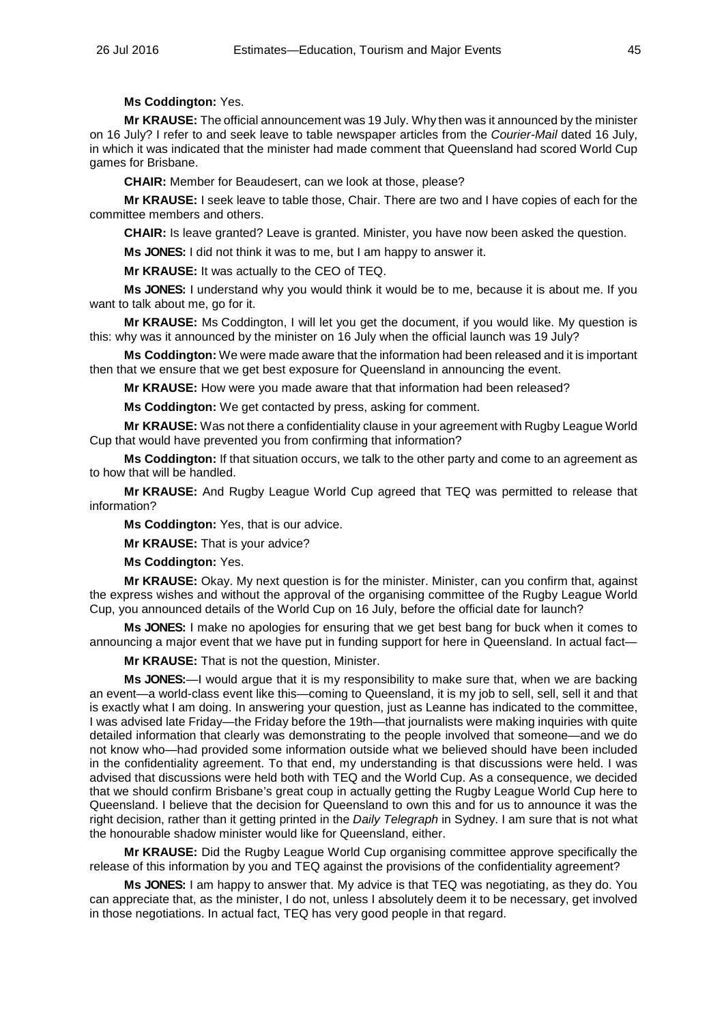# **Ms Coddington:** Yes.

**Mr KRAUSE:** The official announcement was 19 July. Why then was it announced by the minister on 16 July? I refer to and seek leave to table newspaper articles from the *Courier-Mail* dated 16 July, in which it was indicated that the minister had made comment that Queensland had scored World Cup games for Brisbane.

**CHAIR:** Member for Beaudesert, can we look at those, please?

**Mr KRAUSE:** I seek leave to table those, Chair. There are two and I have copies of each for the committee members and others.

**CHAIR:** Is leave granted? Leave is granted. Minister, you have now been asked the question.

**Ms JONES:** I did not think it was to me, but I am happy to answer it.

**Mr KRAUSE:** It was actually to the CEO of TEQ.

**Ms JONES:** I understand why you would think it would be to me, because it is about me. If you want to talk about me, go for it.

**Mr KRAUSE:** Ms Coddington, I will let you get the document, if you would like. My question is this: why was it announced by the minister on 16 July when the official launch was 19 July?

**Ms Coddington:** We were made aware that the information had been released and it is important then that we ensure that we get best exposure for Queensland in announcing the event.

**Mr KRAUSE:** How were you made aware that that information had been released?

**Ms Coddington:** We get contacted by press, asking for comment.

**Mr KRAUSE:** Was not there a confidentiality clause in your agreement with Rugby League World Cup that would have prevented you from confirming that information?

**Ms Coddington:** If that situation occurs, we talk to the other party and come to an agreement as to how that will be handled.

**Mr KRAUSE:** And Rugby League World Cup agreed that TEQ was permitted to release that information?

**Ms Coddington:** Yes, that is our advice.

**Mr KRAUSE:** That is your advice?

**Ms Coddington:** Yes.

**Mr KRAUSE:** Okay. My next question is for the minister. Minister, can you confirm that, against the express wishes and without the approval of the organising committee of the Rugby League World Cup, you announced details of the World Cup on 16 July, before the official date for launch?

**Ms JONES:** I make no apologies for ensuring that we get best bang for buck when it comes to announcing a major event that we have put in funding support for here in Queensland. In actual fact—

**Mr KRAUSE:** That is not the question, Minister.

**Ms JONES:**—I would argue that it is my responsibility to make sure that, when we are backing an event—a world-class event like this—coming to Queensland, it is my job to sell, sell, sell it and that is exactly what I am doing. In answering your question, just as Leanne has indicated to the committee, I was advised late Friday—the Friday before the 19th—that journalists were making inquiries with quite detailed information that clearly was demonstrating to the people involved that someone—and we do not know who—had provided some information outside what we believed should have been included in the confidentiality agreement. To that end, my understanding is that discussions were held. I was advised that discussions were held both with TEQ and the World Cup. As a consequence, we decided that we should confirm Brisbane's great coup in actually getting the Rugby League World Cup here to Queensland. I believe that the decision for Queensland to own this and for us to announce it was the right decision, rather than it getting printed in the *Daily Telegraph* in Sydney. I am sure that is not what the honourable shadow minister would like for Queensland, either.

**Mr KRAUSE:** Did the Rugby League World Cup organising committee approve specifically the release of this information by you and TEQ against the provisions of the confidentiality agreement?

**Ms JONES:** I am happy to answer that. My advice is that TEQ was negotiating, as they do. You can appreciate that, as the minister, I do not, unless I absolutely deem it to be necessary, get involved in those negotiations. In actual fact, TEQ has very good people in that regard.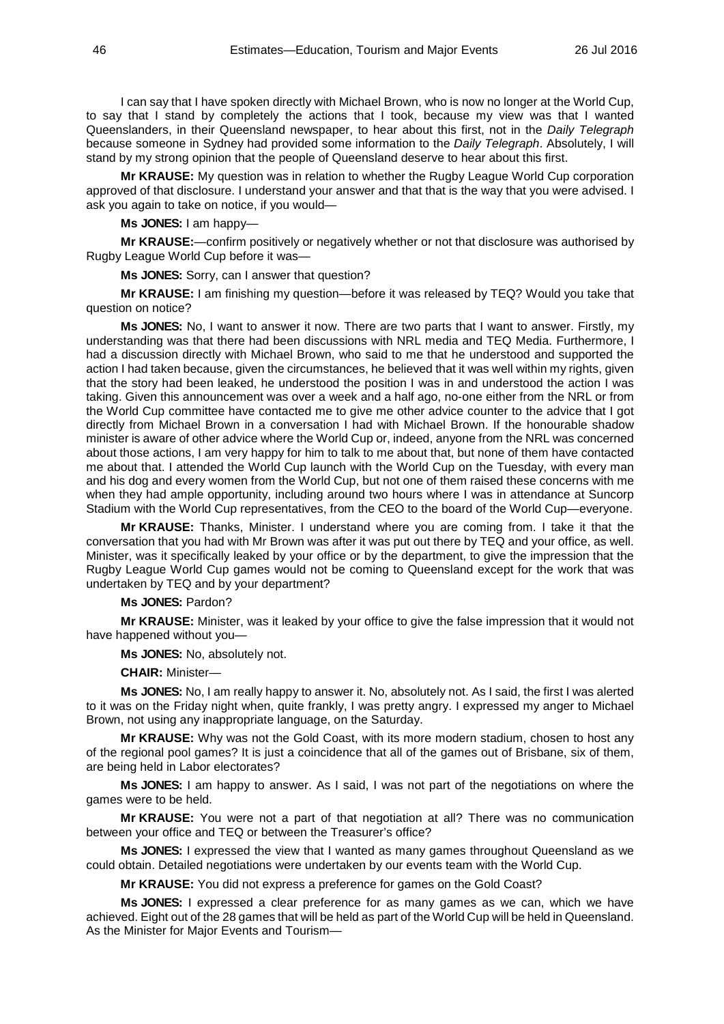I can say that I have spoken directly with Michael Brown, who is now no longer at the World Cup, to say that I stand by completely the actions that I took, because my view was that I wanted Queenslanders, in their Queensland newspaper, to hear about this first, not in the *Daily Telegraph* because someone in Sydney had provided some information to the *Daily Telegraph*. Absolutely, I will stand by my strong opinion that the people of Queensland deserve to hear about this first.

**Mr KRAUSE:** My question was in relation to whether the Rugby League World Cup corporation approved of that disclosure. I understand your answer and that that is the way that you were advised. I ask you again to take on notice, if you would—

### **Ms JONES:** I am happy—

**Mr KRAUSE:**—confirm positively or negatively whether or not that disclosure was authorised by Rugby League World Cup before it was—

**Ms JONES:** Sorry, can I answer that question?

**Mr KRAUSE:** I am finishing my question—before it was released by TEQ? Would you take that question on notice?

**Ms JONES:** No, I want to answer it now. There are two parts that I want to answer. Firstly, my understanding was that there had been discussions with NRL media and TEQ Media. Furthermore, I had a discussion directly with Michael Brown, who said to me that he understood and supported the action I had taken because, given the circumstances, he believed that it was well within my rights, given that the story had been leaked, he understood the position I was in and understood the action I was taking. Given this announcement was over a week and a half ago, no-one either from the NRL or from the World Cup committee have contacted me to give me other advice counter to the advice that I got directly from Michael Brown in a conversation I had with Michael Brown. If the honourable shadow minister is aware of other advice where the World Cup or, indeed, anyone from the NRL was concerned about those actions, I am very happy for him to talk to me about that, but none of them have contacted me about that. I attended the World Cup launch with the World Cup on the Tuesday, with every man and his dog and every women from the World Cup, but not one of them raised these concerns with me when they had ample opportunity, including around two hours where I was in attendance at Suncorp Stadium with the World Cup representatives, from the CEO to the board of the World Cup—everyone.

**Mr KRAUSE:** Thanks, Minister. I understand where you are coming from. I take it that the conversation that you had with Mr Brown was after it was put out there by TEQ and your office, as well. Minister, was it specifically leaked by your office or by the department, to give the impression that the Rugby League World Cup games would not be coming to Queensland except for the work that was undertaken by TEQ and by your department?

# **Ms JONES:** Pardon?

**Mr KRAUSE:** Minister, was it leaked by your office to give the false impression that it would not have happened without you—

**Ms JONES:** No, absolutely not.

**CHAIR:** Minister—

**Ms JONES:** No, I am really happy to answer it. No, absolutely not. As I said, the first I was alerted to it was on the Friday night when, quite frankly, I was pretty angry. I expressed my anger to Michael Brown, not using any inappropriate language, on the Saturday.

**Mr KRAUSE:** Why was not the Gold Coast, with its more modern stadium, chosen to host any of the regional pool games? It is just a coincidence that all of the games out of Brisbane, six of them, are being held in Labor electorates?

**Ms JONES:** I am happy to answer. As I said, I was not part of the negotiations on where the games were to be held.

**Mr KRAUSE:** You were not a part of that negotiation at all? There was no communication between your office and TEQ or between the Treasurer's office?

**Ms JONES:** I expressed the view that I wanted as many games throughout Queensland as we could obtain. Detailed negotiations were undertaken by our events team with the World Cup.

**Mr KRAUSE:** You did not express a preference for games on the Gold Coast?

**Ms JONES:** I expressed a clear preference for as many games as we can, which we have achieved. Eight out of the 28 games that will be held as part of the World Cup will be held in Queensland. As the Minister for Major Events and Tourism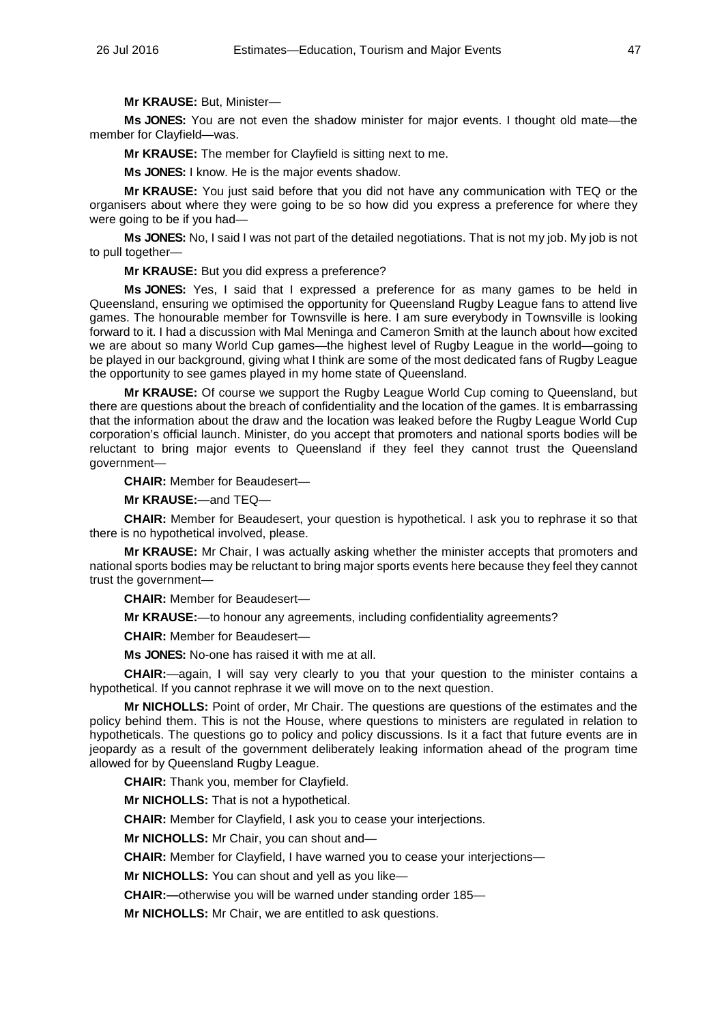**Mr KRAUSE:** But, Minister—

**Ms JONES:** You are not even the shadow minister for major events. I thought old mate—the member for Clayfield—was.

**Mr KRAUSE:** The member for Clayfield is sitting next to me.

**Ms JONES:** I know. He is the major events shadow.

**Mr KRAUSE:** You just said before that you did not have any communication with TEQ or the organisers about where they were going to be so how did you express a preference for where they were going to be if you had—

**Ms JONES:** No, I said I was not part of the detailed negotiations. That is not my job. My job is not to pull together—

**Mr KRAUSE:** But you did express a preference?

**Ms JONES:** Yes, I said that I expressed a preference for as many games to be held in Queensland, ensuring we optimised the opportunity for Queensland Rugby League fans to attend live games. The honourable member for Townsville is here. I am sure everybody in Townsville is looking forward to it. I had a discussion with Mal Meninga and Cameron Smith at the launch about how excited we are about so many World Cup games—the highest level of Rugby League in the world—going to be played in our background, giving what I think are some of the most dedicated fans of Rugby League the opportunity to see games played in my home state of Queensland.

**Mr KRAUSE:** Of course we support the Rugby League World Cup coming to Queensland, but there are questions about the breach of confidentiality and the location of the games. It is embarrassing that the information about the draw and the location was leaked before the Rugby League World Cup corporation's official launch. Minister, do you accept that promoters and national sports bodies will be reluctant to bring major events to Queensland if they feel they cannot trust the Queensland government—

**CHAIR:** Member for Beaudesert—

**Mr KRAUSE:**—and TEQ—

**CHAIR:** Member for Beaudesert, your question is hypothetical. I ask you to rephrase it so that there is no hypothetical involved, please.

**Mr KRAUSE:** Mr Chair, I was actually asking whether the minister accepts that promoters and national sports bodies may be reluctant to bring major sports events here because they feel they cannot trust the government—

**CHAIR:** Member for Beaudesert—

**Mr KRAUSE:**—to honour any agreements, including confidentiality agreements?

**CHAIR:** Member for Beaudesert—

**Ms JONES:** No-one has raised it with me at all.

**CHAIR:**—again, I will say very clearly to you that your question to the minister contains a hypothetical. If you cannot rephrase it we will move on to the next question.

**Mr NICHOLLS:** Point of order, Mr Chair. The questions are questions of the estimates and the policy behind them. This is not the House, where questions to ministers are regulated in relation to hypotheticals. The questions go to policy and policy discussions. Is it a fact that future events are in jeopardy as a result of the government deliberately leaking information ahead of the program time allowed for by Queensland Rugby League.

**CHAIR:** Thank you, member for Clayfield.

**Mr NICHOLLS:** That is not a hypothetical.

**CHAIR:** Member for Clayfield, I ask you to cease your interjections.

**Mr NICHOLLS:** Mr Chair, you can shout and—

**CHAIR:** Member for Clayfield, I have warned you to cease your interjections—

**Mr NICHOLLS:** You can shout and yell as you like—

**CHAIR:—**otherwise you will be warned under standing order 185—

**Mr NICHOLLS:** Mr Chair, we are entitled to ask questions.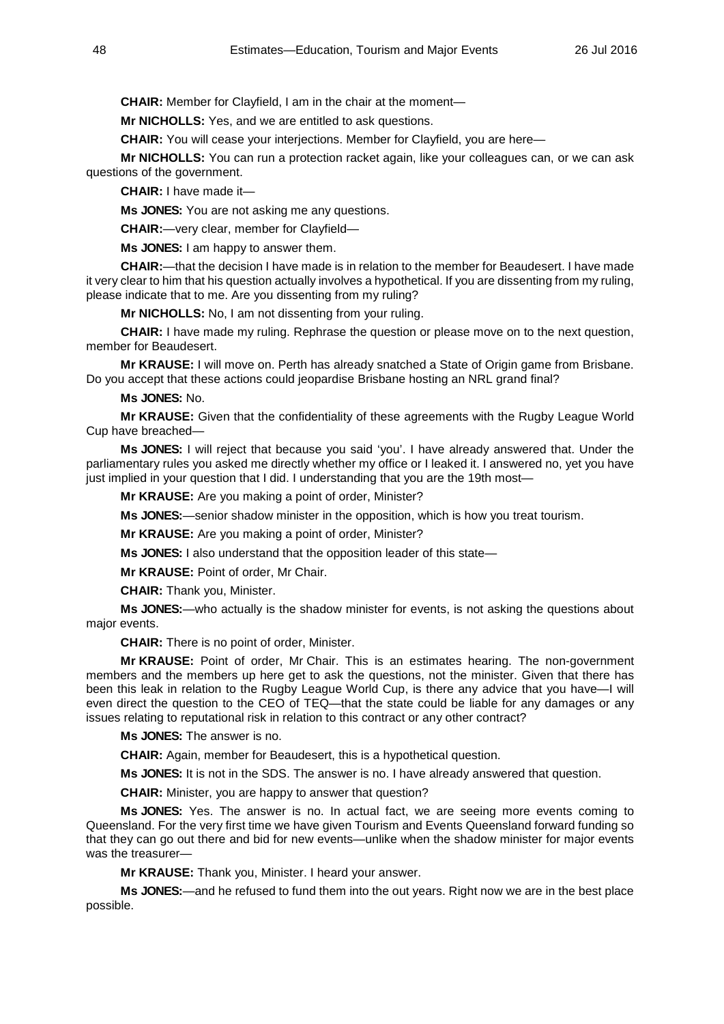**CHAIR:** Member for Clayfield, I am in the chair at the moment—

**Mr NICHOLLS:** Yes, and we are entitled to ask questions.

**CHAIR:** You will cease your interjections. Member for Clayfield, you are here—

**Mr NICHOLLS:** You can run a protection racket again, like your colleagues can, or we can ask questions of the government.

**CHAIR:** I have made it—

**Ms JONES:** You are not asking me any questions.

**CHAIR:**—very clear, member for Clayfield—

**Ms JONES:** I am happy to answer them.

**CHAIR:**—that the decision I have made is in relation to the member for Beaudesert. I have made it very clear to him that his question actually involves a hypothetical. If you are dissenting from my ruling, please indicate that to me. Are you dissenting from my ruling?

**Mr NICHOLLS:** No, I am not dissenting from your ruling.

**CHAIR:** I have made my ruling. Rephrase the question or please move on to the next question, member for Beaudesert.

**Mr KRAUSE:** I will move on. Perth has already snatched a State of Origin game from Brisbane. Do you accept that these actions could jeopardise Brisbane hosting an NRL grand final?

**Ms JONES:** No.

**Mr KRAUSE:** Given that the confidentiality of these agreements with the Rugby League World Cup have breached—

**Ms JONES:** I will reject that because you said 'you'. I have already answered that. Under the parliamentary rules you asked me directly whether my office or I leaked it. I answered no, yet you have just implied in your question that I did. I understanding that you are the 19th most—

**Mr KRAUSE:** Are you making a point of order, Minister?

**Ms JONES:**—senior shadow minister in the opposition, which is how you treat tourism.

**Mr KRAUSE:** Are you making a point of order, Minister?

**Ms JONES:** I also understand that the opposition leader of this state—

**Mr KRAUSE:** Point of order, Mr Chair.

**CHAIR:** Thank you, Minister.

**Ms JONES:**—who actually is the shadow minister for events, is not asking the questions about major events.

**CHAIR:** There is no point of order, Minister.

**Mr KRAUSE:** Point of order, Mr Chair. This is an estimates hearing. The non-government members and the members up here get to ask the questions, not the minister. Given that there has been this leak in relation to the Rugby League World Cup, is there any advice that you have—I will even direct the question to the CEO of TEQ—that the state could be liable for any damages or any issues relating to reputational risk in relation to this contract or any other contract?

**Ms JONES:** The answer is no.

**CHAIR:** Again, member for Beaudesert, this is a hypothetical question.

**Ms JONES:** It is not in the SDS. The answer is no. I have already answered that question.

**CHAIR:** Minister, you are happy to answer that question?

**Ms JONES:** Yes. The answer is no. In actual fact, we are seeing more events coming to Queensland. For the very first time we have given Tourism and Events Queensland forward funding so that they can go out there and bid for new events—unlike when the shadow minister for major events was the treasurer—

**Mr KRAUSE:** Thank you, Minister. I heard your answer.

**Ms JONES:**—and he refused to fund them into the out years. Right now we are in the best place possible.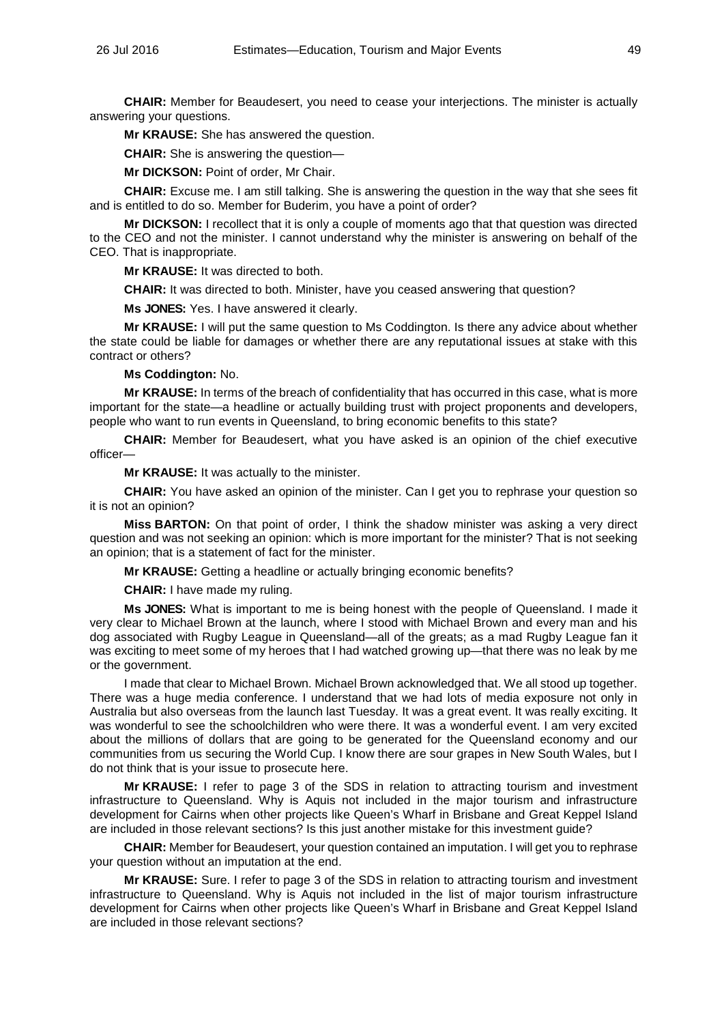**CHAIR:** Member for Beaudesert, you need to cease your interjections. The minister is actually answering your questions.

**Mr KRAUSE:** She has answered the question.

**CHAIR:** She is answering the question—

**Mr DICKSON:** Point of order, Mr Chair.

**CHAIR:** Excuse me. I am still talking. She is answering the question in the way that she sees fit and is entitled to do so. Member for Buderim, you have a point of order?

**Mr DICKSON:** I recollect that it is only a couple of moments ago that that question was directed to the CEO and not the minister. I cannot understand why the minister is answering on behalf of the CEO. That is inappropriate.

**Mr KRAUSE:** It was directed to both.

**CHAIR:** It was directed to both. Minister, have you ceased answering that question?

**Ms JONES:** Yes. I have answered it clearly.

**Mr KRAUSE:** I will put the same question to Ms Coddington. Is there any advice about whether the state could be liable for damages or whether there are any reputational issues at stake with this contract or others?

### **Ms Coddington:** No.

**Mr KRAUSE:** In terms of the breach of confidentiality that has occurred in this case, what is more important for the state—a headline or actually building trust with project proponents and developers, people who want to run events in Queensland, to bring economic benefits to this state?

**CHAIR:** Member for Beaudesert, what you have asked is an opinion of the chief executive officer—

**Mr KRAUSE:** It was actually to the minister.

**CHAIR:** You have asked an opinion of the minister. Can I get you to rephrase your question so it is not an opinion?

**Miss BARTON:** On that point of order, I think the shadow minister was asking a very direct question and was not seeking an opinion: which is more important for the minister? That is not seeking an opinion; that is a statement of fact for the minister.

**Mr KRAUSE:** Getting a headline or actually bringing economic benefits?

**CHAIR:** I have made my ruling.

**Ms JONES:** What is important to me is being honest with the people of Queensland. I made it very clear to Michael Brown at the launch, where I stood with Michael Brown and every man and his dog associated with Rugby League in Queensland—all of the greats; as a mad Rugby League fan it was exciting to meet some of my heroes that I had watched growing up—that there was no leak by me or the government.

I made that clear to Michael Brown. Michael Brown acknowledged that. We all stood up together. There was a huge media conference. I understand that we had lots of media exposure not only in Australia but also overseas from the launch last Tuesday. It was a great event. It was really exciting. It was wonderful to see the schoolchildren who were there. It was a wonderful event. I am very excited about the millions of dollars that are going to be generated for the Queensland economy and our communities from us securing the World Cup. I know there are sour grapes in New South Wales, but I do not think that is your issue to prosecute here.

**Mr KRAUSE:** I refer to page 3 of the SDS in relation to attracting tourism and investment infrastructure to Queensland. Why is Aquis not included in the major tourism and infrastructure development for Cairns when other projects like Queen's Wharf in Brisbane and Great Keppel Island are included in those relevant sections? Is this just another mistake for this investment guide?

**CHAIR:** Member for Beaudesert, your question contained an imputation. I will get you to rephrase your question without an imputation at the end.

**Mr KRAUSE:** Sure. I refer to page 3 of the SDS in relation to attracting tourism and investment infrastructure to Queensland. Why is Aquis not included in the list of major tourism infrastructure development for Cairns when other projects like Queen's Wharf in Brisbane and Great Keppel Island are included in those relevant sections?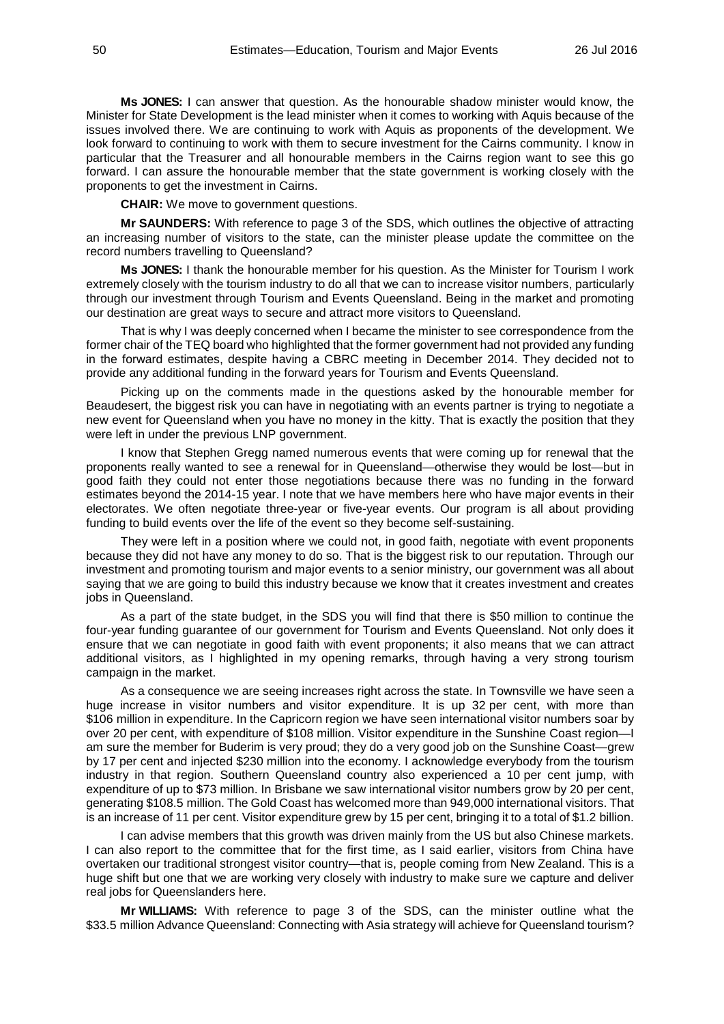**Ms JONES:** I can answer that question. As the honourable shadow minister would know, the Minister for State Development is the lead minister when it comes to working with Aquis because of the issues involved there. We are continuing to work with Aquis as proponents of the development. We look forward to continuing to work with them to secure investment for the Cairns community. I know in particular that the Treasurer and all honourable members in the Cairns region want to see this go forward. I can assure the honourable member that the state government is working closely with the proponents to get the investment in Cairns.

**CHAIR:** We move to government questions.

**Mr SAUNDERS:** With reference to page 3 of the SDS, which outlines the objective of attracting an increasing number of visitors to the state, can the minister please update the committee on the record numbers travelling to Queensland?

**Ms JONES:** I thank the honourable member for his question. As the Minister for Tourism I work extremely closely with the tourism industry to do all that we can to increase visitor numbers, particularly through our investment through Tourism and Events Queensland. Being in the market and promoting our destination are great ways to secure and attract more visitors to Queensland.

That is why I was deeply concerned when I became the minister to see correspondence from the former chair of the TEQ board who highlighted that the former government had not provided any funding in the forward estimates, despite having a CBRC meeting in December 2014. They decided not to provide any additional funding in the forward years for Tourism and Events Queensland.

Picking up on the comments made in the questions asked by the honourable member for Beaudesert, the biggest risk you can have in negotiating with an events partner is trying to negotiate a new event for Queensland when you have no money in the kitty. That is exactly the position that they were left in under the previous LNP government.

I know that Stephen Gregg named numerous events that were coming up for renewal that the proponents really wanted to see a renewal for in Queensland—otherwise they would be lost—but in good faith they could not enter those negotiations because there was no funding in the forward estimates beyond the 2014-15 year. I note that we have members here who have major events in their electorates. We often negotiate three-year or five-year events. Our program is all about providing funding to build events over the life of the event so they become self-sustaining.

They were left in a position where we could not, in good faith, negotiate with event proponents because they did not have any money to do so. That is the biggest risk to our reputation. Through our investment and promoting tourism and major events to a senior ministry, our government was all about saying that we are going to build this industry because we know that it creates investment and creates iobs in Queensland.

As a part of the state budget, in the SDS you will find that there is \$50 million to continue the four-year funding guarantee of our government for Tourism and Events Queensland. Not only does it ensure that we can negotiate in good faith with event proponents; it also means that we can attract additional visitors, as I highlighted in my opening remarks, through having a very strong tourism campaign in the market.

As a consequence we are seeing increases right across the state. In Townsville we have seen a huge increase in visitor numbers and visitor expenditure. It is up 32 per cent, with more than \$106 million in expenditure. In the Capricorn region we have seen international visitor numbers soar by over 20 per cent, with expenditure of \$108 million. Visitor expenditure in the Sunshine Coast region—I am sure the member for Buderim is very proud; they do a very good job on the Sunshine Coast—grew by 17 per cent and injected \$230 million into the economy. I acknowledge everybody from the tourism industry in that region. Southern Queensland country also experienced a 10 per cent jump, with expenditure of up to \$73 million. In Brisbane we saw international visitor numbers grow by 20 per cent, generating \$108.5 million. The Gold Coast has welcomed more than 949,000 international visitors. That is an increase of 11 per cent. Visitor expenditure grew by 15 per cent, bringing it to a total of \$1.2 billion.

I can advise members that this growth was driven mainly from the US but also Chinese markets. I can also report to the committee that for the first time, as I said earlier, visitors from China have overtaken our traditional strongest visitor country—that is, people coming from New Zealand. This is a huge shift but one that we are working very closely with industry to make sure we capture and deliver real jobs for Queenslanders here.

**Mr WILLIAMS:** With reference to page 3 of the SDS, can the minister outline what the \$33.5 million Advance Queensland: Connecting with Asia strategy will achieve for Queensland tourism?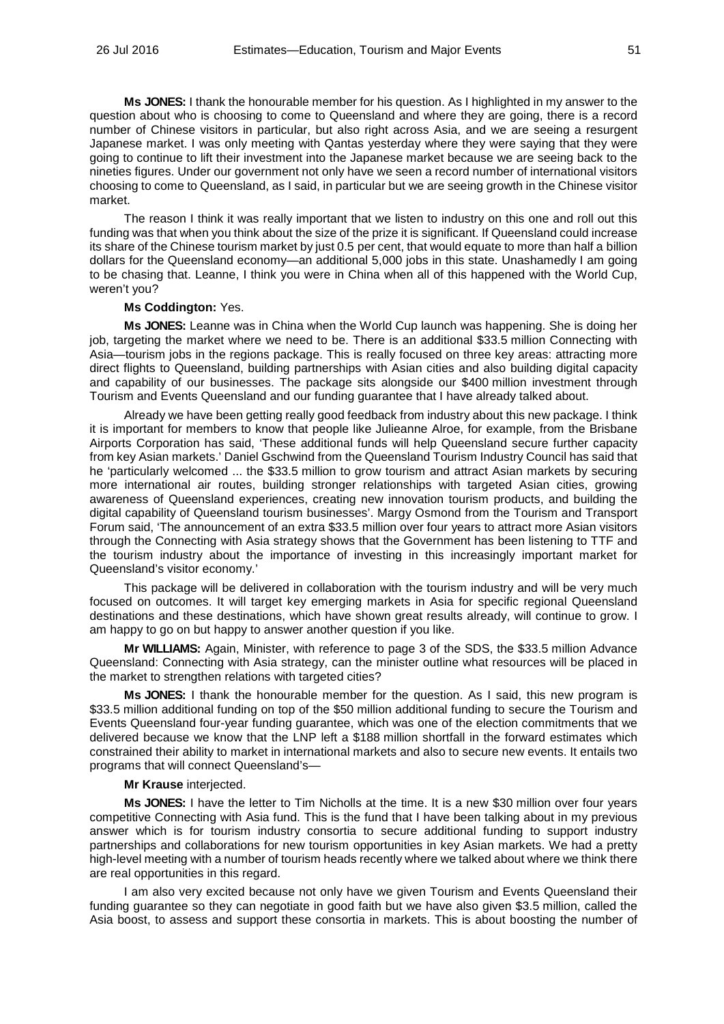**Ms JONES:** I thank the honourable member for his question. As I highlighted in my answer to the question about who is choosing to come to Queensland and where they are going, there is a record number of Chinese visitors in particular, but also right across Asia, and we are seeing a resurgent Japanese market. I was only meeting with Qantas yesterday where they were saying that they were going to continue to lift their investment into the Japanese market because we are seeing back to the nineties figures. Under our government not only have we seen a record number of international visitors choosing to come to Queensland, as I said, in particular but we are seeing growth in the Chinese visitor market.

The reason I think it was really important that we listen to industry on this one and roll out this funding was that when you think about the size of the prize it is significant. If Queensland could increase its share of the Chinese tourism market by just 0.5 per cent, that would equate to more than half a billion dollars for the Queensland economy—an additional 5,000 jobs in this state. Unashamedly I am going to be chasing that. Leanne, I think you were in China when all of this happened with the World Cup, weren't you?

## **Ms Coddington:** Yes.

**Ms JONES:** Leanne was in China when the World Cup launch was happening. She is doing her job, targeting the market where we need to be. There is an additional \$33.5 million Connecting with Asia—tourism jobs in the regions package. This is really focused on three key areas: attracting more direct flights to Queensland, building partnerships with Asian cities and also building digital capacity and capability of our businesses. The package sits alongside our \$400 million investment through Tourism and Events Queensland and our funding guarantee that I have already talked about.

Already we have been getting really good feedback from industry about this new package. I think it is important for members to know that people like Julieanne Alroe, for example, from the Brisbane Airports Corporation has said, 'These additional funds will help Queensland secure further capacity from key Asian markets.' Daniel Gschwind from the Queensland Tourism Industry Council has said that he 'particularly welcomed ... the \$33.5 million to grow tourism and attract Asian markets by securing more international air routes, building stronger relationships with targeted Asian cities, growing awareness of Queensland experiences, creating new innovation tourism products, and building the digital capability of Queensland tourism businesses'. Margy Osmond from the Tourism and Transport Forum said, 'The announcement of an extra \$33.5 million over four years to attract more Asian visitors through the Connecting with Asia strategy shows that the Government has been listening to TTF and the tourism industry about the importance of investing in this increasingly important market for Queensland's visitor economy.'

This package will be delivered in collaboration with the tourism industry and will be very much focused on outcomes. It will target key emerging markets in Asia for specific regional Queensland destinations and these destinations, which have shown great results already, will continue to grow. I am happy to go on but happy to answer another question if you like.

**Mr WILLIAMS:** Again, Minister, with reference to page 3 of the SDS, the \$33.5 million Advance Queensland: Connecting with Asia strategy, can the minister outline what resources will be placed in the market to strengthen relations with targeted cities?

**Ms JONES:** I thank the honourable member for the question. As I said, this new program is \$33.5 million additional funding on top of the \$50 million additional funding to secure the Tourism and Events Queensland four-year funding guarantee, which was one of the election commitments that we delivered because we know that the LNP left a \$188 million shortfall in the forward estimates which constrained their ability to market in international markets and also to secure new events. It entails two programs that will connect Queensland's—

### **Mr Krause** interjected.

**Ms JONES:** I have the letter to Tim Nicholls at the time. It is a new \$30 million over four years competitive Connecting with Asia fund. This is the fund that I have been talking about in my previous answer which is for tourism industry consortia to secure additional funding to support industry partnerships and collaborations for new tourism opportunities in key Asian markets. We had a pretty high-level meeting with a number of tourism heads recently where we talked about where we think there are real opportunities in this regard.

I am also very excited because not only have we given Tourism and Events Queensland their funding guarantee so they can negotiate in good faith but we have also given \$3.5 million, called the Asia boost, to assess and support these consortia in markets. This is about boosting the number of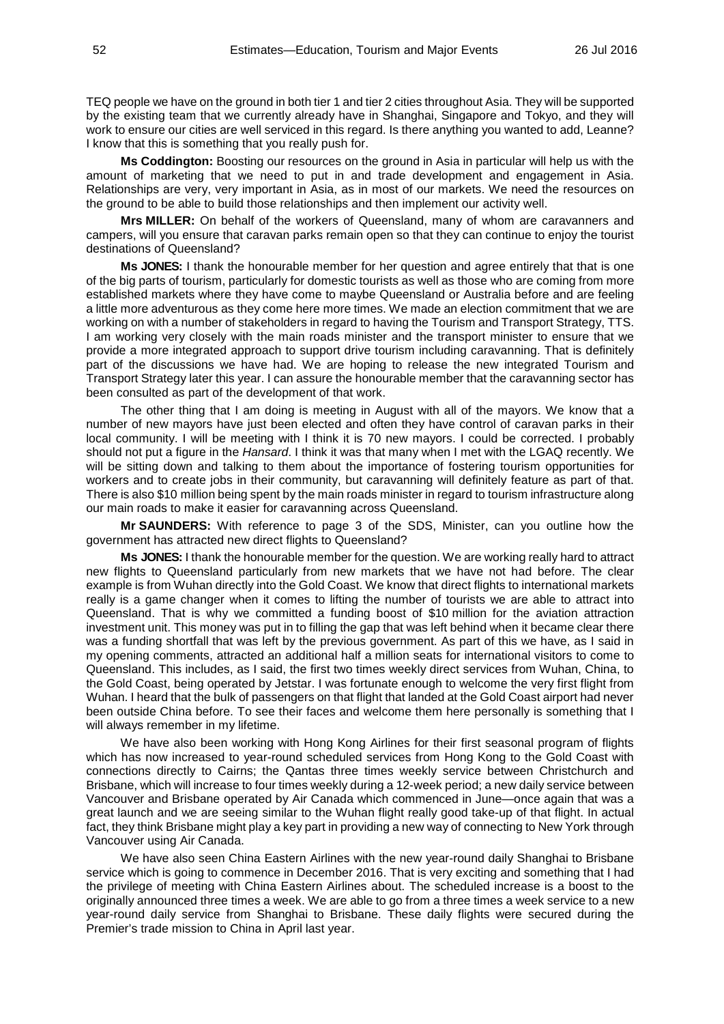TEQ people we have on the ground in both tier 1 and tier 2 cities throughout Asia. They will be supported by the existing team that we currently already have in Shanghai, Singapore and Tokyo, and they will work to ensure our cities are well serviced in this regard. Is there anything you wanted to add, Leanne? I know that this is something that you really push for.

**Ms Coddington:** Boosting our resources on the ground in Asia in particular will help us with the amount of marketing that we need to put in and trade development and engagement in Asia. Relationships are very, very important in Asia, as in most of our markets. We need the resources on the ground to be able to build those relationships and then implement our activity well.

**Mrs MILLER:** On behalf of the workers of Queensland, many of whom are caravanners and campers, will you ensure that caravan parks remain open so that they can continue to enjoy the tourist destinations of Queensland?

**Ms JONES:** I thank the honourable member for her question and agree entirely that that is one of the big parts of tourism, particularly for domestic tourists as well as those who are coming from more established markets where they have come to maybe Queensland or Australia before and are feeling a little more adventurous as they come here more times. We made an election commitment that we are working on with a number of stakeholders in regard to having the Tourism and Transport Strategy, TTS. I am working very closely with the main roads minister and the transport minister to ensure that we provide a more integrated approach to support drive tourism including caravanning. That is definitely part of the discussions we have had. We are hoping to release the new integrated Tourism and Transport Strategy later this year. I can assure the honourable member that the caravanning sector has been consulted as part of the development of that work.

The other thing that I am doing is meeting in August with all of the mayors. We know that a number of new mayors have just been elected and often they have control of caravan parks in their local community. I will be meeting with I think it is 70 new mayors. I could be corrected. I probably should not put a figure in the *Hansard*. I think it was that many when I met with the LGAQ recently. We will be sitting down and talking to them about the importance of fostering tourism opportunities for workers and to create jobs in their community, but caravanning will definitely feature as part of that. There is also \$10 million being spent by the main roads minister in regard to tourism infrastructure along our main roads to make it easier for caravanning across Queensland.

**Mr SAUNDERS:** With reference to page 3 of the SDS, Minister, can you outline how the government has attracted new direct flights to Queensland?

**Ms JONES:** I thank the honourable member for the question. We are working really hard to attract new flights to Queensland particularly from new markets that we have not had before. The clear example is from Wuhan directly into the Gold Coast. We know that direct flights to international markets really is a game changer when it comes to lifting the number of tourists we are able to attract into Queensland. That is why we committed a funding boost of \$10 million for the aviation attraction investment unit. This money was put in to filling the gap that was left behind when it became clear there was a funding shortfall that was left by the previous government. As part of this we have, as I said in my opening comments, attracted an additional half a million seats for international visitors to come to Queensland. This includes, as I said, the first two times weekly direct services from Wuhan, China, to the Gold Coast, being operated by Jetstar. I was fortunate enough to welcome the very first flight from Wuhan. I heard that the bulk of passengers on that flight that landed at the Gold Coast airport had never been outside China before. To see their faces and welcome them here personally is something that I will always remember in my lifetime.

We have also been working with Hong Kong Airlines for their first seasonal program of flights which has now increased to year-round scheduled services from Hong Kong to the Gold Coast with connections directly to Cairns; the Qantas three times weekly service between Christchurch and Brisbane, which will increase to four times weekly during a 12-week period; a new daily service between Vancouver and Brisbane operated by Air Canada which commenced in June—once again that was a great launch and we are seeing similar to the Wuhan flight really good take-up of that flight. In actual fact, they think Brisbane might play a key part in providing a new way of connecting to New York through Vancouver using Air Canada.

We have also seen China Eastern Airlines with the new year-round daily Shanghai to Brisbane service which is going to commence in December 2016. That is very exciting and something that I had the privilege of meeting with China Eastern Airlines about. The scheduled increase is a boost to the originally announced three times a week. We are able to go from a three times a week service to a new year-round daily service from Shanghai to Brisbane. These daily flights were secured during the Premier's trade mission to China in April last year.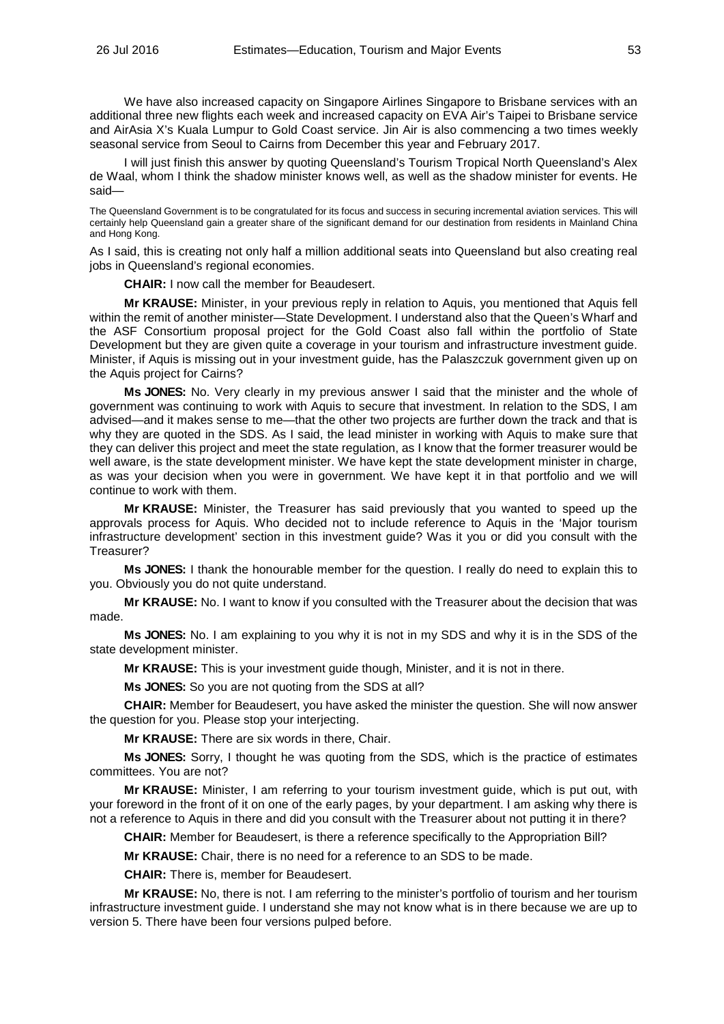We have also increased capacity on Singapore Airlines Singapore to Brisbane services with an additional three new flights each week and increased capacity on EVA Air's Taipei to Brisbane service and AirAsia X's Kuala Lumpur to Gold Coast service. Jin Air is also commencing a two times weekly seasonal service from Seoul to Cairns from December this year and February 2017.

I will just finish this answer by quoting Queensland's Tourism Tropical North Queensland's Alex de Waal, whom I think the shadow minister knows well, as well as the shadow minister for events. He said—

The Queensland Government is to be congratulated for its focus and success in securing incremental aviation services. This will certainly help Queensland gain a greater share of the significant demand for our destination from residents in Mainland China and Hong Kong.

As I said, this is creating not only half a million additional seats into Queensland but also creating real jobs in Queensland's regional economies.

**CHAIR:** I now call the member for Beaudesert.

**Mr KRAUSE:** Minister, in your previous reply in relation to Aquis, you mentioned that Aquis fell within the remit of another minister—State Development. I understand also that the Queen's Wharf and the ASF Consortium proposal project for the Gold Coast also fall within the portfolio of State Development but they are given quite a coverage in your tourism and infrastructure investment guide. Minister, if Aquis is missing out in your investment guide, has the Palaszczuk government given up on the Aquis project for Cairns?

**Ms JONES:** No. Very clearly in my previous answer I said that the minister and the whole of government was continuing to work with Aquis to secure that investment. In relation to the SDS, I am advised—and it makes sense to me—that the other two projects are further down the track and that is why they are quoted in the SDS. As I said, the lead minister in working with Aquis to make sure that they can deliver this project and meet the state regulation, as I know that the former treasurer would be well aware, is the state development minister. We have kept the state development minister in charge, as was your decision when you were in government. We have kept it in that portfolio and we will continue to work with them.

**Mr KRAUSE:** Minister, the Treasurer has said previously that you wanted to speed up the approvals process for Aquis. Who decided not to include reference to Aquis in the 'Major tourism infrastructure development' section in this investment guide? Was it you or did you consult with the Treasurer?

**Ms JONES:** I thank the honourable member for the question. I really do need to explain this to you. Obviously you do not quite understand.

**Mr KRAUSE:** No. I want to know if you consulted with the Treasurer about the decision that was made.

**Ms JONES:** No. I am explaining to you why it is not in my SDS and why it is in the SDS of the state development minister.

**Mr KRAUSE:** This is your investment guide though, Minister, and it is not in there.

**Ms JONES:** So you are not quoting from the SDS at all?

**CHAIR:** Member for Beaudesert, you have asked the minister the question. She will now answer the question for you. Please stop your interjecting.

**Mr KRAUSE:** There are six words in there, Chair.

**Ms JONES:** Sorry, I thought he was quoting from the SDS, which is the practice of estimates committees. You are not?

**Mr KRAUSE:** Minister, I am referring to your tourism investment guide, which is put out, with your foreword in the front of it on one of the early pages, by your department. I am asking why there is not a reference to Aquis in there and did you consult with the Treasurer about not putting it in there?

**CHAIR:** Member for Beaudesert, is there a reference specifically to the Appropriation Bill?

**Mr KRAUSE:** Chair, there is no need for a reference to an SDS to be made.

**CHAIR:** There is, member for Beaudesert.

**Mr KRAUSE:** No, there is not. I am referring to the minister's portfolio of tourism and her tourism infrastructure investment guide. I understand she may not know what is in there because we are up to version 5. There have been four versions pulped before.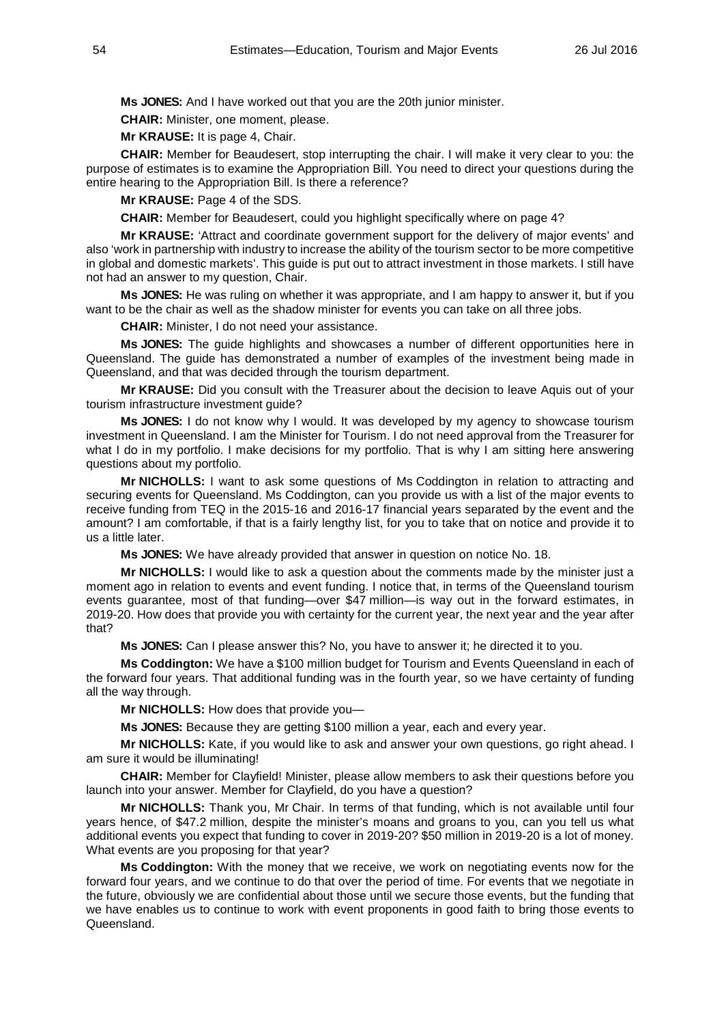**Ms JONES:** And I have worked out that you are the 20th junior minister.

**CHAIR:** Minister, one moment, please.

**Mr KRAUSE:** It is page 4, Chair.

**CHAIR:** Member for Beaudesert, stop interrupting the chair. I will make it very clear to you: the purpose of estimates is to examine the Appropriation Bill. You need to direct your questions during the entire hearing to the Appropriation Bill. Is there a reference?

**Mr KRAUSE:** Page 4 of the SDS.

**CHAIR:** Member for Beaudesert, could you highlight specifically where on page 4?

**Mr KRAUSE:** 'Attract and coordinate government support for the delivery of major events' and also 'work in partnership with industry to increase the ability of the tourism sector to be more competitive in global and domestic markets'. This guide is put out to attract investment in those markets. I still have not had an answer to my question, Chair.

**Ms JONES:** He was ruling on whether it was appropriate, and I am happy to answer it, but if you want to be the chair as well as the shadow minister for events you can take on all three jobs.

**CHAIR:** Minister, I do not need your assistance.

**Ms JONES:** The guide highlights and showcases a number of different opportunities here in Queensland. The guide has demonstrated a number of examples of the investment being made in Queensland, and that was decided through the tourism department.

**Mr KRAUSE:** Did you consult with the Treasurer about the decision to leave Aquis out of your tourism infrastructure investment guide?

**Ms JONES:** I do not know why I would. It was developed by my agency to showcase tourism investment in Queensland. I am the Minister for Tourism. I do not need approval from the Treasurer for what I do in my portfolio. I make decisions for my portfolio. That is why I am sitting here answering questions about my portfolio.

**Mr NICHOLLS:** I want to ask some questions of Ms Coddington in relation to attracting and securing events for Queensland. Ms Coddington, can you provide us with a list of the major events to receive funding from TEQ in the 2015-16 and 2016-17 financial years separated by the event and the amount? I am comfortable, if that is a fairly lengthy list, for you to take that on notice and provide it to us a little later.

**Ms JONES:** We have already provided that answer in question on notice No. 18.

**Mr NICHOLLS:** I would like to ask a question about the comments made by the minister just a moment ago in relation to events and event funding. I notice that, in terms of the Queensland tourism events guarantee, most of that funding—over \$47 million—is way out in the forward estimates, in 2019-20. How does that provide you with certainty for the current year, the next year and the year after that?

**Ms JONES:** Can I please answer this? No, you have to answer it; he directed it to you.

**Ms Coddington:** We have a \$100 million budget for Tourism and Events Queensland in each of the forward four years. That additional funding was in the fourth year, so we have certainty of funding all the way through.

**Mr NICHOLLS:** How does that provide you—

**Ms JONES:** Because they are getting \$100 million a year, each and every year.

**Mr NICHOLLS:** Kate, if you would like to ask and answer your own questions, go right ahead. I am sure it would be illuminating!

**CHAIR:** Member for Clayfield! Minister, please allow members to ask their questions before you launch into your answer. Member for Clayfield, do you have a question?

**Mr NICHOLLS:** Thank you, Mr Chair. In terms of that funding, which is not available until four years hence, of \$47.2 million, despite the minister's moans and groans to you, can you tell us what additional events you expect that funding to cover in 2019-20? \$50 million in 2019-20 is a lot of money. What events are you proposing for that year?

**Ms Coddington:** With the money that we receive, we work on negotiating events now for the forward four years, and we continue to do that over the period of time. For events that we negotiate in the future, obviously we are confidential about those until we secure those events, but the funding that we have enables us to continue to work with event proponents in good faith to bring those events to Queensland.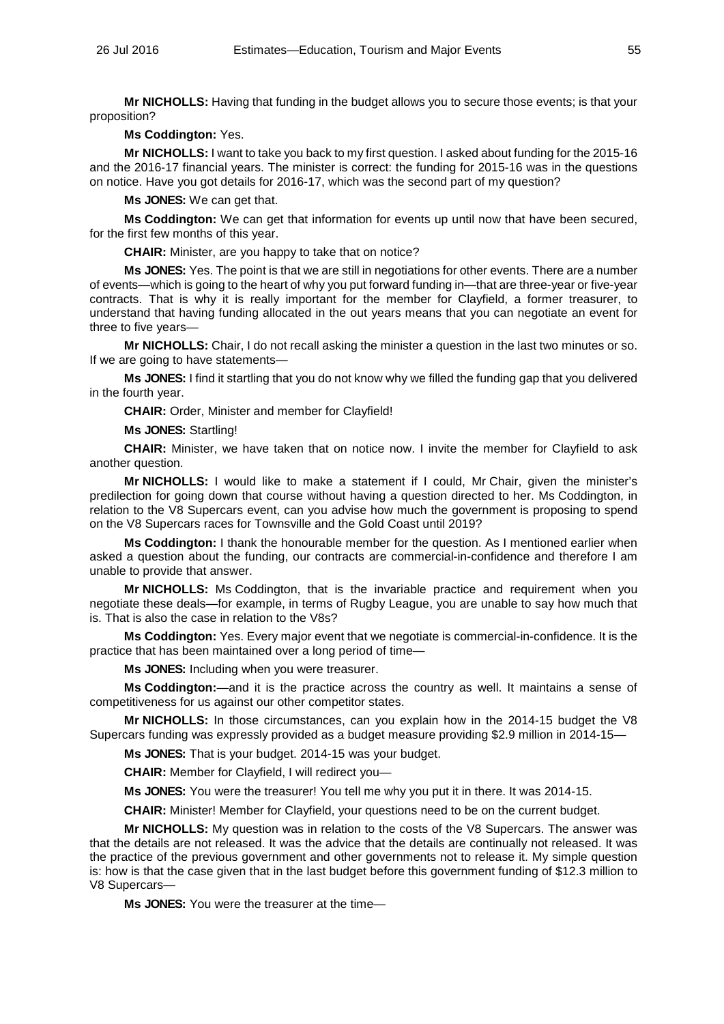**Mr NICHOLLS:** Having that funding in the budget allows you to secure those events; is that your proposition?

# **Ms Coddington:** Yes.

**Mr NICHOLLS:** I want to take you back to my first question. I asked about funding for the 2015-16 and the 2016-17 financial years. The minister is correct: the funding for 2015-16 was in the questions on notice. Have you got details for 2016-17, which was the second part of my question?

**Ms JONES:** We can get that.

**Ms Coddington:** We can get that information for events up until now that have been secured, for the first few months of this year.

**CHAIR:** Minister, are you happy to take that on notice?

**Ms JONES:** Yes. The point is that we are still in negotiations for other events. There are a number of events—which is going to the heart of why you put forward funding in—that are three-year or five-year contracts. That is why it is really important for the member for Clayfield, a former treasurer, to understand that having funding allocated in the out years means that you can negotiate an event for three to five years—

**Mr NICHOLLS:** Chair, I do not recall asking the minister a question in the last two minutes or so. If we are going to have statements—

**Ms JONES:** I find it startling that you do not know why we filled the funding gap that you delivered in the fourth year.

**CHAIR:** Order, Minister and member for Clayfield!

**Ms JONES:** Startling!

**CHAIR:** Minister, we have taken that on notice now. I invite the member for Clayfield to ask another question.

**Mr NICHOLLS:** I would like to make a statement if I could, Mr Chair, given the minister's predilection for going down that course without having a question directed to her. Ms Coddington, in relation to the V8 Supercars event, can you advise how much the government is proposing to spend on the V8 Supercars races for Townsville and the Gold Coast until 2019?

**Ms Coddington:** I thank the honourable member for the question. As I mentioned earlier when asked a question about the funding, our contracts are commercial-in-confidence and therefore I am unable to provide that answer.

**Mr NICHOLLS:** Ms Coddington, that is the invariable practice and requirement when you negotiate these deals—for example, in terms of Rugby League, you are unable to say how much that is. That is also the case in relation to the V8s?

**Ms Coddington:** Yes. Every major event that we negotiate is commercial-in-confidence. It is the practice that has been maintained over a long period of time—

**Ms JONES:** Including when you were treasurer.

**Ms Coddington:**—and it is the practice across the country as well. It maintains a sense of competitiveness for us against our other competitor states.

**Mr NICHOLLS:** In those circumstances, can you explain how in the 2014-15 budget the V8 Supercars funding was expressly provided as a budget measure providing \$2.9 million in 2014-15—

**Ms JONES:** That is your budget. 2014-15 was your budget.

**CHAIR:** Member for Clayfield, I will redirect you—

**Ms JONES:** You were the treasurer! You tell me why you put it in there. It was 2014-15.

**CHAIR:** Minister! Member for Clayfield, your questions need to be on the current budget.

**Mr NICHOLLS:** My question was in relation to the costs of the V8 Supercars. The answer was that the details are not released. It was the advice that the details are continually not released. It was the practice of the previous government and other governments not to release it. My simple question is: how is that the case given that in the last budget before this government funding of \$12.3 million to V8 Supercars—

**Ms JONES:** You were the treasurer at the time—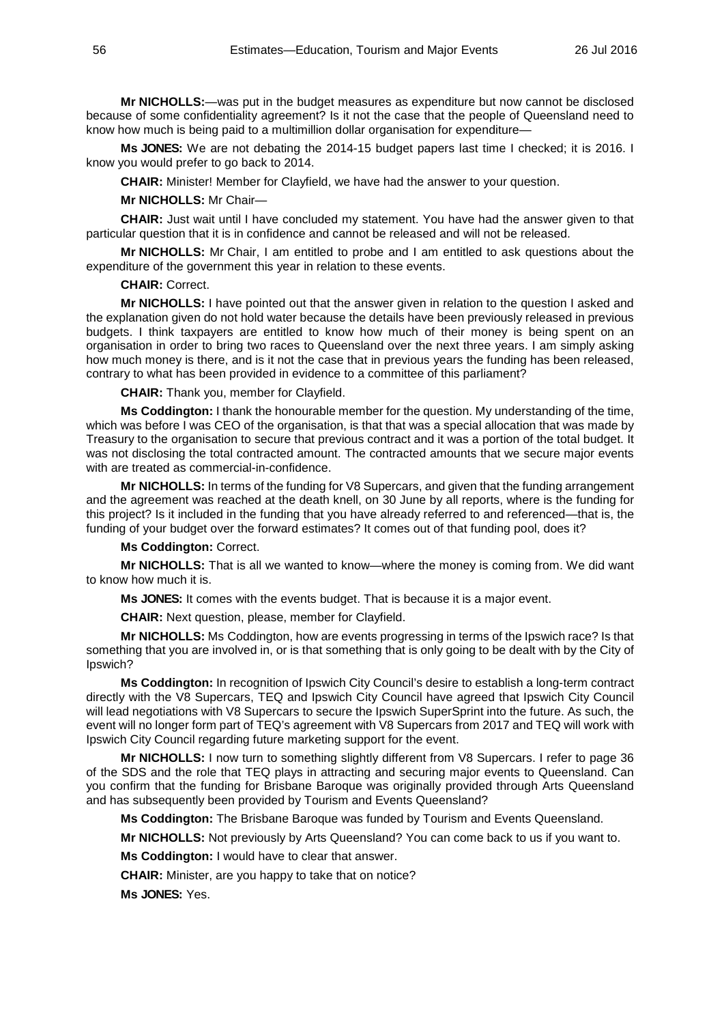**Mr NICHOLLS:**—was put in the budget measures as expenditure but now cannot be disclosed because of some confidentiality agreement? Is it not the case that the people of Queensland need to know how much is being paid to a multimillion dollar organisation for expenditure—

**Ms JONES:** We are not debating the 2014-15 budget papers last time I checked; it is 2016. I know you would prefer to go back to 2014.

**CHAIR:** Minister! Member for Clayfield, we have had the answer to your question.

### **Mr NICHOLLS:** Mr Chair—

**CHAIR:** Just wait until I have concluded my statement. You have had the answer given to that particular question that it is in confidence and cannot be released and will not be released.

**Mr NICHOLLS:** Mr Chair, I am entitled to probe and I am entitled to ask questions about the expenditure of the government this year in relation to these events.

**CHAIR:** Correct.

**Mr NICHOLLS:** I have pointed out that the answer given in relation to the question I asked and the explanation given do not hold water because the details have been previously released in previous budgets. I think taxpayers are entitled to know how much of their money is being spent on an organisation in order to bring two races to Queensland over the next three years. I am simply asking how much money is there, and is it not the case that in previous years the funding has been released, contrary to what has been provided in evidence to a committee of this parliament?

**CHAIR:** Thank you, member for Clayfield.

**Ms Coddington:** I thank the honourable member for the question. My understanding of the time, which was before I was CEO of the organisation, is that that was a special allocation that was made by Treasury to the organisation to secure that previous contract and it was a portion of the total budget. It was not disclosing the total contracted amount. The contracted amounts that we secure major events with are treated as commercial-in-confidence.

**Mr NICHOLLS:** In terms of the funding for V8 Supercars, and given that the funding arrangement and the agreement was reached at the death knell, on 30 June by all reports, where is the funding for this project? Is it included in the funding that you have already referred to and referenced—that is, the funding of your budget over the forward estimates? It comes out of that funding pool, does it?

### **Ms Coddington:** Correct.

**Mr NICHOLLS:** That is all we wanted to know—where the money is coming from. We did want to know how much it is.

**Ms JONES:** It comes with the events budget. That is because it is a major event.

**CHAIR:** Next question, please, member for Clayfield.

**Mr NICHOLLS:** Ms Coddington, how are events progressing in terms of the Ipswich race? Is that something that you are involved in, or is that something that is only going to be dealt with by the City of Ipswich?

**Ms Coddington:** In recognition of Ipswich City Council's desire to establish a long-term contract directly with the V8 Supercars, TEQ and Ipswich City Council have agreed that Ipswich City Council will lead negotiations with V8 Supercars to secure the Ipswich SuperSprint into the future. As such, the event will no longer form part of TEQ's agreement with V8 Supercars from 2017 and TEQ will work with Ipswich City Council regarding future marketing support for the event.

**Mr NICHOLLS:** I now turn to something slightly different from V8 Supercars. I refer to page 36 of the SDS and the role that TEQ plays in attracting and securing major events to Queensland. Can you confirm that the funding for Brisbane Baroque was originally provided through Arts Queensland and has subsequently been provided by Tourism and Events Queensland?

**Ms Coddington:** The Brisbane Baroque was funded by Tourism and Events Queensland.

**Mr NICHOLLS:** Not previously by Arts Queensland? You can come back to us if you want to.

**Ms Coddington:** I would have to clear that answer.

**CHAIR:** Minister, are you happy to take that on notice?

**Ms JONES:** Yes.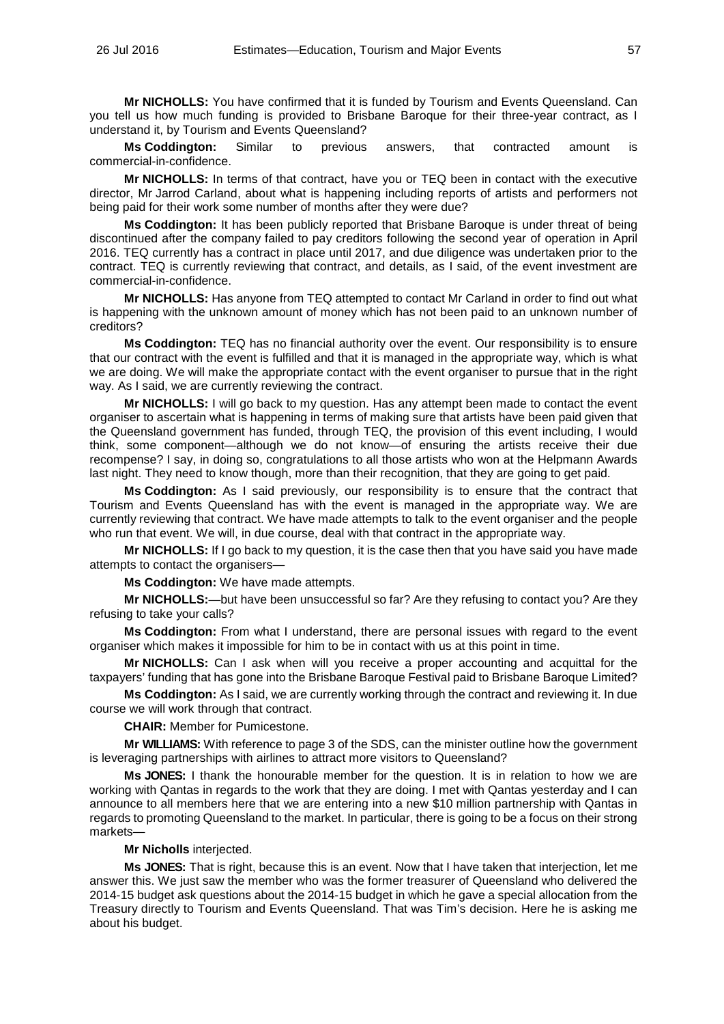**Mr NICHOLLS:** You have confirmed that it is funded by Tourism and Events Queensland. Can you tell us how much funding is provided to Brisbane Baroque for their three-year contract, as I understand it, by Tourism and Events Queensland?

**Ms Coddington:** Similar to previous answers, that contracted amount is commercial-in-confidence.

**Mr NICHOLLS:** In terms of that contract, have you or TEQ been in contact with the executive director, Mr Jarrod Carland, about what is happening including reports of artists and performers not being paid for their work some number of months after they were due?

**Ms Coddington:** It has been publicly reported that Brisbane Baroque is under threat of being discontinued after the company failed to pay creditors following the second year of operation in April 2016. TEQ currently has a contract in place until 2017, and due diligence was undertaken prior to the contract. TEQ is currently reviewing that contract, and details, as I said, of the event investment are commercial-in-confidence.

**Mr NICHOLLS:** Has anyone from TEQ attempted to contact Mr Carland in order to find out what is happening with the unknown amount of money which has not been paid to an unknown number of creditors?

**Ms Coddington:** TEQ has no financial authority over the event. Our responsibility is to ensure that our contract with the event is fulfilled and that it is managed in the appropriate way, which is what we are doing. We will make the appropriate contact with the event organiser to pursue that in the right way. As I said, we are currently reviewing the contract.

**Mr NICHOLLS:** I will go back to my question. Has any attempt been made to contact the event organiser to ascertain what is happening in terms of making sure that artists have been paid given that the Queensland government has funded, through TEQ, the provision of this event including, I would think, some component—although we do not know—of ensuring the artists receive their due recompense? I say, in doing so, congratulations to all those artists who won at the Helpmann Awards last night. They need to know though, more than their recognition, that they are going to get paid.

**Ms Coddington:** As I said previously, our responsibility is to ensure that the contract that Tourism and Events Queensland has with the event is managed in the appropriate way. We are currently reviewing that contract. We have made attempts to talk to the event organiser and the people who run that event. We will, in due course, deal with that contract in the appropriate way.

**Mr NICHOLLS:** If I go back to my question, it is the case then that you have said you have made attempts to contact the organisers—

**Ms Coddington:** We have made attempts.

**Mr NICHOLLS:**—but have been unsuccessful so far? Are they refusing to contact you? Are they refusing to take your calls?

**Ms Coddington:** From what I understand, there are personal issues with regard to the event organiser which makes it impossible for him to be in contact with us at this point in time.

**Mr NICHOLLS:** Can I ask when will you receive a proper accounting and acquittal for the taxpayers' funding that has gone into the Brisbane Baroque Festival paid to Brisbane Baroque Limited?

**Ms Coddington:** As I said, we are currently working through the contract and reviewing it. In due course we will work through that contract.

**CHAIR:** Member for Pumicestone.

**Mr WILLIAMS:** With reference to page 3 of the SDS, can the minister outline how the government is leveraging partnerships with airlines to attract more visitors to Queensland?

**Ms JONES:** I thank the honourable member for the question. It is in relation to how we are working with Qantas in regards to the work that they are doing. I met with Qantas yesterday and I can announce to all members here that we are entering into a new \$10 million partnership with Qantas in regards to promoting Queensland to the market. In particular, there is going to be a focus on their strong markets—

### **Mr Nicholls** interjected.

**Ms JONES:** That is right, because this is an event. Now that I have taken that interjection, let me answer this. We just saw the member who was the former treasurer of Queensland who delivered the 2014-15 budget ask questions about the 2014-15 budget in which he gave a special allocation from the Treasury directly to Tourism and Events Queensland. That was Tim's decision. Here he is asking me about his budget.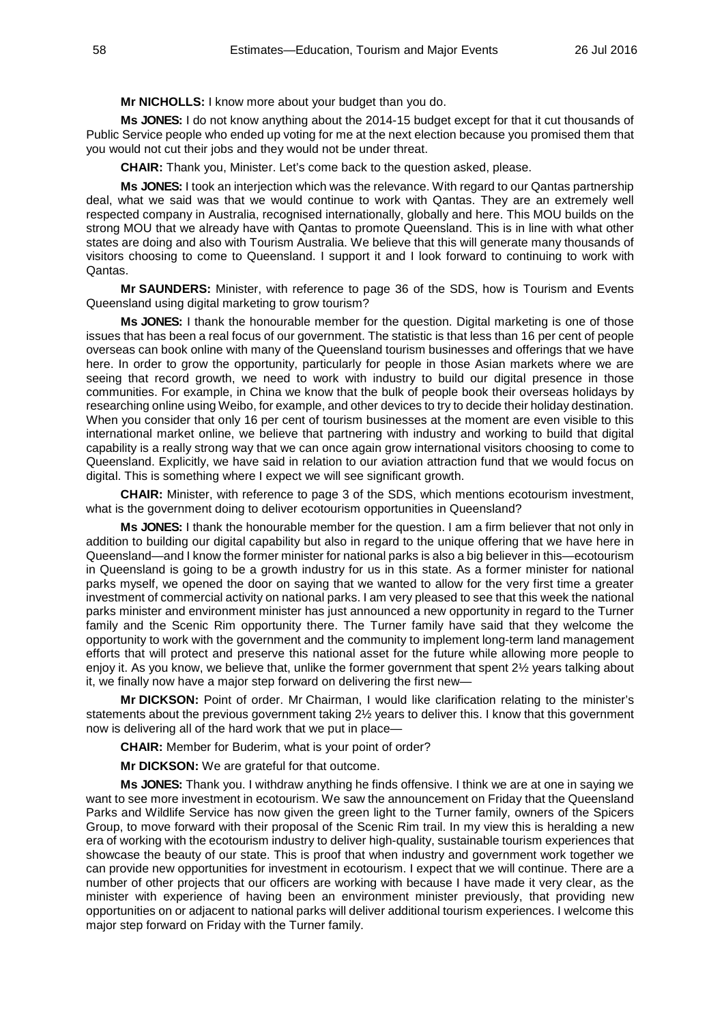**Mr NICHOLLS:** I know more about your budget than you do.

**Ms JONES:** I do not know anything about the 2014-15 budget except for that it cut thousands of Public Service people who ended up voting for me at the next election because you promised them that you would not cut their jobs and they would not be under threat.

**CHAIR:** Thank you, Minister. Let's come back to the question asked, please.

**Ms JONES:** I took an interjection which was the relevance. With regard to our Qantas partnership deal, what we said was that we would continue to work with Qantas. They are an extremely well respected company in Australia, recognised internationally, globally and here. This MOU builds on the strong MOU that we already have with Qantas to promote Queensland. This is in line with what other states are doing and also with Tourism Australia. We believe that this will generate many thousands of visitors choosing to come to Queensland. I support it and I look forward to continuing to work with Qantas.

**Mr SAUNDERS:** Minister, with reference to page 36 of the SDS, how is Tourism and Events Queensland using digital marketing to grow tourism?

**Ms JONES:** I thank the honourable member for the question. Digital marketing is one of those issues that has been a real focus of our government. The statistic is that less than 16 per cent of people overseas can book online with many of the Queensland tourism businesses and offerings that we have here. In order to grow the opportunity, particularly for people in those Asian markets where we are seeing that record growth, we need to work with industry to build our digital presence in those communities. For example, in China we know that the bulk of people book their overseas holidays by researching online using Weibo, for example, and other devices to try to decide their holiday destination. When you consider that only 16 per cent of tourism businesses at the moment are even visible to this international market online, we believe that partnering with industry and working to build that digital capability is a really strong way that we can once again grow international visitors choosing to come to Queensland. Explicitly, we have said in relation to our aviation attraction fund that we would focus on digital. This is something where I expect we will see significant growth.

**CHAIR:** Minister, with reference to page 3 of the SDS, which mentions ecotourism investment, what is the government doing to deliver ecotourism opportunities in Queensland?

**Ms JONES:** I thank the honourable member for the question. I am a firm believer that not only in addition to building our digital capability but also in regard to the unique offering that we have here in Queensland—and I know the former minister for national parks is also a big believer in this—ecotourism in Queensland is going to be a growth industry for us in this state. As a former minister for national parks myself, we opened the door on saying that we wanted to allow for the very first time a greater investment of commercial activity on national parks. I am very pleased to see that this week the national parks minister and environment minister has just announced a new opportunity in regard to the Turner family and the Scenic Rim opportunity there. The Turner family have said that they welcome the opportunity to work with the government and the community to implement long-term land management efforts that will protect and preserve this national asset for the future while allowing more people to enjoy it. As you know, we believe that, unlike the former government that spent 2½ years talking about it, we finally now have a major step forward on delivering the first new—

**Mr DICKSON:** Point of order. Mr Chairman, I would like clarification relating to the minister's statements about the previous government taking 2½ years to deliver this. I know that this government now is delivering all of the hard work that we put in place—

**CHAIR:** Member for Buderim, what is your point of order?

**Mr DICKSON:** We are grateful for that outcome.

**Ms JONES:** Thank you. I withdraw anything he finds offensive. I think we are at one in saying we want to see more investment in ecotourism. We saw the announcement on Friday that the Queensland Parks and Wildlife Service has now given the green light to the Turner family, owners of the Spicers Group, to move forward with their proposal of the Scenic Rim trail. In my view this is heralding a new era of working with the ecotourism industry to deliver high-quality, sustainable tourism experiences that showcase the beauty of our state. This is proof that when industry and government work together we can provide new opportunities for investment in ecotourism. I expect that we will continue. There are a number of other projects that our officers are working with because I have made it very clear, as the minister with experience of having been an environment minister previously, that providing new opportunities on or adjacent to national parks will deliver additional tourism experiences. I welcome this major step forward on Friday with the Turner family.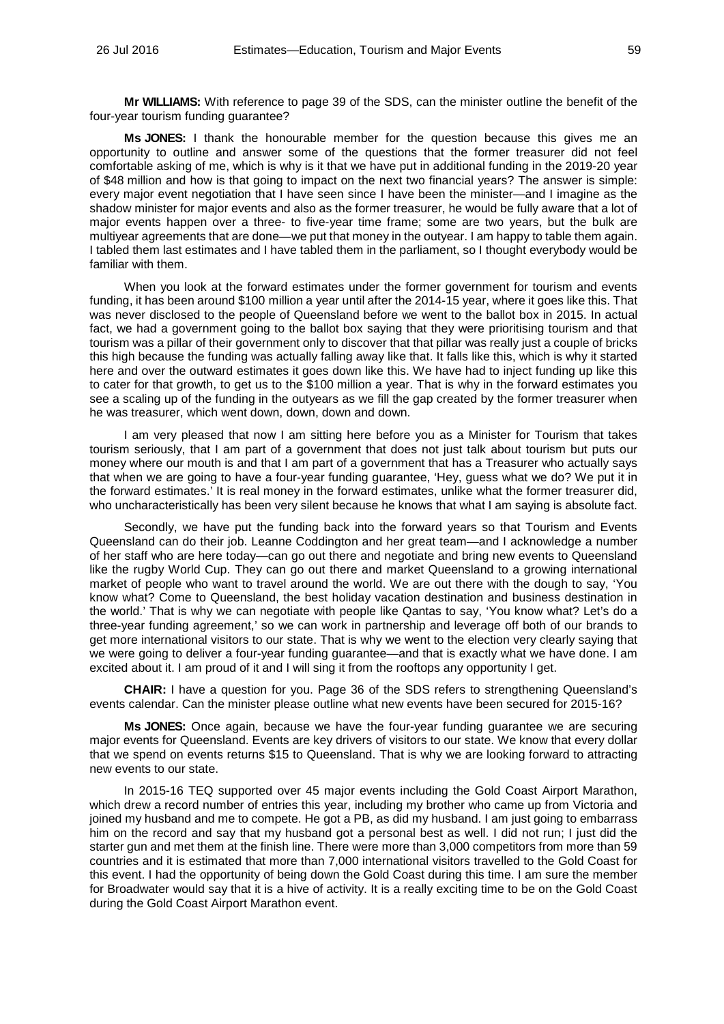**Mr WILLIAMS:** With reference to page 39 of the SDS, can the minister outline the benefit of the four-year tourism funding guarantee?

**Ms JONES:** I thank the honourable member for the question because this gives me an opportunity to outline and answer some of the questions that the former treasurer did not feel comfortable asking of me, which is why is it that we have put in additional funding in the 2019-20 year of \$48 million and how is that going to impact on the next two financial years? The answer is simple: every major event negotiation that I have seen since I have been the minister—and I imagine as the shadow minister for major events and also as the former treasurer, he would be fully aware that a lot of major events happen over a three- to five-year time frame; some are two years, but the bulk are multiyear agreements that are done—we put that money in the outyear. I am happy to table them again. I tabled them last estimates and I have tabled them in the parliament, so I thought everybody would be familiar with them.

When you look at the forward estimates under the former government for tourism and events funding, it has been around \$100 million a year until after the 2014-15 year, where it goes like this. That was never disclosed to the people of Queensland before we went to the ballot box in 2015. In actual fact, we had a government going to the ballot box saying that they were prioritising tourism and that tourism was a pillar of their government only to discover that that pillar was really just a couple of bricks this high because the funding was actually falling away like that. It falls like this, which is why it started here and over the outward estimates it goes down like this. We have had to inject funding up like this to cater for that growth, to get us to the \$100 million a year. That is why in the forward estimates you see a scaling up of the funding in the outyears as we fill the gap created by the former treasurer when he was treasurer, which went down, down, down and down.

I am very pleased that now I am sitting here before you as a Minister for Tourism that takes tourism seriously, that I am part of a government that does not just talk about tourism but puts our money where our mouth is and that I am part of a government that has a Treasurer who actually says that when we are going to have a four-year funding guarantee, 'Hey, guess what we do? We put it in the forward estimates.' It is real money in the forward estimates, unlike what the former treasurer did, who uncharacteristically has been very silent because he knows that what I am saying is absolute fact.

Secondly, we have put the funding back into the forward years so that Tourism and Events Queensland can do their job. Leanne Coddington and her great team—and I acknowledge a number of her staff who are here today—can go out there and negotiate and bring new events to Queensland like the rugby World Cup. They can go out there and market Queensland to a growing international market of people who want to travel around the world. We are out there with the dough to say, 'You know what? Come to Queensland, the best holiday vacation destination and business destination in the world.' That is why we can negotiate with people like Qantas to say, 'You know what? Let's do a three-year funding agreement,' so we can work in partnership and leverage off both of our brands to get more international visitors to our state. That is why we went to the election very clearly saying that we were going to deliver a four-year funding guarantee—and that is exactly what we have done. I am excited about it. I am proud of it and I will sing it from the rooftops any opportunity I get.

**CHAIR:** I have a question for you. Page 36 of the SDS refers to strengthening Queensland's events calendar. Can the minister please outline what new events have been secured for 2015-16?

**Ms JONES:** Once again, because we have the four-year funding guarantee we are securing major events for Queensland. Events are key drivers of visitors to our state. We know that every dollar that we spend on events returns \$15 to Queensland. That is why we are looking forward to attracting new events to our state.

In 2015-16 TEQ supported over 45 major events including the Gold Coast Airport Marathon, which drew a record number of entries this year, including my brother who came up from Victoria and joined my husband and me to compete. He got a PB, as did my husband. I am just going to embarrass him on the record and say that my husband got a personal best as well. I did not run; I just did the starter gun and met them at the finish line. There were more than 3,000 competitors from more than 59 countries and it is estimated that more than 7,000 international visitors travelled to the Gold Coast for this event. I had the opportunity of being down the Gold Coast during this time. I am sure the member for Broadwater would say that it is a hive of activity. It is a really exciting time to be on the Gold Coast during the Gold Coast Airport Marathon event.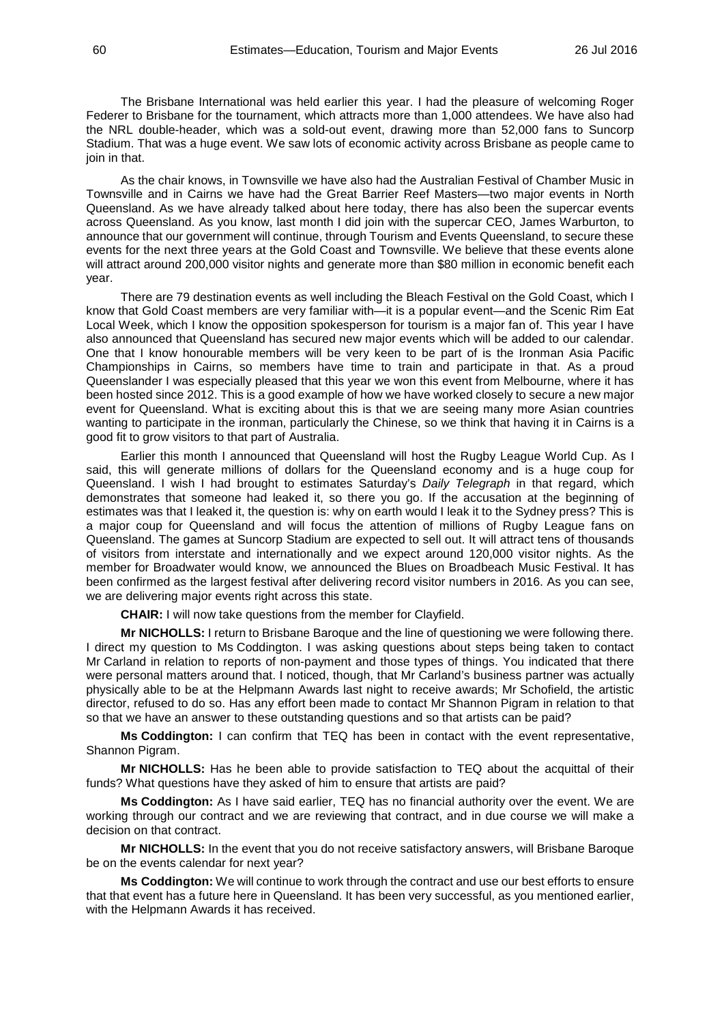The Brisbane International was held earlier this year. I had the pleasure of welcoming Roger Federer to Brisbane for the tournament, which attracts more than 1,000 attendees. We have also had the NRL double-header, which was a sold-out event, drawing more than 52,000 fans to Suncorp Stadium. That was a huge event. We saw lots of economic activity across Brisbane as people came to join in that.

As the chair knows, in Townsville we have also had the Australian Festival of Chamber Music in Townsville and in Cairns we have had the Great Barrier Reef Masters—two major events in North Queensland. As we have already talked about here today, there has also been the supercar events across Queensland. As you know, last month I did join with the supercar CEO, James Warburton, to announce that our government will continue, through Tourism and Events Queensland, to secure these events for the next three years at the Gold Coast and Townsville. We believe that these events alone will attract around 200,000 visitor nights and generate more than \$80 million in economic benefit each year.

There are 79 destination events as well including the Bleach Festival on the Gold Coast, which I know that Gold Coast members are very familiar with—it is a popular event—and the Scenic Rim Eat Local Week, which I know the opposition spokesperson for tourism is a major fan of. This year I have also announced that Queensland has secured new major events which will be added to our calendar. One that I know honourable members will be very keen to be part of is the Ironman Asia Pacific Championships in Cairns, so members have time to train and participate in that. As a proud Queenslander I was especially pleased that this year we won this event from Melbourne, where it has been hosted since 2012. This is a good example of how we have worked closely to secure a new major event for Queensland. What is exciting about this is that we are seeing many more Asian countries wanting to participate in the ironman, particularly the Chinese, so we think that having it in Cairns is a good fit to grow visitors to that part of Australia.

Earlier this month I announced that Queensland will host the Rugby League World Cup. As I said, this will generate millions of dollars for the Queensland economy and is a huge coup for Queensland. I wish I had brought to estimates Saturday's *Daily Telegraph* in that regard, which demonstrates that someone had leaked it, so there you go. If the accusation at the beginning of estimates was that I leaked it, the question is: why on earth would I leak it to the Sydney press? This is a major coup for Queensland and will focus the attention of millions of Rugby League fans on Queensland. The games at Suncorp Stadium are expected to sell out. It will attract tens of thousands of visitors from interstate and internationally and we expect around 120,000 visitor nights. As the member for Broadwater would know, we announced the Blues on Broadbeach Music Festival. It has been confirmed as the largest festival after delivering record visitor numbers in 2016. As you can see, we are delivering major events right across this state.

**CHAIR:** I will now take questions from the member for Clayfield.

**Mr NICHOLLS:** I return to Brisbane Baroque and the line of questioning we were following there. I direct my question to Ms Coddington. I was asking questions about steps being taken to contact Mr Carland in relation to reports of non-payment and those types of things. You indicated that there were personal matters around that. I noticed, though, that Mr Carland's business partner was actually physically able to be at the Helpmann Awards last night to receive awards; Mr Schofield, the artistic director, refused to do so. Has any effort been made to contact Mr Shannon Pigram in relation to that so that we have an answer to these outstanding questions and so that artists can be paid?

**Ms Coddington:** I can confirm that TEQ has been in contact with the event representative, Shannon Pigram.

**Mr NICHOLLS:** Has he been able to provide satisfaction to TEQ about the acquittal of their funds? What questions have they asked of him to ensure that artists are paid?

**Ms Coddington:** As I have said earlier, TEQ has no financial authority over the event. We are working through our contract and we are reviewing that contract, and in due course we will make a decision on that contract.

**Mr NICHOLLS:** In the event that you do not receive satisfactory answers, will Brisbane Baroque be on the events calendar for next year?

**Ms Coddington:** We will continue to work through the contract and use our best efforts to ensure that that event has a future here in Queensland. It has been very successful, as you mentioned earlier, with the Helpmann Awards it has received.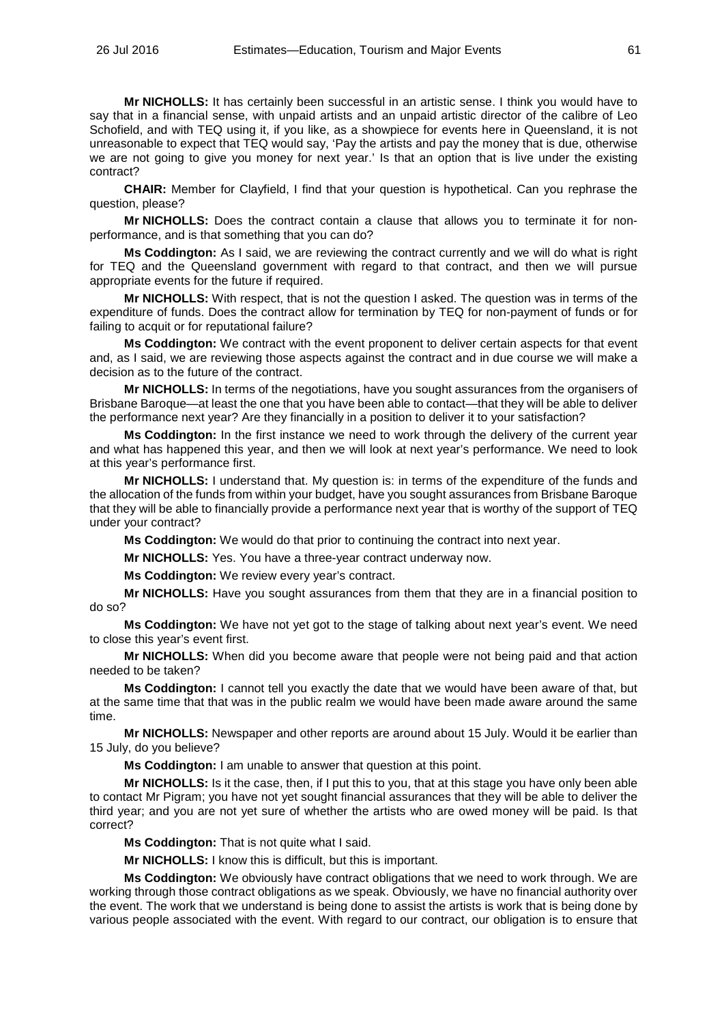**Mr NICHOLLS:** It has certainly been successful in an artistic sense. I think you would have to say that in a financial sense, with unpaid artists and an unpaid artistic director of the calibre of Leo Schofield, and with TEQ using it, if you like, as a showpiece for events here in Queensland, it is not unreasonable to expect that TEQ would say, 'Pay the artists and pay the money that is due, otherwise we are not going to give you money for next year.' Is that an option that is live under the existing contract?

**CHAIR:** Member for Clayfield, I find that your question is hypothetical. Can you rephrase the question, please?

**Mr NICHOLLS:** Does the contract contain a clause that allows you to terminate it for nonperformance, and is that something that you can do?

**Ms Coddington:** As I said, we are reviewing the contract currently and we will do what is right for TEQ and the Queensland government with regard to that contract, and then we will pursue appropriate events for the future if required.

**Mr NICHOLLS:** With respect, that is not the question I asked. The question was in terms of the expenditure of funds. Does the contract allow for termination by TEQ for non-payment of funds or for failing to acquit or for reputational failure?

**Ms Coddington:** We contract with the event proponent to deliver certain aspects for that event and, as I said, we are reviewing those aspects against the contract and in due course we will make a decision as to the future of the contract.

**Mr NICHOLLS:** In terms of the negotiations, have you sought assurances from the organisers of Brisbane Baroque—at least the one that you have been able to contact—that they will be able to deliver the performance next year? Are they financially in a position to deliver it to your satisfaction?

**Ms Coddington:** In the first instance we need to work through the delivery of the current year and what has happened this year, and then we will look at next year's performance. We need to look at this year's performance first.

**Mr NICHOLLS:** I understand that. My question is: in terms of the expenditure of the funds and the allocation of the funds from within your budget, have you sought assurances from Brisbane Baroque that they will be able to financially provide a performance next year that is worthy of the support of TEQ under your contract?

**Ms Coddington:** We would do that prior to continuing the contract into next year.

**Mr NICHOLLS:** Yes. You have a three-year contract underway now.

**Ms Coddington:** We review every year's contract.

**Mr NICHOLLS:** Have you sought assurances from them that they are in a financial position to do so?

**Ms Coddington:** We have not yet got to the stage of talking about next year's event. We need to close this year's event first.

**Mr NICHOLLS:** When did you become aware that people were not being paid and that action needed to be taken?

**Ms Coddington:** I cannot tell you exactly the date that we would have been aware of that, but at the same time that that was in the public realm we would have been made aware around the same time.

**Mr NICHOLLS:** Newspaper and other reports are around about 15 July. Would it be earlier than 15 July, do you believe?

**Ms Coddington:** I am unable to answer that question at this point.

**Mr NICHOLLS:** Is it the case, then, if I put this to you, that at this stage you have only been able to contact Mr Pigram; you have not yet sought financial assurances that they will be able to deliver the third year; and you are not yet sure of whether the artists who are owed money will be paid. Is that correct?

**Ms Coddington:** That is not quite what I said.

**Mr NICHOLLS:** I know this is difficult, but this is important.

**Ms Coddington:** We obviously have contract obligations that we need to work through. We are working through those contract obligations as we speak. Obviously, we have no financial authority over the event. The work that we understand is being done to assist the artists is work that is being done by various people associated with the event. With regard to our contract, our obligation is to ensure that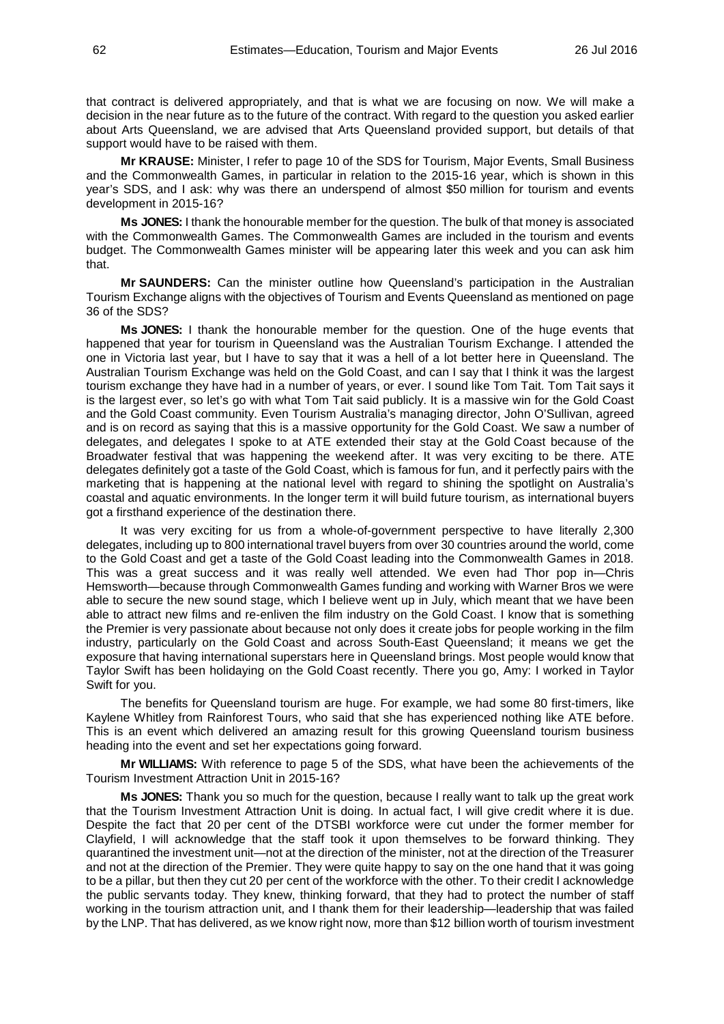that contract is delivered appropriately, and that is what we are focusing on now. We will make a decision in the near future as to the future of the contract. With regard to the question you asked earlier about Arts Queensland, we are advised that Arts Queensland provided support, but details of that support would have to be raised with them.

**Mr KRAUSE:** Minister, I refer to page 10 of the SDS for Tourism, Major Events, Small Business and the Commonwealth Games, in particular in relation to the 2015-16 year, which is shown in this year's SDS, and I ask: why was there an underspend of almost \$50 million for tourism and events development in 2015-16?

**Ms JONES:** I thank the honourable member for the question. The bulk of that money is associated with the Commonwealth Games. The Commonwealth Games are included in the tourism and events budget. The Commonwealth Games minister will be appearing later this week and you can ask him that.

**Mr SAUNDERS:** Can the minister outline how Queensland's participation in the Australian Tourism Exchange aligns with the objectives of Tourism and Events Queensland as mentioned on page 36 of the SDS?

**Ms JONES:** I thank the honourable member for the question. One of the huge events that happened that year for tourism in Queensland was the Australian Tourism Exchange. I attended the one in Victoria last year, but I have to say that it was a hell of a lot better here in Queensland. The Australian Tourism Exchange was held on the Gold Coast, and can I say that I think it was the largest tourism exchange they have had in a number of years, or ever. I sound like Tom Tait. Tom Tait says it is the largest ever, so let's go with what Tom Tait said publicly. It is a massive win for the Gold Coast and the Gold Coast community. Even Tourism Australia's managing director, John O'Sullivan, agreed and is on record as saying that this is a massive opportunity for the Gold Coast. We saw a number of delegates, and delegates I spoke to at ATE extended their stay at the Gold Coast because of the Broadwater festival that was happening the weekend after. It was very exciting to be there. ATE delegates definitely got a taste of the Gold Coast, which is famous for fun, and it perfectly pairs with the marketing that is happening at the national level with regard to shining the spotlight on Australia's coastal and aquatic environments. In the longer term it will build future tourism, as international buyers got a firsthand experience of the destination there.

It was very exciting for us from a whole-of-government perspective to have literally 2,300 delegates, including up to 800 international travel buyers from over 30 countries around the world, come to the Gold Coast and get a taste of the Gold Coast leading into the Commonwealth Games in 2018. This was a great success and it was really well attended. We even had Thor pop in—Chris Hemsworth—because through Commonwealth Games funding and working with Warner Bros we were able to secure the new sound stage, which I believe went up in July, which meant that we have been able to attract new films and re-enliven the film industry on the Gold Coast. I know that is something the Premier is very passionate about because not only does it create jobs for people working in the film industry, particularly on the Gold Coast and across South-East Queensland; it means we get the exposure that having international superstars here in Queensland brings. Most people would know that Taylor Swift has been holidaying on the Gold Coast recently. There you go, Amy: I worked in Taylor Swift for you.

The benefits for Queensland tourism are huge. For example, we had some 80 first-timers, like Kaylene Whitley from Rainforest Tours, who said that she has experienced nothing like ATE before. This is an event which delivered an amazing result for this growing Queensland tourism business heading into the event and set her expectations going forward.

**Mr WILLIAMS:** With reference to page 5 of the SDS, what have been the achievements of the Tourism Investment Attraction Unit in 2015-16?

**Ms JONES:** Thank you so much for the question, because I really want to talk up the great work that the Tourism Investment Attraction Unit is doing. In actual fact, I will give credit where it is due. Despite the fact that 20 per cent of the DTSBI workforce were cut under the former member for Clayfield, I will acknowledge that the staff took it upon themselves to be forward thinking. They quarantined the investment unit—not at the direction of the minister, not at the direction of the Treasurer and not at the direction of the Premier. They were quite happy to say on the one hand that it was going to be a pillar, but then they cut 20 per cent of the workforce with the other. To their credit I acknowledge the public servants today. They knew, thinking forward, that they had to protect the number of staff working in the tourism attraction unit, and I thank them for their leadership—leadership that was failed by the LNP. That has delivered, as we know right now, more than \$12 billion worth of tourism investment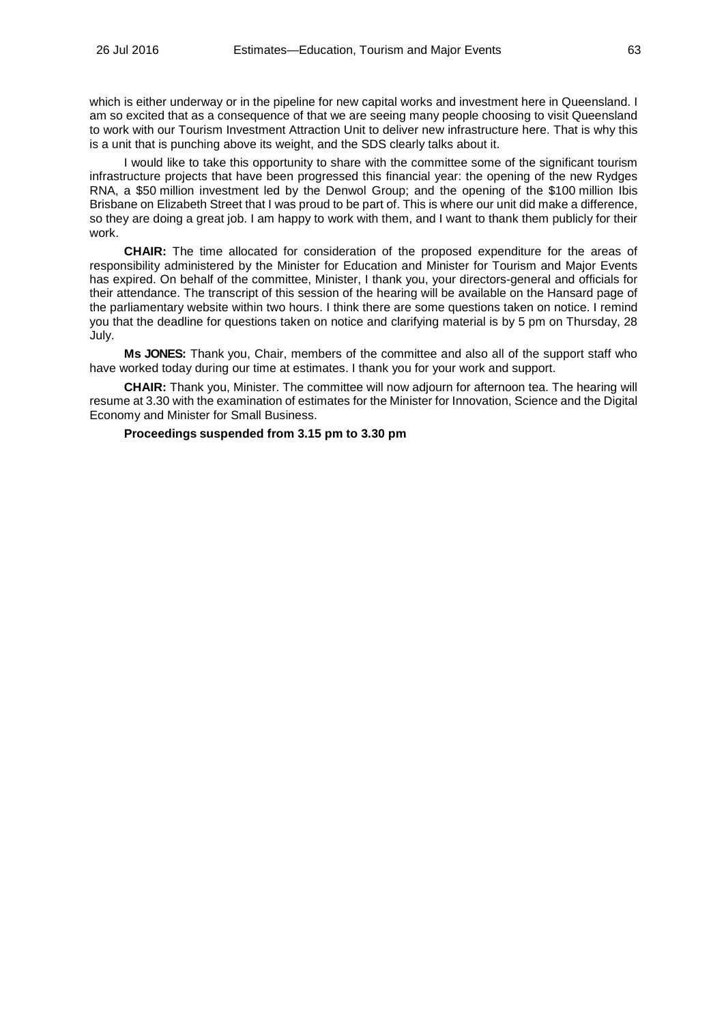which is either underway or in the pipeline for new capital works and investment here in Queensland. I am so excited that as a consequence of that we are seeing many people choosing to visit Queensland to work with our Tourism Investment Attraction Unit to deliver new infrastructure here. That is why this is a unit that is punching above its weight, and the SDS clearly talks about it.

I would like to take this opportunity to share with the committee some of the significant tourism infrastructure projects that have been progressed this financial year: the opening of the new Rydges RNA, a \$50 million investment led by the Denwol Group; and the opening of the \$100 million Ibis Brisbane on Elizabeth Street that I was proud to be part of. This is where our unit did make a difference, so they are doing a great job. I am happy to work with them, and I want to thank them publicly for their work.

**CHAIR:** The time allocated for consideration of the proposed expenditure for the areas of responsibility administered by the Minister for Education and Minister for Tourism and Major Events has expired. On behalf of the committee, Minister, I thank you, your directors-general and officials for their attendance. The transcript of this session of the hearing will be available on the Hansard page of the parliamentary website within two hours. I think there are some questions taken on notice. I remind you that the deadline for questions taken on notice and clarifying material is by 5 pm on Thursday, 28 July.

**Ms JONES:** Thank you, Chair, members of the committee and also all of the support staff who have worked today during our time at estimates. I thank you for your work and support.

**CHAIR:** Thank you, Minister. The committee will now adjourn for afternoon tea. The hearing will resume at 3.30 with the examination of estimates for the Minister for Innovation, Science and the Digital Economy and Minister for Small Business.

# **Proceedings suspended from 3.15 pm to 3.30 pm**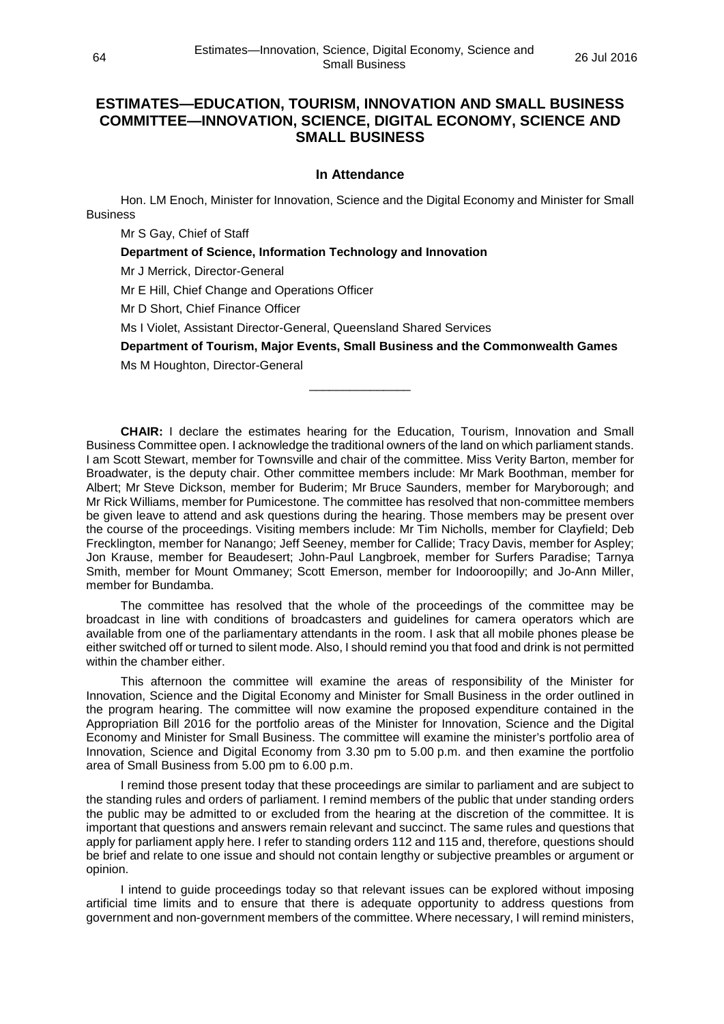# **ESTIMATES—EDUCATION, TOURISM, INNOVATION AND SMALL BUSINESS COMMITTEE—INNOVATION, SCIENCE, DIGITAL ECONOMY, SCIENCE AND SMALL BUSINESS**

# **In Attendance**

Hon. LM Enoch, Minister for Innovation, Science and the Digital Economy and Minister for Small **Business** 

Mr S Gay, Chief of Staff

**Department of Science, Information Technology and Innovation**

Mr J Merrick, Director-General

Mr E Hill, Chief Change and Operations Officer

Mr D Short, Chief Finance Officer

Ms I Violet, Assistant Director-General, Queensland Shared Services

**Department of Tourism, Major Events, Small Business and the Commonwealth Games**

\_\_\_\_\_\_\_\_\_\_\_\_\_\_\_

Ms M Houghton, Director-General

**CHAIR:** I declare the estimates hearing for the Education, Tourism, Innovation and Small Business Committee open. I acknowledge the traditional owners of the land on which parliament stands. I am Scott Stewart, member for Townsville and chair of the committee. Miss Verity Barton, member for Broadwater, is the deputy chair. Other committee members include: Mr Mark Boothman, member for Albert; Mr Steve Dickson, member for Buderim; Mr Bruce Saunders, member for Maryborough; and Mr Rick Williams, member for Pumicestone. The committee has resolved that non-committee members be given leave to attend and ask questions during the hearing. Those members may be present over the course of the proceedings. Visiting members include: Mr Tim Nicholls, member for Clayfield; Deb Frecklington, member for Nanango; Jeff Seeney, member for Callide; Tracy Davis, member for Aspley; Jon Krause, member for Beaudesert; John-Paul Langbroek, member for Surfers Paradise; Tarnya Smith, member for Mount Ommaney; Scott Emerson, member for Indooroopilly; and Jo-Ann Miller, member for Bundamba.

The committee has resolved that the whole of the proceedings of the committee may be broadcast in line with conditions of broadcasters and guidelines for camera operators which are available from one of the parliamentary attendants in the room. I ask that all mobile phones please be either switched off or turned to silent mode. Also, I should remind you that food and drink is not permitted within the chamber either.

This afternoon the committee will examine the areas of responsibility of the Minister for Innovation, Science and the Digital Economy and Minister for Small Business in the order outlined in the program hearing. The committee will now examine the proposed expenditure contained in the Appropriation Bill 2016 for the portfolio areas of the Minister for Innovation, Science and the Digital Economy and Minister for Small Business. The committee will examine the minister's portfolio area of Innovation, Science and Digital Economy from 3.30 pm to 5.00 p.m. and then examine the portfolio area of Small Business from 5.00 pm to 6.00 p.m.

I remind those present today that these proceedings are similar to parliament and are subject to the standing rules and orders of parliament. I remind members of the public that under standing orders the public may be admitted to or excluded from the hearing at the discretion of the committee. It is important that questions and answers remain relevant and succinct. The same rules and questions that apply for parliament apply here. I refer to standing orders 112 and 115 and, therefore, questions should be brief and relate to one issue and should not contain lengthy or subjective preambles or argument or opinion.

I intend to guide proceedings today so that relevant issues can be explored without imposing artificial time limits and to ensure that there is adequate opportunity to address questions from government and non-government members of the committee. Where necessary, I will remind ministers,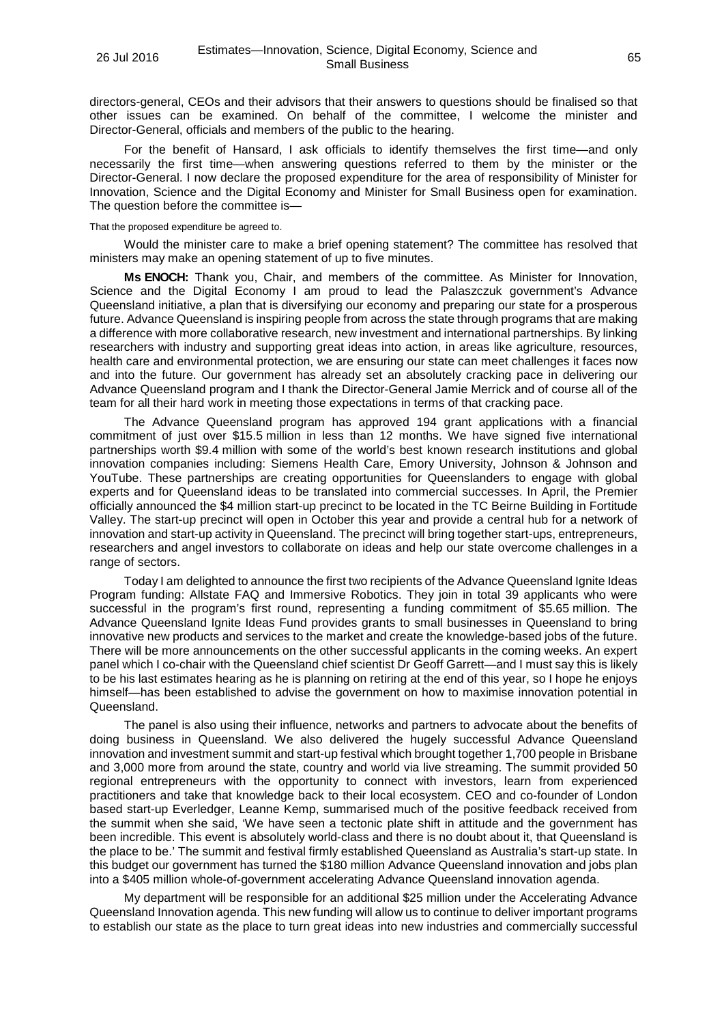directors-general, CEOs and their advisors that their answers to questions should be finalised so that other issues can be examined. On behalf of the committee, I welcome the minister and Director-General, officials and members of the public to the hearing.

For the benefit of Hansard, I ask officials to identify themselves the first time—and only necessarily the first time—when answering questions referred to them by the minister or the Director-General. I now declare the proposed expenditure for the area of responsibility of Minister for Innovation, Science and the Digital Economy and Minister for Small Business open for examination. The question before the committee is—

### That the proposed expenditure be agreed to.

Would the minister care to make a brief opening statement? The committee has resolved that ministers may make an opening statement of up to five minutes.

**Ms ENOCH:** Thank you, Chair, and members of the committee. As Minister for Innovation, Science and the Digital Economy I am proud to lead the Palaszczuk government's Advance Queensland initiative, a plan that is diversifying our economy and preparing our state for a prosperous future. Advance Queensland is inspiring people from across the state through programs that are making a difference with more collaborative research, new investment and international partnerships. By linking researchers with industry and supporting great ideas into action, in areas like agriculture, resources, health care and environmental protection, we are ensuring our state can meet challenges it faces now and into the future. Our government has already set an absolutely cracking pace in delivering our Advance Queensland program and I thank the Director-General Jamie Merrick and of course all of the team for all their hard work in meeting those expectations in terms of that cracking pace.

The Advance Queensland program has approved 194 grant applications with a financial commitment of just over \$15.5 million in less than 12 months. We have signed five international partnerships worth \$9.4 million with some of the world's best known research institutions and global innovation companies including: Siemens Health Care, Emory University, Johnson & Johnson and YouTube. These partnerships are creating opportunities for Queenslanders to engage with global experts and for Queensland ideas to be translated into commercial successes. In April, the Premier officially announced the \$4 million start-up precinct to be located in the TC Beirne Building in Fortitude Valley. The start-up precinct will open in October this year and provide a central hub for a network of innovation and start-up activity in Queensland. The precinct will bring together start-ups, entrepreneurs, researchers and angel investors to collaborate on ideas and help our state overcome challenges in a range of sectors.

Today I am delighted to announce the first two recipients of the Advance Queensland Ignite Ideas Program funding: Allstate FAQ and Immersive Robotics. They join in total 39 applicants who were successful in the program's first round, representing a funding commitment of \$5.65 million. The Advance Queensland Ignite Ideas Fund provides grants to small businesses in Queensland to bring innovative new products and services to the market and create the knowledge-based jobs of the future. There will be more announcements on the other successful applicants in the coming weeks. An expert panel which I co-chair with the Queensland chief scientist Dr Geoff Garrett—and I must say this is likely to be his last estimates hearing as he is planning on retiring at the end of this year, so I hope he enjoys himself—has been established to advise the government on how to maximise innovation potential in Queensland.

The panel is also using their influence, networks and partners to advocate about the benefits of doing business in Queensland. We also delivered the hugely successful Advance Queensland innovation and investment summit and start-up festival which brought together 1,700 people in Brisbane and 3,000 more from around the state, country and world via live streaming. The summit provided 50 regional entrepreneurs with the opportunity to connect with investors, learn from experienced practitioners and take that knowledge back to their local ecosystem. CEO and co-founder of London based start-up Everledger, Leanne Kemp, summarised much of the positive feedback received from the summit when she said, 'We have seen a tectonic plate shift in attitude and the government has been incredible. This event is absolutely world-class and there is no doubt about it, that Queensland is the place to be.' The summit and festival firmly established Queensland as Australia's start-up state. In this budget our government has turned the \$180 million Advance Queensland innovation and jobs plan into a \$405 million whole-of-government accelerating Advance Queensland innovation agenda.

My department will be responsible for an additional \$25 million under the Accelerating Advance Queensland Innovation agenda. This new funding will allow us to continue to deliver important programs to establish our state as the place to turn great ideas into new industries and commercially successful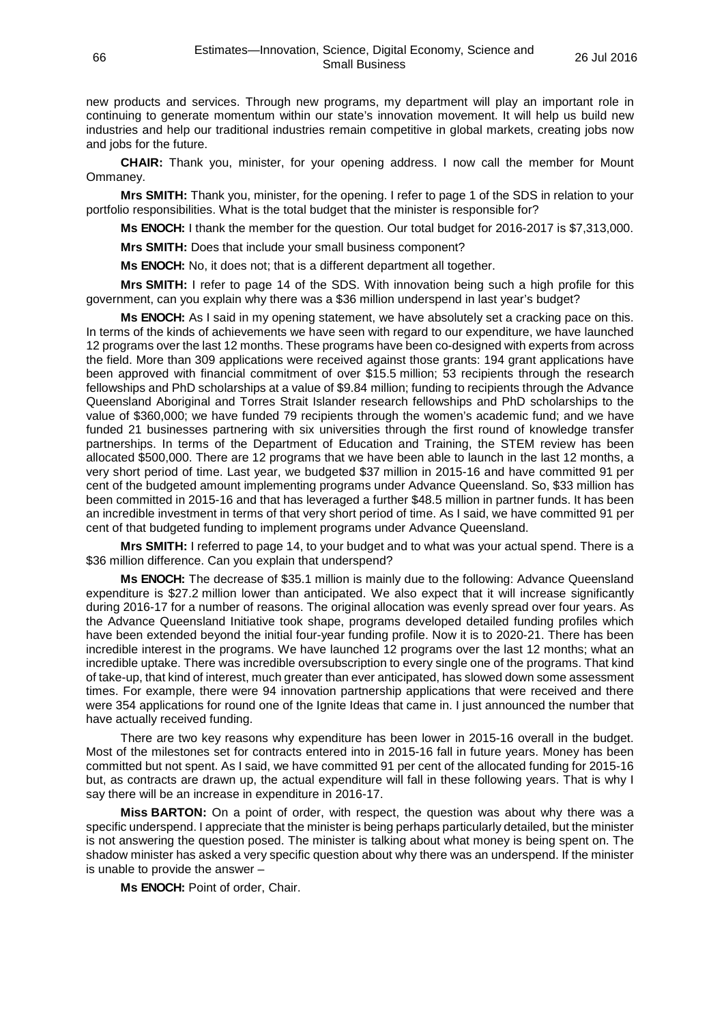new products and services. Through new programs, my department will play an important role in continuing to generate momentum within our state's innovation movement. It will help us build new industries and help our traditional industries remain competitive in global markets, creating jobs now and jobs for the future.

**CHAIR:** Thank you, minister, for your opening address. I now call the member for Mount Ommaney.

**Mrs SMITH:** Thank you, minister, for the opening. I refer to page 1 of the SDS in relation to your portfolio responsibilities. What is the total budget that the minister is responsible for?

**Ms ENOCH:** I thank the member for the question. Our total budget for 2016-2017 is \$7,313,000.

**Mrs SMITH:** Does that include your small business component?

**Ms ENOCH:** No, it does not; that is a different department all together.

**Mrs SMITH:** I refer to page 14 of the SDS. With innovation being such a high profile for this government, can you explain why there was a \$36 million underspend in last year's budget?

**Ms ENOCH:** As I said in my opening statement, we have absolutely set a cracking pace on this. In terms of the kinds of achievements we have seen with regard to our expenditure, we have launched 12 programs over the last 12 months. These programs have been co-designed with experts from across the field. More than 309 applications were received against those grants: 194 grant applications have been approved with financial commitment of over \$15.5 million; 53 recipients through the research fellowships and PhD scholarships at a value of \$9.84 million; funding to recipients through the Advance Queensland Aboriginal and Torres Strait Islander research fellowships and PhD scholarships to the value of \$360,000; we have funded 79 recipients through the women's academic fund; and we have funded 21 businesses partnering with six universities through the first round of knowledge transfer partnerships. In terms of the Department of Education and Training, the STEM review has been allocated \$500,000. There are 12 programs that we have been able to launch in the last 12 months, a very short period of time. Last year, we budgeted \$37 million in 2015-16 and have committed 91 per cent of the budgeted amount implementing programs under Advance Queensland. So, \$33 million has been committed in 2015-16 and that has leveraged a further \$48.5 million in partner funds. It has been an incredible investment in terms of that very short period of time. As I said, we have committed 91 per cent of that budgeted funding to implement programs under Advance Queensland.

**Mrs SMITH:** I referred to page 14, to your budget and to what was your actual spend. There is a \$36 million difference. Can you explain that underspend?

**Ms ENOCH:** The decrease of \$35.1 million is mainly due to the following: Advance Queensland expenditure is \$27.2 million lower than anticipated. We also expect that it will increase significantly during 2016-17 for a number of reasons. The original allocation was evenly spread over four years. As the Advance Queensland Initiative took shape, programs developed detailed funding profiles which have been extended beyond the initial four-year funding profile. Now it is to 2020-21. There has been incredible interest in the programs. We have launched 12 programs over the last 12 months; what an incredible uptake. There was incredible oversubscription to every single one of the programs. That kind of take-up, that kind of interest, much greater than ever anticipated, has slowed down some assessment times. For example, there were 94 innovation partnership applications that were received and there were 354 applications for round one of the Ignite Ideas that came in. I just announced the number that have actually received funding.

There are two key reasons why expenditure has been lower in 2015-16 overall in the budget. Most of the milestones set for contracts entered into in 2015-16 fall in future years. Money has been committed but not spent. As I said, we have committed 91 per cent of the allocated funding for 2015-16 but, as contracts are drawn up, the actual expenditure will fall in these following years. That is why I say there will be an increase in expenditure in 2016-17.

**Miss BARTON:** On a point of order, with respect, the question was about why there was a specific underspend. I appreciate that the minister is being perhaps particularly detailed, but the minister is not answering the question posed. The minister is talking about what money is being spent on. The shadow minister has asked a very specific question about why there was an underspend. If the minister is unable to provide the answer –

**Ms ENOCH:** Point of order, Chair.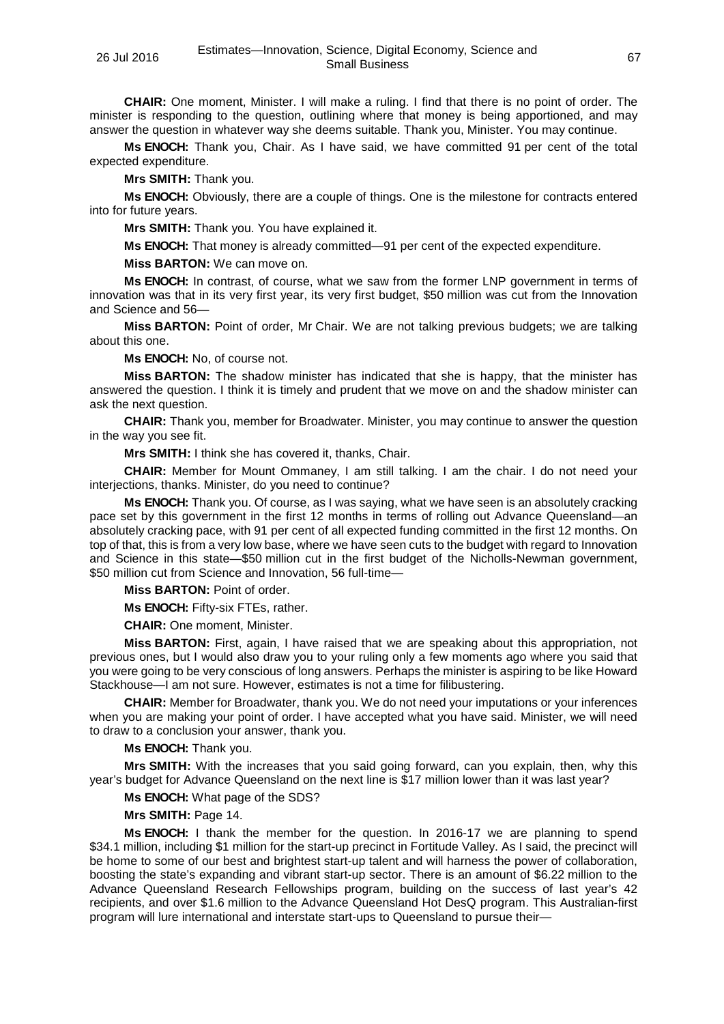**CHAIR:** One moment, Minister. I will make a ruling. I find that there is no point of order. The minister is responding to the question, outlining where that money is being apportioned, and may answer the question in whatever way she deems suitable. Thank you, Minister. You may continue.

**Ms ENOCH:** Thank you, Chair. As I have said, we have committed 91 per cent of the total expected expenditure.

**Mrs SMITH:** Thank you.

**Ms ENOCH:** Obviously, there are a couple of things. One is the milestone for contracts entered into for future years.

**Mrs SMITH:** Thank you. You have explained it.

**Ms ENOCH:** That money is already committed—91 per cent of the expected expenditure.

**Miss BARTON:** We can move on.

**Ms ENOCH:** In contrast, of course, what we saw from the former LNP government in terms of innovation was that in its very first year, its very first budget, \$50 million was cut from the Innovation and Science and 56—

**Miss BARTON:** Point of order, Mr Chair. We are not talking previous budgets; we are talking about this one.

**Ms ENOCH:** No, of course not.

**Miss BARTON:** The shadow minister has indicated that she is happy, that the minister has answered the question. I think it is timely and prudent that we move on and the shadow minister can ask the next question.

**CHAIR:** Thank you, member for Broadwater. Minister, you may continue to answer the question in the way you see fit.

**Mrs SMITH:** I think she has covered it, thanks, Chair.

**CHAIR:** Member for Mount Ommaney, I am still talking. I am the chair. I do not need your interjections, thanks. Minister, do you need to continue?

**Ms ENOCH:** Thank you. Of course, as I was saying, what we have seen is an absolutely cracking pace set by this government in the first 12 months in terms of rolling out Advance Queensland—an absolutely cracking pace, with 91 per cent of all expected funding committed in the first 12 months. On top of that, this is from a very low base, where we have seen cuts to the budget with regard to Innovation and Science in this state—\$50 million cut in the first budget of the Nicholls-Newman government, \$50 million cut from Science and Innovation, 56 full-time—

**Miss BARTON:** Point of order.

**Ms ENOCH:** Fifty-six FTEs, rather.

**CHAIR:** One moment, Minister.

**Miss BARTON:** First, again, I have raised that we are speaking about this appropriation, not previous ones, but I would also draw you to your ruling only a few moments ago where you said that you were going to be very conscious of long answers. Perhaps the minister is aspiring to be like Howard Stackhouse—I am not sure. However, estimates is not a time for filibustering.

**CHAIR:** Member for Broadwater, thank you. We do not need your imputations or your inferences when you are making your point of order. I have accepted what you have said. Minister, we will need to draw to a conclusion your answer, thank you.

**Ms ENOCH:** Thank you.

**Mrs SMITH:** With the increases that you said going forward, can you explain, then, why this year's budget for Advance Queensland on the next line is \$17 million lower than it was last year?

**Ms ENOCH:** What page of the SDS?

**Mrs SMITH:** Page 14.

**Ms ENOCH:** I thank the member for the question. In 2016-17 we are planning to spend \$34.1 million, including \$1 million for the start-up precinct in Fortitude Valley. As I said, the precinct will be home to some of our best and brightest start-up talent and will harness the power of collaboration, boosting the state's expanding and vibrant start-up sector. There is an amount of \$6.22 million to the Advance Queensland Research Fellowships program, building on the success of last year's 42 recipients, and over \$1.6 million to the Advance Queensland Hot DesQ program. This Australian-first program will lure international and interstate start-ups to Queensland to pursue their—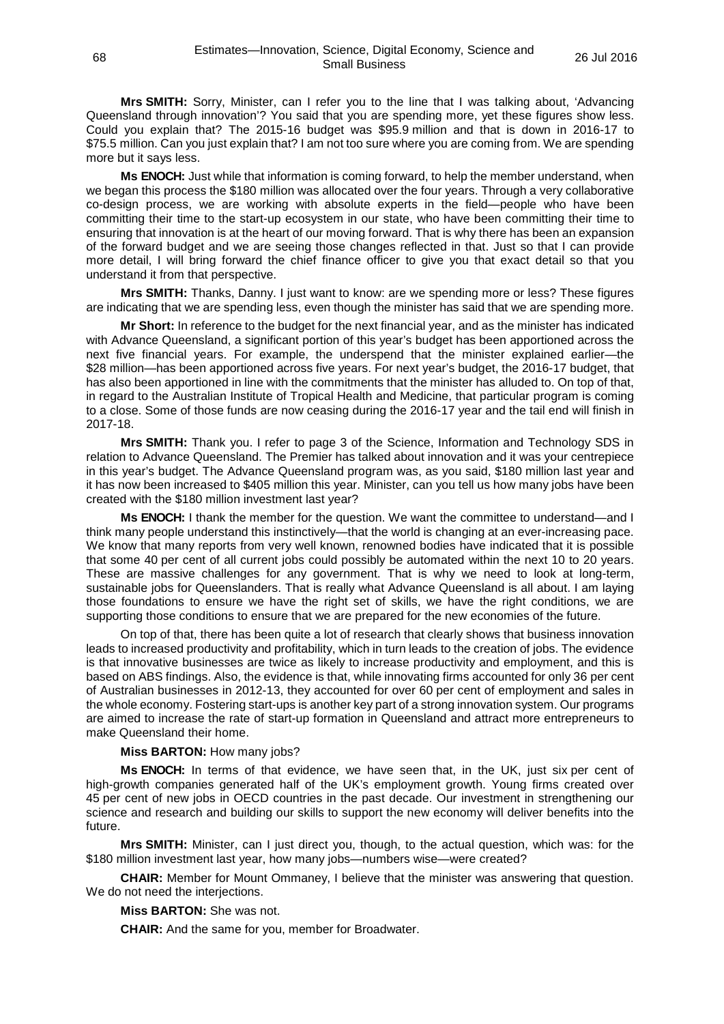**Mrs SMITH:** Sorry, Minister, can I refer you to the line that I was talking about, 'Advancing Queensland through innovation'? You said that you are spending more, yet these figures show less. Could you explain that? The 2015-16 budget was \$95.9 million and that is down in 2016-17 to \$75.5 million. Can you just explain that? I am not too sure where you are coming from. We are spending more but it says less.

**Ms ENOCH:** Just while that information is coming forward, to help the member understand, when we began this process the \$180 million was allocated over the four years. Through a very collaborative co-design process, we are working with absolute experts in the field—people who have been committing their time to the start-up ecosystem in our state, who have been committing their time to ensuring that innovation is at the heart of our moving forward. That is why there has been an expansion of the forward budget and we are seeing those changes reflected in that. Just so that I can provide more detail, I will bring forward the chief finance officer to give you that exact detail so that you understand it from that perspective.

**Mrs SMITH:** Thanks, Danny. I just want to know: are we spending more or less? These figures are indicating that we are spending less, even though the minister has said that we are spending more.

**Mr Short:** In reference to the budget for the next financial year, and as the minister has indicated with Advance Queensland, a significant portion of this year's budget has been apportioned across the next five financial years. For example, the underspend that the minister explained earlier—the \$28 million—has been apportioned across five years. For next year's budget, the 2016-17 budget, that has also been apportioned in line with the commitments that the minister has alluded to. On top of that, in regard to the Australian Institute of Tropical Health and Medicine, that particular program is coming to a close. Some of those funds are now ceasing during the 2016-17 year and the tail end will finish in 2017-18.

**Mrs SMITH:** Thank you. I refer to page 3 of the Science, Information and Technology SDS in relation to Advance Queensland. The Premier has talked about innovation and it was your centrepiece in this year's budget. The Advance Queensland program was, as you said, \$180 million last year and it has now been increased to \$405 million this year. Minister, can you tell us how many jobs have been created with the \$180 million investment last year?

**Ms ENOCH:** I thank the member for the question. We want the committee to understand—and I think many people understand this instinctively—that the world is changing at an ever-increasing pace. We know that many reports from very well known, renowned bodies have indicated that it is possible that some 40 per cent of all current jobs could possibly be automated within the next 10 to 20 years. These are massive challenges for any government. That is why we need to look at long-term, sustainable jobs for Queenslanders. That is really what Advance Queensland is all about. I am laying those foundations to ensure we have the right set of skills, we have the right conditions, we are supporting those conditions to ensure that we are prepared for the new economies of the future.

On top of that, there has been quite a lot of research that clearly shows that business innovation leads to increased productivity and profitability, which in turn leads to the creation of jobs. The evidence is that innovative businesses are twice as likely to increase productivity and employment, and this is based on ABS findings. Also, the evidence is that, while innovating firms accounted for only 36 per cent of Australian businesses in 2012-13, they accounted for over 60 per cent of employment and sales in the whole economy. Fostering start-ups is another key part of a strong innovation system. Our programs are aimed to increase the rate of start-up formation in Queensland and attract more entrepreneurs to make Queensland their home.

## **Miss BARTON:** How many jobs?

**Ms ENOCH:** In terms of that evidence, we have seen that, in the UK, just six per cent of high-growth companies generated half of the UK's employment growth. Young firms created over 45 per cent of new jobs in OECD countries in the past decade. Our investment in strengthening our science and research and building our skills to support the new economy will deliver benefits into the future.

**Mrs SMITH:** Minister, can I just direct you, though, to the actual question, which was: for the \$180 million investment last year, how many jobs—numbers wise—were created?

**CHAIR:** Member for Mount Ommaney, I believe that the minister was answering that question. We do not need the interjections.

**Miss BARTON:** She was not.

**CHAIR:** And the same for you, member for Broadwater.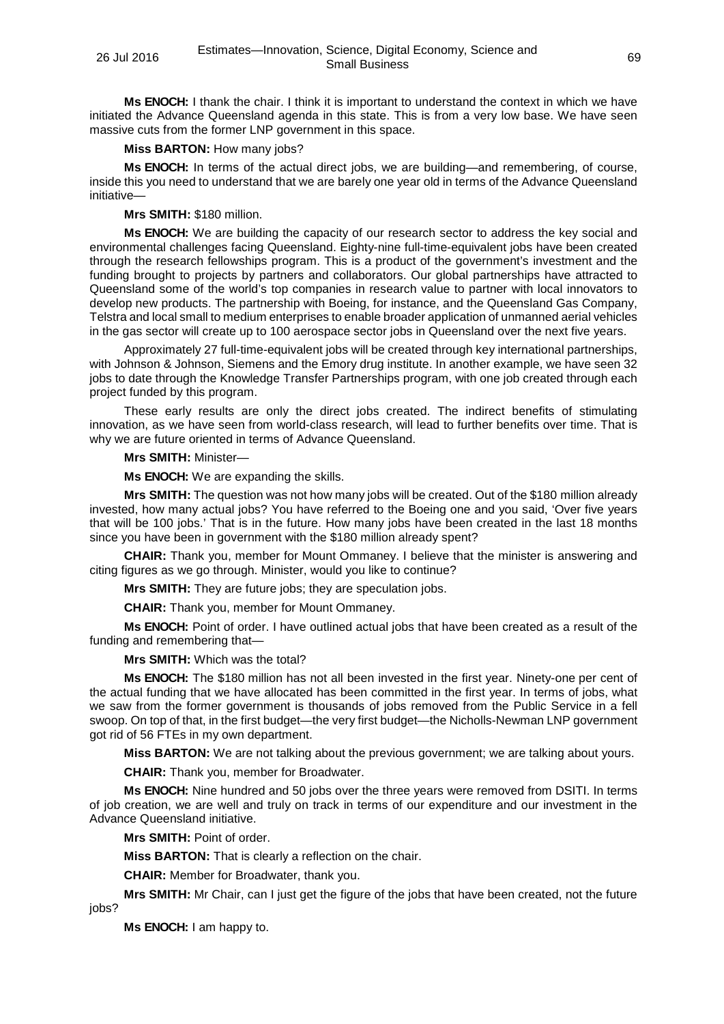**Ms ENOCH:** I thank the chair. I think it is important to understand the context in which we have initiated the Advance Queensland agenda in this state. This is from a very low base. We have seen massive cuts from the former LNP government in this space.

## **Miss BARTON:** How many jobs?

**Ms ENOCH:** In terms of the actual direct jobs, we are building—and remembering, of course, inside this you need to understand that we are barely one year old in terms of the Advance Queensland initiative—

# **Mrs SMITH:** \$180 million.

**Ms ENOCH:** We are building the capacity of our research sector to address the key social and environmental challenges facing Queensland. Eighty-nine full-time-equivalent jobs have been created through the research fellowships program. This is a product of the government's investment and the funding brought to projects by partners and collaborators. Our global partnerships have attracted to Queensland some of the world's top companies in research value to partner with local innovators to develop new products. The partnership with Boeing, for instance, and the Queensland Gas Company, Telstra and local small to medium enterprises to enable broader application of unmanned aerial vehicles in the gas sector will create up to 100 aerospace sector jobs in Queensland over the next five years.

Approximately 27 full-time-equivalent jobs will be created through key international partnerships, with Johnson & Johnson, Siemens and the Emory drug institute. In another example, we have seen 32 jobs to date through the Knowledge Transfer Partnerships program, with one job created through each project funded by this program.

These early results are only the direct jobs created. The indirect benefits of stimulating innovation, as we have seen from world-class research, will lead to further benefits over time. That is why we are future oriented in terms of Advance Queensland.

## **Mrs SMITH:** Minister—

**Ms ENOCH:** We are expanding the skills.

**Mrs SMITH:** The question was not how many jobs will be created. Out of the \$180 million already invested, how many actual jobs? You have referred to the Boeing one and you said, 'Over five years that will be 100 jobs.' That is in the future. How many jobs have been created in the last 18 months since you have been in government with the \$180 million already spent?

**CHAIR:** Thank you, member for Mount Ommaney. I believe that the minister is answering and citing figures as we go through. Minister, would you like to continue?

**Mrs SMITH:** They are future jobs; they are speculation jobs.

**CHAIR:** Thank you, member for Mount Ommaney.

**Ms ENOCH:** Point of order. I have outlined actual jobs that have been created as a result of the funding and remembering that—

## **Mrs SMITH:** Which was the total?

**Ms ENOCH:** The \$180 million has not all been invested in the first year. Ninety-one per cent of the actual funding that we have allocated has been committed in the first year. In terms of jobs, what we saw from the former government is thousands of jobs removed from the Public Service in a fell swoop. On top of that, in the first budget—the very first budget—the Nicholls-Newman LNP government got rid of 56 FTEs in my own department.

**Miss BARTON:** We are not talking about the previous government; we are talking about yours.

**CHAIR:** Thank you, member for Broadwater.

**Ms ENOCH:** Nine hundred and 50 jobs over the three years were removed from DSITI. In terms of job creation, we are well and truly on track in terms of our expenditure and our investment in the Advance Queensland initiative.

**Mrs SMITH:** Point of order.

**Miss BARTON:** That is clearly a reflection on the chair.

**CHAIR:** Member for Broadwater, thank you.

**Mrs SMITH:** Mr Chair, can I just get the figure of the jobs that have been created, not the future

jobs?

**Ms ENOCH:** I am happy to.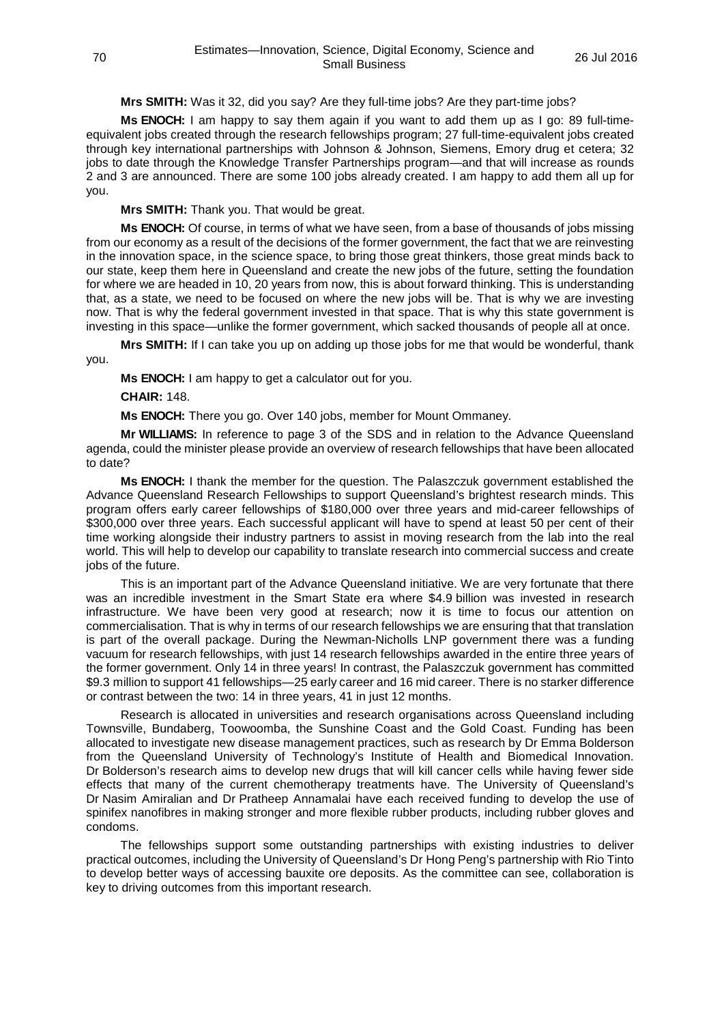# **Mrs SMITH:** Was it 32, did you say? Are they full-time jobs? Are they part-time jobs?

**Ms ENOCH:** I am happy to say them again if you want to add them up as I go: 89 full-timeequivalent jobs created through the research fellowships program; 27 full-time-equivalent jobs created through key international partnerships with Johnson & Johnson, Siemens, Emory drug et cetera; 32 jobs to date through the Knowledge Transfer Partnerships program—and that will increase as rounds 2 and 3 are announced. There are some 100 jobs already created. I am happy to add them all up for you.

**Mrs SMITH:** Thank you. That would be great.

**Ms ENOCH:** Of course, in terms of what we have seen, from a base of thousands of jobs missing from our economy as a result of the decisions of the former government, the fact that we are reinvesting in the innovation space, in the science space, to bring those great thinkers, those great minds back to our state, keep them here in Queensland and create the new jobs of the future, setting the foundation for where we are headed in 10, 20 years from now, this is about forward thinking. This is understanding that, as a state, we need to be focused on where the new jobs will be. That is why we are investing now. That is why the federal government invested in that space. That is why this state government is investing in this space—unlike the former government, which sacked thousands of people all at once.

**Mrs SMITH:** If I can take you up on adding up those jobs for me that would be wonderful, thank you.

**Ms ENOCH:** I am happy to get a calculator out for you.

**CHAIR:** 148.

**Ms ENOCH:** There you go. Over 140 jobs, member for Mount Ommaney.

**Mr WILLIAMS:** In reference to page 3 of the SDS and in relation to the Advance Queensland agenda, could the minister please provide an overview of research fellowships that have been allocated to date?

**Ms ENOCH:** I thank the member for the question. The Palaszczuk government established the Advance Queensland Research Fellowships to support Queensland's brightest research minds. This program offers early career fellowships of \$180,000 over three years and mid-career fellowships of \$300,000 over three years. Each successful applicant will have to spend at least 50 per cent of their time working alongside their industry partners to assist in moving research from the lab into the real world. This will help to develop our capability to translate research into commercial success and create jobs of the future.

This is an important part of the Advance Queensland initiative. We are very fortunate that there was an incredible investment in the Smart State era where \$4.9 billion was invested in research infrastructure. We have been very good at research; now it is time to focus our attention on commercialisation. That is why in terms of our research fellowships we are ensuring that that translation is part of the overall package. During the Newman-Nicholls LNP government there was a funding vacuum for research fellowships, with just 14 research fellowships awarded in the entire three years of the former government. Only 14 in three years! In contrast, the Palaszczuk government has committed \$9.3 million to support 41 fellowships—25 early career and 16 mid career. There is no starker difference or contrast between the two: 14 in three years, 41 in just 12 months.

Research is allocated in universities and research organisations across Queensland including Townsville, Bundaberg, Toowoomba, the Sunshine Coast and the Gold Coast. Funding has been allocated to investigate new disease management practices, such as research by Dr Emma Bolderson from the Queensland University of Technology's Institute of Health and Biomedical Innovation. Dr Bolderson's research aims to develop new drugs that will kill cancer cells while having fewer side effects that many of the current chemotherapy treatments have. The University of Queensland's Dr Nasim Amiralian and Dr Pratheep Annamalai have each received funding to develop the use of spinifex nanofibres in making stronger and more flexible rubber products, including rubber gloves and condoms.

The fellowships support some outstanding partnerships with existing industries to deliver practical outcomes, including the University of Queensland's Dr Hong Peng's partnership with Rio Tinto to develop better ways of accessing bauxite ore deposits. As the committee can see, collaboration is key to driving outcomes from this important research.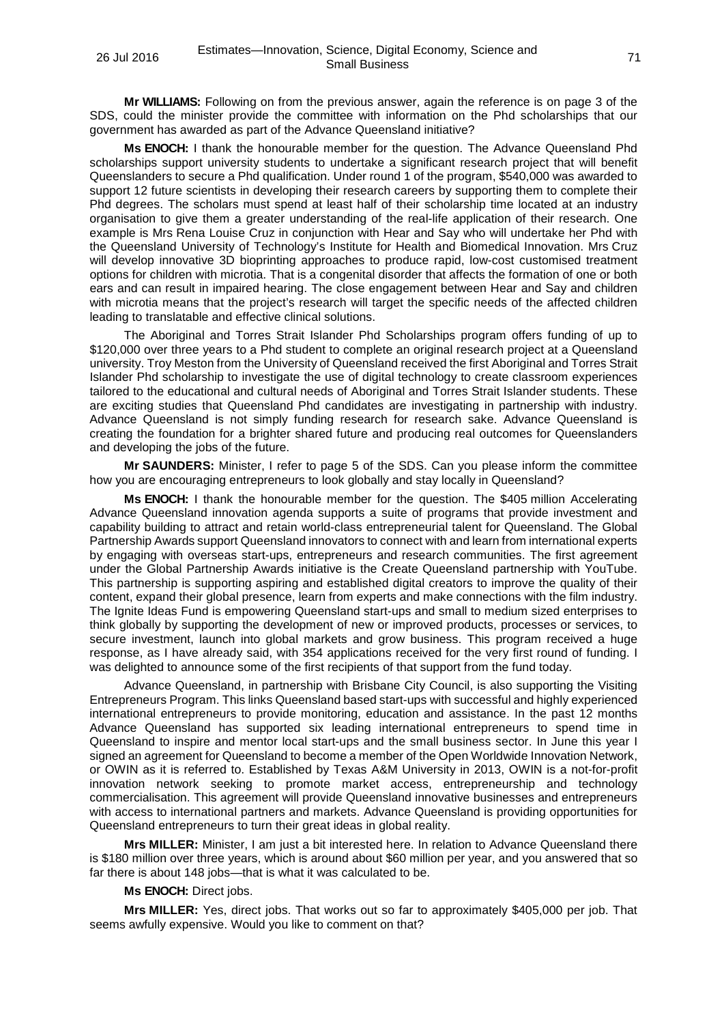**Mr WILLIAMS:** Following on from the previous answer, again the reference is on page 3 of the SDS, could the minister provide the committee with information on the Phd scholarships that our government has awarded as part of the Advance Queensland initiative?

**Ms ENOCH:** I thank the honourable member for the question. The Advance Queensland Phd scholarships support university students to undertake a significant research project that will benefit Queenslanders to secure a Phd qualification. Under round 1 of the program, \$540,000 was awarded to support 12 future scientists in developing their research careers by supporting them to complete their Phd degrees. The scholars must spend at least half of their scholarship time located at an industry organisation to give them a greater understanding of the real-life application of their research. One example is Mrs Rena Louise Cruz in conjunction with Hear and Say who will undertake her Phd with the Queensland University of Technology's Institute for Health and Biomedical Innovation. Mrs Cruz will develop innovative 3D bioprinting approaches to produce rapid, low-cost customised treatment options for children with microtia. That is a congenital disorder that affects the formation of one or both ears and can result in impaired hearing. The close engagement between Hear and Say and children with microtia means that the project's research will target the specific needs of the affected children leading to translatable and effective clinical solutions.

The Aboriginal and Torres Strait Islander Phd Scholarships program offers funding of up to \$120,000 over three years to a Phd student to complete an original research project at a Queensland university. Troy Meston from the University of Queensland received the first Aboriginal and Torres Strait Islander Phd scholarship to investigate the use of digital technology to create classroom experiences tailored to the educational and cultural needs of Aboriginal and Torres Strait Islander students. These are exciting studies that Queensland Phd candidates are investigating in partnership with industry. Advance Queensland is not simply funding research for research sake. Advance Queensland is creating the foundation for a brighter shared future and producing real outcomes for Queenslanders and developing the jobs of the future.

**Mr SAUNDERS:** Minister, I refer to page 5 of the SDS. Can you please inform the committee how you are encouraging entrepreneurs to look globally and stay locally in Queensland?

**Ms ENOCH:** I thank the honourable member for the question. The \$405 million Accelerating Advance Queensland innovation agenda supports a suite of programs that provide investment and capability building to attract and retain world-class entrepreneurial talent for Queensland. The Global Partnership Awards support Queensland innovators to connect with and learn from international experts by engaging with overseas start-ups, entrepreneurs and research communities. The first agreement under the Global Partnership Awards initiative is the Create Queensland partnership with YouTube. This partnership is supporting aspiring and established digital creators to improve the quality of their content, expand their global presence, learn from experts and make connections with the film industry. The Ignite Ideas Fund is empowering Queensland start-ups and small to medium sized enterprises to think globally by supporting the development of new or improved products, processes or services, to secure investment, launch into global markets and grow business. This program received a huge response, as I have already said, with 354 applications received for the very first round of funding. I was delighted to announce some of the first recipients of that support from the fund today.

Advance Queensland, in partnership with Brisbane City Council, is also supporting the Visiting Entrepreneurs Program. This links Queensland based start-ups with successful and highly experienced international entrepreneurs to provide monitoring, education and assistance. In the past 12 months Advance Queensland has supported six leading international entrepreneurs to spend time in Queensland to inspire and mentor local start-ups and the small business sector. In June this year I signed an agreement for Queensland to become a member of the Open Worldwide Innovation Network, or OWIN as it is referred to. Established by Texas A&M University in 2013, OWIN is a not-for-profit innovation network seeking to promote market access, entrepreneurship and technology commercialisation. This agreement will provide Queensland innovative businesses and entrepreneurs with access to international partners and markets. Advance Queensland is providing opportunities for Queensland entrepreneurs to turn their great ideas in global reality.

**Mrs MILLER:** Minister, I am just a bit interested here. In relation to Advance Queensland there is \$180 million over three years, which is around about \$60 million per year, and you answered that so far there is about 148 jobs—that is what it was calculated to be.

**Ms ENOCH:** Direct jobs.

**Mrs MILLER:** Yes, direct jobs. That works out so far to approximately \$405,000 per job. That seems awfully expensive. Would you like to comment on that?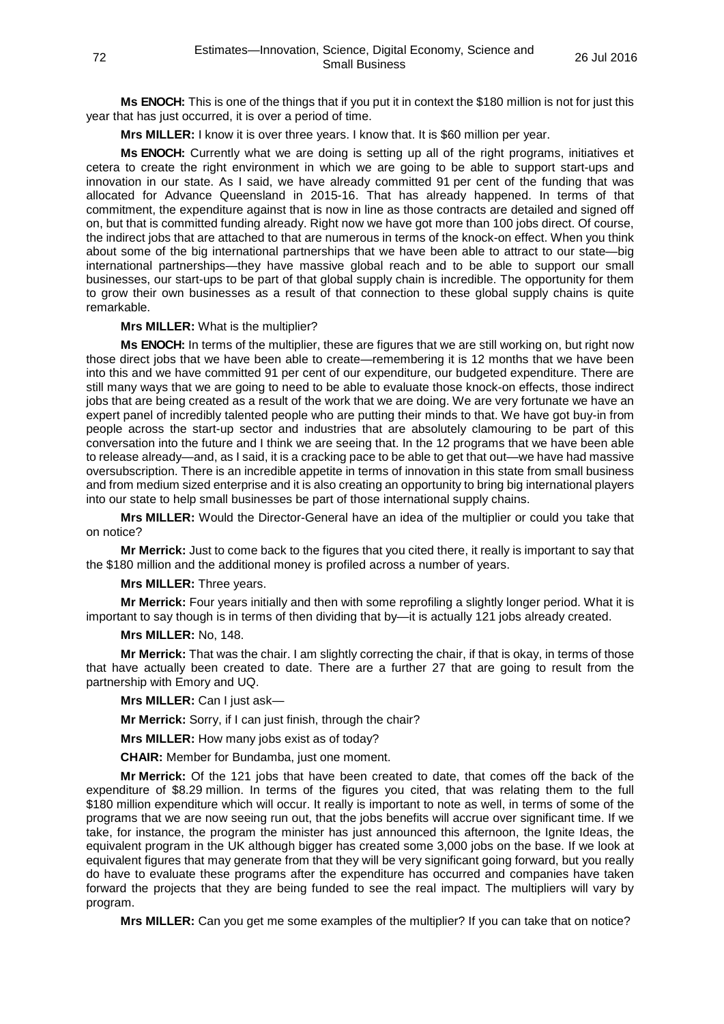**Ms ENOCH:** This is one of the things that if you put it in context the \$180 million is not for just this year that has just occurred, it is over a period of time.

**Mrs MILLER:** I know it is over three years. I know that. It is \$60 million per year.

**Ms ENOCH:** Currently what we are doing is setting up all of the right programs, initiatives et cetera to create the right environment in which we are going to be able to support start-ups and innovation in our state. As I said, we have already committed 91 per cent of the funding that was allocated for Advance Queensland in 2015-16. That has already happened. In terms of that commitment, the expenditure against that is now in line as those contracts are detailed and signed off on, but that is committed funding already. Right now we have got more than 100 jobs direct. Of course, the indirect jobs that are attached to that are numerous in terms of the knock-on effect. When you think about some of the big international partnerships that we have been able to attract to our state—big international partnerships—they have massive global reach and to be able to support our small businesses, our start-ups to be part of that global supply chain is incredible. The opportunity for them to grow their own businesses as a result of that connection to these global supply chains is quite remarkable.

# **Mrs MILLER:** What is the multiplier?

**Ms ENOCH:** In terms of the multiplier, these are figures that we are still working on, but right now those direct jobs that we have been able to create—remembering it is 12 months that we have been into this and we have committed 91 per cent of our expenditure, our budgeted expenditure. There are still many ways that we are going to need to be able to evaluate those knock-on effects, those indirect jobs that are being created as a result of the work that we are doing. We are very fortunate we have an expert panel of incredibly talented people who are putting their minds to that. We have got buy-in from people across the start-up sector and industries that are absolutely clamouring to be part of this conversation into the future and I think we are seeing that. In the 12 programs that we have been able to release already—and, as I said, it is a cracking pace to be able to get that out—we have had massive oversubscription. There is an incredible appetite in terms of innovation in this state from small business and from medium sized enterprise and it is also creating an opportunity to bring big international players into our state to help small businesses be part of those international supply chains.

**Mrs MILLER:** Would the Director-General have an idea of the multiplier or could you take that on notice?

**Mr Merrick:** Just to come back to the figures that you cited there, it really is important to say that the \$180 million and the additional money is profiled across a number of years.

### **Mrs MILLER:** Three years.

**Mr Merrick:** Four years initially and then with some reprofiling a slightly longer period. What it is important to say though is in terms of then dividing that by—it is actually 121 jobs already created.

### **Mrs MILLER:** No, 148.

**Mr Merrick:** That was the chair. I am slightly correcting the chair, if that is okay, in terms of those that have actually been created to date. There are a further 27 that are going to result from the partnership with Emory and UQ.

**Mrs MILLER:** Can I just ask—

**Mr Merrick:** Sorry, if I can just finish, through the chair?

**Mrs MILLER:** How many jobs exist as of today?

**CHAIR:** Member for Bundamba, just one moment.

**Mr Merrick:** Of the 121 jobs that have been created to date, that comes off the back of the expenditure of \$8.29 million. In terms of the figures you cited, that was relating them to the full \$180 million expenditure which will occur. It really is important to note as well, in terms of some of the programs that we are now seeing run out, that the jobs benefits will accrue over significant time. If we take, for instance, the program the minister has just announced this afternoon, the Ignite Ideas, the equivalent program in the UK although bigger has created some 3,000 jobs on the base. If we look at equivalent figures that may generate from that they will be very significant going forward, but you really do have to evaluate these programs after the expenditure has occurred and companies have taken forward the projects that they are being funded to see the real impact. The multipliers will vary by program.

**Mrs MILLER:** Can you get me some examples of the multiplier? If you can take that on notice?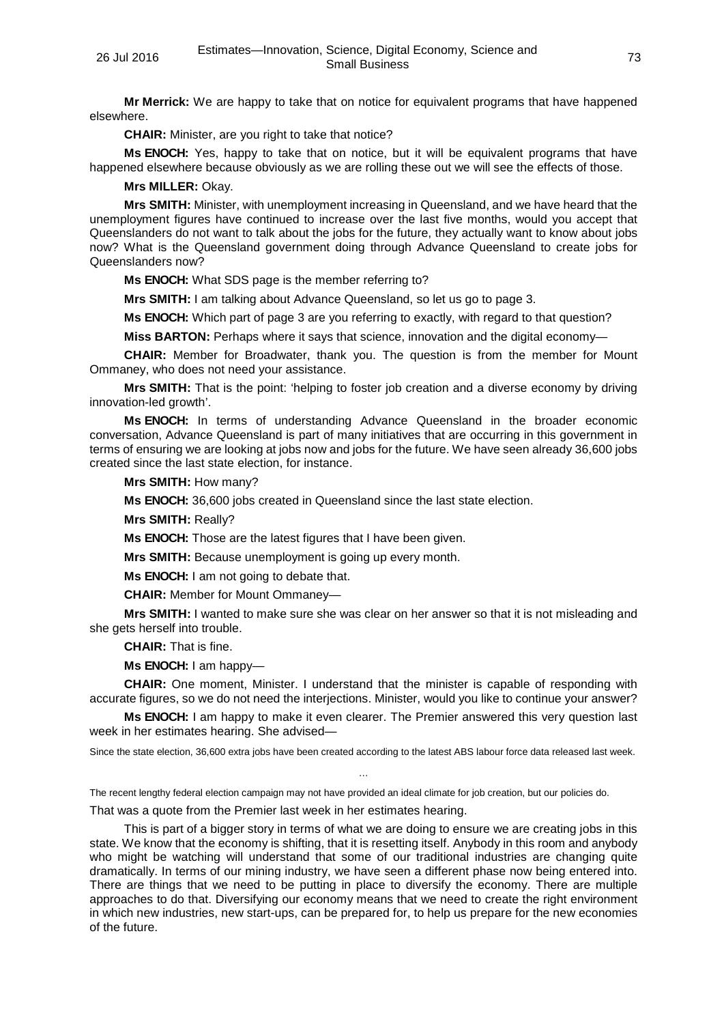**Mr Merrick:** We are happy to take that on notice for equivalent programs that have happened elsewhere.

**CHAIR:** Minister, are you right to take that notice?

**Ms ENOCH:** Yes, happy to take that on notice, but it will be equivalent programs that have happened elsewhere because obviously as we are rolling these out we will see the effects of those.

## **Mrs MILLER:** Okay.

**Mrs SMITH:** Minister, with unemployment increasing in Queensland, and we have heard that the unemployment figures have continued to increase over the last five months, would you accept that Queenslanders do not want to talk about the jobs for the future, they actually want to know about jobs now? What is the Queensland government doing through Advance Queensland to create jobs for Queenslanders now?

**Ms ENOCH:** What SDS page is the member referring to?

**Mrs SMITH:** I am talking about Advance Queensland, so let us go to page 3.

**Ms ENOCH:** Which part of page 3 are you referring to exactly, with regard to that question?

**Miss BARTON:** Perhaps where it says that science, innovation and the digital economy—

**CHAIR:** Member for Broadwater, thank you. The question is from the member for Mount Ommaney, who does not need your assistance.

**Mrs SMITH:** That is the point: 'helping to foster job creation and a diverse economy by driving innovation-led growth'.

**Ms ENOCH:** In terms of understanding Advance Queensland in the broader economic conversation, Advance Queensland is part of many initiatives that are occurring in this government in terms of ensuring we are looking at jobs now and jobs for the future. We have seen already 36,600 jobs created since the last state election, for instance.

**Mrs SMITH:** How many?

**Ms ENOCH:** 36,600 jobs created in Queensland since the last state election.

**Mrs SMITH:** Really?

**Ms ENOCH:** Those are the latest figures that I have been given.

**Mrs SMITH:** Because unemployment is going up every month.

**Ms ENOCH:** I am not going to debate that.

**CHAIR:** Member for Mount Ommaney—

**Mrs SMITH:** I wanted to make sure she was clear on her answer so that it is not misleading and she gets herself into trouble.

**CHAIR:** That is fine.

**Ms ENOCH:** I am happy—

**CHAIR:** One moment, Minister. I understand that the minister is capable of responding with accurate figures, so we do not need the interjections. Minister, would you like to continue your answer?

**Ms ENOCH:** I am happy to make it even clearer. The Premier answered this very question last week in her estimates hearing. She advised—

Since the state election, 36,600 extra jobs have been created according to the latest ABS labour force data released last week. …

The recent lengthy federal election campaign may not have provided an ideal climate for job creation, but our policies do.

That was a quote from the Premier last week in her estimates hearing.

This is part of a bigger story in terms of what we are doing to ensure we are creating jobs in this state. We know that the economy is shifting, that it is resetting itself. Anybody in this room and anybody who might be watching will understand that some of our traditional industries are changing quite dramatically. In terms of our mining industry, we have seen a different phase now being entered into. There are things that we need to be putting in place to diversify the economy. There are multiple approaches to do that. Diversifying our economy means that we need to create the right environment in which new industries, new start-ups, can be prepared for, to help us prepare for the new economies of the future.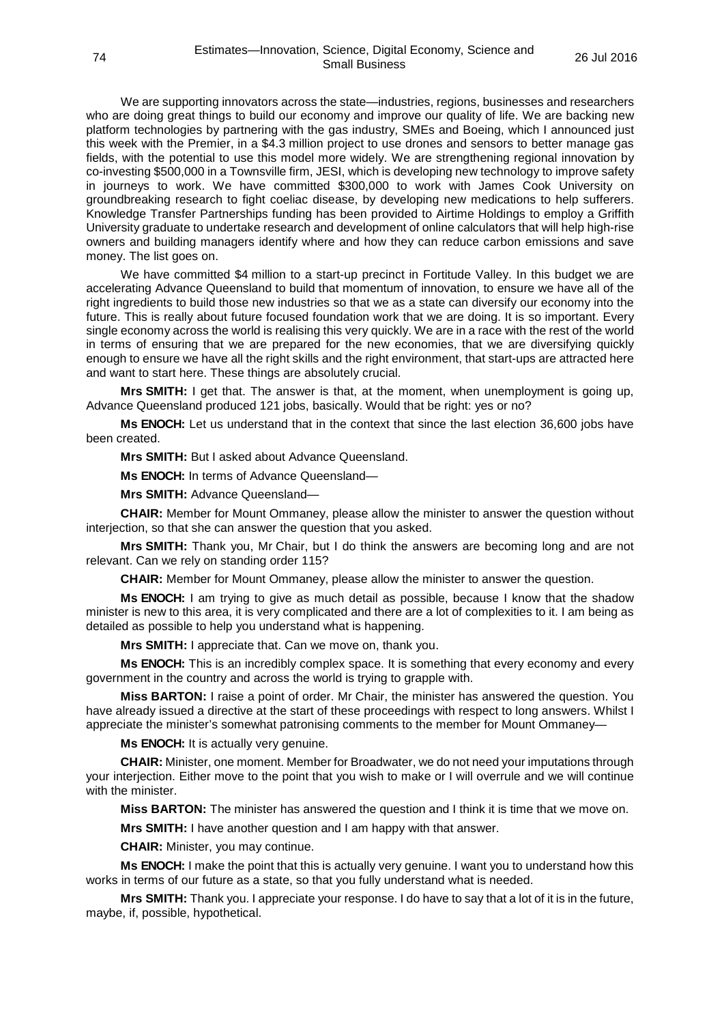We are supporting innovators across the state—industries, regions, businesses and researchers who are doing great things to build our economy and improve our quality of life. We are backing new platform technologies by partnering with the gas industry, SMEs and Boeing, which I announced just this week with the Premier, in a \$4.3 million project to use drones and sensors to better manage gas fields, with the potential to use this model more widely. We are strengthening regional innovation by co-investing \$500,000 in a Townsville firm, JESI, which is developing new technology to improve safety in journeys to work. We have committed \$300,000 to work with James Cook University on groundbreaking research to fight coeliac disease, by developing new medications to help sufferers. Knowledge Transfer Partnerships funding has been provided to Airtime Holdings to employ a Griffith University graduate to undertake research and development of online calculators that will help high-rise owners and building managers identify where and how they can reduce carbon emissions and save money. The list goes on.

We have committed \$4 million to a start-up precinct in Fortitude Valley. In this budget we are accelerating Advance Queensland to build that momentum of innovation, to ensure we have all of the right ingredients to build those new industries so that we as a state can diversify our economy into the future. This is really about future focused foundation work that we are doing. It is so important. Every single economy across the world is realising this very quickly. We are in a race with the rest of the world in terms of ensuring that we are prepared for the new economies, that we are diversifying quickly enough to ensure we have all the right skills and the right environment, that start-ups are attracted here and want to start here. These things are absolutely crucial.

**Mrs SMITH:** I get that. The answer is that, at the moment, when unemployment is going up, Advance Queensland produced 121 jobs, basically. Would that be right: yes or no?

**Ms ENOCH:** Let us understand that in the context that since the last election 36,600 jobs have been created.

**Mrs SMITH:** But I asked about Advance Queensland.

**Ms ENOCH:** In terms of Advance Queensland—

**Mrs SMITH:** Advance Queensland—

**CHAIR:** Member for Mount Ommaney, please allow the minister to answer the question without interjection, so that she can answer the question that you asked.

**Mrs SMITH:** Thank you, Mr Chair, but I do think the answers are becoming long and are not relevant. Can we rely on standing order 115?

**CHAIR:** Member for Mount Ommaney, please allow the minister to answer the question.

**Ms ENOCH:** I am trying to give as much detail as possible, because I know that the shadow minister is new to this area, it is very complicated and there are a lot of complexities to it. I am being as detailed as possible to help you understand what is happening.

**Mrs SMITH:** I appreciate that. Can we move on, thank you.

**Ms ENOCH:** This is an incredibly complex space. It is something that every economy and every government in the country and across the world is trying to grapple with.

**Miss BARTON:** I raise a point of order. Mr Chair, the minister has answered the question. You have already issued a directive at the start of these proceedings with respect to long answers. Whilst I appreciate the minister's somewhat patronising comments to the member for Mount Ommaney—

**Ms ENOCH:** It is actually very genuine.

**CHAIR:** Minister, one moment. Member for Broadwater, we do not need your imputations through your interjection. Either move to the point that you wish to make or I will overrule and we will continue with the minister.

**Miss BARTON:** The minister has answered the question and I think it is time that we move on.

**Mrs SMITH:** I have another question and I am happy with that answer.

**CHAIR:** Minister, you may continue.

**Ms ENOCH:** I make the point that this is actually very genuine. I want you to understand how this works in terms of our future as a state, so that you fully understand what is needed.

**Mrs SMITH:** Thank you. I appreciate your response. I do have to say that a lot of it is in the future, maybe, if, possible, hypothetical.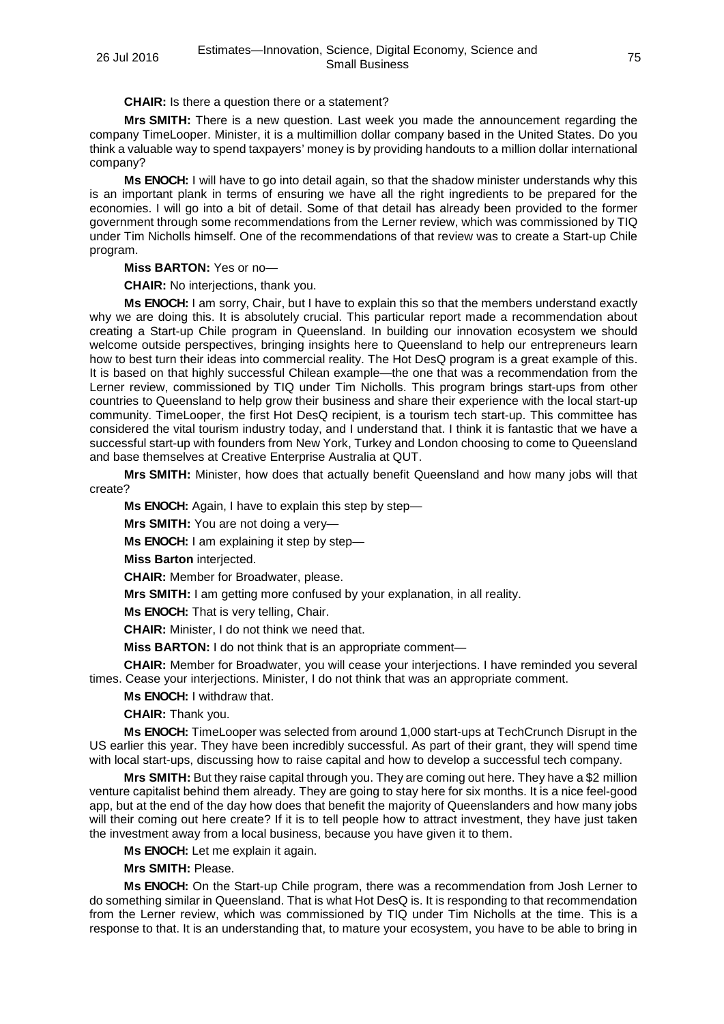**CHAIR:** Is there a question there or a statement?

**Mrs SMITH:** There is a new question. Last week you made the announcement regarding the company TimeLooper. Minister, it is a multimillion dollar company based in the United States. Do you think a valuable way to spend taxpayers' money is by providing handouts to a million dollar international company?

**Ms ENOCH:** I will have to go into detail again, so that the shadow minister understands why this is an important plank in terms of ensuring we have all the right ingredients to be prepared for the economies. I will go into a bit of detail. Some of that detail has already been provided to the former government through some recommendations from the Lerner review, which was commissioned by TIQ under Tim Nicholls himself. One of the recommendations of that review was to create a Start-up Chile program.

**Miss BARTON:** Yes or no—

**CHAIR:** No interjections, thank you.

**Ms ENOCH:** I am sorry, Chair, but I have to explain this so that the members understand exactly why we are doing this. It is absolutely crucial. This particular report made a recommendation about creating a Start-up Chile program in Queensland. In building our innovation ecosystem we should welcome outside perspectives, bringing insights here to Queensland to help our entrepreneurs learn how to best turn their ideas into commercial reality. The Hot DesQ program is a great example of this. It is based on that highly successful Chilean example—the one that was a recommendation from the Lerner review, commissioned by TIQ under Tim Nicholls. This program brings start-ups from other countries to Queensland to help grow their business and share their experience with the local start-up community. TimeLooper, the first Hot DesQ recipient, is a tourism tech start-up. This committee has considered the vital tourism industry today, and I understand that. I think it is fantastic that we have a successful start-up with founders from New York, Turkey and London choosing to come to Queensland and base themselves at Creative Enterprise Australia at QUT.

**Mrs SMITH:** Minister, how does that actually benefit Queensland and how many jobs will that create?

**Ms ENOCH:** Again, I have to explain this step by step—

**Mrs SMITH:** You are not doing a very—

**Ms ENOCH:** I am explaining it step by step—

**Miss Barton** interjected.

**CHAIR:** Member for Broadwater, please.

**Mrs SMITH:** I am getting more confused by your explanation, in all reality.

**Ms ENOCH:** That is very telling, Chair.

**CHAIR:** Minister, I do not think we need that.

**Miss BARTON:** I do not think that is an appropriate comment—

**CHAIR:** Member for Broadwater, you will cease your interjections. I have reminded you several times. Cease your interjections. Minister, I do not think that was an appropriate comment.

**Ms ENOCH:** I withdraw that.

**CHAIR:** Thank you.

**Ms ENOCH:** TimeLooper was selected from around 1,000 start-ups at TechCrunch Disrupt in the US earlier this year. They have been incredibly successful. As part of their grant, they will spend time with local start-ups, discussing how to raise capital and how to develop a successful tech company.

**Mrs SMITH:** But they raise capital through you. They are coming out here. They have a \$2 million venture capitalist behind them already. They are going to stay here for six months. It is a nice feel-good app, but at the end of the day how does that benefit the majority of Queenslanders and how many jobs will their coming out here create? If it is to tell people how to attract investment, they have just taken the investment away from a local business, because you have given it to them.

**Ms ENOCH:** Let me explain it again.

**Mrs SMITH:** Please.

**Ms ENOCH:** On the Start-up Chile program, there was a recommendation from Josh Lerner to do something similar in Queensland. That is what Hot DesQ is. It is responding to that recommendation from the Lerner review, which was commissioned by TIQ under Tim Nicholls at the time. This is a response to that. It is an understanding that, to mature your ecosystem, you have to be able to bring in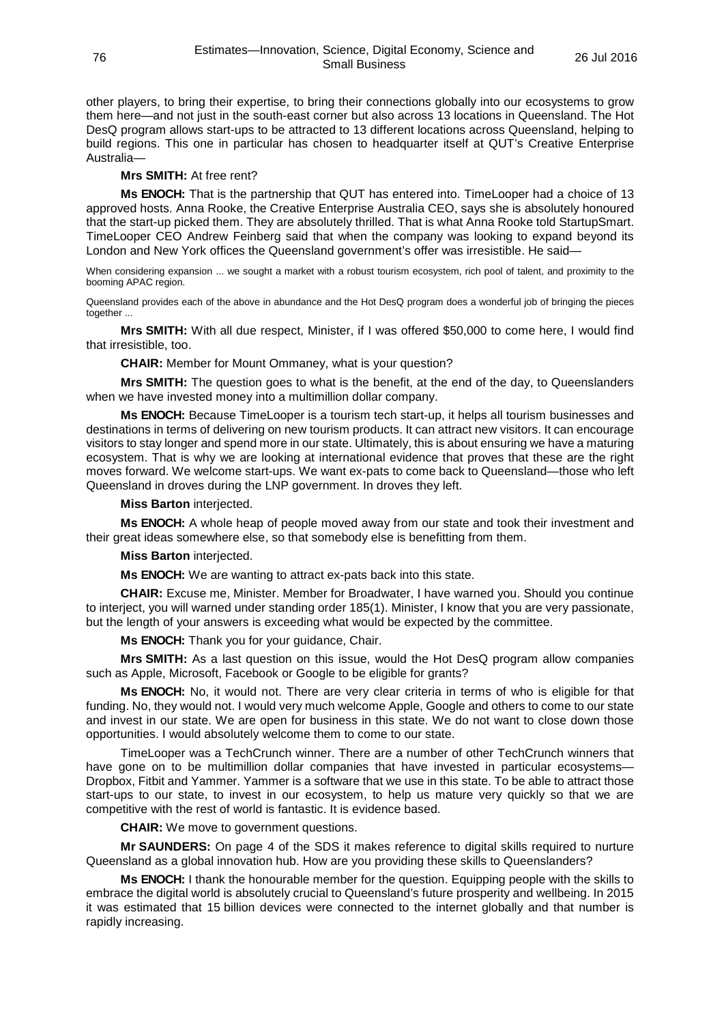other players, to bring their expertise, to bring their connections globally into our ecosystems to grow them here—and not just in the south-east corner but also across 13 locations in Queensland. The Hot DesQ program allows start-ups to be attracted to 13 different locations across Queensland, helping to build regions. This one in particular has chosen to headquarter itself at QUT's Creative Enterprise Australia—

## **Mrs SMITH:** At free rent?

**Ms ENOCH:** That is the partnership that QUT has entered into. TimeLooper had a choice of 13 approved hosts. Anna Rooke, the Creative Enterprise Australia CEO, says she is absolutely honoured that the start-up picked them. They are absolutely thrilled. That is what Anna Rooke told StartupSmart. TimeLooper CEO Andrew Feinberg said that when the company was looking to expand beyond its London and New York offices the Queensland government's offer was irresistible. He said—

When considering expansion ... we sought a market with a robust tourism ecosystem, rich pool of talent, and proximity to the booming APAC region.

Queensland provides each of the above in abundance and the Hot DesQ program does a wonderful job of bringing the pieces together ...

**Mrs SMITH:** With all due respect, Minister, if I was offered \$50,000 to come here, I would find that irresistible, too.

**CHAIR:** Member for Mount Ommaney, what is your question?

**Mrs SMITH:** The question goes to what is the benefit, at the end of the day, to Queenslanders when we have invested money into a multimillion dollar company.

**Ms ENOCH:** Because TimeLooper is a tourism tech start-up, it helps all tourism businesses and destinations in terms of delivering on new tourism products. It can attract new visitors. It can encourage visitors to stay longer and spend more in our state. Ultimately, this is about ensuring we have a maturing ecosystem. That is why we are looking at international evidence that proves that these are the right moves forward. We welcome start-ups. We want ex-pats to come back to Queensland—those who left Queensland in droves during the LNP government. In droves they left.

**Miss Barton** interjected.

**Ms ENOCH:** A whole heap of people moved away from our state and took their investment and their great ideas somewhere else, so that somebody else is benefitting from them.

## **Miss Barton** interjected.

**Ms ENOCH:** We are wanting to attract ex-pats back into this state.

**CHAIR:** Excuse me, Minister. Member for Broadwater, I have warned you. Should you continue to interject, you will warned under standing order 185(1). Minister, I know that you are very passionate, but the length of your answers is exceeding what would be expected by the committee.

**Ms ENOCH:** Thank you for your guidance, Chair.

**Mrs SMITH:** As a last question on this issue, would the Hot DesQ program allow companies such as Apple, Microsoft, Facebook or Google to be eligible for grants?

**Ms ENOCH:** No, it would not. There are very clear criteria in terms of who is eligible for that funding. No, they would not. I would very much welcome Apple, Google and others to come to our state and invest in our state. We are open for business in this state. We do not want to close down those opportunities. I would absolutely welcome them to come to our state.

TimeLooper was a TechCrunch winner. There are a number of other TechCrunch winners that have gone on to be multimillion dollar companies that have invested in particular ecosystems-Dropbox, Fitbit and Yammer. Yammer is a software that we use in this state. To be able to attract those start-ups to our state, to invest in our ecosystem, to help us mature very quickly so that we are competitive with the rest of world is fantastic. It is evidence based.

**CHAIR:** We move to government questions.

**Mr SAUNDERS:** On page 4 of the SDS it makes reference to digital skills required to nurture Queensland as a global innovation hub. How are you providing these skills to Queenslanders?

**Ms ENOCH:** I thank the honourable member for the question. Equipping people with the skills to embrace the digital world is absolutely crucial to Queensland's future prosperity and wellbeing. In 2015 it was estimated that 15 billion devices were connected to the internet globally and that number is rapidly increasing.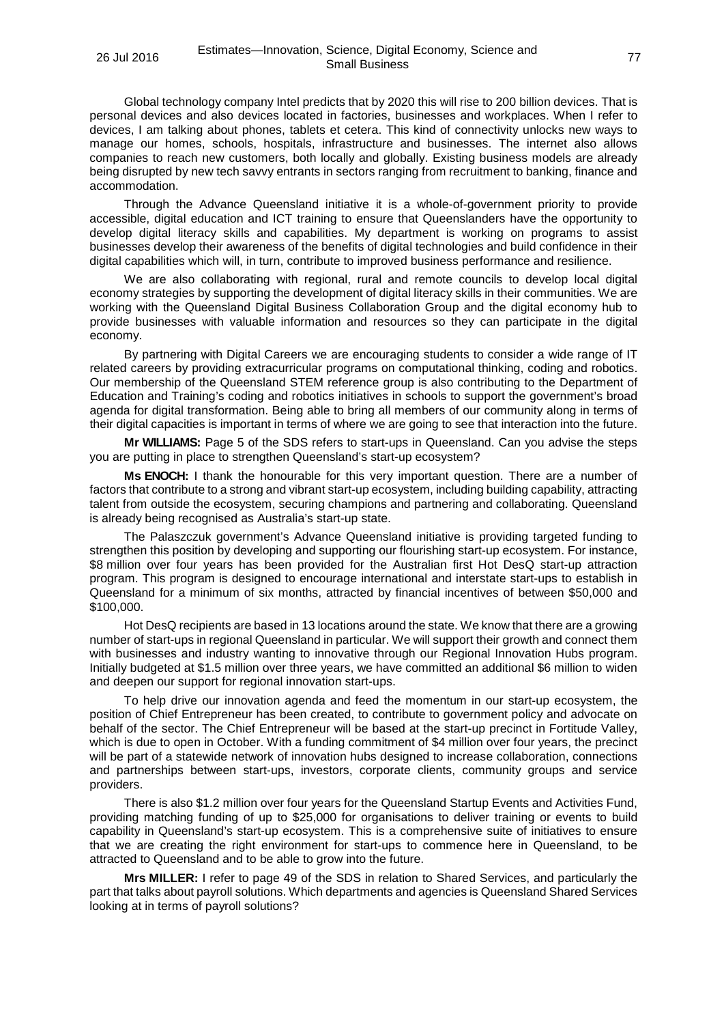Global technology company Intel predicts that by 2020 this will rise to 200 billion devices. That is personal devices and also devices located in factories, businesses and workplaces. When I refer to devices, I am talking about phones, tablets et cetera. This kind of connectivity unlocks new ways to manage our homes, schools, hospitals, infrastructure and businesses. The internet also allows companies to reach new customers, both locally and globally. Existing business models are already being disrupted by new tech savvy entrants in sectors ranging from recruitment to banking, finance and accommodation.

Through the Advance Queensland initiative it is a whole-of-government priority to provide accessible, digital education and ICT training to ensure that Queenslanders have the opportunity to develop digital literacy skills and capabilities. My department is working on programs to assist businesses develop their awareness of the benefits of digital technologies and build confidence in their digital capabilities which will, in turn, contribute to improved business performance and resilience.

We are also collaborating with regional, rural and remote councils to develop local digital economy strategies by supporting the development of digital literacy skills in their communities. We are working with the Queensland Digital Business Collaboration Group and the digital economy hub to provide businesses with valuable information and resources so they can participate in the digital economy.

By partnering with Digital Careers we are encouraging students to consider a wide range of IT related careers by providing extracurricular programs on computational thinking, coding and robotics. Our membership of the Queensland STEM reference group is also contributing to the Department of Education and Training's coding and robotics initiatives in schools to support the government's broad agenda for digital transformation. Being able to bring all members of our community along in terms of their digital capacities is important in terms of where we are going to see that interaction into the future.

**Mr WILLIAMS:** Page 5 of the SDS refers to start-ups in Queensland. Can you advise the steps you are putting in place to strengthen Queensland's start-up ecosystem?

**Ms ENOCH:** I thank the honourable for this very important question. There are a number of factors that contribute to a strong and vibrant start-up ecosystem, including building capability, attracting talent from outside the ecosystem, securing champions and partnering and collaborating. Queensland is already being recognised as Australia's start-up state.

The Palaszczuk government's Advance Queensland initiative is providing targeted funding to strengthen this position by developing and supporting our flourishing start-up ecosystem. For instance, \$8 million over four years has been provided for the Australian first Hot DesQ start-up attraction program. This program is designed to encourage international and interstate start-ups to establish in Queensland for a minimum of six months, attracted by financial incentives of between \$50,000 and \$100,000.

Hot DesQ recipients are based in 13 locations around the state. We know that there are a growing number of start-ups in regional Queensland in particular. We will support their growth and connect them with businesses and industry wanting to innovative through our Regional Innovation Hubs program. Initially budgeted at \$1.5 million over three years, we have committed an additional \$6 million to widen and deepen our support for regional innovation start-ups.

To help drive our innovation agenda and feed the momentum in our start-up ecosystem, the position of Chief Entrepreneur has been created, to contribute to government policy and advocate on behalf of the sector. The Chief Entrepreneur will be based at the start-up precinct in Fortitude Valley, which is due to open in October. With a funding commitment of \$4 million over four years, the precinct will be part of a statewide network of innovation hubs designed to increase collaboration, connections and partnerships between start-ups, investors, corporate clients, community groups and service providers.

There is also \$1.2 million over four years for the Queensland Startup Events and Activities Fund, providing matching funding of up to \$25,000 for organisations to deliver training or events to build capability in Queensland's start-up ecosystem. This is a comprehensive suite of initiatives to ensure that we are creating the right environment for start-ups to commence here in Queensland, to be attracted to Queensland and to be able to grow into the future.

**Mrs MILLER:** I refer to page 49 of the SDS in relation to Shared Services, and particularly the part that talks about payroll solutions. Which departments and agencies is Queensland Shared Services looking at in terms of payroll solutions?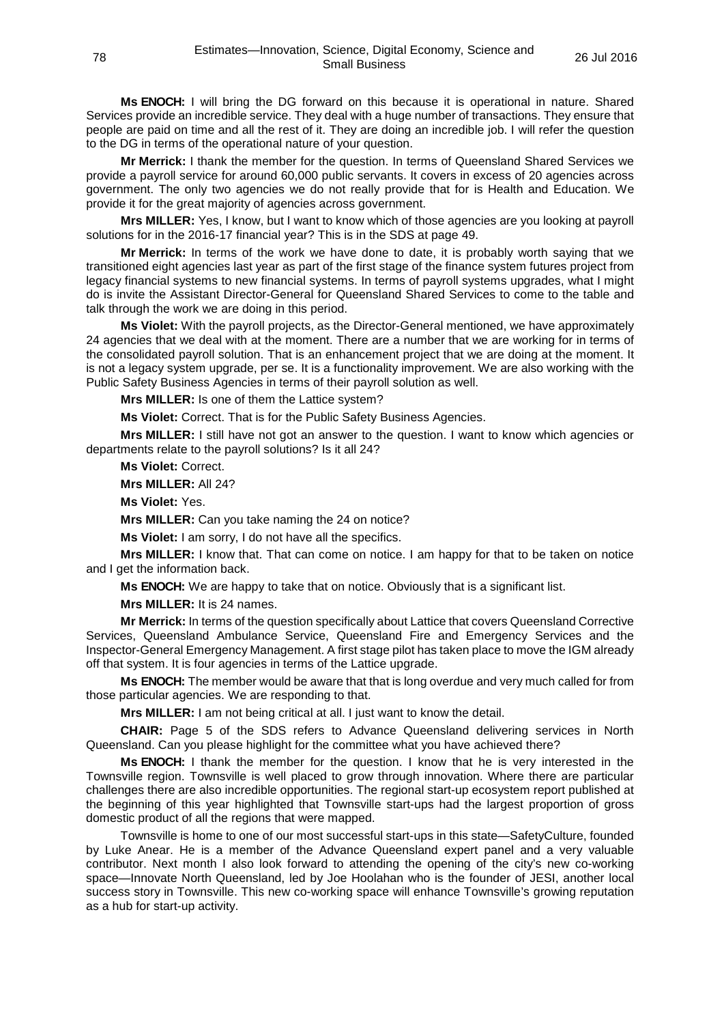**Ms ENOCH:** I will bring the DG forward on this because it is operational in nature. Shared Services provide an incredible service. They deal with a huge number of transactions. They ensure that people are paid on time and all the rest of it. They are doing an incredible job. I will refer the question to the DG in terms of the operational nature of your question.

**Mr Merrick:** I thank the member for the question. In terms of Queensland Shared Services we provide a payroll service for around 60,000 public servants. It covers in excess of 20 agencies across government. The only two agencies we do not really provide that for is Health and Education. We provide it for the great majority of agencies across government.

**Mrs MILLER:** Yes, I know, but I want to know which of those agencies are you looking at payroll solutions for in the 2016-17 financial year? This is in the SDS at page 49.

**Mr Merrick:** In terms of the work we have done to date, it is probably worth saying that we transitioned eight agencies last year as part of the first stage of the finance system futures project from legacy financial systems to new financial systems. In terms of payroll systems upgrades, what I might do is invite the Assistant Director-General for Queensland Shared Services to come to the table and talk through the work we are doing in this period.

**Ms Violet:** With the payroll projects, as the Director-General mentioned, we have approximately 24 agencies that we deal with at the moment. There are a number that we are working for in terms of the consolidated payroll solution. That is an enhancement project that we are doing at the moment. It is not a legacy system upgrade, per se. It is a functionality improvement. We are also working with the Public Safety Business Agencies in terms of their payroll solution as well.

**Mrs MILLER:** Is one of them the Lattice system?

**Ms Violet:** Correct. That is for the Public Safety Business Agencies.

**Mrs MILLER:** I still have not got an answer to the question. I want to know which agencies or departments relate to the payroll solutions? Is it all 24?

**Ms Violet:** Correct.

**Mrs MILLER:** All 24?

**Ms Violet:** Yes.

**Mrs MILLER:** Can you take naming the 24 on notice?

**Ms Violet:** I am sorry, I do not have all the specifics.

**Mrs MILLER:** I know that. That can come on notice. I am happy for that to be taken on notice and I get the information back.

**Ms ENOCH:** We are happy to take that on notice. Obviously that is a significant list.

**Mrs MILLER:** It is 24 names.

**Mr Merrick:** In terms of the question specifically about Lattice that covers Queensland Corrective Services, Queensland Ambulance Service, Queensland Fire and Emergency Services and the Inspector-General Emergency Management. A first stage pilot has taken place to move the IGM already off that system. It is four agencies in terms of the Lattice upgrade.

**Ms ENOCH:** The member would be aware that that is long overdue and very much called for from those particular agencies. We are responding to that.

**Mrs MILLER:** I am not being critical at all. I just want to know the detail.

**CHAIR:** Page 5 of the SDS refers to Advance Queensland delivering services in North Queensland. Can you please highlight for the committee what you have achieved there?

**Ms ENOCH:** I thank the member for the question. I know that he is very interested in the Townsville region. Townsville is well placed to grow through innovation. Where there are particular challenges there are also incredible opportunities. The regional start-up ecosystem report published at the beginning of this year highlighted that Townsville start-ups had the largest proportion of gross domestic product of all the regions that were mapped.

Townsville is home to one of our most successful start-ups in this state—SafetyCulture, founded by Luke Anear. He is a member of the Advance Queensland expert panel and a very valuable contributor. Next month I also look forward to attending the opening of the city's new co-working space—Innovate North Queensland, led by Joe Hoolahan who is the founder of JESI, another local success story in Townsville. This new co-working space will enhance Townsville's growing reputation as a hub for start-up activity.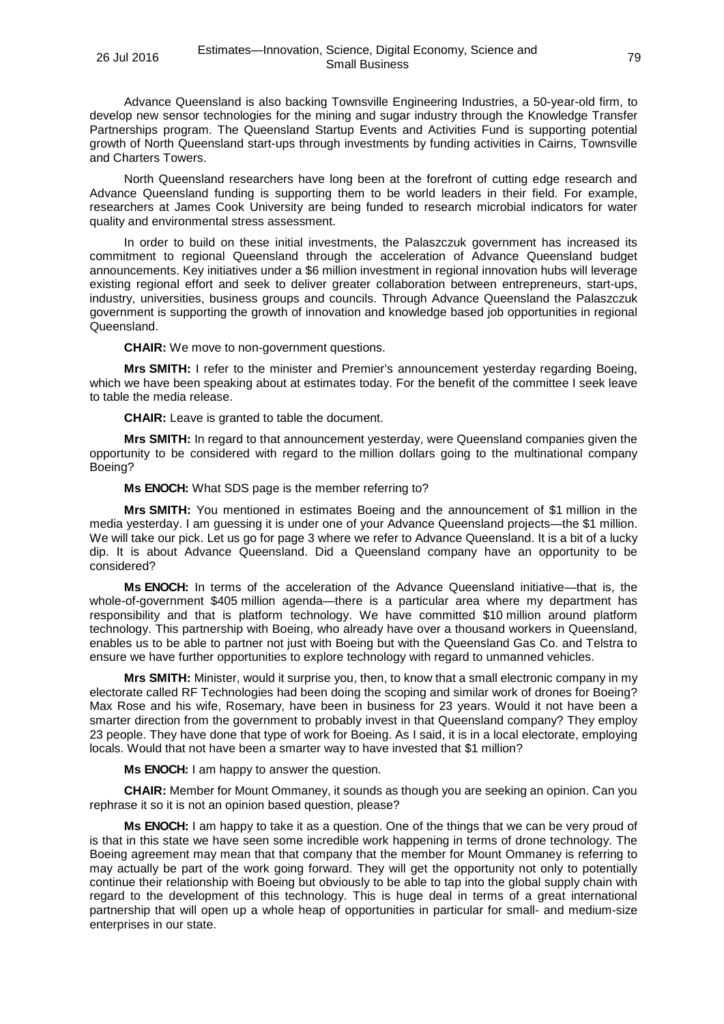Advance Queensland is also backing Townsville Engineering Industries, a 50-year-old firm, to develop new sensor technologies for the mining and sugar industry through the Knowledge Transfer Partnerships program. The Queensland Startup Events and Activities Fund is supporting potential growth of North Queensland start-ups through investments by funding activities in Cairns, Townsville and Charters Towers.

North Queensland researchers have long been at the forefront of cutting edge research and Advance Queensland funding is supporting them to be world leaders in their field. For example, researchers at James Cook University are being funded to research microbial indicators for water quality and environmental stress assessment.

In order to build on these initial investments, the Palaszczuk government has increased its commitment to regional Queensland through the acceleration of Advance Queensland budget announcements. Key initiatives under a \$6 million investment in regional innovation hubs will leverage existing regional effort and seek to deliver greater collaboration between entrepreneurs, start-ups, industry, universities, business groups and councils. Through Advance Queensland the Palaszczuk government is supporting the growth of innovation and knowledge based job opportunities in regional Queensland.

**CHAIR:** We move to non-government questions.

**Mrs SMITH:** I refer to the minister and Premier's announcement yesterday regarding Boeing, which we have been speaking about at estimates today. For the benefit of the committee I seek leave to table the media release.

**CHAIR:** Leave is granted to table the document.

**Mrs SMITH:** In regard to that announcement yesterday, were Queensland companies given the opportunity to be considered with regard to the million dollars going to the multinational company Boeing?

**Ms ENOCH:** What SDS page is the member referring to?

**Mrs SMITH:** You mentioned in estimates Boeing and the announcement of \$1 million in the media yesterday. I am guessing it is under one of your Advance Queensland projects—the \$1 million. We will take our pick. Let us go for page 3 where we refer to Advance Queensland. It is a bit of a lucky dip. It is about Advance Queensland. Did a Queensland company have an opportunity to be considered?

**Ms ENOCH:** In terms of the acceleration of the Advance Queensland initiative—that is, the whole-of-government \$405 million agenda—there is a particular area where my department has responsibility and that is platform technology. We have committed \$10 million around platform technology. This partnership with Boeing, who already have over a thousand workers in Queensland, enables us to be able to partner not just with Boeing but with the Queensland Gas Co. and Telstra to ensure we have further opportunities to explore technology with regard to unmanned vehicles.

**Mrs SMITH:** Minister, would it surprise you, then, to know that a small electronic company in my electorate called RF Technologies had been doing the scoping and similar work of drones for Boeing? Max Rose and his wife, Rosemary, have been in business for 23 years. Would it not have been a smarter direction from the government to probably invest in that Queensland company? They employ 23 people. They have done that type of work for Boeing. As I said, it is in a local electorate, employing locals. Would that not have been a smarter way to have invested that \$1 million?

**Ms ENOCH:** I am happy to answer the question.

**CHAIR:** Member for Mount Ommaney, it sounds as though you are seeking an opinion. Can you rephrase it so it is not an opinion based question, please?

**Ms ENOCH:** I am happy to take it as a question. One of the things that we can be very proud of is that in this state we have seen some incredible work happening in terms of drone technology. The Boeing agreement may mean that that company that the member for Mount Ommaney is referring to may actually be part of the work going forward. They will get the opportunity not only to potentially continue their relationship with Boeing but obviously to be able to tap into the global supply chain with regard to the development of this technology. This is huge deal in terms of a great international partnership that will open up a whole heap of opportunities in particular for small- and medium-size enterprises in our state.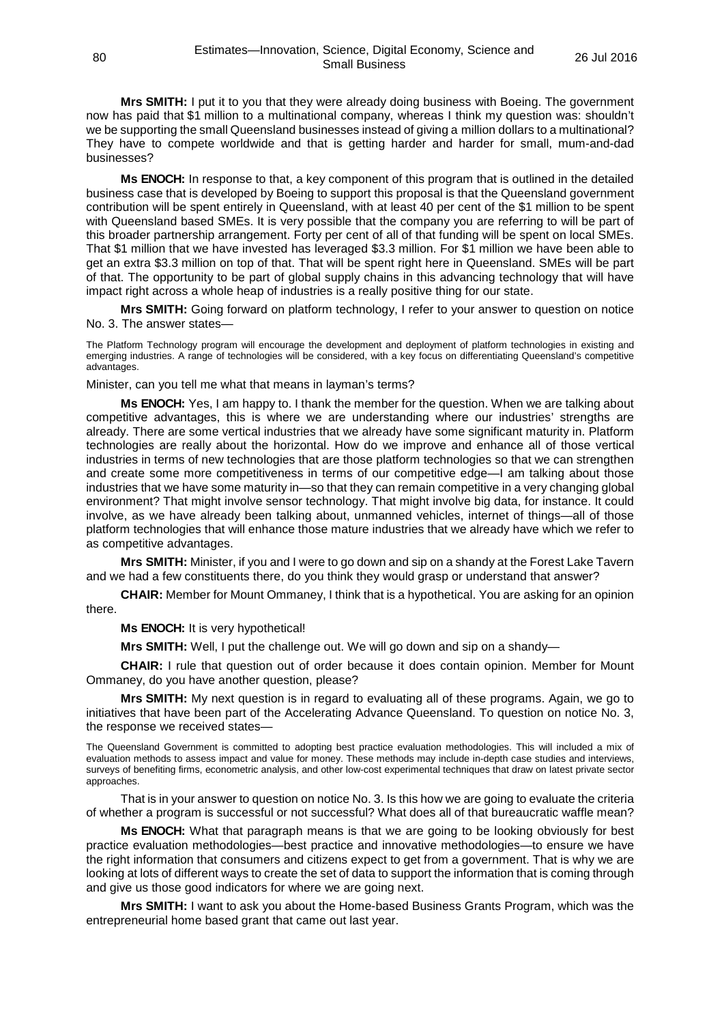**Mrs SMITH:** I put it to you that they were already doing business with Boeing. The government now has paid that \$1 million to a multinational company, whereas I think my question was: shouldn't we be supporting the small Queensland businesses instead of giving a million dollars to a multinational? They have to compete worldwide and that is getting harder and harder for small, mum-and-dad businesses?

**Ms ENOCH:** In response to that, a key component of this program that is outlined in the detailed business case that is developed by Boeing to support this proposal is that the Queensland government contribution will be spent entirely in Queensland, with at least 40 per cent of the \$1 million to be spent with Queensland based SMEs. It is very possible that the company you are referring to will be part of this broader partnership arrangement. Forty per cent of all of that funding will be spent on local SMEs. That \$1 million that we have invested has leveraged \$3.3 million. For \$1 million we have been able to get an extra \$3.3 million on top of that. That will be spent right here in Queensland. SMEs will be part of that. The opportunity to be part of global supply chains in this advancing technology that will have impact right across a whole heap of industries is a really positive thing for our state.

**Mrs SMITH:** Going forward on platform technology, I refer to your answer to question on notice No. 3. The answer states—

The Platform Technology program will encourage the development and deployment of platform technologies in existing and emerging industries. A range of technologies will be considered, with a key focus on differentiating Queensland's competitive advantages.

Minister, can you tell me what that means in layman's terms?

**Ms ENOCH:** Yes, I am happy to. I thank the member for the question. When we are talking about competitive advantages, this is where we are understanding where our industries' strengths are already. There are some vertical industries that we already have some significant maturity in. Platform technologies are really about the horizontal. How do we improve and enhance all of those vertical industries in terms of new technologies that are those platform technologies so that we can strengthen and create some more competitiveness in terms of our competitive edge—I am talking about those industries that we have some maturity in—so that they can remain competitive in a very changing global environment? That might involve sensor technology. That might involve big data, for instance. It could involve, as we have already been talking about, unmanned vehicles, internet of things—all of those platform technologies that will enhance those mature industries that we already have which we refer to as competitive advantages.

**Mrs SMITH:** Minister, if you and I were to go down and sip on a shandy at the Forest Lake Tavern and we had a few constituents there, do you think they would grasp or understand that answer?

**CHAIR:** Member for Mount Ommaney, I think that is a hypothetical. You are asking for an opinion there.

**Ms ENOCH:** It is very hypothetical!

**Mrs SMITH:** Well, I put the challenge out. We will go down and sip on a shandy—

**CHAIR:** I rule that question out of order because it does contain opinion. Member for Mount Ommaney, do you have another question, please?

**Mrs SMITH:** My next question is in regard to evaluating all of these programs. Again, we go to initiatives that have been part of the Accelerating Advance Queensland. To question on notice No. 3, the response we received states—

The Queensland Government is committed to adopting best practice evaluation methodologies. This will included a mix of evaluation methods to assess impact and value for money. These methods may include in-depth case studies and interviews, surveys of benefiting firms, econometric analysis, and other low-cost experimental techniques that draw on latest private sector approaches.

That is in your answer to question on notice No. 3. Is this how we are going to evaluate the criteria of whether a program is successful or not successful? What does all of that bureaucratic waffle mean?

**Ms ENOCH:** What that paragraph means is that we are going to be looking obviously for best practice evaluation methodologies—best practice and innovative methodologies—to ensure we have the right information that consumers and citizens expect to get from a government. That is why we are looking at lots of different ways to create the set of data to support the information that is coming through and give us those good indicators for where we are going next.

**Mrs SMITH:** I want to ask you about the Home-based Business Grants Program, which was the entrepreneurial home based grant that came out last year.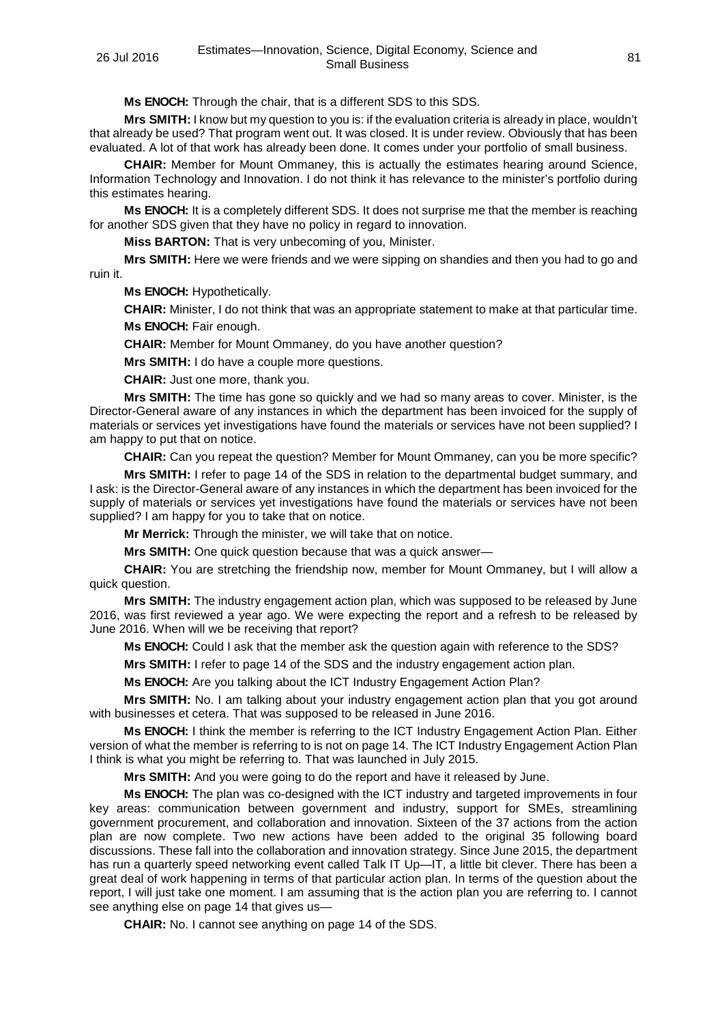**Ms ENOCH:** Through the chair, that is a different SDS to this SDS.

**Mrs SMITH:** I know but my question to you is: if the evaluation criteria is already in place, wouldn't that already be used? That program went out. It was closed. It is under review. Obviously that has been evaluated. A lot of that work has already been done. It comes under your portfolio of small business.

**CHAIR:** Member for Mount Ommaney, this is actually the estimates hearing around Science, Information Technology and Innovation. I do not think it has relevance to the minister's portfolio during this estimates hearing.

**Ms ENOCH:** It is a completely different SDS. It does not surprise me that the member is reaching for another SDS given that they have no policy in regard to innovation.

**Miss BARTON:** That is very unbecoming of you, Minister.

**Mrs SMITH:** Here we were friends and we were sipping on shandies and then you had to go and ruin it.

**Ms ENOCH:** Hypothetically.

**CHAIR:** Minister, I do not think that was an appropriate statement to make at that particular time. **Ms ENOCH:** Fair enough.

**CHAIR:** Member for Mount Ommaney, do you have another question?

**Mrs SMITH:** I do have a couple more questions.

**CHAIR:** Just one more, thank you.

**Mrs SMITH:** The time has gone so quickly and we had so many areas to cover. Minister, is the Director-General aware of any instances in which the department has been invoiced for the supply of materials or services yet investigations have found the materials or services have not been supplied? I am happy to put that on notice.

**CHAIR:** Can you repeat the question? Member for Mount Ommaney, can you be more specific?

**Mrs SMITH:** I refer to page 14 of the SDS in relation to the departmental budget summary, and I ask: is the Director-General aware of any instances in which the department has been invoiced for the supply of materials or services yet investigations have found the materials or services have not been supplied? I am happy for you to take that on notice.

**Mr Merrick:** Through the minister, we will take that on notice.

**Mrs SMITH:** One quick question because that was a quick answer—

**CHAIR:** You are stretching the friendship now, member for Mount Ommaney, but I will allow a quick question.

**Mrs SMITH:** The industry engagement action plan, which was supposed to be released by June 2016, was first reviewed a year ago. We were expecting the report and a refresh to be released by June 2016. When will we be receiving that report?

**Ms ENOCH:** Could I ask that the member ask the question again with reference to the SDS?

**Mrs SMITH:** I refer to page 14 of the SDS and the industry engagement action plan.

**Ms ENOCH:** Are you talking about the ICT Industry Engagement Action Plan?

**Mrs SMITH:** No. I am talking about your industry engagement action plan that you got around with businesses et cetera. That was supposed to be released in June 2016.

**Ms ENOCH:** I think the member is referring to the ICT Industry Engagement Action Plan. Either version of what the member is referring to is not on page 14. The ICT Industry Engagement Action Plan I think is what you might be referring to. That was launched in July 2015.

**Mrs SMITH:** And you were going to do the report and have it released by June.

**Ms ENOCH:** The plan was co-designed with the ICT industry and targeted improvements in four key areas: communication between government and industry, support for SMEs, streamlining government procurement, and collaboration and innovation. Sixteen of the 37 actions from the action plan are now complete. Two new actions have been added to the original 35 following board discussions. These fall into the collaboration and innovation strategy. Since June 2015, the department has run a quarterly speed networking event called Talk IT Up—IT, a little bit clever. There has been a great deal of work happening in terms of that particular action plan. In terms of the question about the report, I will just take one moment. I am assuming that is the action plan you are referring to. I cannot see anything else on page 14 that gives us—

**CHAIR:** No. I cannot see anything on page 14 of the SDS.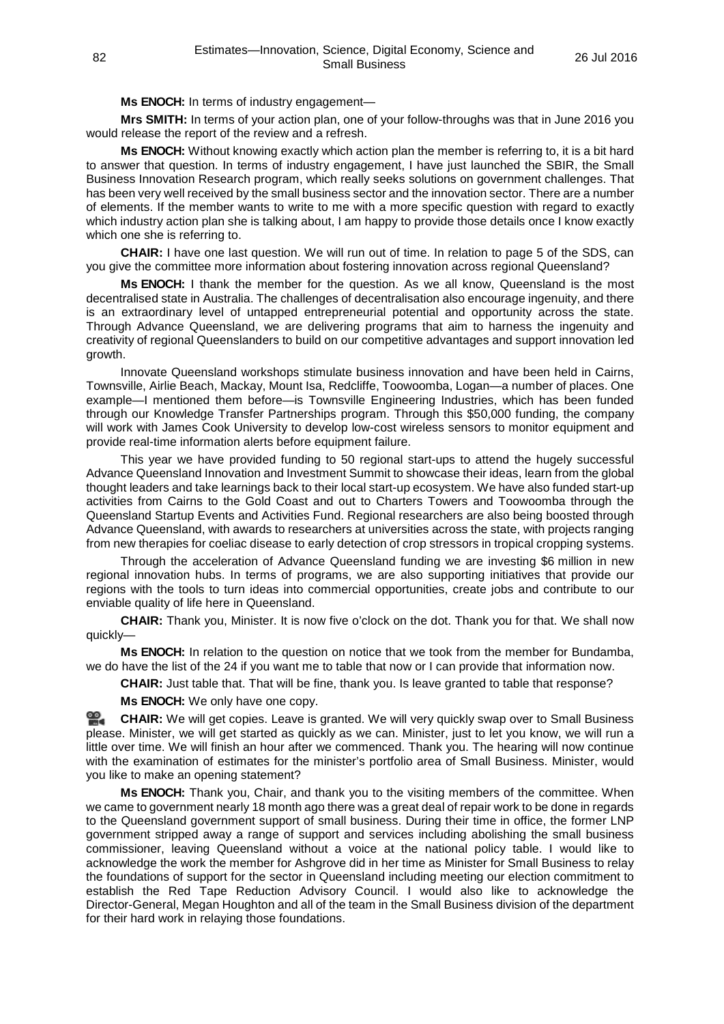**Ms ENOCH:** In terms of industry engagement—

**Mrs SMITH:** In terms of your action plan, one of your follow-throughs was that in June 2016 you would release the report of the review and a refresh.

**Ms ENOCH:** Without knowing exactly which action plan the member is referring to, it is a bit hard to answer that question. In terms of industry engagement, I have just launched the SBIR, the Small Business Innovation Research program, which really seeks solutions on government challenges. That has been very well received by the small business sector and the innovation sector. There are a number of elements. If the member wants to write to me with a more specific question with regard to exactly which industry action plan she is talking about, I am happy to provide those details once I know exactly which one she is referring to.

**CHAIR:** I have one last question. We will run out of time. In relation to page 5 of the SDS, can you give the committee more information about fostering innovation across regional Queensland?

**Ms ENOCH:** I thank the member for the question. As we all know, Queensland is the most decentralised state in Australia. The challenges of decentralisation also encourage ingenuity, and there is an extraordinary level of untapped entrepreneurial potential and opportunity across the state. Through Advance Queensland, we are delivering programs that aim to harness the ingenuity and creativity of regional Queenslanders to build on our competitive advantages and support innovation led growth.

Innovate Queensland workshops stimulate business innovation and have been held in Cairns, Townsville, Airlie Beach, Mackay, Mount Isa, Redcliffe, Toowoomba, Logan—a number of places. One example—I mentioned them before—is Townsville Engineering Industries, which has been funded through our Knowledge Transfer Partnerships program. Through this \$50,000 funding, the company will work with James Cook University to develop low-cost wireless sensors to monitor equipment and provide real-time information alerts before equipment failure.

This year we have provided funding to 50 regional start-ups to attend the hugely successful Advance Queensland Innovation and Investment Summit to showcase their ideas, learn from the global thought leaders and take learnings back to their local start-up ecosystem. We have also funded start-up activities from Cairns to the Gold Coast and out to Charters Towers and Toowoomba through the Queensland Startup Events and Activities Fund. Regional researchers are also being boosted through Advance Queensland, with awards to researchers at universities across the state, with projects ranging from new therapies for coeliac disease to early detection of crop stressors in tropical cropping systems.

Through the acceleration of Advance Queensland funding we are investing \$6 million in new regional innovation hubs. In terms of programs, we are also supporting initiatives that provide our regions with the tools to turn ideas into commercial opportunities, create jobs and contribute to our enviable quality of life here in Queensland.

**CHAIR:** Thank you, Minister. It is now five o'clock on the dot. Thank you for that. We shall now quickly—

**Ms ENOCH:** In relation to the question on notice that we took from the member for Bundamba, we do have the list of the 24 if you want me to table that now or I can provide that information now.

**CHAIR:** Just table that. That will be fine, thank you. Is leave granted to table that response?

**Ms ENOCH:** We only have one copy.

**[CHAIR:](http://www.parliament.qld.gov.au/docs/find.aspx?id=0Mba20160726_170315)** We will get copies. Leave is granted. We will very quickly swap over to Small Business please. Minister, we will get started as quickly as we can. Minister, just to let you know, we will run a little over time. We will finish an hour after we commenced. Thank you. The hearing will now continue with the examination of estimates for the minister's portfolio area of Small Business. Minister, would you like to make an opening statement?

**Ms ENOCH:** Thank you, Chair, and thank you to the visiting members of the committee. When we came to government nearly 18 month ago there was a great deal of repair work to be done in regards to the Queensland government support of small business. During their time in office, the former LNP government stripped away a range of support and services including abolishing the small business commissioner, leaving Queensland without a voice at the national policy table. I would like to acknowledge the work the member for Ashgrove did in her time as Minister for Small Business to relay the foundations of support for the sector in Queensland including meeting our election commitment to establish the Red Tape Reduction Advisory Council. I would also like to acknowledge the Director-General, Megan Houghton and all of the team in the Small Business division of the department for their hard work in relaying those foundations.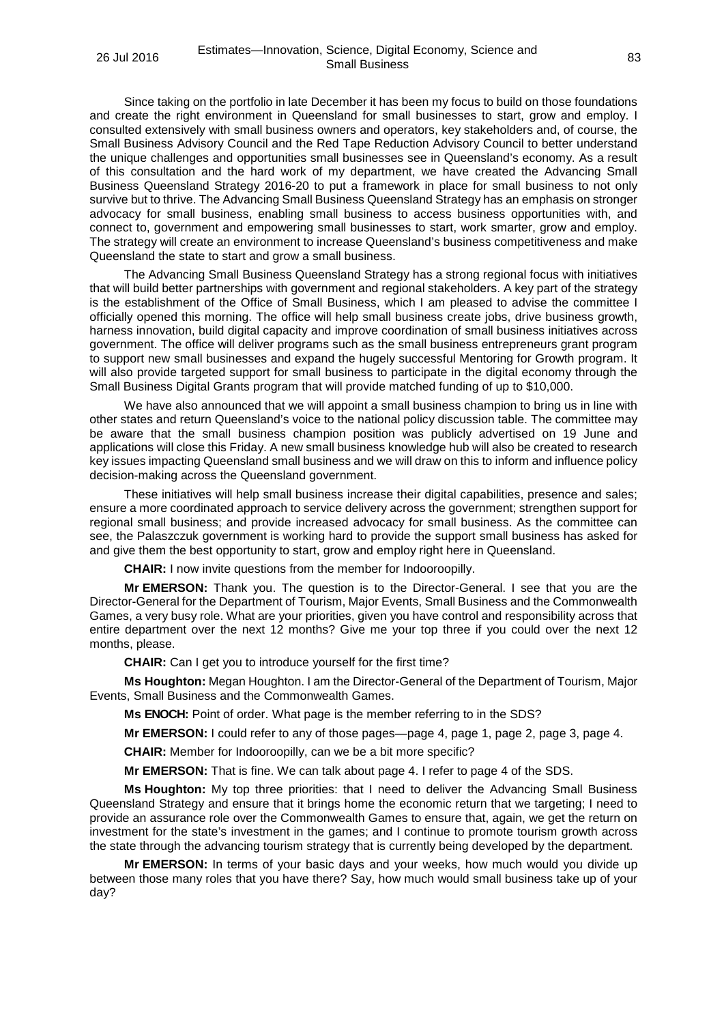Since taking on the portfolio in late December it has been my focus to build on those foundations and create the right environment in Queensland for small businesses to start, grow and employ. I consulted extensively with small business owners and operators, key stakeholders and, of course, the Small Business Advisory Council and the Red Tape Reduction Advisory Council to better understand the unique challenges and opportunities small businesses see in Queensland's economy. As a result of this consultation and the hard work of my department, we have created the Advancing Small Business Queensland Strategy 2016-20 to put a framework in place for small business to not only survive but to thrive. The Advancing Small Business Queensland Strategy has an emphasis on stronger advocacy for small business, enabling small business to access business opportunities with, and connect to, government and empowering small businesses to start, work smarter, grow and employ. The strategy will create an environment to increase Queensland's business competitiveness and make Queensland the state to start and grow a small business.

The Advancing Small Business Queensland Strategy has a strong regional focus with initiatives that will build better partnerships with government and regional stakeholders. A key part of the strategy is the establishment of the Office of Small Business, which I am pleased to advise the committee I officially opened this morning. The office will help small business create jobs, drive business growth, harness innovation, build digital capacity and improve coordination of small business initiatives across government. The office will deliver programs such as the small business entrepreneurs grant program to support new small businesses and expand the hugely successful Mentoring for Growth program. It will also provide targeted support for small business to participate in the digital economy through the Small Business Digital Grants program that will provide matched funding of up to \$10,000.

We have also announced that we will appoint a small business champion to bring us in line with other states and return Queensland's voice to the national policy discussion table. The committee may be aware that the small business champion position was publicly advertised on 19 June and applications will close this Friday. A new small business knowledge hub will also be created to research key issues impacting Queensland small business and we will draw on this to inform and influence policy decision-making across the Queensland government.

These initiatives will help small business increase their digital capabilities, presence and sales; ensure a more coordinated approach to service delivery across the government; strengthen support for regional small business; and provide increased advocacy for small business. As the committee can see, the Palaszczuk government is working hard to provide the support small business has asked for and give them the best opportunity to start, grow and employ right here in Queensland.

**CHAIR:** I now invite questions from the member for Indooroopilly.

**Mr EMERSON:** Thank you. The question is to the Director-General. I see that you are the Director-General for the Department of Tourism, Major Events, Small Business and the Commonwealth Games, a very busy role. What are your priorities, given you have control and responsibility across that entire department over the next 12 months? Give me your top three if you could over the next 12 months, please.

**CHAIR:** Can I get you to introduce yourself for the first time?

**Ms Houghton:** Megan Houghton. I am the Director-General of the Department of Tourism, Major Events, Small Business and the Commonwealth Games.

**Ms ENOCH:** Point of order. What page is the member referring to in the SDS?

**Mr EMERSON:** I could refer to any of those pages—page 4, page 1, page 2, page 3, page 4.

**CHAIR:** Member for Indooroopilly, can we be a bit more specific?

**Mr EMERSON:** That is fine. We can talk about page 4. I refer to page 4 of the SDS.

**Ms Houghton:** My top three priorities: that I need to deliver the Advancing Small Business Queensland Strategy and ensure that it brings home the economic return that we targeting; I need to provide an assurance role over the Commonwealth Games to ensure that, again, we get the return on investment for the state's investment in the games; and I continue to promote tourism growth across the state through the advancing tourism strategy that is currently being developed by the department.

**Mr EMERSON:** In terms of your basic days and your weeks, how much would you divide up between those many roles that you have there? Say, how much would small business take up of your day?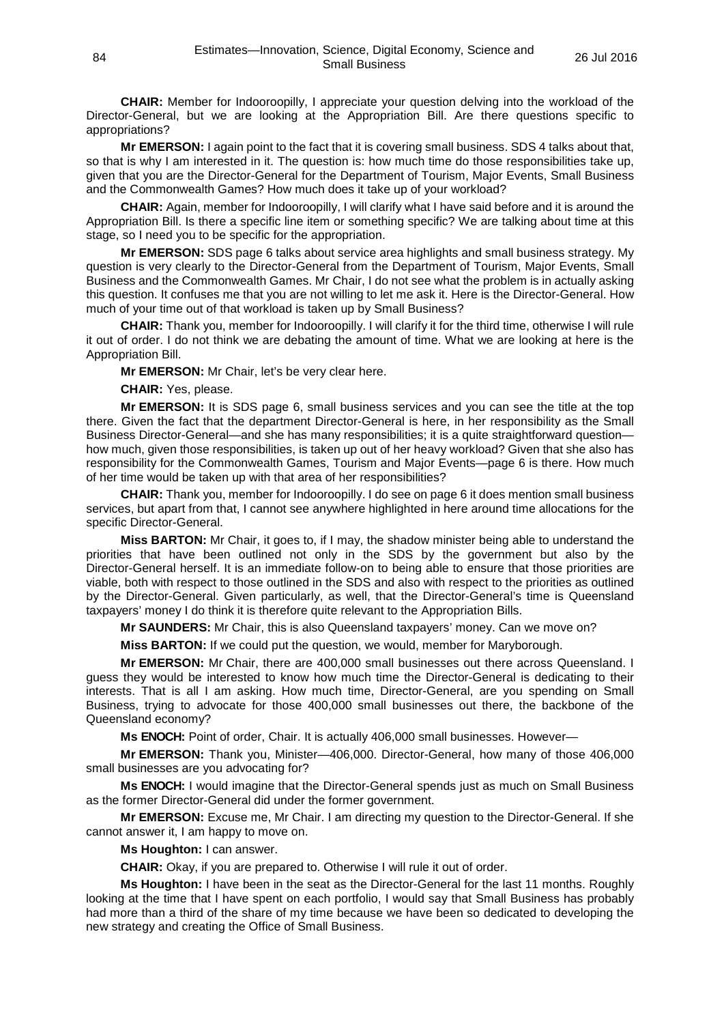**CHAIR:** Member for Indooroopilly, I appreciate your question delving into the workload of the Director-General, but we are looking at the Appropriation Bill. Are there questions specific to appropriations?

**Mr EMERSON:** I again point to the fact that it is covering small business. SDS 4 talks about that, so that is why I am interested in it. The question is: how much time do those responsibilities take up, given that you are the Director-General for the Department of Tourism, Major Events, Small Business and the Commonwealth Games? How much does it take up of your workload?

**CHAIR:** Again, member for Indooroopilly, I will clarify what I have said before and it is around the Appropriation Bill. Is there a specific line item or something specific? We are talking about time at this stage, so I need you to be specific for the appropriation.

**Mr EMERSON:** SDS page 6 talks about service area highlights and small business strategy. My question is very clearly to the Director-General from the Department of Tourism, Major Events, Small Business and the Commonwealth Games. Mr Chair, I do not see what the problem is in actually asking this question. It confuses me that you are not willing to let me ask it. Here is the Director-General. How much of your time out of that workload is taken up by Small Business?

**CHAIR:** Thank you, member for Indooroopilly. I will clarify it for the third time, otherwise I will rule it out of order. I do not think we are debating the amount of time. What we are looking at here is the Appropriation Bill.

**Mr EMERSON:** Mr Chair, let's be very clear here.

**CHAIR:** Yes, please.

**Mr EMERSON:** It is SDS page 6, small business services and you can see the title at the top there. Given the fact that the department Director-General is here, in her responsibility as the Small Business Director-General—and she has many responsibilities; it is a quite straightforward question how much, given those responsibilities, is taken up out of her heavy workload? Given that she also has responsibility for the Commonwealth Games, Tourism and Major Events—page 6 is there. How much of her time would be taken up with that area of her responsibilities?

**CHAIR:** Thank you, member for Indooroopilly. I do see on page 6 it does mention small business services, but apart from that, I cannot see anywhere highlighted in here around time allocations for the specific Director-General.

**Miss BARTON:** Mr Chair, it goes to, if I may, the shadow minister being able to understand the priorities that have been outlined not only in the SDS by the government but also by the Director-General herself. It is an immediate follow-on to being able to ensure that those priorities are viable, both with respect to those outlined in the SDS and also with respect to the priorities as outlined by the Director-General. Given particularly, as well, that the Director-General's time is Queensland taxpayers' money I do think it is therefore quite relevant to the Appropriation Bills.

**Mr SAUNDERS:** Mr Chair, this is also Queensland taxpayers' money. Can we move on?

**Miss BARTON:** If we could put the question, we would, member for Maryborough.

**Mr EMERSON:** Mr Chair, there are 400,000 small businesses out there across Queensland. I guess they would be interested to know how much time the Director-General is dedicating to their interests. That is all I am asking. How much time, Director-General, are you spending on Small Business, trying to advocate for those 400,000 small businesses out there, the backbone of the Queensland economy?

**Ms ENOCH:** Point of order, Chair. It is actually 406,000 small businesses. However—

**Mr EMERSON:** Thank you, Minister—406,000. Director-General, how many of those 406,000 small businesses are you advocating for?

**Ms ENOCH:** I would imagine that the Director-General spends just as much on Small Business as the former Director-General did under the former government.

**Mr EMERSON:** Excuse me, Mr Chair. I am directing my question to the Director-General. If she cannot answer it, I am happy to move on.

**Ms Houghton:** I can answer.

**CHAIR:** Okay, if you are prepared to. Otherwise I will rule it out of order.

**Ms Houghton:** I have been in the seat as the Director-General for the last 11 months. Roughly looking at the time that I have spent on each portfolio, I would say that Small Business has probably had more than a third of the share of my time because we have been so dedicated to developing the new strategy and creating the Office of Small Business.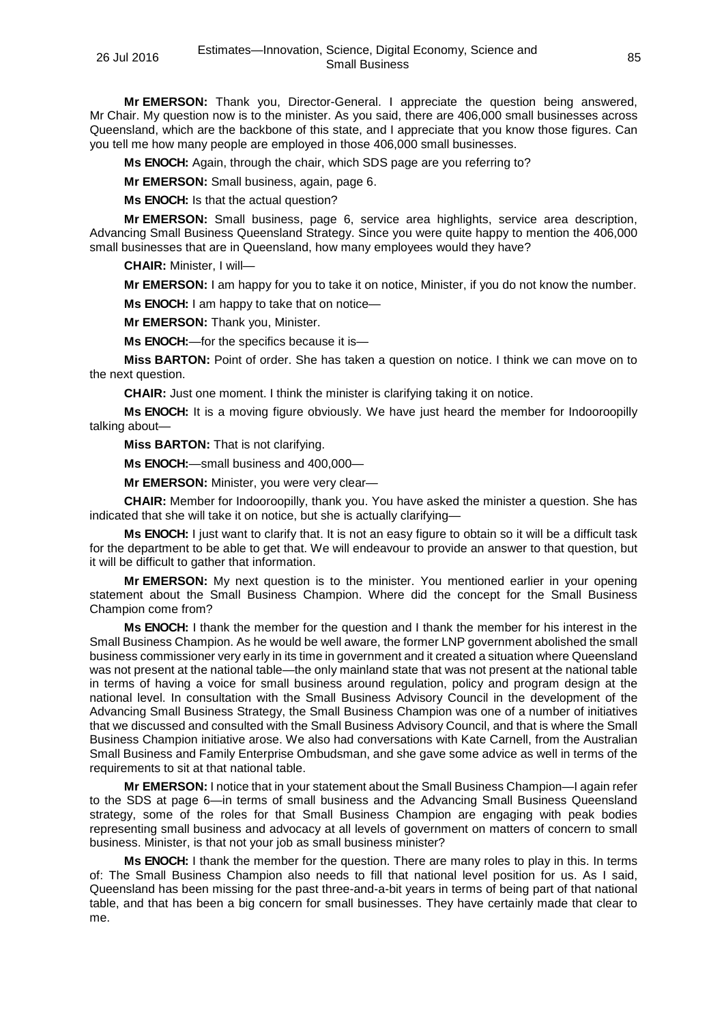**Mr EMERSON:** Thank you, Director-General. I appreciate the question being answered, Mr Chair. My question now is to the minister. As you said, there are 406,000 small businesses across Queensland, which are the backbone of this state, and I appreciate that you know those figures. Can you tell me how many people are employed in those 406,000 small businesses.

**Ms ENOCH:** Again, through the chair, which SDS page are you referring to?

**Mr EMERSON:** Small business, again, page 6.

**Ms ENOCH:** Is that the actual question?

**Mr EMERSON:** Small business, page 6, service area highlights, service area description, Advancing Small Business Queensland Strategy. Since you were quite happy to mention the 406,000 small businesses that are in Queensland, how many employees would they have?

**CHAIR:** Minister, I will—

**Mr EMERSON:** I am happy for you to take it on notice, Minister, if you do not know the number.

**Ms ENOCH:** I am happy to take that on notice—

**Mr EMERSON:** Thank you, Minister.

**Ms ENOCH:**—for the specifics because it is—

**Miss BARTON:** Point of order. She has taken a question on notice. I think we can move on to the next question.

**CHAIR:** Just one moment. I think the minister is clarifying taking it on notice.

**Ms ENOCH:** It is a moving figure obviously. We have just heard the member for Indooroopilly talking about—

**Miss BARTON:** That is not clarifying.

**Ms ENOCH:**—small business and 400,000—

**Mr EMERSON:** Minister, you were very clear—

**CHAIR:** Member for Indooroopilly, thank you. You have asked the minister a question. She has indicated that she will take it on notice, but she is actually clarifying—

**Ms ENOCH:** I just want to clarify that. It is not an easy figure to obtain so it will be a difficult task for the department to be able to get that. We will endeavour to provide an answer to that question, but it will be difficult to gather that information.

**Mr EMERSON:** My next question is to the minister. You mentioned earlier in your opening statement about the Small Business Champion. Where did the concept for the Small Business Champion come from?

**Ms ENOCH:** I thank the member for the question and I thank the member for his interest in the Small Business Champion. As he would be well aware, the former LNP government abolished the small business commissioner very early in its time in government and it created a situation where Queensland was not present at the national table—the only mainland state that was not present at the national table in terms of having a voice for small business around regulation, policy and program design at the national level. In consultation with the Small Business Advisory Council in the development of the Advancing Small Business Strategy, the Small Business Champion was one of a number of initiatives that we discussed and consulted with the Small Business Advisory Council, and that is where the Small Business Champion initiative arose. We also had conversations with Kate Carnell, from the Australian Small Business and Family Enterprise Ombudsman, and she gave some advice as well in terms of the requirements to sit at that national table.

**Mr EMERSON:** I notice that in your statement about the Small Business Champion—I again refer to the SDS at page 6—in terms of small business and the Advancing Small Business Queensland strategy, some of the roles for that Small Business Champion are engaging with peak bodies representing small business and advocacy at all levels of government on matters of concern to small business. Minister, is that not your job as small business minister?

**Ms ENOCH:** I thank the member for the question. There are many roles to play in this. In terms of: The Small Business Champion also needs to fill that national level position for us. As I said, Queensland has been missing for the past three-and-a-bit years in terms of being part of that national table, and that has been a big concern for small businesses. They have certainly made that clear to me.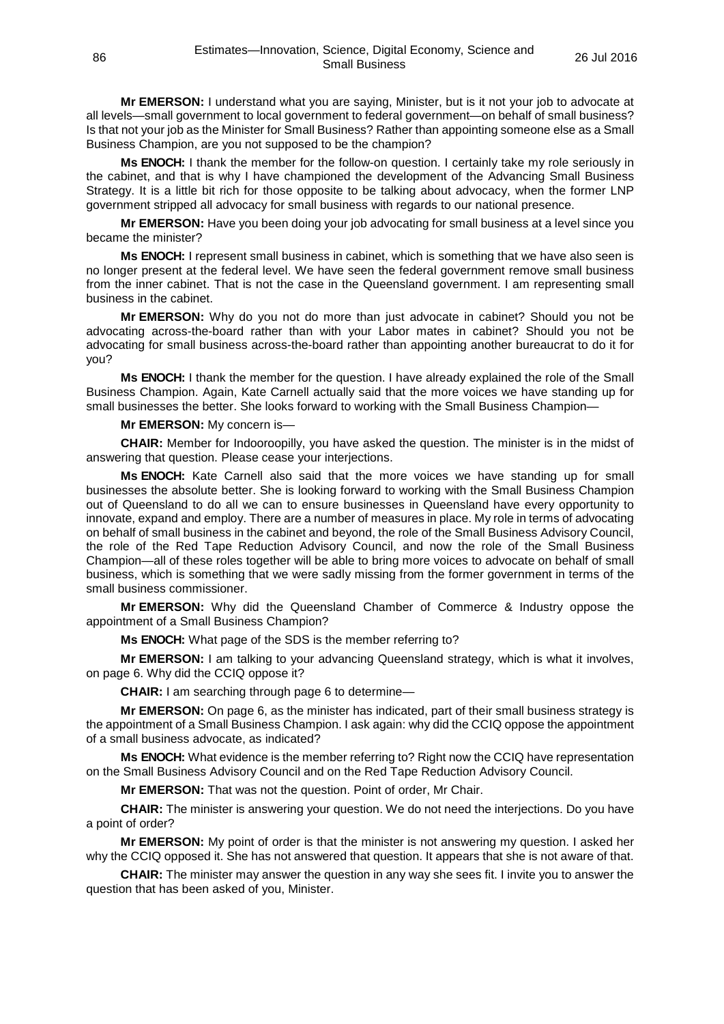**Mr EMERSON:** I understand what you are saying, Minister, but is it not your job to advocate at all levels—small government to local government to federal government—on behalf of small business? Is that not your job as the Minister for Small Business? Rather than appointing someone else as a Small Business Champion, are you not supposed to be the champion?

**Ms ENOCH:** I thank the member for the follow-on question. I certainly take my role seriously in the cabinet, and that is why I have championed the development of the Advancing Small Business Strategy. It is a little bit rich for those opposite to be talking about advocacy, when the former LNP government stripped all advocacy for small business with regards to our national presence.

**Mr EMERSON:** Have you been doing your job advocating for small business at a level since you became the minister?

**Ms ENOCH:** I represent small business in cabinet, which is something that we have also seen is no longer present at the federal level. We have seen the federal government remove small business from the inner cabinet. That is not the case in the Queensland government. I am representing small business in the cabinet.

**Mr EMERSON:** Why do you not do more than just advocate in cabinet? Should you not be advocating across-the-board rather than with your Labor mates in cabinet? Should you not be advocating for small business across-the-board rather than appointing another bureaucrat to do it for you?

**Ms ENOCH:** I thank the member for the question. I have already explained the role of the Small Business Champion. Again, Kate Carnell actually said that the more voices we have standing up for small businesses the better. She looks forward to working with the Small Business Champion—

## **Mr EMERSON:** My concern is—

**CHAIR:** Member for Indooroopilly, you have asked the question. The minister is in the midst of answering that question. Please cease your interjections.

**Ms ENOCH:** Kate Carnell also said that the more voices we have standing up for small businesses the absolute better. She is looking forward to working with the Small Business Champion out of Queensland to do all we can to ensure businesses in Queensland have every opportunity to innovate, expand and employ. There are a number of measures in place. My role in terms of advocating on behalf of small business in the cabinet and beyond, the role of the Small Business Advisory Council, the role of the Red Tape Reduction Advisory Council, and now the role of the Small Business Champion—all of these roles together will be able to bring more voices to advocate on behalf of small business, which is something that we were sadly missing from the former government in terms of the small business commissioner.

**Mr EMERSON:** Why did the Queensland Chamber of Commerce & Industry oppose the appointment of a Small Business Champion?

**Ms ENOCH:** What page of the SDS is the member referring to?

**Mr EMERSON:** I am talking to your advancing Queensland strategy, which is what it involves, on page 6. Why did the CCIQ oppose it?

**CHAIR:** I am searching through page 6 to determine—

**Mr EMERSON:** On page 6, as the minister has indicated, part of their small business strategy is the appointment of a Small Business Champion. I ask again: why did the CCIQ oppose the appointment of a small business advocate, as indicated?

**Ms ENOCH:** What evidence is the member referring to? Right now the CCIQ have representation on the Small Business Advisory Council and on the Red Tape Reduction Advisory Council.

**Mr EMERSON:** That was not the question. Point of order, Mr Chair.

**CHAIR:** The minister is answering your question. We do not need the interjections. Do you have a point of order?

**Mr EMERSON:** My point of order is that the minister is not answering my question. I asked her why the CCIQ opposed it. She has not answered that question. It appears that she is not aware of that.

**CHAIR:** The minister may answer the question in any way she sees fit. I invite you to answer the question that has been asked of you, Minister.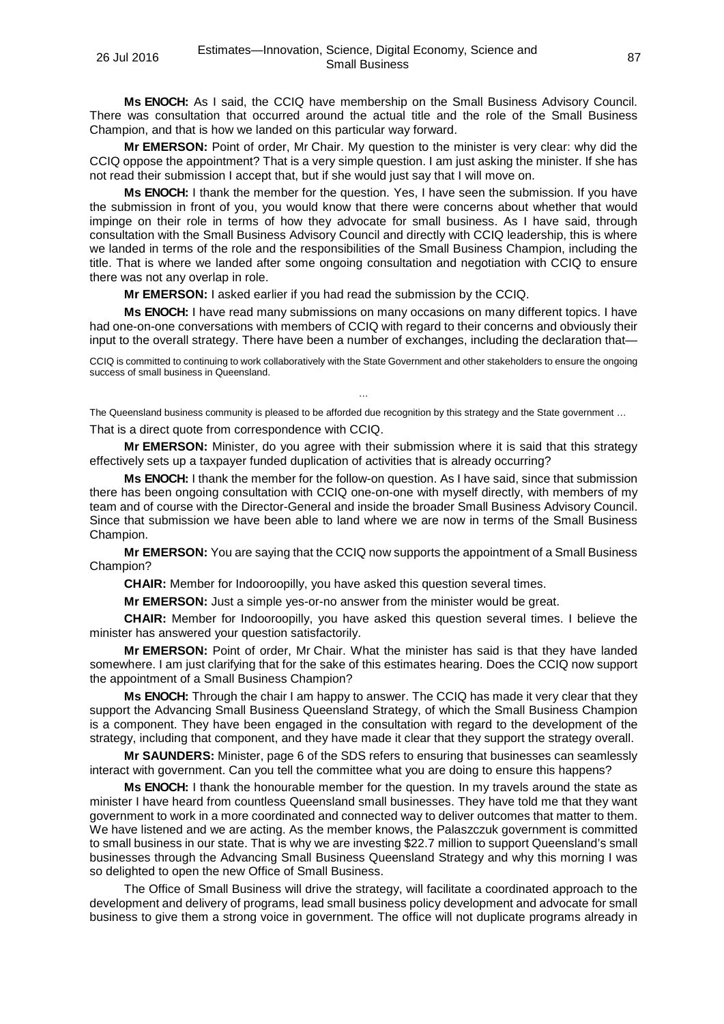**Ms ENOCH:** As I said, the CCIQ have membership on the Small Business Advisory Council. There was consultation that occurred around the actual title and the role of the Small Business Champion, and that is how we landed on this particular way forward.

**Mr EMERSON:** Point of order, Mr Chair. My question to the minister is very clear: why did the CCIQ oppose the appointment? That is a very simple question. I am just asking the minister. If she has not read their submission I accept that, but if she would just say that I will move on.

**Ms ENOCH:** I thank the member for the question. Yes, I have seen the submission. If you have the submission in front of you, you would know that there were concerns about whether that would impinge on their role in terms of how they advocate for small business. As I have said, through consultation with the Small Business Advisory Council and directly with CCIQ leadership, this is where we landed in terms of the role and the responsibilities of the Small Business Champion, including the title. That is where we landed after some ongoing consultation and negotiation with CCIQ to ensure there was not any overlap in role.

**Mr EMERSON:** I asked earlier if you had read the submission by the CCIQ.

**Ms ENOCH:** I have read many submissions on many occasions on many different topics. I have had one-on-one conversations with members of CCIQ with regard to their concerns and obviously their input to the overall strategy. There have been a number of exchanges, including the declaration that—

CCIQ is committed to continuing to work collaboratively with the State Government and other stakeholders to ensure the ongoing success of small business in Queensland.

…

The Queensland business community is pleased to be afforded due recognition by this strategy and the State government … That is a direct quote from correspondence with CCIQ.

**Mr EMERSON:** Minister, do you agree with their submission where it is said that this strategy effectively sets up a taxpayer funded duplication of activities that is already occurring?

**Ms ENOCH:** I thank the member for the follow-on question. As I have said, since that submission there has been ongoing consultation with CCIQ one-on-one with myself directly, with members of my team and of course with the Director-General and inside the broader Small Business Advisory Council. Since that submission we have been able to land where we are now in terms of the Small Business Champion.

**Mr EMERSON:** You are saying that the CCIQ now supports the appointment of a Small Business Champion?

**CHAIR:** Member for Indooroopilly, you have asked this question several times.

**Mr EMERSON:** Just a simple yes-or-no answer from the minister would be great.

**CHAIR:** Member for Indooroopilly, you have asked this question several times. I believe the minister has answered your question satisfactorily.

**Mr EMERSON:** Point of order, Mr Chair. What the minister has said is that they have landed somewhere. I am just clarifying that for the sake of this estimates hearing. Does the CCIQ now support the appointment of a Small Business Champion?

**Ms ENOCH:** Through the chair I am happy to answer. The CCIQ has made it very clear that they support the Advancing Small Business Queensland Strategy, of which the Small Business Champion is a component. They have been engaged in the consultation with regard to the development of the strategy, including that component, and they have made it clear that they support the strategy overall.

**Mr SAUNDERS:** Minister, page 6 of the SDS refers to ensuring that businesses can seamlessly interact with government. Can you tell the committee what you are doing to ensure this happens?

**Ms ENOCH:** I thank the honourable member for the question. In my travels around the state as minister I have heard from countless Queensland small businesses. They have told me that they want government to work in a more coordinated and connected way to deliver outcomes that matter to them. We have listened and we are acting. As the member knows, the Palaszczuk government is committed to small business in our state. That is why we are investing \$22.7 million to support Queensland's small businesses through the Advancing Small Business Queensland Strategy and why this morning I was so delighted to open the new Office of Small Business.

The Office of Small Business will drive the strategy, will facilitate a coordinated approach to the development and delivery of programs, lead small business policy development and advocate for small business to give them a strong voice in government. The office will not duplicate programs already in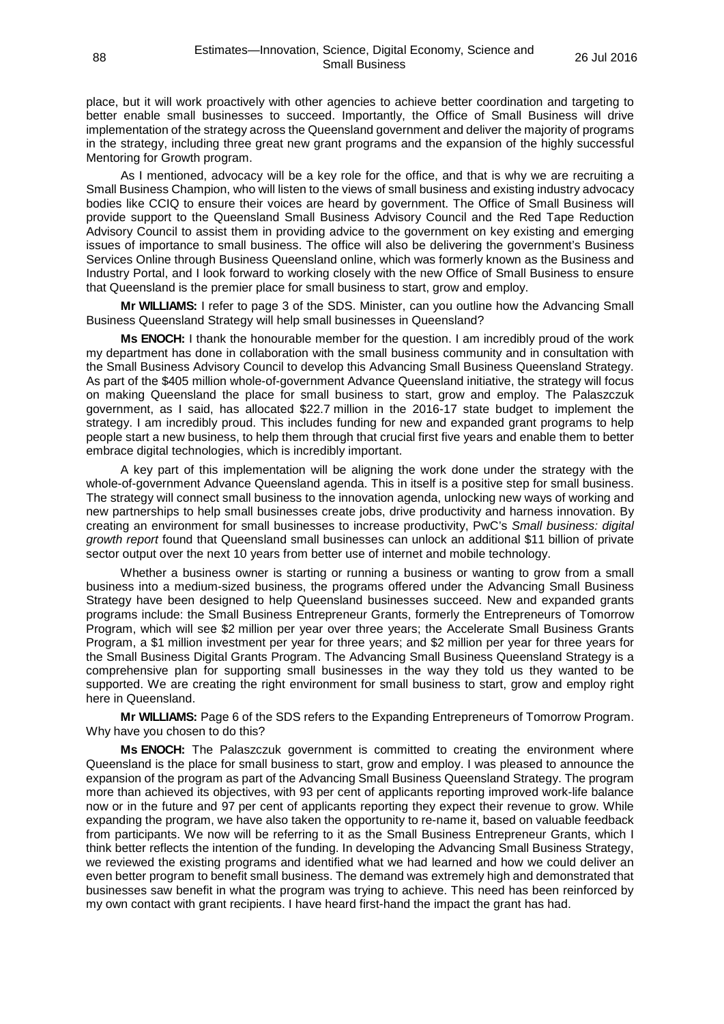place, but it will work proactively with other agencies to achieve better coordination and targeting to better enable small businesses to succeed. Importantly, the Office of Small Business will drive implementation of the strategy across the Queensland government and deliver the majority of programs in the strategy, including three great new grant programs and the expansion of the highly successful Mentoring for Growth program.

As I mentioned, advocacy will be a key role for the office, and that is why we are recruiting a Small Business Champion, who will listen to the views of small business and existing industry advocacy bodies like CCIQ to ensure their voices are heard by government. The Office of Small Business will provide support to the Queensland Small Business Advisory Council and the Red Tape Reduction Advisory Council to assist them in providing advice to the government on key existing and emerging issues of importance to small business. The office will also be delivering the government's Business Services Online through Business Queensland online, which was formerly known as the Business and Industry Portal, and I look forward to working closely with the new Office of Small Business to ensure that Queensland is the premier place for small business to start, grow and employ.

**Mr WILLIAMS:** I refer to page 3 of the SDS. Minister, can you outline how the Advancing Small Business Queensland Strategy will help small businesses in Queensland?

**Ms ENOCH:** I thank the honourable member for the question. I am incredibly proud of the work my department has done in collaboration with the small business community and in consultation with the Small Business Advisory Council to develop this Advancing Small Business Queensland Strategy. As part of the \$405 million whole-of-government Advance Queensland initiative, the strategy will focus on making Queensland the place for small business to start, grow and employ. The Palaszczuk government, as I said, has allocated \$22.7 million in the 2016-17 state budget to implement the strategy. I am incredibly proud. This includes funding for new and expanded grant programs to help people start a new business, to help them through that crucial first five years and enable them to better embrace digital technologies, which is incredibly important.

A key part of this implementation will be aligning the work done under the strategy with the whole-of-government Advance Queensland agenda. This in itself is a positive step for small business. The strategy will connect small business to the innovation agenda, unlocking new ways of working and new partnerships to help small businesses create jobs, drive productivity and harness innovation. By creating an environment for small businesses to increase productivity, PwC's *Small business: digital growth report* found that Queensland small businesses can unlock an additional \$11 billion of private sector output over the next 10 years from better use of internet and mobile technology.

Whether a business owner is starting or running a business or wanting to grow from a small business into a medium-sized business, the programs offered under the Advancing Small Business Strategy have been designed to help Queensland businesses succeed. New and expanded grants programs include: the Small Business Entrepreneur Grants, formerly the Entrepreneurs of Tomorrow Program, which will see \$2 million per year over three years; the Accelerate Small Business Grants Program, a \$1 million investment per year for three years; and \$2 million per year for three years for the Small Business Digital Grants Program. The Advancing Small Business Queensland Strategy is a comprehensive plan for supporting small businesses in the way they told us they wanted to be supported. We are creating the right environment for small business to start, grow and employ right here in Queensland.

**Mr WILLIAMS:** Page 6 of the SDS refers to the Expanding Entrepreneurs of Tomorrow Program. Why have you chosen to do this?

**Ms ENOCH:** The Palaszczuk government is committed to creating the environment where Queensland is the place for small business to start, grow and employ. I was pleased to announce the expansion of the program as part of the Advancing Small Business Queensland Strategy. The program more than achieved its objectives, with 93 per cent of applicants reporting improved work-life balance now or in the future and 97 per cent of applicants reporting they expect their revenue to grow. While expanding the program, we have also taken the opportunity to re-name it, based on valuable feedback from participants. We now will be referring to it as the Small Business Entrepreneur Grants, which I think better reflects the intention of the funding. In developing the Advancing Small Business Strategy, we reviewed the existing programs and identified what we had learned and how we could deliver an even better program to benefit small business. The demand was extremely high and demonstrated that businesses saw benefit in what the program was trying to achieve. This need has been reinforced by my own contact with grant recipients. I have heard first-hand the impact the grant has had.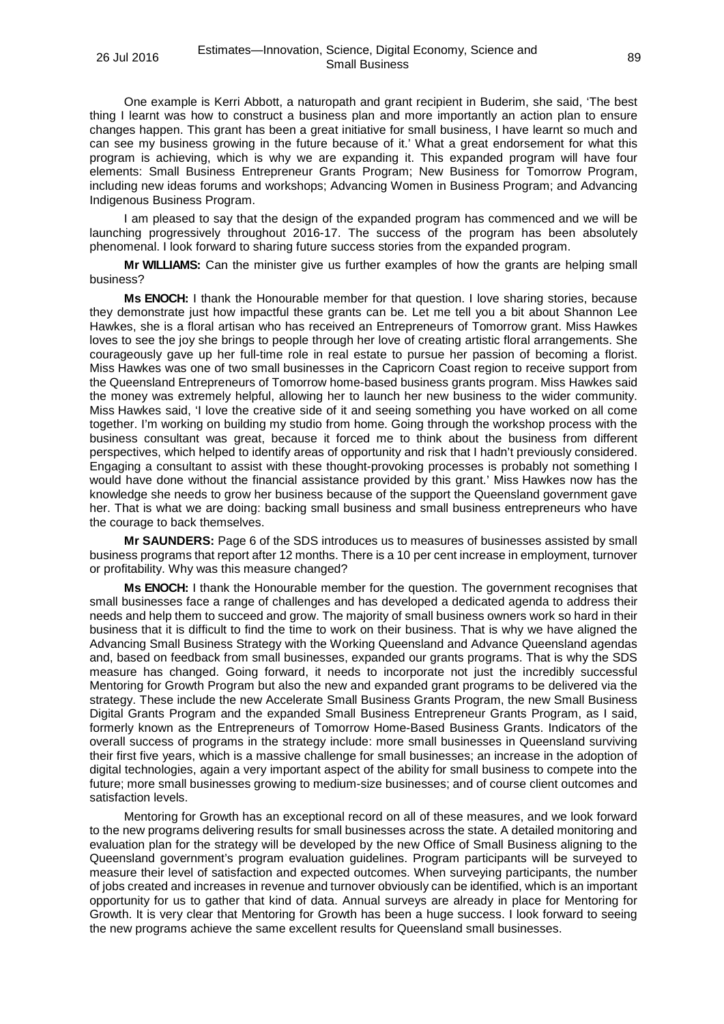One example is Kerri Abbott, a naturopath and grant recipient in Buderim, she said, 'The best thing I learnt was how to construct a business plan and more importantly an action plan to ensure changes happen. This grant has been a great initiative for small business, I have learnt so much and can see my business growing in the future because of it.' What a great endorsement for what this program is achieving, which is why we are expanding it. This expanded program will have four elements: Small Business Entrepreneur Grants Program; New Business for Tomorrow Program, including new ideas forums and workshops; Advancing Women in Business Program; and Advancing Indigenous Business Program.

I am pleased to say that the design of the expanded program has commenced and we will be launching progressively throughout 2016-17. The success of the program has been absolutely phenomenal. I look forward to sharing future success stories from the expanded program.

**Mr WILLIAMS:** Can the minister give us further examples of how the grants are helping small business?

**Ms ENOCH:** I thank the Honourable member for that question. I love sharing stories, because they demonstrate just how impactful these grants can be. Let me tell you a bit about Shannon Lee Hawkes, she is a floral artisan who has received an Entrepreneurs of Tomorrow grant. Miss Hawkes loves to see the joy she brings to people through her love of creating artistic floral arrangements. She courageously gave up her full-time role in real estate to pursue her passion of becoming a florist. Miss Hawkes was one of two small businesses in the Capricorn Coast region to receive support from the Queensland Entrepreneurs of Tomorrow home-based business grants program. Miss Hawkes said the money was extremely helpful, allowing her to launch her new business to the wider community. Miss Hawkes said, 'I love the creative side of it and seeing something you have worked on all come together. I'm working on building my studio from home. Going through the workshop process with the business consultant was great, because it forced me to think about the business from different perspectives, which helped to identify areas of opportunity and risk that I hadn't previously considered. Engaging a consultant to assist with these thought-provoking processes is probably not something I would have done without the financial assistance provided by this grant.' Miss Hawkes now has the knowledge she needs to grow her business because of the support the Queensland government gave her. That is what we are doing: backing small business and small business entrepreneurs who have the courage to back themselves.

**Mr SAUNDERS:** Page 6 of the SDS introduces us to measures of businesses assisted by small business programs that report after 12 months. There is a 10 per cent increase in employment, turnover or profitability. Why was this measure changed?

**Ms ENOCH:** I thank the Honourable member for the question. The government recognises that small businesses face a range of challenges and has developed a dedicated agenda to address their needs and help them to succeed and grow. The majority of small business owners work so hard in their business that it is difficult to find the time to work on their business. That is why we have aligned the Advancing Small Business Strategy with the Working Queensland and Advance Queensland agendas and, based on feedback from small businesses, expanded our grants programs. That is why the SDS measure has changed. Going forward, it needs to incorporate not just the incredibly successful Mentoring for Growth Program but also the new and expanded grant programs to be delivered via the strategy. These include the new Accelerate Small Business Grants Program, the new Small Business Digital Grants Program and the expanded Small Business Entrepreneur Grants Program, as I said, formerly known as the Entrepreneurs of Tomorrow Home-Based Business Grants. Indicators of the overall success of programs in the strategy include: more small businesses in Queensland surviving their first five years, which is a massive challenge for small businesses; an increase in the adoption of digital technologies, again a very important aspect of the ability for small business to compete into the future; more small businesses growing to medium-size businesses; and of course client outcomes and satisfaction levels.

Mentoring for Growth has an exceptional record on all of these measures, and we look forward to the new programs delivering results for small businesses across the state. A detailed monitoring and evaluation plan for the strategy will be developed by the new Office of Small Business aligning to the Queensland government's program evaluation guidelines. Program participants will be surveyed to measure their level of satisfaction and expected outcomes. When surveying participants, the number of jobs created and increases in revenue and turnover obviously can be identified, which is an important opportunity for us to gather that kind of data. Annual surveys are already in place for Mentoring for Growth. It is very clear that Mentoring for Growth has been a huge success. I look forward to seeing the new programs achieve the same excellent results for Queensland small businesses.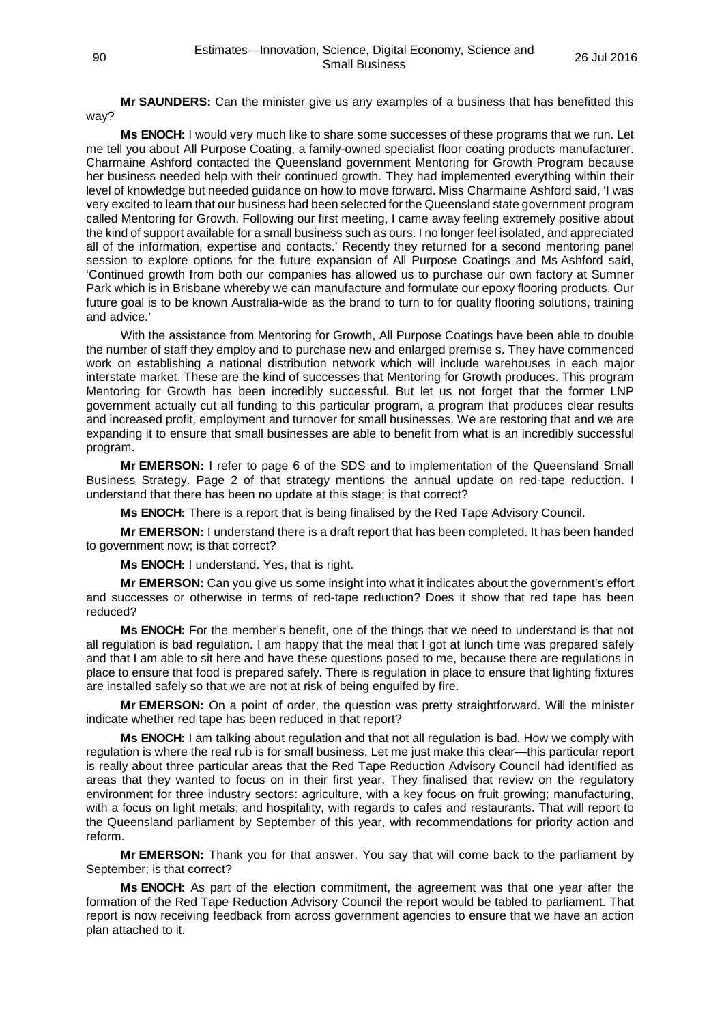**Mr SAUNDERS:** Can the minister give us any examples of a business that has benefitted this way?

**Ms ENOCH:** I would very much like to share some successes of these programs that we run. Let me tell you about All Purpose Coating, a family-owned specialist floor coating products manufacturer. Charmaine Ashford contacted the Queensland government Mentoring for Growth Program because her business needed help with their continued growth. They had implemented everything within their level of knowledge but needed guidance on how to move forward. Miss Charmaine Ashford said, 'I was very excited to learn that our business had been selected for the Queensland state government program called Mentoring for Growth. Following our first meeting, I came away feeling extremely positive about the kind of support available for a small business such as ours. I no longer feel isolated, and appreciated all of the information, expertise and contacts.' Recently they returned for a second mentoring panel session to explore options for the future expansion of All Purpose Coatings and Ms Ashford said, 'Continued growth from both our companies has allowed us to purchase our own factory at Sumner Park which is in Brisbane whereby we can manufacture and formulate our epoxy flooring products. Our future goal is to be known Australia-wide as the brand to turn to for quality flooring solutions, training and advice.'

With the assistance from Mentoring for Growth, All Purpose Coatings have been able to double the number of staff they employ and to purchase new and enlarged premise s. They have commenced work on establishing a national distribution network which will include warehouses in each major interstate market. These are the kind of successes that Mentoring for Growth produces. This program Mentoring for Growth has been incredibly successful. But let us not forget that the former LNP government actually cut all funding to this particular program, a program that produces clear results and increased profit, employment and turnover for small businesses. We are restoring that and we are expanding it to ensure that small businesses are able to benefit from what is an incredibly successful program.

**Mr EMERSON:** I refer to page 6 of the SDS and to implementation of the Queensland Small Business Strategy. Page 2 of that strategy mentions the annual update on red-tape reduction. I understand that there has been no update at this stage; is that correct?

**Ms ENOCH:** There is a report that is being finalised by the Red Tape Advisory Council.

**Mr EMERSON:** I understand there is a draft report that has been completed. It has been handed to government now; is that correct?

**Ms ENOCH:** I understand. Yes, that is right.

**Mr EMERSON:** Can you give us some insight into what it indicates about the government's effort and successes or otherwise in terms of red-tape reduction? Does it show that red tape has been reduced?

**Ms ENOCH:** For the member's benefit, one of the things that we need to understand is that not all regulation is bad regulation. I am happy that the meal that I got at lunch time was prepared safely and that I am able to sit here and have these questions posed to me, because there are regulations in place to ensure that food is prepared safely. There is regulation in place to ensure that lighting fixtures are installed safely so that we are not at risk of being engulfed by fire.

**Mr EMERSON:** On a point of order, the question was pretty straightforward. Will the minister indicate whether red tape has been reduced in that report?

**Ms ENOCH:** I am talking about regulation and that not all regulation is bad. How we comply with regulation is where the real rub is for small business. Let me just make this clear—this particular report is really about three particular areas that the Red Tape Reduction Advisory Council had identified as areas that they wanted to focus on in their first year. They finalised that review on the regulatory environment for three industry sectors: agriculture, with a key focus on fruit growing; manufacturing, with a focus on light metals; and hospitality, with regards to cafes and restaurants. That will report to the Queensland parliament by September of this year, with recommendations for priority action and reform.

**Mr EMERSON:** Thank you for that answer. You say that will come back to the parliament by September; is that correct?

**Ms ENOCH:** As part of the election commitment, the agreement was that one year after the formation of the Red Tape Reduction Advisory Council the report would be tabled to parliament. That report is now receiving feedback from across government agencies to ensure that we have an action plan attached to it.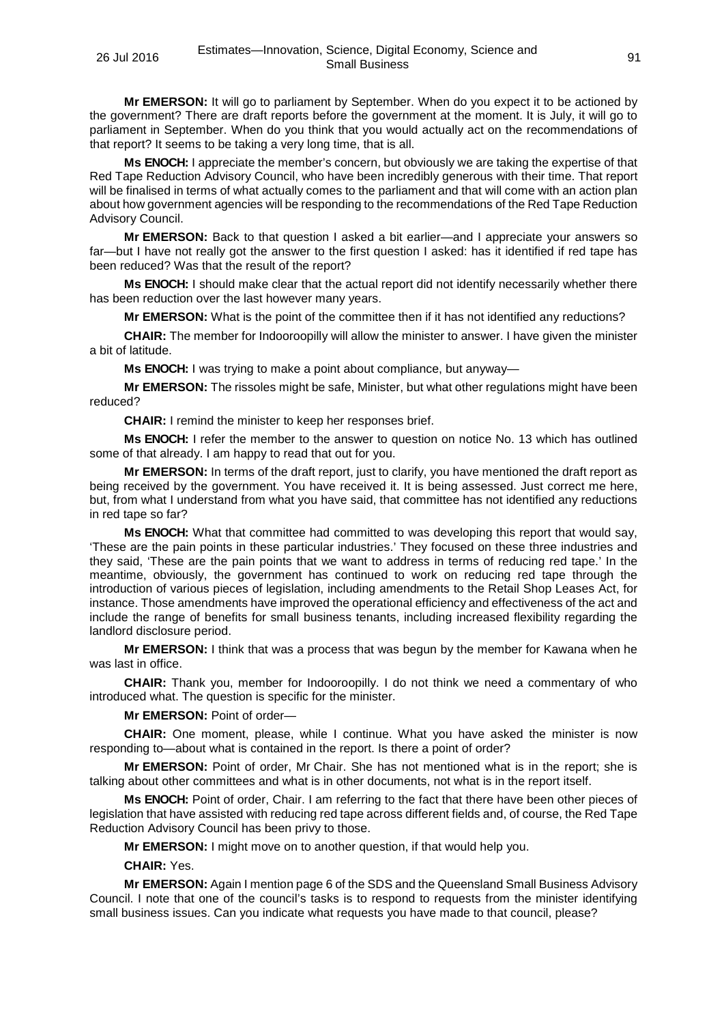**Mr EMERSON:** It will go to parliament by September. When do you expect it to be actioned by the government? There are draft reports before the government at the moment. It is July, it will go to parliament in September. When do you think that you would actually act on the recommendations of that report? It seems to be taking a very long time, that is all.

**Ms ENOCH:** I appreciate the member's concern, but obviously we are taking the expertise of that Red Tape Reduction Advisory Council, who have been incredibly generous with their time. That report will be finalised in terms of what actually comes to the parliament and that will come with an action plan about how government agencies will be responding to the recommendations of the Red Tape Reduction Advisory Council.

**Mr EMERSON:** Back to that question I asked a bit earlier—and I appreciate your answers so far—but I have not really got the answer to the first question I asked: has it identified if red tape has been reduced? Was that the result of the report?

**Ms ENOCH:** I should make clear that the actual report did not identify necessarily whether there has been reduction over the last however many years.

**Mr EMERSON:** What is the point of the committee then if it has not identified any reductions?

**CHAIR:** The member for Indooroopilly will allow the minister to answer. I have given the minister a bit of latitude.

**Ms ENOCH:** I was trying to make a point about compliance, but anyway—

**Mr EMERSON:** The rissoles might be safe, Minister, but what other regulations might have been reduced?

**CHAIR:** I remind the minister to keep her responses brief.

**Ms ENOCH:** I refer the member to the answer to question on notice No. 13 which has outlined some of that already. I am happy to read that out for you.

**Mr EMERSON:** In terms of the draft report, just to clarify, you have mentioned the draft report as being received by the government. You have received it. It is being assessed. Just correct me here, but, from what I understand from what you have said, that committee has not identified any reductions in red tape so far?

**Ms ENOCH:** What that committee had committed to was developing this report that would say, 'These are the pain points in these particular industries.' They focused on these three industries and they said, 'These are the pain points that we want to address in terms of reducing red tape.' In the meantime, obviously, the government has continued to work on reducing red tape through the introduction of various pieces of legislation, including amendments to the Retail Shop Leases Act, for instance. Those amendments have improved the operational efficiency and effectiveness of the act and include the range of benefits for small business tenants, including increased flexibility regarding the landlord disclosure period.

**Mr EMERSON:** I think that was a process that was begun by the member for Kawana when he was last in office.

**CHAIR:** Thank you, member for Indooroopilly. I do not think we need a commentary of who introduced what. The question is specific for the minister.

**Mr EMERSON:** Point of order—

**CHAIR:** One moment, please, while I continue. What you have asked the minister is now responding to—about what is contained in the report. Is there a point of order?

**Mr EMERSON:** Point of order, Mr Chair. She has not mentioned what is in the report; she is talking about other committees and what is in other documents, not what is in the report itself.

**Ms ENOCH:** Point of order, Chair. I am referring to the fact that there have been other pieces of legislation that have assisted with reducing red tape across different fields and, of course, the Red Tape Reduction Advisory Council has been privy to those.

**Mr EMERSON:** I might move on to another question, if that would help you.

**CHAIR:** Yes.

**Mr EMERSON:** Again I mention page 6 of the SDS and the Queensland Small Business Advisory Council. I note that one of the council's tasks is to respond to requests from the minister identifying small business issues. Can you indicate what requests you have made to that council, please?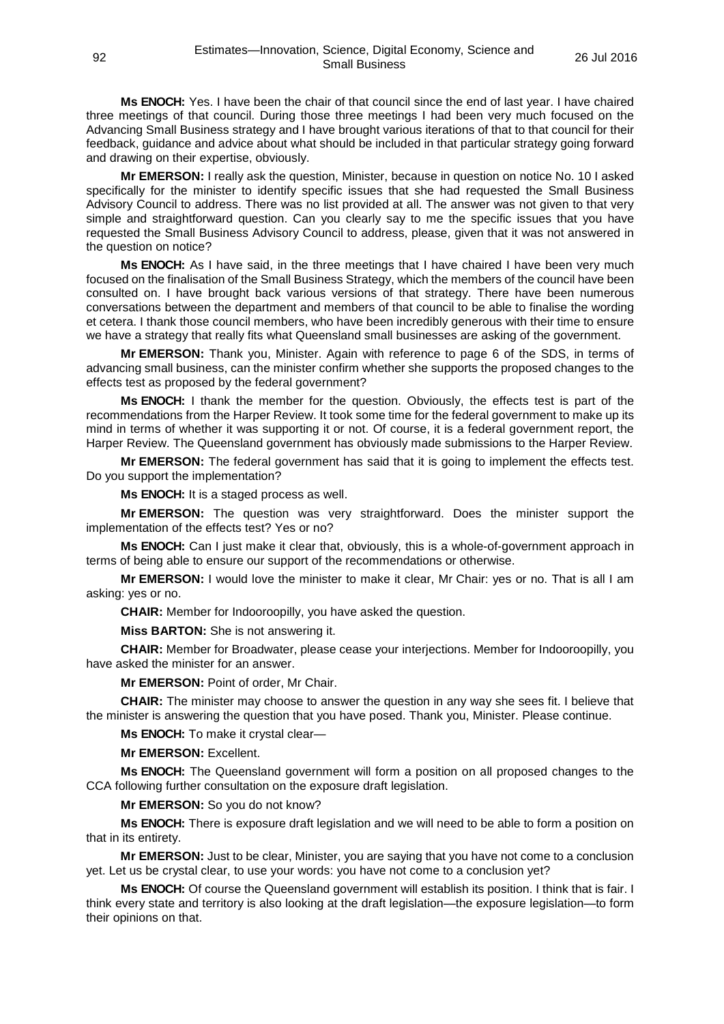**Ms ENOCH:** Yes. I have been the chair of that council since the end of last year. I have chaired three meetings of that council. During those three meetings I had been very much focused on the Advancing Small Business strategy and I have brought various iterations of that to that council for their feedback, guidance and advice about what should be included in that particular strategy going forward and drawing on their expertise, obviously.

**Mr EMERSON:** I really ask the question, Minister, because in question on notice No. 10 I asked specifically for the minister to identify specific issues that she had requested the Small Business Advisory Council to address. There was no list provided at all. The answer was not given to that very simple and straightforward question. Can you clearly say to me the specific issues that you have requested the Small Business Advisory Council to address, please, given that it was not answered in the question on notice?

**Ms ENOCH:** As I have said, in the three meetings that I have chaired I have been very much focused on the finalisation of the Small Business Strategy, which the members of the council have been consulted on. I have brought back various versions of that strategy. There have been numerous conversations between the department and members of that council to be able to finalise the wording et cetera. I thank those council members, who have been incredibly generous with their time to ensure we have a strategy that really fits what Queensland small businesses are asking of the government.

**Mr EMERSON:** Thank you, Minister. Again with reference to page 6 of the SDS, in terms of advancing small business, can the minister confirm whether she supports the proposed changes to the effects test as proposed by the federal government?

**Ms ENOCH:** I thank the member for the question. Obviously, the effects test is part of the recommendations from the Harper Review. It took some time for the federal government to make up its mind in terms of whether it was supporting it or not. Of course, it is a federal government report, the Harper Review. The Queensland government has obviously made submissions to the Harper Review.

**Mr EMERSON:** The federal government has said that it is going to implement the effects test. Do you support the implementation?

**Ms ENOCH:** It is a staged process as well.

**Mr EMERSON:** The question was very straightforward. Does the minister support the implementation of the effects test? Yes or no?

**Ms ENOCH:** Can I just make it clear that, obviously, this is a whole-of-government approach in terms of being able to ensure our support of the recommendations or otherwise.

**Mr EMERSON:** I would love the minister to make it clear, Mr Chair: yes or no. That is all I am asking: yes or no.

**CHAIR:** Member for Indooroopilly, you have asked the question.

**Miss BARTON:** She is not answering it.

**CHAIR:** Member for Broadwater, please cease your interjections. Member for Indooroopilly, you have asked the minister for an answer.

**Mr EMERSON:** Point of order, Mr Chair.

**CHAIR:** The minister may choose to answer the question in any way she sees fit. I believe that the minister is answering the question that you have posed. Thank you, Minister. Please continue.

**Ms ENOCH:** To make it crystal clear—

**Mr EMERSON:** Excellent.

**Ms ENOCH:** The Queensland government will form a position on all proposed changes to the CCA following further consultation on the exposure draft legislation.

**Mr EMERSON:** So you do not know?

**Ms ENOCH:** There is exposure draft legislation and we will need to be able to form a position on that in its entirety.

**Mr EMERSON:** Just to be clear, Minister, you are saying that you have not come to a conclusion yet. Let us be crystal clear, to use your words: you have not come to a conclusion yet?

**Ms ENOCH:** Of course the Queensland government will establish its position. I think that is fair. I think every state and territory is also looking at the draft legislation—the exposure legislation—to form their opinions on that.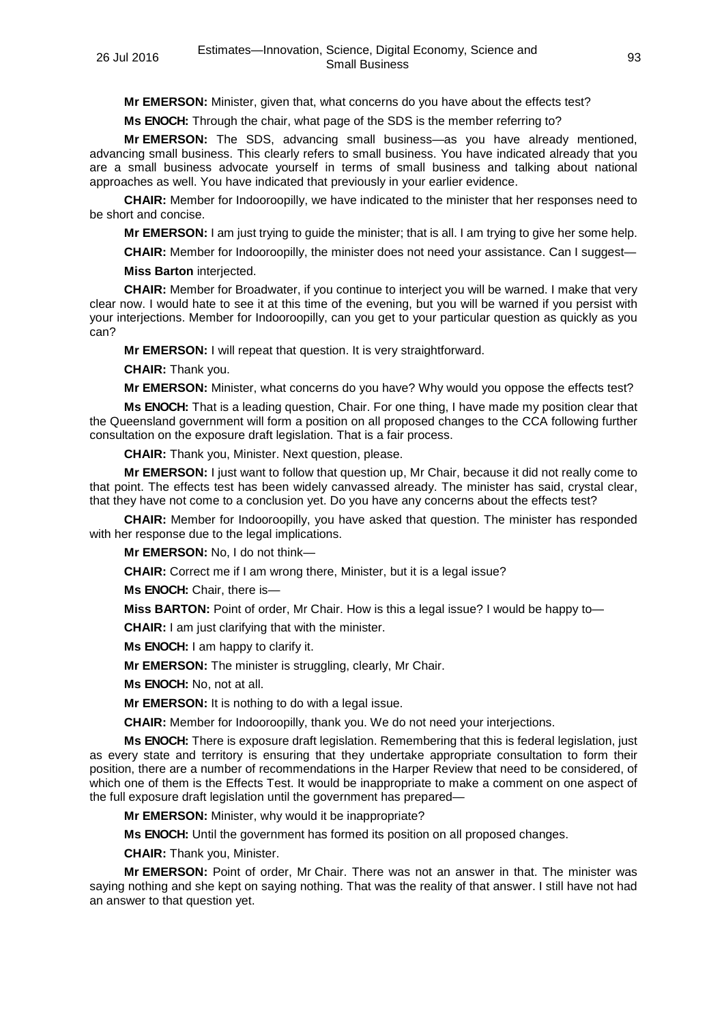**Mr EMERSON:** Minister, given that, what concerns do you have about the effects test?

**Ms ENOCH:** Through the chair, what page of the SDS is the member referring to?

**Mr EMERSON:** The SDS, advancing small business—as you have already mentioned, advancing small business. This clearly refers to small business. You have indicated already that you are a small business advocate yourself in terms of small business and talking about national approaches as well. You have indicated that previously in your earlier evidence.

**CHAIR:** Member for Indooroopilly, we have indicated to the minister that her responses need to be short and concise.

**Mr EMERSON:** I am just trying to guide the minister; that is all. I am trying to give her some help.

**CHAIR:** Member for Indooroopilly, the minister does not need your assistance. Can I suggest—

**Miss Barton** interjected.

**CHAIR:** Member for Broadwater, if you continue to interject you will be warned. I make that very clear now. I would hate to see it at this time of the evening, but you will be warned if you persist with your interjections. Member for Indooroopilly, can you get to your particular question as quickly as you can?

**Mr EMERSON:** I will repeat that question. It is very straightforward.

**CHAIR:** Thank you.

**Mr EMERSON:** Minister, what concerns do you have? Why would you oppose the effects test?

**Ms ENOCH:** That is a leading question, Chair. For one thing, I have made my position clear that the Queensland government will form a position on all proposed changes to the CCA following further consultation on the exposure draft legislation. That is a fair process.

**CHAIR:** Thank you, Minister. Next question, please.

**Mr EMERSON:** I just want to follow that question up, Mr Chair, because it did not really come to that point. The effects test has been widely canvassed already. The minister has said, crystal clear, that they have not come to a conclusion yet. Do you have any concerns about the effects test?

**CHAIR:** Member for Indooroopilly, you have asked that question. The minister has responded with her response due to the legal implications.

**Mr EMERSON:** No, I do not think—

**CHAIR:** Correct me if I am wrong there, Minister, but it is a legal issue?

**Ms ENOCH:** Chair, there is—

**Miss BARTON:** Point of order, Mr Chair. How is this a legal issue? I would be happy to—

**CHAIR:** I am just clarifying that with the minister.

**Ms ENOCH:** I am happy to clarify it.

**Mr EMERSON:** The minister is struggling, clearly, Mr Chair.

**Ms ENOCH:** No, not at all.

**Mr EMERSON:** It is nothing to do with a legal issue.

**CHAIR:** Member for Indooroopilly, thank you. We do not need your interjections.

**Ms ENOCH:** There is exposure draft legislation. Remembering that this is federal legislation, just as every state and territory is ensuring that they undertake appropriate consultation to form their position, there are a number of recommendations in the Harper Review that need to be considered, of which one of them is the Effects Test. It would be inappropriate to make a comment on one aspect of the full exposure draft legislation until the government has prepared—

**Mr EMERSON:** Minister, why would it be inappropriate?

**Ms ENOCH:** Until the government has formed its position on all proposed changes.

**CHAIR:** Thank you, Minister.

**Mr EMERSON:** Point of order, Mr Chair. There was not an answer in that. The minister was saying nothing and she kept on saying nothing. That was the reality of that answer. I still have not had an answer to that question yet.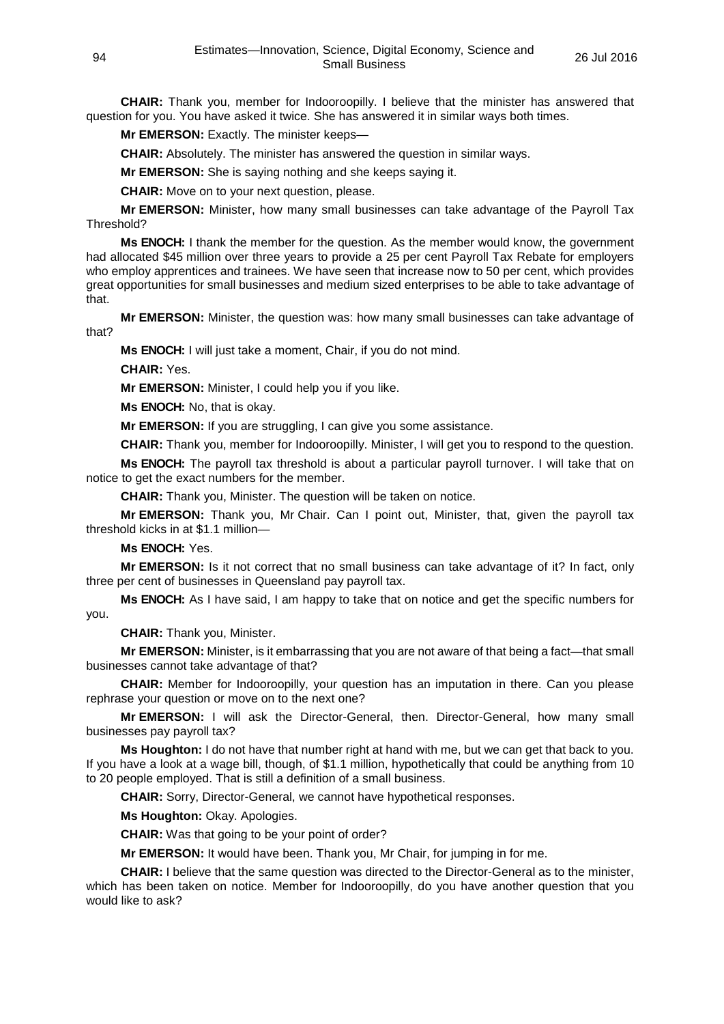**CHAIR:** Thank you, member for Indooroopilly. I believe that the minister has answered that question for you. You have asked it twice. She has answered it in similar ways both times.

**Mr EMERSON:** Exactly. The minister keeps—

**CHAIR:** Absolutely. The minister has answered the question in similar ways.

**Mr EMERSON:** She is saying nothing and she keeps saying it.

**CHAIR:** Move on to your next question, please.

**Mr EMERSON:** Minister, how many small businesses can take advantage of the Payroll Tax Threshold?

**Ms ENOCH:** I thank the member for the question. As the member would know, the government had allocated \$45 million over three years to provide a 25 per cent Payroll Tax Rebate for employers who employ apprentices and trainees. We have seen that increase now to 50 per cent, which provides great opportunities for small businesses and medium sized enterprises to be able to take advantage of that.

**Mr EMERSON:** Minister, the question was: how many small businesses can take advantage of that?

**Ms ENOCH:** I will just take a moment, Chair, if you do not mind.

**CHAIR:** Yes.

**Mr EMERSON:** Minister, I could help you if you like.

**Ms ENOCH:** No, that is okay.

**Mr EMERSON:** If you are struggling, I can give you some assistance.

**CHAIR:** Thank you, member for Indooroopilly. Minister, I will get you to respond to the question.

**Ms ENOCH:** The payroll tax threshold is about a particular payroll turnover. I will take that on notice to get the exact numbers for the member.

**CHAIR:** Thank you, Minister. The question will be taken on notice.

**Mr EMERSON:** Thank you, Mr Chair. Can I point out, Minister, that, given the payroll tax threshold kicks in at \$1.1 million—

**Ms ENOCH:** Yes.

**Mr EMERSON:** Is it not correct that no small business can take advantage of it? In fact, only three per cent of businesses in Queensland pay payroll tax.

**Ms ENOCH:** As I have said, I am happy to take that on notice and get the specific numbers for you.

**CHAIR:** Thank you, Minister.

**Mr EMERSON:** Minister, is it embarrassing that you are not aware of that being a fact—that small businesses cannot take advantage of that?

**CHAIR:** Member for Indooroopilly, your question has an imputation in there. Can you please rephrase your question or move on to the next one?

**Mr EMERSON:** I will ask the Director-General, then. Director-General, how many small businesses pay payroll tax?

**Ms Houghton:** I do not have that number right at hand with me, but we can get that back to you. If you have a look at a wage bill, though, of \$1.1 million, hypothetically that could be anything from 10 to 20 people employed. That is still a definition of a small business.

**CHAIR:** Sorry, Director-General, we cannot have hypothetical responses.

**Ms Houghton:** Okay. Apologies.

**CHAIR:** Was that going to be your point of order?

**Mr EMERSON:** It would have been. Thank you, Mr Chair, for jumping in for me.

**CHAIR:** I believe that the same question was directed to the Director-General as to the minister, which has been taken on notice. Member for Indooroopilly, do you have another question that you would like to ask?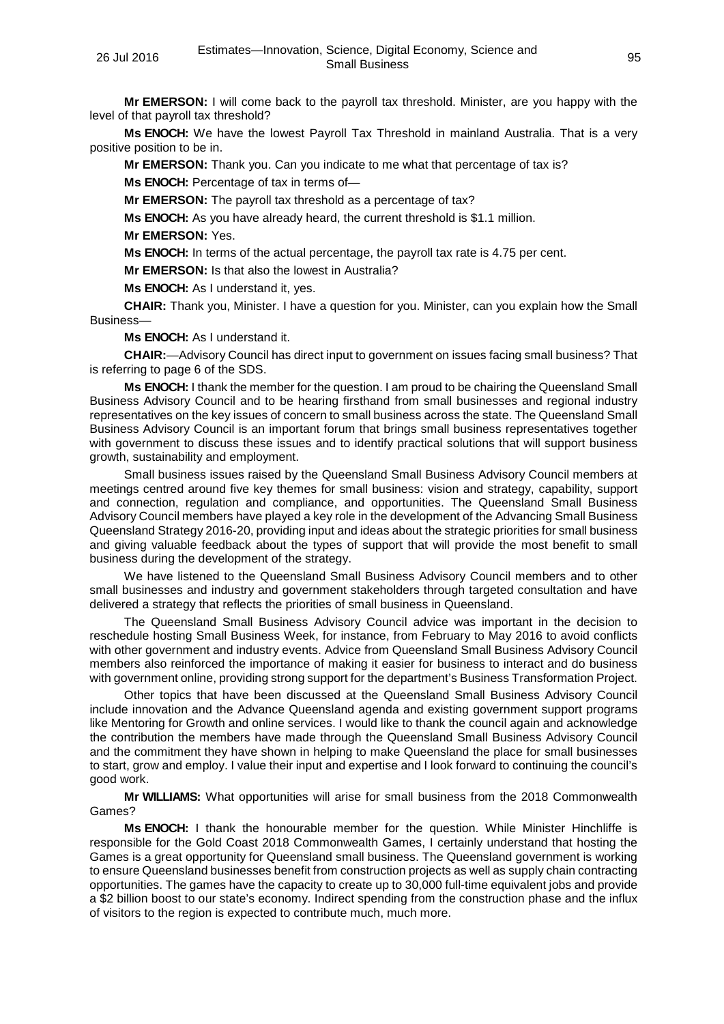**Mr EMERSON:** I will come back to the payroll tax threshold. Minister, are you happy with the level of that payroll tax threshold?

**Ms ENOCH:** We have the lowest Payroll Tax Threshold in mainland Australia. That is a very positive position to be in.

**Mr EMERSON:** Thank you. Can you indicate to me what that percentage of tax is? **Ms ENOCH:** Percentage of tax in terms of—

**Mr EMERSON:** The payroll tax threshold as a percentage of tax?

**Ms ENOCH:** As you have already heard, the current threshold is \$1.1 million.

**Mr EMERSON:** Yes.

**Ms ENOCH:** In terms of the actual percentage, the payroll tax rate is 4.75 per cent.

**Mr EMERSON:** Is that also the lowest in Australia?

**Ms ENOCH:** As I understand it, yes.

**CHAIR:** Thank you, Minister. I have a question for you. Minister, can you explain how the Small Business—

**Ms ENOCH:** As I understand it.

**CHAIR:**—Advisory Council has direct input to government on issues facing small business? That is referring to page 6 of the SDS.

**Ms ENOCH:** I thank the member for the question. I am proud to be chairing the Queensland Small Business Advisory Council and to be hearing firsthand from small businesses and regional industry representatives on the key issues of concern to small business across the state. The Queensland Small Business Advisory Council is an important forum that brings small business representatives together with government to discuss these issues and to identify practical solutions that will support business growth, sustainability and employment.

Small business issues raised by the Queensland Small Business Advisory Council members at meetings centred around five key themes for small business: vision and strategy, capability, support and connection, regulation and compliance, and opportunities. The Queensland Small Business Advisory Council members have played a key role in the development of the Advancing Small Business Queensland Strategy 2016-20, providing input and ideas about the strategic priorities for small business and giving valuable feedback about the types of support that will provide the most benefit to small business during the development of the strategy.

We have listened to the Queensland Small Business Advisory Council members and to other small businesses and industry and government stakeholders through targeted consultation and have delivered a strategy that reflects the priorities of small business in Queensland.

The Queensland Small Business Advisory Council advice was important in the decision to reschedule hosting Small Business Week, for instance, from February to May 2016 to avoid conflicts with other government and industry events. Advice from Queensland Small Business Advisory Council members also reinforced the importance of making it easier for business to interact and do business with government online, providing strong support for the department's Business Transformation Project.

Other topics that have been discussed at the Queensland Small Business Advisory Council include innovation and the Advance Queensland agenda and existing government support programs like Mentoring for Growth and online services. I would like to thank the council again and acknowledge the contribution the members have made through the Queensland Small Business Advisory Council and the commitment they have shown in helping to make Queensland the place for small businesses to start, grow and employ. I value their input and expertise and I look forward to continuing the council's good work.

**Mr WILLIAMS:** What opportunities will arise for small business from the 2018 Commonwealth Games?

**Ms ENOCH:** I thank the honourable member for the question. While Minister Hinchliffe is responsible for the Gold Coast 2018 Commonwealth Games, I certainly understand that hosting the Games is a great opportunity for Queensland small business. The Queensland government is working to ensure Queensland businesses benefit from construction projects as well as supply chain contracting opportunities. The games have the capacity to create up to 30,000 full-time equivalent jobs and provide a \$2 billion boost to our state's economy. Indirect spending from the construction phase and the influx of visitors to the region is expected to contribute much, much more.